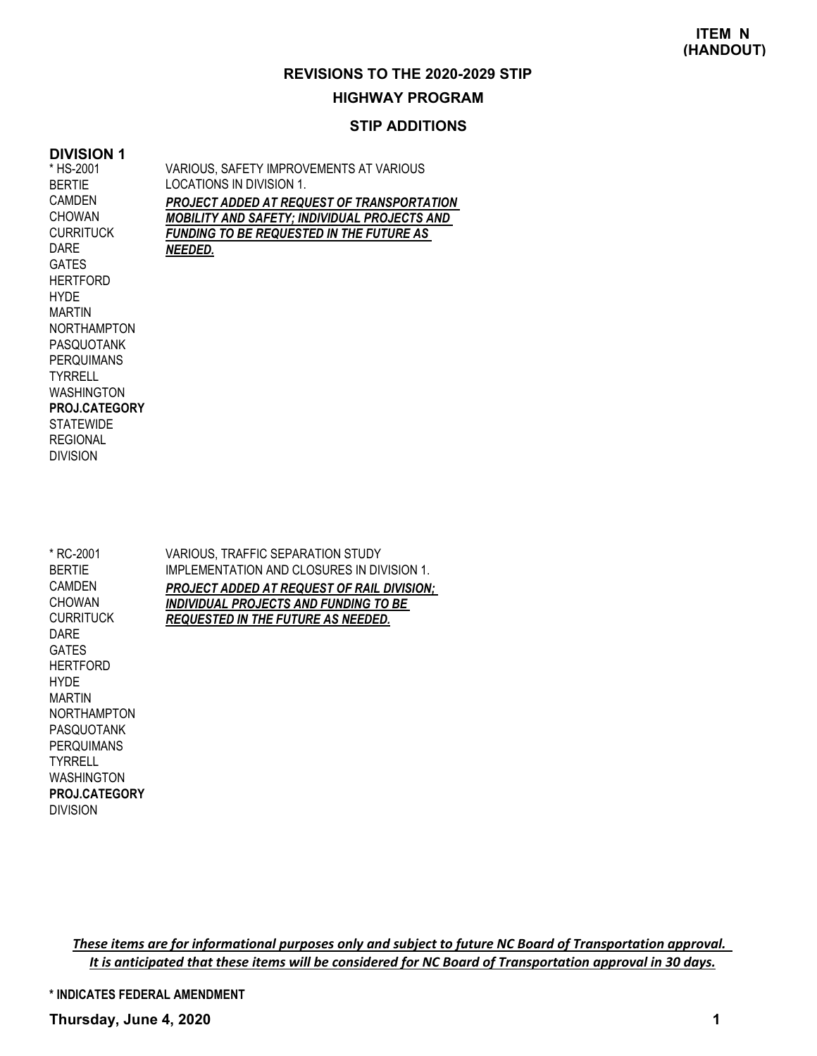# **HIGHWAY PROGRAM**

#### **STIP ADDITIONS**

#### **DIVISION 1** \* HS-2001

LOCATIONS IN DIVISION 1. *PROJECT ADDED AT REQUEST OF TRANSPORTATION MOBILITY AND SAFETY; INDIVIDUAL PROJECTS AND FUNDING TO BE REQUESTED IN THE FUTURE AS NEEDED.* BERTIE CAMDEN **CHOWAN CURRITUCK** DARE **GATES HERTFORD** HYDE MARTIN NORTHAMPTON PASQUOTANK **PERQUIMANS TYRRELL** WASHINGTON **STATEWIDE** REGIONAL DIVISION **PROJ.CATEGORY** VARIOUS, TRAFFIC SEPARATION STUDY IMPLEMENTATION AND CLOSURES IN DIVISION 1. *PROJECT ADDED AT REQUEST OF RAIL DIVISION; INDIVIDUAL PROJECTS AND FUNDING TO BE REQUESTED IN THE FUTURE AS NEEDED.* \* RC-2001 BERTIE CAMDEN CHOWAN **CURRITUCK** DARE GATES HERTFORD HYDE MARTIN NORTHAMPTON PASQUOTANK PERQUIMANS

VARIOUS, SAFETY IMPROVEMENTS AT VARIOUS

WASHINGTON DIVISION **PROJ.CATEGORY**

TYRRELL

These items are for informational purposes only and subject to future NC Board of Transportation approval. It is anticipated that these items will be considered for NC Board of Transportation approval in 30 days.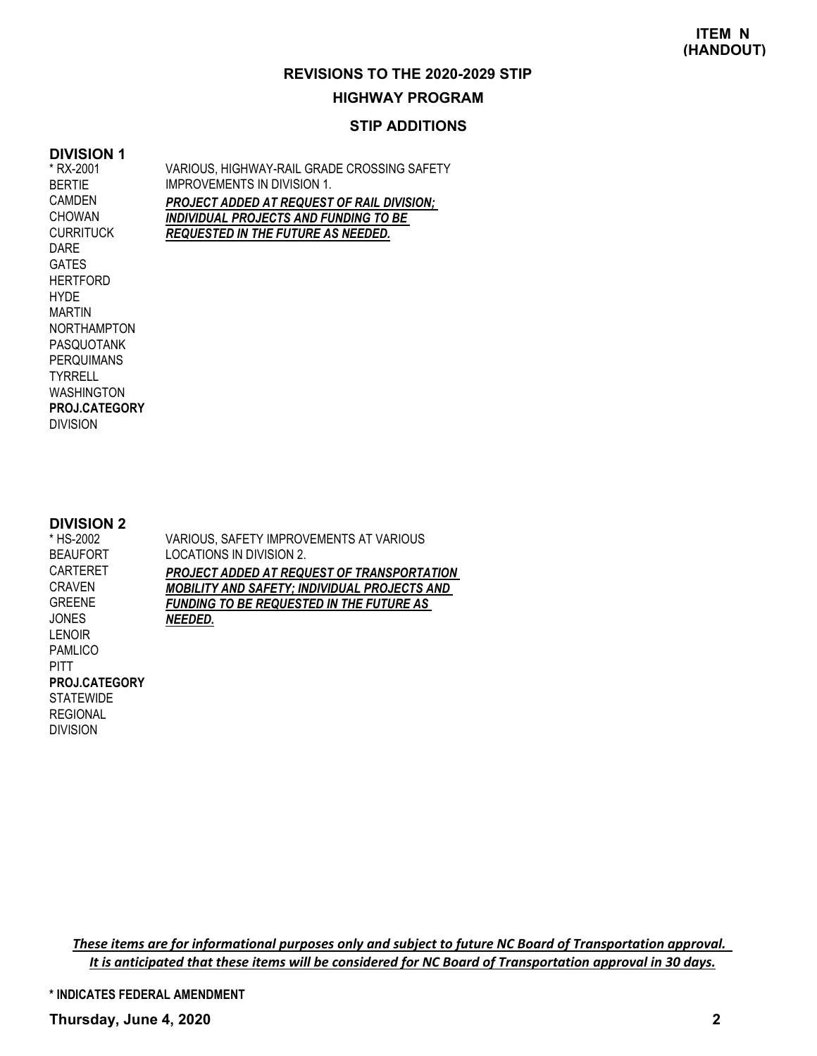#### **HIGHWAY PROGRAM**

#### **STIP ADDITIONS**

#### **DIVISION 1** \* RX-2001

BERTIE CAMDEN CHOWAN CURRITUCK VARIOUS, HIGHWAY-RAIL GRADE CROSSING SAFETY IMPROVEMENTS IN DIVISION 1. *PROJECT ADDED AT REQUEST OF RAIL DIVISION; INDIVIDUAL PROJECTS AND FUNDING TO BE REQUESTED IN THE FUTURE AS NEEDED.*

DARE GATES **HERTFORD** HYDE MARTIN NORTHAMPTON PASQUOTANK PERQUIMANS TYRRELL WASHINGTON DIVISION **PROJ.CATEGORY**

#### **DIVISION 2**

DIVISION

| * HS-2002        | VARIOUS, SAFETY IMPROVEMENTS AT VARIOUS             |
|------------------|-----------------------------------------------------|
| <b>BEAUFORT</b>  | LOCATIONS IN DIVISION 2.                            |
| <b>CARTERET</b>  | PROJECT ADDED AT REQUEST OF TRANSPORTATION          |
| <b>CRAVEN</b>    | <b>MOBILITY AND SAFETY; INDIVIDUAL PROJECTS AND</b> |
| <b>GREENE</b>    | <b>FUNDING TO BE REQUESTED IN THE FUTURE AS</b>     |
| <b>JONES</b>     | NEEDED.                                             |
| LENOIR           |                                                     |
| <b>PAMLICO</b>   |                                                     |
| <b>PITT</b>      |                                                     |
| PROJ.CATEGORY    |                                                     |
| <b>STATEWIDE</b> |                                                     |
| <b>REGIONAL</b>  |                                                     |

These items are for informational purposes only and subject to future NC Board of Transportation approval. It is anticipated that these items will be considered for NC Board of Transportation approval in 30 days.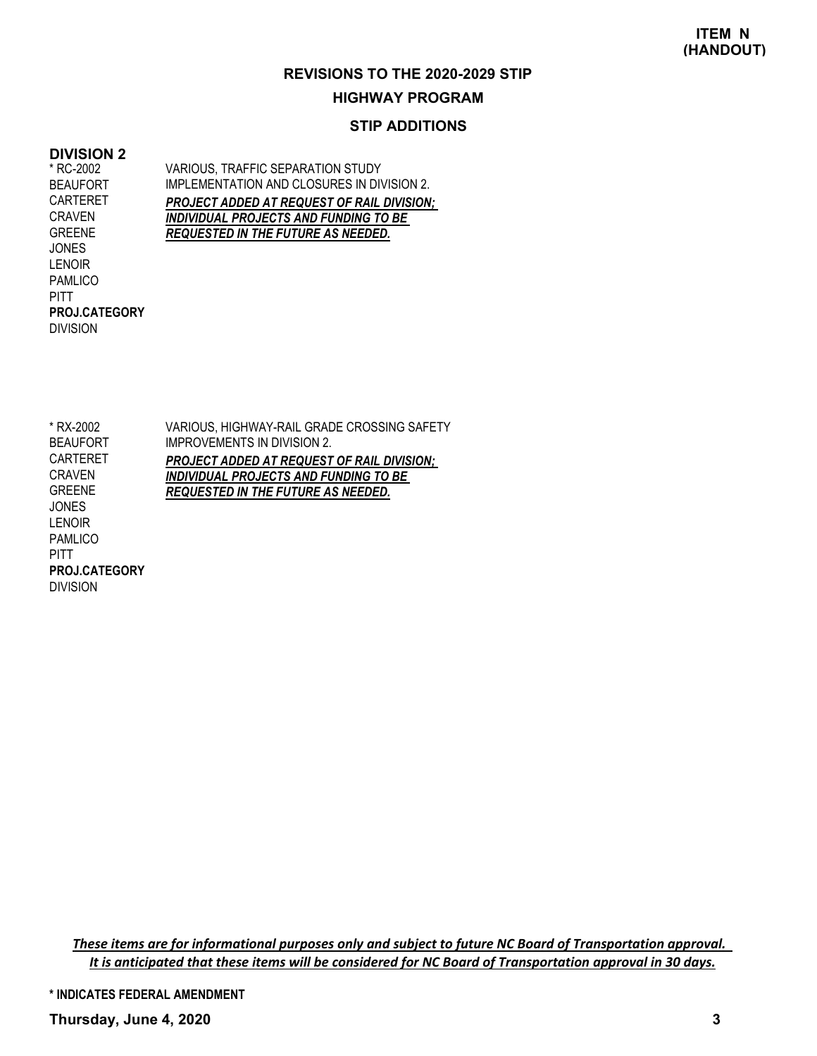#### **HIGHWAY PROGRAM**

#### **STIP ADDITIONS**

#### **DIVISION 2**

\* RC-2002 BEAUFORT CARTERET CRAVEN GREENE **JONES** LENOIR PAMLICO **PITT** DIVISION **PROJ.CATEGORY** VARIOUS, TRAFFIC SEPARATION STUDY IMPLEMENTATION AND CLOSURES IN DIVISION 2. *PROJECT ADDED AT REQUEST OF RAIL DIVISION; INDIVIDUAL PROJECTS AND FUNDING TO BE REQUESTED IN THE FUTURE AS NEEDED.*

VARIOUS, HIGHWAY-RAIL GRADE CROSSING SAFETY IMPROVEMENTS IN DIVISION 2. *PROJECT ADDED AT REQUEST OF RAIL DIVISION; INDIVIDUAL PROJECTS AND FUNDING TO BE REQUESTED IN THE FUTURE AS NEEDED.* \* RX-2002 BEAUFORT CARTERET CRAVEN GREENE JONES LENOIR PAMLICO PITT DIVISION **PROJ.CATEGORY**

These items are for informational purposes only and subject to future NC Board of Transportation approval. It is anticipated that these items will be considered for NC Board of Transportation approval in 30 days.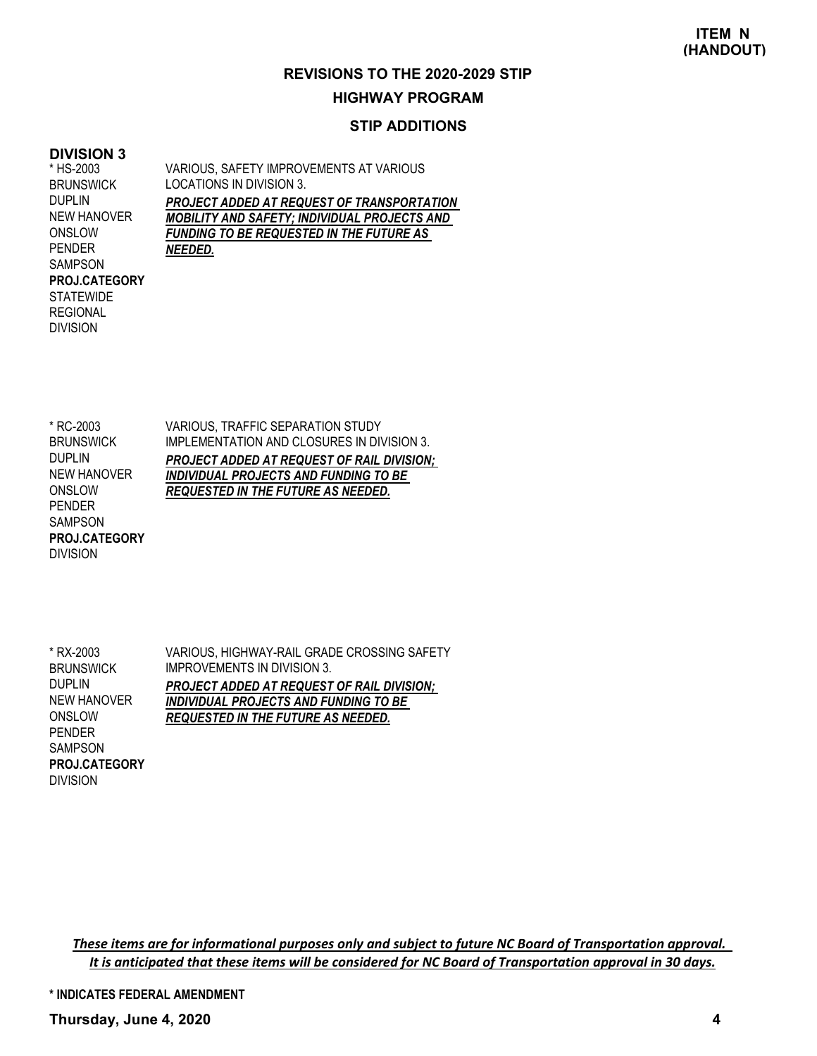### **HIGHWAY PROGRAM**

#### **STIP ADDITIONS**

#### **DIVISION 3**

\* HS-2003 **BRUNSWICK** DUPLIN NEW HANOVER ONSLOW PENDER SAMPSON **STATEWIDE** REGIONAL DIVISION **PROJ.CATEGORY** VARIOUS, SAFETY IMPROVEMENTS AT VARIOUS LOCATIONS IN DIVISION 3. *PROJECT ADDED AT REQUEST OF TRANSPORTATION MOBILITY AND SAFETY; INDIVIDUAL PROJECTS AND FUNDING TO BE REQUESTED IN THE FUTURE AS NEEDED.*

\* RC-2003 **BRUNSWICK** DUPLIN NEW HANOVER ONSLOW PENDER SAMPSON DIVISION **PROJ.CATEGORY** VARIOUS, TRAFFIC SEPARATION STUDY IMPLEMENTATION AND CLOSURES IN DIVISION 3. *PROJECT ADDED AT REQUEST OF RAIL DIVISION; INDIVIDUAL PROJECTS AND FUNDING TO BE REQUESTED IN THE FUTURE AS NEEDED.*

\* RX-2003 **BRUNSWICK** DUPLIN NEW HANOVER **ONSLOW** PENDER SAMPSON DIVISION **PROJ.CATEGORY** VARIOUS, HIGHWAY-RAIL GRADE CROSSING SAFETY IMPROVEMENTS IN DIVISION 3. *PROJECT ADDED AT REQUEST OF RAIL DIVISION; INDIVIDUAL PROJECTS AND FUNDING TO BE REQUESTED IN THE FUTURE AS NEEDED.*

These items are for informational purposes only and subject to future NC Board of Transportation approval. It is anticipated that these items will be considered for NC Board of Transportation approval in 30 days.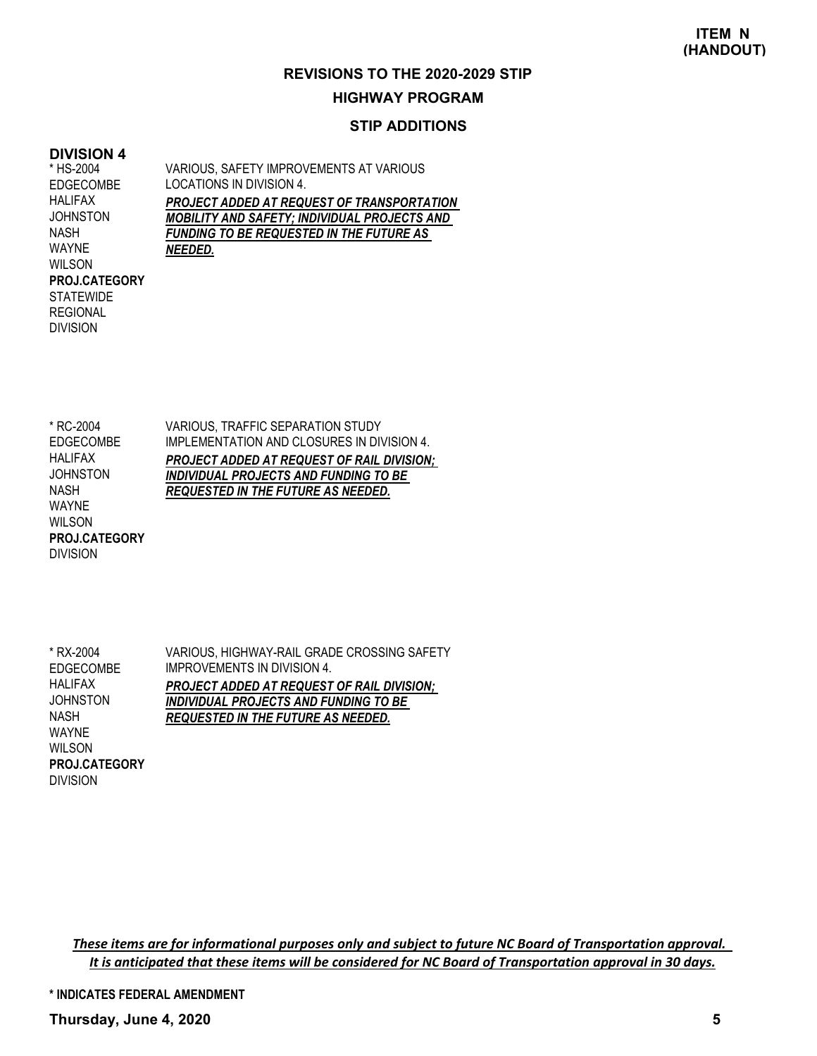#### **HIGHWAY PROGRAM**

#### **STIP ADDITIONS**

#### **DIVISION 4**

\* HS-2004 EDGECOMBE HALIFAX **JOHNSTON** NASH WAYNE WILSON **STATEWIDE** REGIONAL DIVISION **PROJ.CATEGORY** VARIOUS, SAFETY IMPROVEMENTS AT VARIOUS LOCATIONS IN DIVISION 4. *PROJECT ADDED AT REQUEST OF TRANSPORTATION MOBILITY AND SAFETY; INDIVIDUAL PROJECTS AND FUNDING TO BE REQUESTED IN THE FUTURE AS NEEDED.*

VARIOUS, TRAFFIC SEPARATION STUDY IMPLEMENTATION AND CLOSURES IN DIVISION 4. *PROJECT ADDED AT REQUEST OF RAIL DIVISION; INDIVIDUAL PROJECTS AND FUNDING TO BE REQUESTED IN THE FUTURE AS NEEDED.* \* RC-2004 EDGECOMBE HALIFAX **JOHNSTON** NASH WAYNE WILSON **PROJ.CATEGORY**

\* RX-2004 EDGECOMBE HALIFAX **JOHNSTON** NASH WAYNE WILSON DIVISION **PROJ.CATEGORY**

DIVISION

VARIOUS, HIGHWAY-RAIL GRADE CROSSING SAFETY IMPROVEMENTS IN DIVISION 4. *PROJECT ADDED AT REQUEST OF RAIL DIVISION; INDIVIDUAL PROJECTS AND FUNDING TO BE REQUESTED IN THE FUTURE AS NEEDED.*

These items are for informational purposes only and subject to future NC Board of Transportation approval. It is anticipated that these items will be considered for NC Board of Transportation approval in 30 days.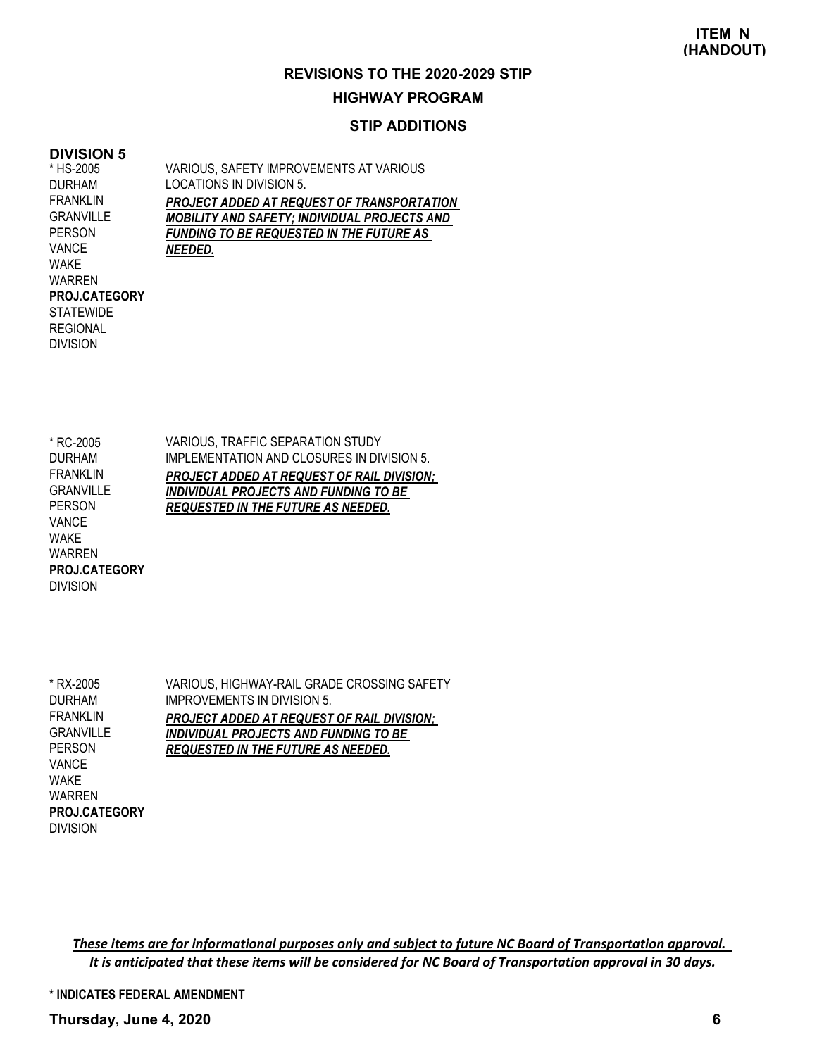## **HIGHWAY PROGRAM**

#### **STIP ADDITIONS**

#### **DIVISION 5**

\* HS-2005 DURHAM FRANKLIN **GRANVILLE** PERSON VANCE WAKE WARREN **STATEWIDE** REGIONAL DIVISION **PROJ.CATEGORY**

DIVISION

VARIOUS, SAFETY IMPROVEMENTS AT VARIOUS LOCATIONS IN DIVISION 5. *PROJECT ADDED AT REQUEST OF TRANSPORTATION MOBILITY AND SAFETY; INDIVIDUAL PROJECTS AND FUNDING TO BE REQUESTED IN THE FUTURE AS NEEDED.*

| VARIOUS, TRAFFIC SEPARATION STUDY                 |
|---------------------------------------------------|
| IMPLEMENTATION AND CLOSURES IN DIVISION 5.        |
| <b>PROJECT ADDED AT REQUEST OF RAIL DIVISION:</b> |
| <b>INDIVIDUAL PROJECTS AND FUNDING TO BE</b>      |
| <b>REQUESTED IN THE FUTURE AS NEEDED.</b>         |
|                                                   |
|                                                   |
|                                                   |
|                                                   |
|                                                   |

VARIOUS, HIGHWAY-RAIL GRADE CROSSING SAFETY IMPROVEMENTS IN DIVISION 5. *PROJECT ADDED AT REQUEST OF RAIL DIVISION; INDIVIDUAL PROJECTS AND FUNDING TO BE REQUESTED IN THE FUTURE AS NEEDED.* \* RX-2005 DURHAM **FRANKLIN** GRANVILLE PERSON VANCE WAKE WARREN DIVISION **PROJ.CATEGORY**

These items are for informational purposes only and subject to future NC Board of Transportation approval. It is anticipated that these items will be considered for NC Board of Transportation approval in 30 days.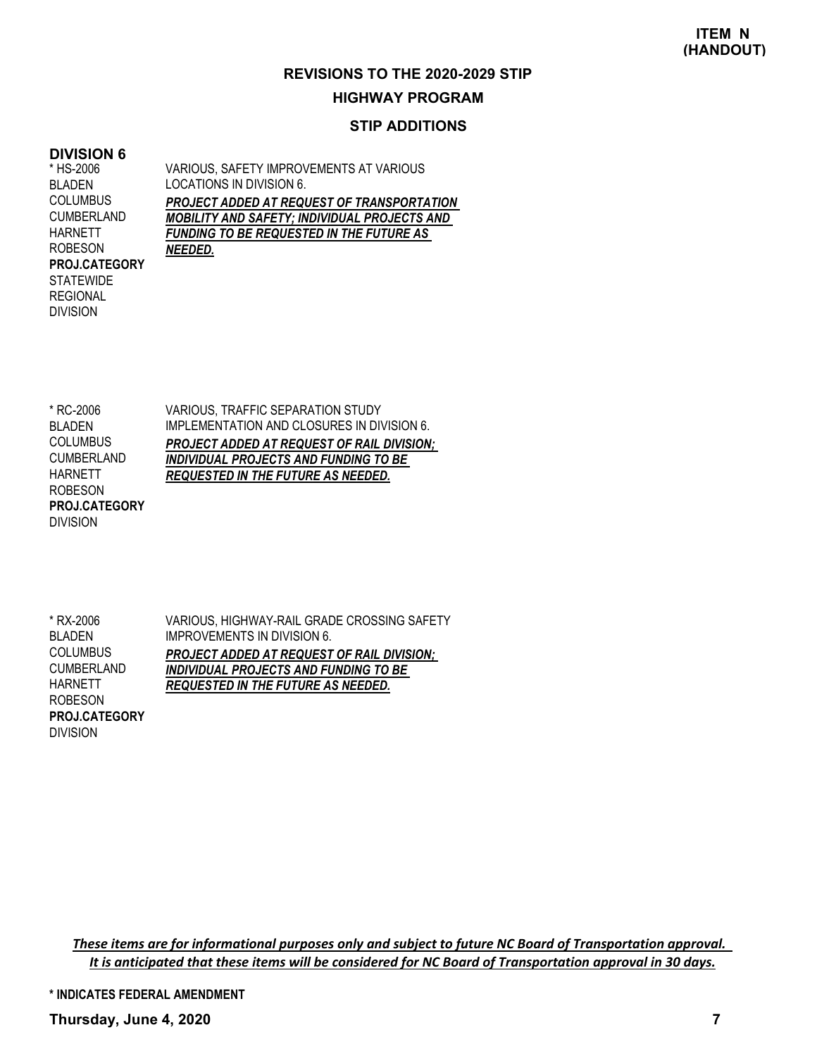## **HIGHWAY PROGRAM**

#### **STIP ADDITIONS**

#### **DIVISION 6**

\* HS-2006 BLADEN **COLUMBUS** CUMBERLAND HARNETT ROBESON **STATEWIDE** REGIONAL DIVISION **PROJ.CATEGORY** VARIOUS, SAFETY IMPROVEMENTS AT VARIOUS LOCATIONS IN DIVISION 6. *PROJECT ADDED AT REQUEST OF TRANSPORTATION MOBILITY AND SAFETY; INDIVIDUAL PROJECTS AND FUNDING TO BE REQUESTED IN THE FUTURE AS NEEDED.*

VARIOUS, TRAFFIC SEPARATION STUDY IMPLEMENTATION AND CLOSURES IN DIVISION 6. *PROJECT ADDED AT REQUEST OF RAIL DIVISION; INDIVIDUAL PROJECTS AND FUNDING TO BE REQUESTED IN THE FUTURE AS NEEDED.* \* RC-2006 BLADEN **COLUMBUS** CUMBERLAND HARNETT ROBESON DIVISION **PROJ.CATEGORY**

VARIOUS, HIGHWAY-RAIL GRADE CROSSING SAFETY IMPROVEMENTS IN DIVISION 6. *PROJECT ADDED AT REQUEST OF RAIL DIVISION; INDIVIDUAL PROJECTS AND FUNDING TO BE REQUESTED IN THE FUTURE AS NEEDED.* \* RX-2006 BLADEN COLUMBUS CUMBERLAND **HARNETT** ROBESON DIVISION **PROJ.CATEGORY**

These items are for informational purposes only and subject to future NC Board of Transportation approval. It is anticipated that these items will be considered for NC Board of Transportation approval in 30 days.

**\* INDICATES FEDERAL AMENDMENT**

**Thursday, June 4, 2020 7**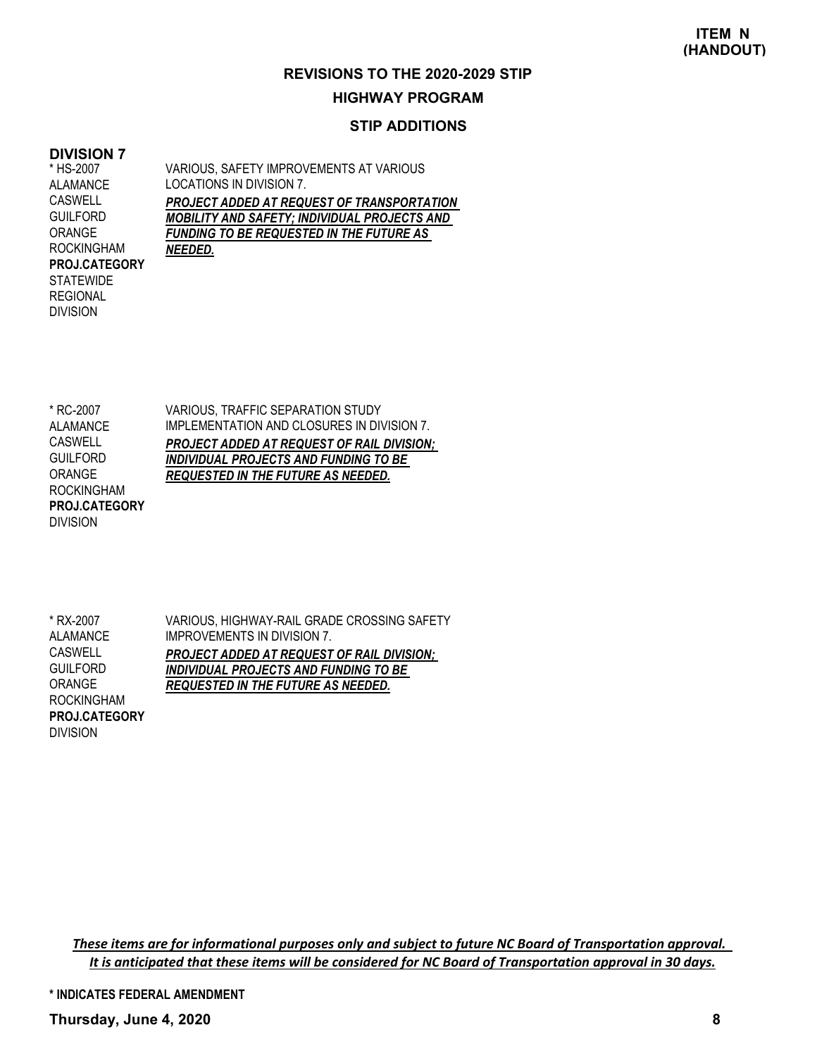#### **HIGHWAY PROGRAM**

#### **STIP ADDITIONS**

#### **DIVISION 7**

\* HS-2007 ALAMANCE CASWELL **GUILFORD** ORANGE ROCKINGHAM **STATEWIDE** REGIONAL DIVISION **PROJ.CATEGORY** VARIOUS, SAFETY IMPROVEMENTS AT VARIOUS LOCATIONS IN DIVISION 7. *PROJECT ADDED AT REQUEST OF TRANSPORTATION MOBILITY AND SAFETY; INDIVIDUAL PROJECTS AND FUNDING TO BE REQUESTED IN THE FUTURE AS NEEDED.*

VARIOUS, TRAFFIC SEPARATION STUDY IMPLEMENTATION AND CLOSURES IN DIVISION 7. *PROJECT ADDED AT REQUEST OF RAIL DIVISION; INDIVIDUAL PROJECTS AND FUNDING TO BE REQUESTED IN THE FUTURE AS NEEDED.* \* RC-2007 **ALAMANCE CASWELL GUILFORD** ORANGE ROCKINGHAM DIVISION **PROJ.CATEGORY**

VARIOUS, HIGHWAY-RAIL GRADE CROSSING SAFETY IMPROVEMENTS IN DIVISION 7. *PROJECT ADDED AT REQUEST OF RAIL DIVISION; INDIVIDUAL PROJECTS AND FUNDING TO BE REQUESTED IN THE FUTURE AS NEEDED.* \* RX-2007 ALAMANCE **CASWELL GUILFORD** ORANGE ROCKINGHAM DIVISION **PROJ.CATEGORY**

These items are for informational purposes only and subject to future NC Board of Transportation approval. It is anticipated that these items will be considered for NC Board of Transportation approval in 30 days.

**\* INDICATES FEDERAL AMENDMENT**

**Thursday, June 4, 2020 8**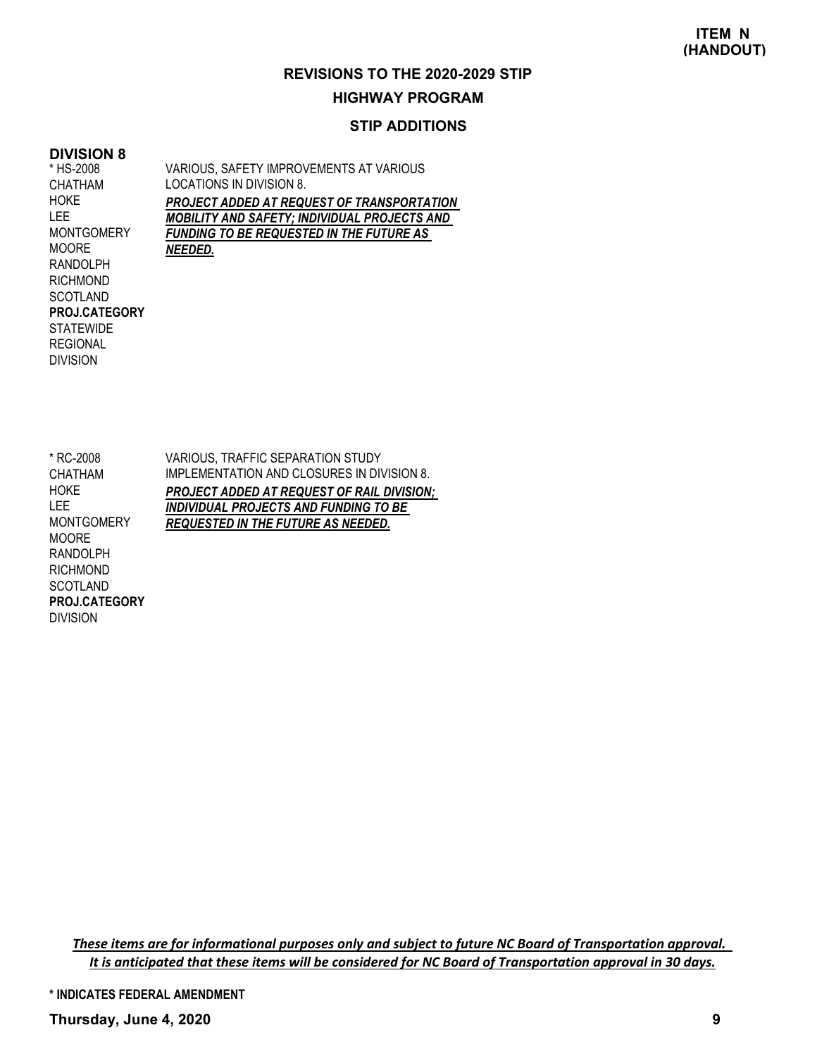## **HIGHWAY PROGRAM**

#### **STIP ADDITIONS**

#### **DIVISION 8** \* HS-2008

CHATHAM HOKE LEE

MOORE

SCOTLAND

**STATEWIDE** REGIONAL DIVISION

**PROJ.CATEGORY**

VARIOUS, SAFETY IMPROVEMENTS AT VARIOUS LOCATIONS IN DIVISION 8. *PROJECT ADDED AT REQUEST OF TRANSPORTATION MOBILITY AND SAFETY; INDIVIDUAL PROJECTS AND FUNDING TO BE REQUESTED IN THE FUTURE AS NEEDED.* **MONTGOMERY** RANDOLPH RICHMOND

VARIOUS, TRAFFIC SEPARATION STUDY IMPLEMENTATION AND CLOSURES IN DIVISION 8. *PROJECT ADDED AT REQUEST OF RAIL DIVISION; INDIVIDUAL PROJECTS AND FUNDING TO BE REQUESTED IN THE FUTURE AS NEEDED.* \* RC-2008 CHATHAM HOKE LEE **MONTGOMERY MOORE** RANDOLPH **RICHMOND SCOTLAND** DIVISION **PROJ.CATEGORY**

These items are for informational purposes only and subject to future NC Board of Transportation approval. It is anticipated that these items will be considered for NC Board of Transportation approval in 30 days.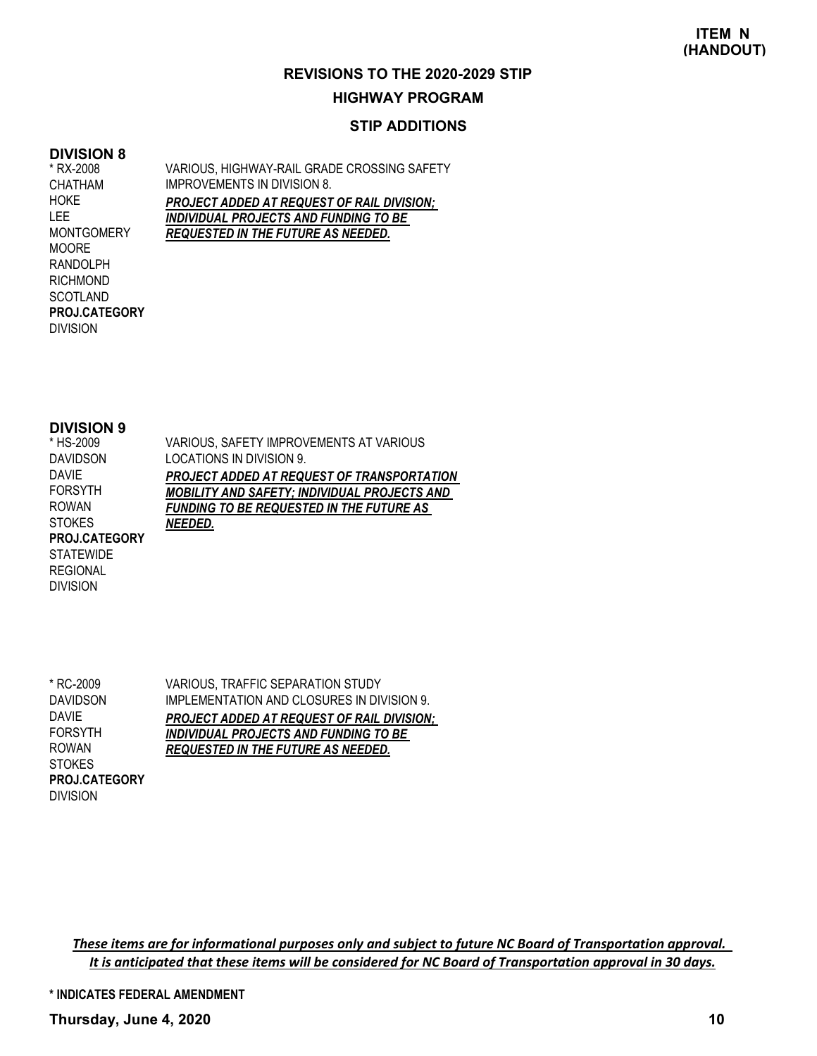#### **HIGHWAY PROGRAM**

#### **STIP ADDITIONS**

#### **DIVISION 8**

\* RX-2008 CHATHAM HOKE LEE **MONTGOMERY** MOORE RANDOLPH RICHMOND SCOTLAND DIVISION **PROJ.CATEGORY** VARIOUS, HIGHWAY-RAIL GRADE CROSSING SAFETY IMPROVEMENTS IN DIVISION 8. *PROJECT ADDED AT REQUEST OF RAIL DIVISION; INDIVIDUAL PROJECTS AND FUNDING TO BE REQUESTED IN THE FUTURE AS NEEDED.*

#### **DIVISION 9**

DIVISION

| VARIOUS, SAFETY IMPROVEMENTS AT VARIOUS             |
|-----------------------------------------------------|
| LOCATIONS IN DIVISION 9.                            |
| PROJECT ADDED AT REQUEST OF TRANSPORTATION          |
| <b>MOBILITY AND SAFETY; INDIVIDUAL PROJECTS AND</b> |
| <b>FUNDING TO BE REQUESTED IN THE FUTURE AS</b>     |
| NEEDED.                                             |
|                                                     |
|                                                     |
|                                                     |
|                                                     |

\* RC-2009 DAVIDSON DAVIE FORSYTH ROWAN **STOKES** DIVISION **PROJ.CATEGORY** VARIOUS, TRAFFIC SEPARATION STUDY IMPLEMENTATION AND CLOSURES IN DIVISION 9. *PROJECT ADDED AT REQUEST OF RAIL DIVISION; INDIVIDUAL PROJECTS AND FUNDING TO BE REQUESTED IN THE FUTURE AS NEEDED.*

These items are for informational purposes only and subject to future NC Board of Transportation approval. It is anticipated that these items will be considered for NC Board of Transportation approval in 30 days.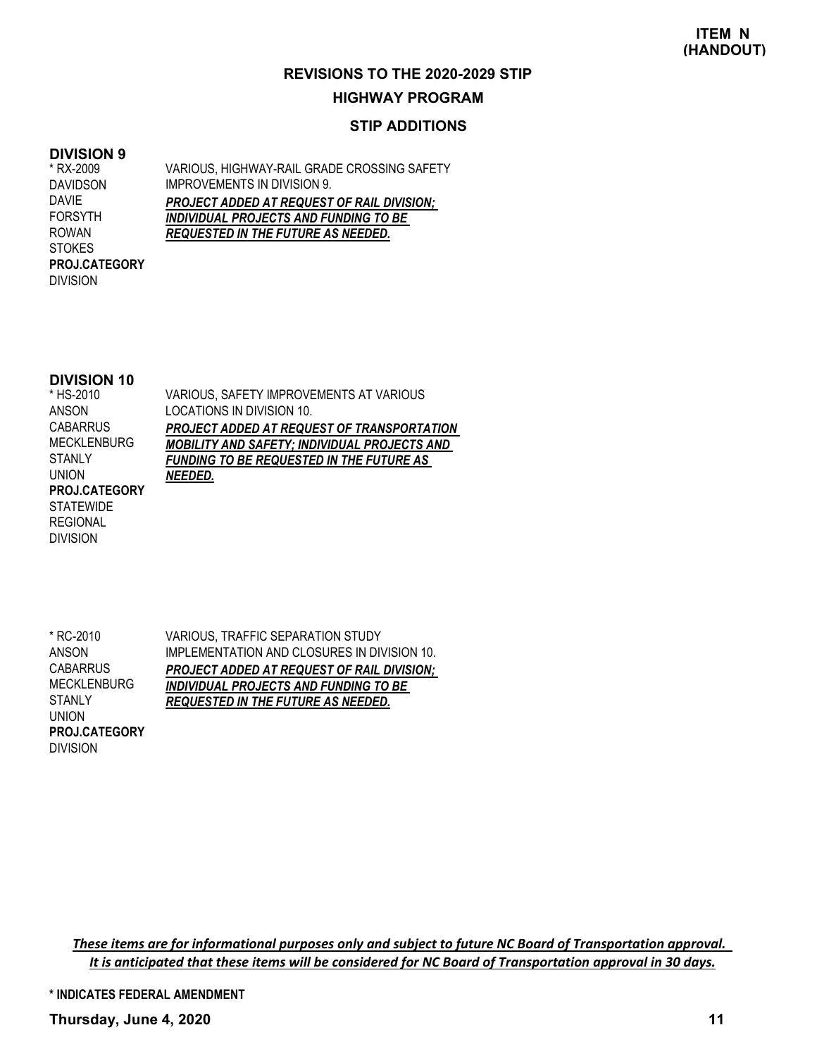#### **HIGHWAY PROGRAM**

#### **STIP ADDITIONS**

#### **DIVISION 9**

\* RX-2009 DAVIDSON DAVIE FORSYTH ROWAN **STOKES** DIVISION **PROJ.CATEGORY** VARIOUS, HIGHWAY-RAIL GRADE CROSSING SAFETY IMPROVEMENTS IN DIVISION 9. *PROJECT ADDED AT REQUEST OF RAIL DIVISION; INDIVIDUAL PROJECTS AND FUNDING TO BE REQUESTED IN THE FUTURE AS NEEDED.*

#### **DIVISION 10**

DIVISION

| * HS-2010          | VARIOUS, SAFETY IMPROVEMENTS AT VARIOUS             |
|--------------------|-----------------------------------------------------|
| ANSON              | LOCATIONS IN DIVISION 10.                           |
| <b>CABARRUS</b>    | <b>PROJECT ADDED AT REQUEST OF TRANSPORTATION</b>   |
| <b>MECKLENBURG</b> | <b>MOBILITY AND SAFETY; INDIVIDUAL PROJECTS AND</b> |
| <b>STANLY</b>      | <b>FUNDING TO BE REQUESTED IN THE FUTURE AS</b>     |
| <b>UNION</b>       | NEEDED.                                             |
| PROJ.CATEGORY      |                                                     |
| <b>STATEWIDE</b>   |                                                     |
| <b>REGIONAL</b>    |                                                     |
| <b>DIVISION</b>    |                                                     |

VARIOUS, TRAFFIC SEPARATION STUDY IMPLEMENTATION AND CLOSURES IN DIVISION 10. *PROJECT ADDED AT REQUEST OF RAIL DIVISION; INDIVIDUAL PROJECTS AND FUNDING TO BE REQUESTED IN THE FUTURE AS NEEDED.* \* RC-2010 ANSON **CABARRUS** MECKLENBURG **STANLY** UNION **PROJ.CATEGORY**

These items are for informational purposes only and subject to future NC Board of Transportation approval. It is anticipated that these items will be considered for NC Board of Transportation approval in 30 days.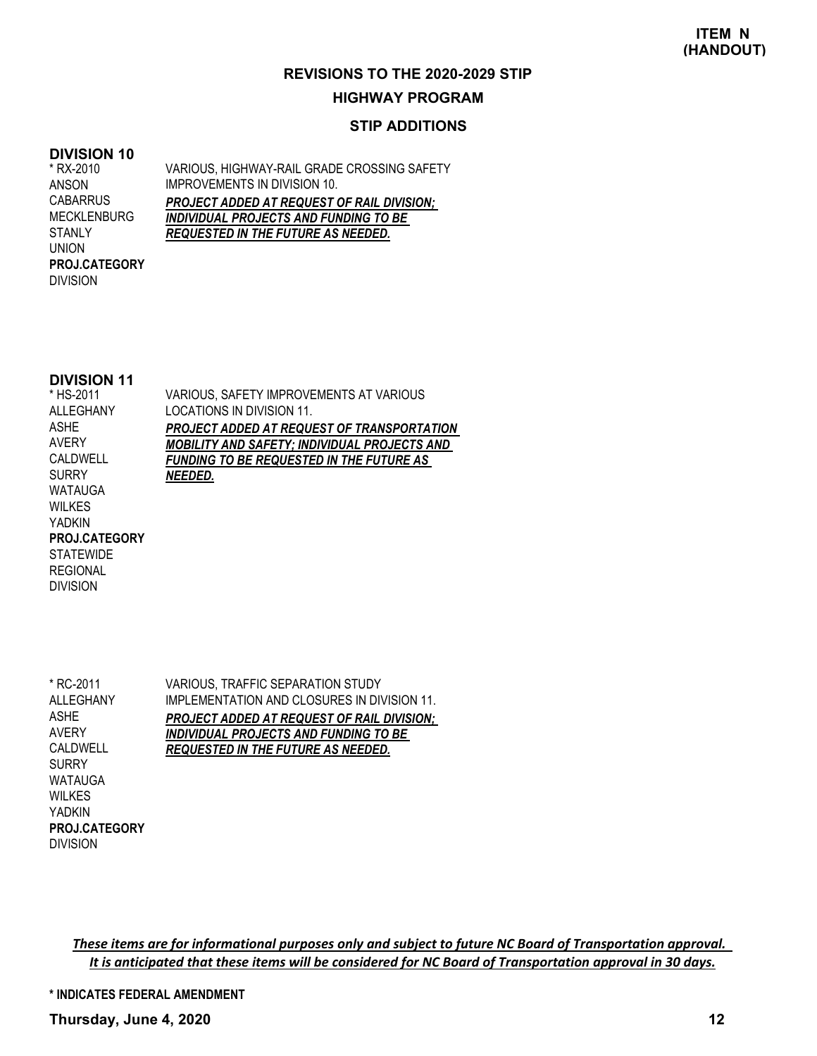#### **HIGHWAY PROGRAM**

#### **STIP ADDITIONS**

#### **DIVISION 10**

\* RX-2010 ANSON **CABARRUS** MECKLENBURG **STANLY** UNION DIVISION **PROJ.CATEGORY** VARIOUS, HIGHWAY-RAIL GRADE CROSSING SAFETY IMPROVEMENTS IN DIVISION 10. *PROJECT ADDED AT REQUEST OF RAIL DIVISION; INDIVIDUAL PROJECTS AND FUNDING TO BE REQUESTED IN THE FUTURE AS NEEDED.*

#### **DIVISION 11**

VARIOUS, SAFETY IMPROVEMENTS AT VARIOUS LOCATIONS IN DIVISION 11. *PROJECT ADDED AT REQUEST OF TRANSPORTATION MOBILITY AND SAFETY; INDIVIDUAL PROJECTS AND FUNDING TO BE REQUESTED IN THE FUTURE AS NEEDED.* \* HS-2011 ALLEGHANY ASHE AVERY CALDWELL **SURRY** WATAUGA WILKES YADKIN **STATEWIDE** REGIONAL **PROJ.CATEGORY**

VARIOUS, TRAFFIC SEPARATION STUDY IMPLEMENTATION AND CLOSURES IN DIVISION 11. *PROJECT ADDED AT REQUEST OF RAIL DIVISION; INDIVIDUAL PROJECTS AND FUNDING TO BE REQUESTED IN THE FUTURE AS NEEDED.* \* RC-2011 ALLEGHANY ASHE AVERY CALDWELL SURRY WATAUGA **WILKES** YADKIN **PROJ.CATEGORY**

DIVISION

DIVISION

These items are for informational purposes only and subject to future NC Board of Transportation approval. It is anticipated that these items will be considered for NC Board of Transportation approval in 30 days.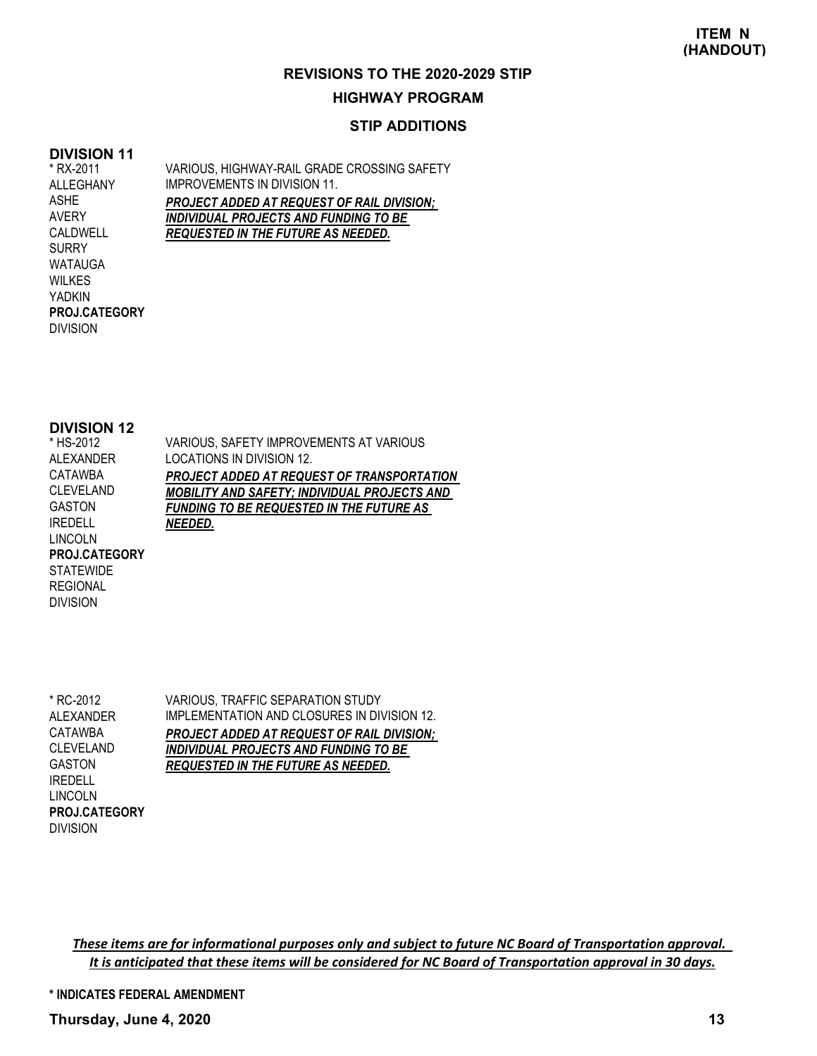#### **HIGHWAY PROGRAM**

#### **STIP ADDITIONS**

#### **DIVISION 11**

\* RX-2011 ALLEGHANY ASHE AVERY CALDWELL SURRY WATAUGA WILKES YADKIN DIVISION **PROJ.CATEGORY** VARIOUS, HIGHWAY-RAIL GRADE CROSSING SAFETY IMPROVEMENTS IN DIVISION 11. *PROJECT ADDED AT REQUEST OF RAIL DIVISION; INDIVIDUAL PROJECTS AND FUNDING TO BE REQUESTED IN THE FUTURE AS NEEDED.*

#### **DIVISION 12**

| * HS-2012            | VARIOUS, SAFETY IMPROVEMENTS AT VARIOUS             |
|----------------------|-----------------------------------------------------|
| <b>ALEXANDER</b>     | LOCATIONS IN DIVISION 12.                           |
| CATAWBA              | PROJECT ADDED AT REQUEST OF TRANSPORTATION          |
| <b>CLEVELAND</b>     | <b>MOBILITY AND SAFETY; INDIVIDUAL PROJECTS AND</b> |
| <b>GASTON</b>        | <b>FUNDING TO BE REQUESTED IN THE FUTURE AS</b>     |
| <b>IREDELL</b>       | NEEDED.                                             |
| <b>LINCOLN</b>       |                                                     |
| <b>PROJ.CATEGORY</b> |                                                     |
| <b>STATEWIDE</b>     |                                                     |
| <b>REGIONAL</b>      |                                                     |

\* RC-2012 ALEXANDER CATAWBA CLEVELAND GASTON IREDELL LINCOLN DIVISION **PROJ.CATEGORY**

DIVISION

VARIOUS, TRAFFIC SEPARATION STUDY IMPLEMENTATION AND CLOSURES IN DIVISION 12. *PROJECT ADDED AT REQUEST OF RAIL DIVISION; INDIVIDUAL PROJECTS AND FUNDING TO BE REQUESTED IN THE FUTURE AS NEEDED.*

These items are for informational purposes only and subject to future NC Board of Transportation approval. It is anticipated that these items will be considered for NC Board of Transportation approval in 30 days.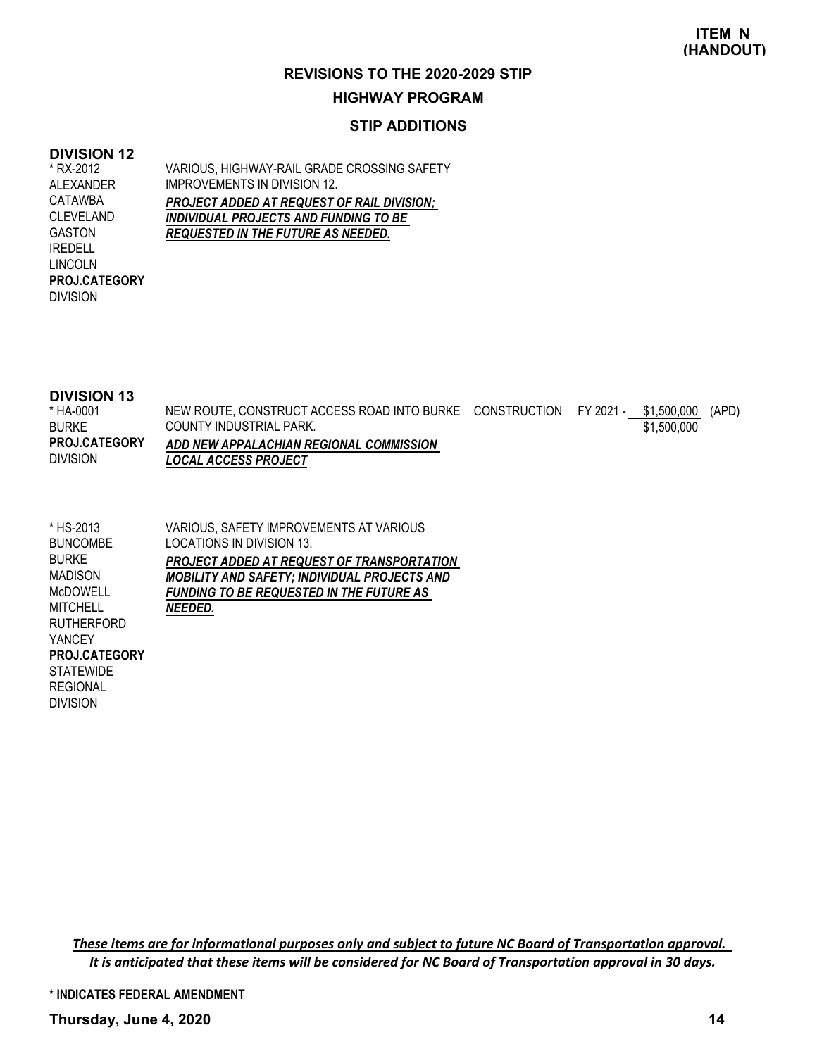#### **HIGHWAY PROGRAM**

#### **STIP ADDITIONS**

#### **DIVISION 12** \* RX-2012

ALEXANDER CATAWBA CLEVELAND GASTON IREDELL LINCOLN

DIVISION

**PROJ.CATEGORY**

VARIOUS, HIGHWAY-RAIL GRADE CROSSING SAFETY IMPROVEMENTS IN DIVISION 12. *PROJECT ADDED AT REQUEST OF RAIL DIVISION; INDIVIDUAL PROJECTS AND FUNDING TO BE REQUESTED IN THE FUTURE AS NEEDED.*

#### **DIVISION 13**

| * HA-0001            | NEW ROUTE, CONSTRUCT ACCESS ROAD INTO BURKE CONSTRUCTION FY 2021 - \$1,500,000 (APD) |  |             |  |
|----------------------|--------------------------------------------------------------------------------------|--|-------------|--|
| <b>BURKE</b>         | COUNTY INDUSTRIAL PARK.                                                              |  | \$1,500,000 |  |
| <b>PROJ.CATEGORY</b> | ADD NEW APPALACHIAN REGIONAL COMMISSION                                              |  |             |  |
| <b>DIVISION</b>      | <b>LOCAL ACCESS PROJECT</b>                                                          |  |             |  |

| * HS-2013            | VARIOUS, SAFETY IMPROVEMENTS AT VARIOUS             |
|----------------------|-----------------------------------------------------|
| <b>BUNCOMBE</b>      | LOCATIONS IN DIVISION 13.                           |
| <b>BURKE</b>         | PROJECT ADDED AT REQUEST OF TRANSPORTATION          |
| <b>MADISON</b>       | <b>MOBILITY AND SAFETY; INDIVIDUAL PROJECTS AND</b> |
| <b>McDOWELL</b>      | <b>FUNDING TO BE REQUESTED IN THE FUTURE AS</b>     |
| <b>MITCHELL</b>      | NEEDED.                                             |
| <b>RUTHERFORD</b>    |                                                     |
| <b>YANCEY</b>        |                                                     |
| <b>PROJ.CATEGORY</b> |                                                     |
| <b>STATEWIDE</b>     |                                                     |
| <b>REGIONAL</b>      |                                                     |
| <b>DIVISION</b>      |                                                     |

These items are for informational purposes only and subject to future NC Board of Transportation approval. It is anticipated that these items will be considered for NC Board of Transportation approval in 30 days.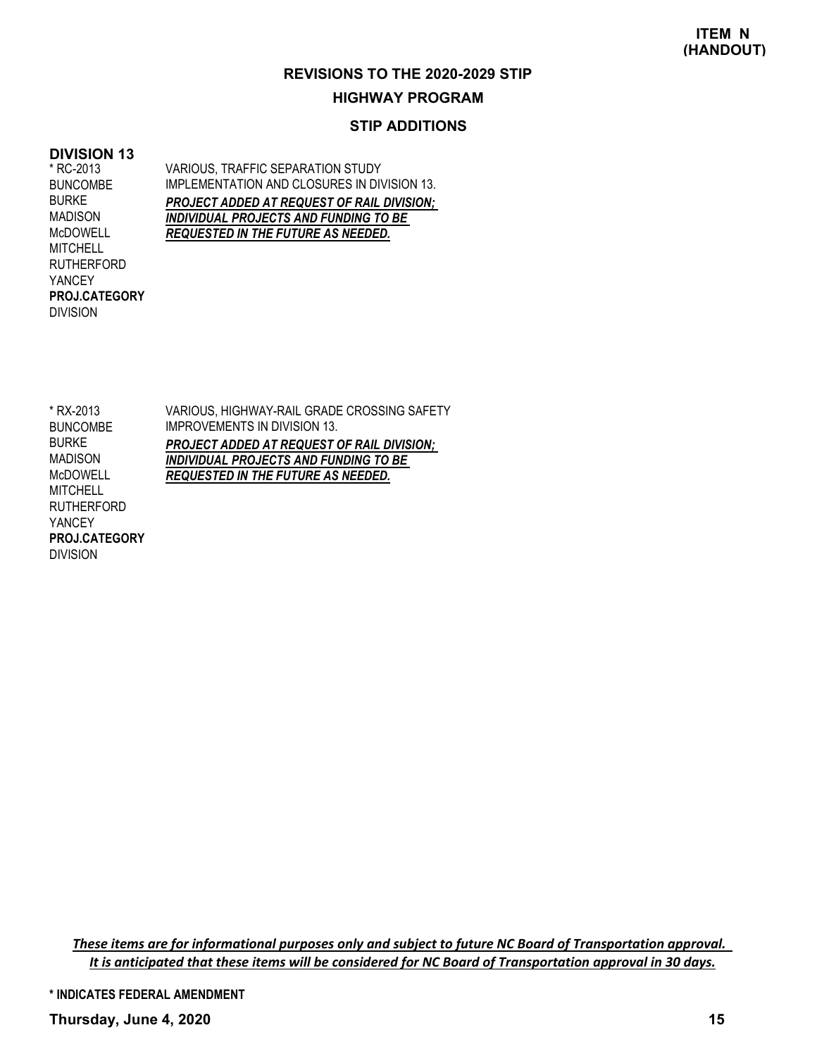#### **HIGHWAY PROGRAM**

#### **STIP ADDITIONS**

#### **DIVISION 13**

\* RC-2013 BUNCOMBE BURKE MADISON McDOWELL MITCHELL RUTHERFORD YANCEY DIVISION **PROJ.CATEGORY** VARIOUS, TRAFFIC SEPARATION STUDY IMPLEMENTATION AND CLOSURES IN DIVISION 13. *PROJECT ADDED AT REQUEST OF RAIL DIVISION; INDIVIDUAL PROJECTS AND FUNDING TO BE REQUESTED IN THE FUTURE AS NEEDED.*

VARIOUS, HIGHWAY-RAIL GRADE CROSSING SAFETY IMPROVEMENTS IN DIVISION 13. *PROJECT ADDED AT REQUEST OF RAIL DIVISION; INDIVIDUAL PROJECTS AND FUNDING TO BE REQUESTED IN THE FUTURE AS NEEDED.* \* RX-2013 BUNCOMBE BURKE MADISON McDOWELL **MITCHELL** RUTHERFORD YANCEY DIVISION **PROJ.CATEGORY**

These items are for informational purposes only and subject to future NC Board of Transportation approval. It is anticipated that these items will be considered for NC Board of Transportation approval in 30 days.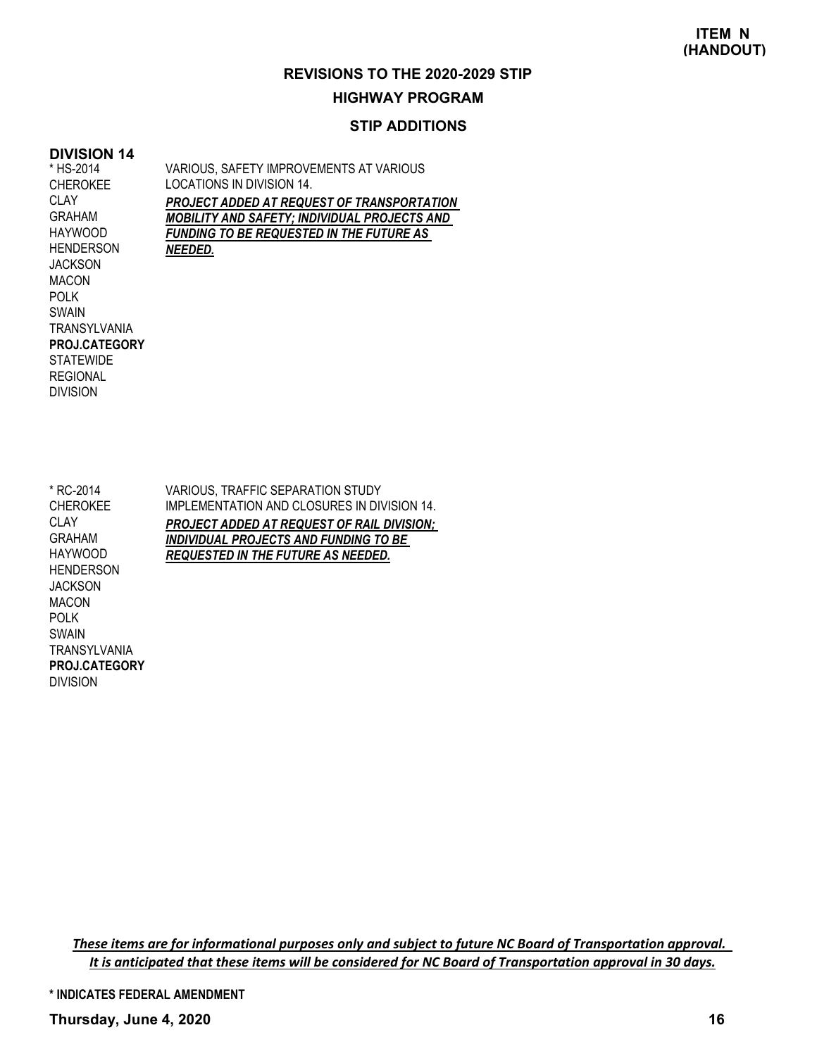# **HIGHWAY PROGRAM**

#### **STIP ADDITIONS**

#### **DIVISION 14** \* HS-2014

TRANSYLVANIA

**PROJ.CATEGORY**

**STATEWIDE** REGIONAL DIVISION

CHEROKEE **CLAY** GRAHAM HAYWOOD HENDERSON **JACKSON** MACON POLK SWAIN

VARIOUS, SAFETY IMPROVEMENTS AT VARIOUS LOCATIONS IN DIVISION 14. *PROJECT ADDED AT REQUEST OF TRANSPORTATION MOBILITY AND SAFETY; INDIVIDUAL PROJECTS AND FUNDING TO BE REQUESTED IN THE FUTURE AS NEEDED.*

\* RC-2014 CHEROKEE **CLAY** GRAHAM HAYWOOD **HENDERSON** JACKSON MACON POLK SWAIN **TRANSYLVANIA** DIVISION **PROJ.CATEGORY**

VARIOUS, TRAFFIC SEPARATION STUDY IMPLEMENTATION AND CLOSURES IN DIVISION 14. *PROJECT ADDED AT REQUEST OF RAIL DIVISION; INDIVIDUAL PROJECTS AND FUNDING TO BE REQUESTED IN THE FUTURE AS NEEDED.*

These items are for informational purposes only and subject to future NC Board of Transportation approval. It is anticipated that these items will be considered for NC Board of Transportation approval in 30 days.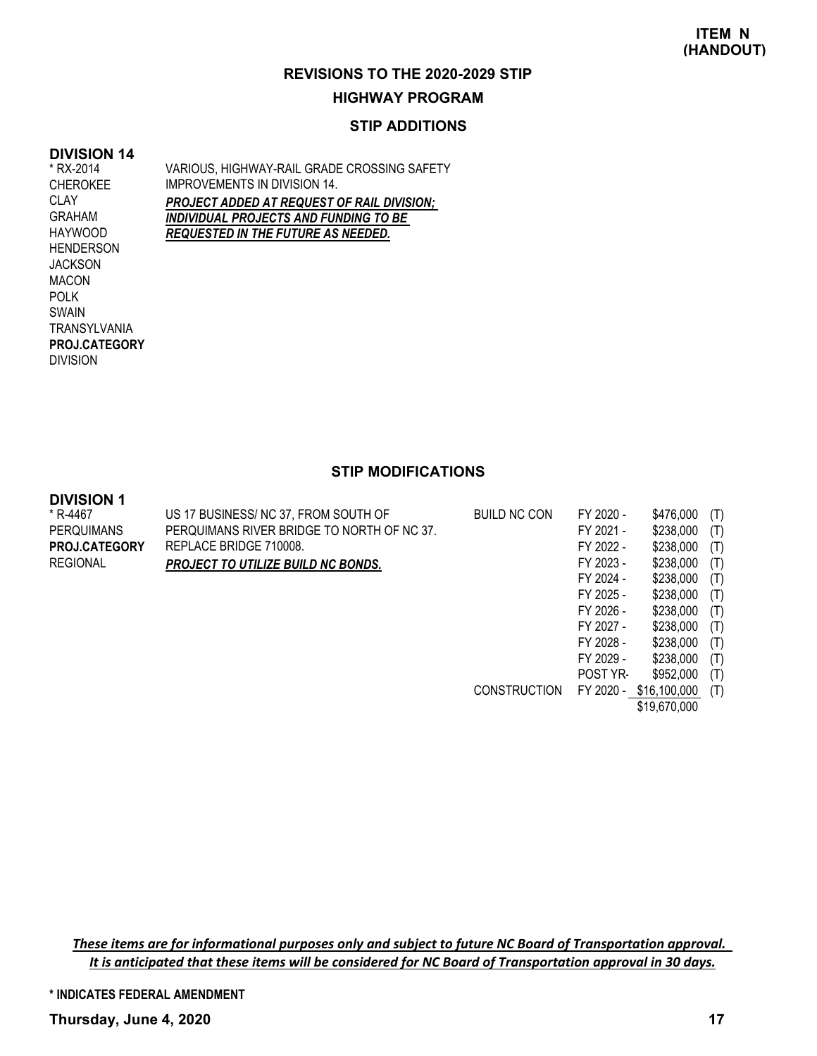#### **HIGHWAY PROGRAM**

#### **STIP ADDITIONS**

#### **DIVISION 14**

\* RX-2014 CHEROKEE CLAY GRAHAM HAYWOOD HENDERSON **JACKSON** MACON POLK SWAIN **TRANSYLVANIA** DIVISION **PROJ.CATEGORY** VARIOUS, HIGHWAY-RAIL GRADE CROSSING SAFETY IMPROVEMENTS IN DIVISION 14. *PROJECT ADDED AT REQUEST OF RAIL DIVISION; INDIVIDUAL PROJECTS AND FUNDING TO BE REQUESTED IN THE FUTURE AS NEEDED.*

### **STIP MODIFICATIONS**

#### **DIVISION 1**

| * R-4467             | US 17 BUSINESS/ NC 37, FROM SOUTH OF       | <b>BUILD NC CON</b> | FY 2020 -       | \$476,000    | (T) |
|----------------------|--------------------------------------------|---------------------|-----------------|--------------|-----|
| <b>PERQUIMANS</b>    | PERQUIMANS RIVER BRIDGE TO NORTH OF NC 37. |                     | FY 2021 -       | \$238,000    | (T) |
| <b>PROJ.CATEGORY</b> | REPLACE BRIDGE 710008.                     |                     | FY 2022 -       | \$238,000    | (T) |
| <b>REGIONAL</b>      | <b>PROJECT TO UTILIZE BUILD NC BONDS.</b>  |                     | FY 2023 -       | \$238,000    | (T) |
|                      |                                            |                     | FY 2024 -       | \$238,000    | (T) |
|                      |                                            |                     | FY 2025 -       | \$238,000    | (T) |
|                      |                                            |                     | FY 2026 -       | \$238,000    | (T) |
|                      |                                            |                     | FY 2027 -       | \$238,000    | (T) |
|                      |                                            |                     | FY 2028 -       | \$238,000    | (T) |
|                      |                                            |                     | FY 2029 -       | \$238,000    | (T) |
|                      |                                            |                     | <b>POST YR-</b> | \$952,000    | (T) |
|                      |                                            | <b>CONSTRUCTION</b> | FY 2020 -       | \$16,100,000 | (T) |

\$19,670,000

These items are for informational purposes only and subject to future NC Board of Transportation approval. It is anticipated that these items will be considered for NC Board of Transportation approval in 30 days.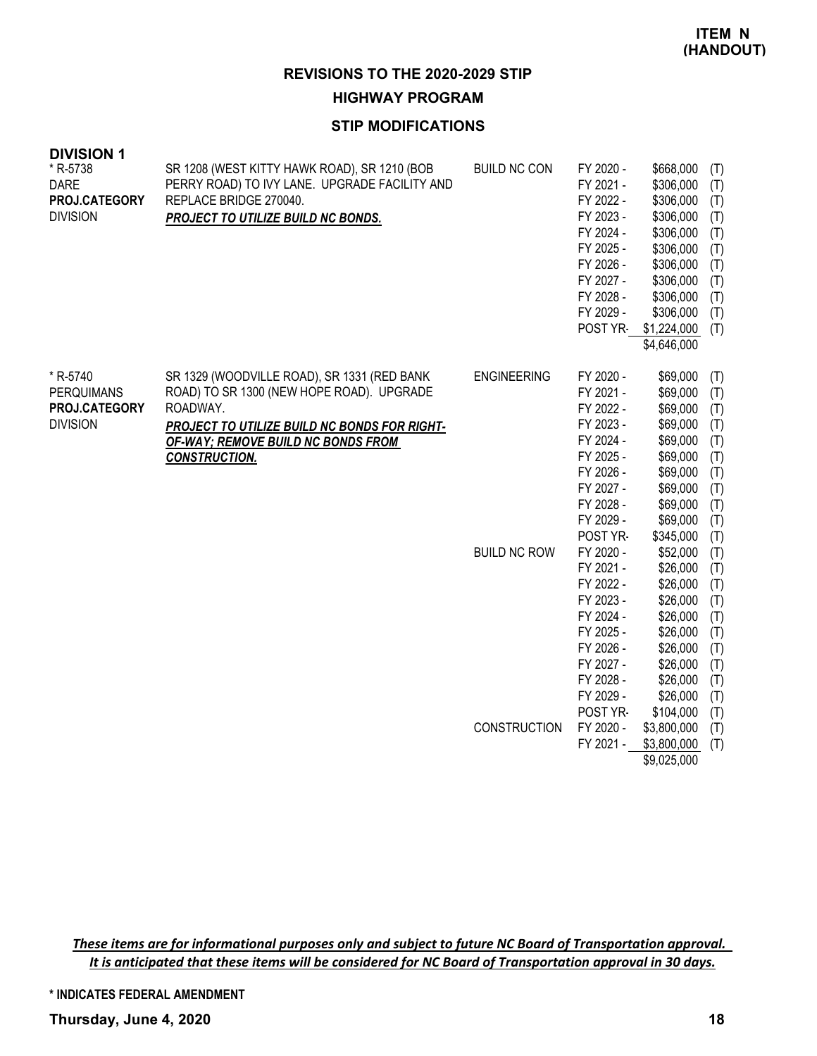#### **HIGHWAY PROGRAM**

#### **STIP MODIFICATIONS**

| <b>DIVISION 1</b>                                                 |                                                                                                                                                                                                                    |                     |                                                                                                                                            |                                                                                                                                                              |                                                                           |
|-------------------------------------------------------------------|--------------------------------------------------------------------------------------------------------------------------------------------------------------------------------------------------------------------|---------------------|--------------------------------------------------------------------------------------------------------------------------------------------|--------------------------------------------------------------------------------------------------------------------------------------------------------------|---------------------------------------------------------------------------|
| * R-5738<br><b>DARE</b><br>PROJ.CATEGORY<br><b>DIVISION</b>       | SR 1208 (WEST KITTY HAWK ROAD), SR 1210 (BOB<br>PERRY ROAD) TO IVY LANE. UPGRADE FACILITY AND<br>REPLACE BRIDGE 270040.<br>PROJECT TO UTILIZE BUILD NC BONDS.                                                      | <b>BUILD NC CON</b> | FY 2020 -<br>FY 2021 -<br>FY 2022 -<br>FY 2023 -<br>FY 2024 -<br>FY 2025 -<br>FY 2026 -<br>FY 2027 -<br>FY 2028 -<br>FY 2029 -<br>POST YR- | \$668,000<br>\$306,000<br>\$306,000<br>\$306,000<br>\$306,000<br>\$306,000<br>\$306,000<br>\$306,000<br>\$306,000<br>\$306,000<br>\$1,224,000<br>\$4,646,000 | (T)<br>(T)<br>(T)<br>(T)<br>(T)<br>(T)<br>(T)<br>(T)<br>(T)<br>(T)<br>(T) |
| * R-5740<br><b>PERQUIMANS</b><br>PROJ.CATEGORY<br><b>DIVISION</b> | SR 1329 (WOODVILLE ROAD), SR 1331 (RED BANK<br>ROAD) TO SR 1300 (NEW HOPE ROAD). UPGRADE<br>ROADWAY.<br>PROJECT TO UTILIZE BUILD NC BONDS FOR RIGHT-<br>OF-WAY; REMOVE BUILD NC BONDS FROM<br><b>CONSTRUCTION.</b> | <b>ENGINEERING</b>  | FY 2020 -<br>FY 2021 -<br>FY 2022 -<br>FY 2023 -<br>FY 2024 -<br>FY 2025 -<br>FY 2026 -<br>FY 2027 -<br>FY 2028 -<br>FY 2029 -<br>POST YR- | \$69,000<br>\$69,000<br>\$69,000<br>\$69,000<br>\$69,000<br>\$69,000<br>\$69,000<br>\$69,000<br>\$69,000<br>\$69,000<br>\$345,000                            | (T)<br>(T)<br>(T)<br>(T)<br>(T)<br>(T)<br>(T)<br>(T)<br>(T)<br>(T)<br>(T) |
|                                                                   |                                                                                                                                                                                                                    | <b>BUILD NC ROW</b> | FY 2020 -<br>FY 2021 -<br>FY 2022 -<br>FY 2023 -<br>FY 2024 -<br>FY 2025 -<br>FY 2026 -<br>FY 2027 -<br>FY 2028 -<br>FY 2029 -<br>POST YR- | \$52,000<br>\$26,000<br>\$26,000<br>\$26,000<br>\$26,000<br>\$26,000<br>\$26,000<br>\$26,000<br>\$26,000<br>\$26,000<br>\$104,000                            | (T)<br>(T)<br>(T)<br>(T)<br>(T)<br>(T)<br>(T)<br>(T)<br>(T)<br>(T)<br>(T) |
|                                                                   |                                                                                                                                                                                                                    | <b>CONSTRUCTION</b> | FY 2020 -<br>FY 2021 -                                                                                                                     | \$3,800,000<br>\$3,800,000<br>\$9,025,000                                                                                                                    | (T)<br>(T)                                                                |

These items are for informational purposes only and subject to future NC Board of Transportation approval. It is anticipated that these items will be considered for NC Board of Transportation approval in 30 days.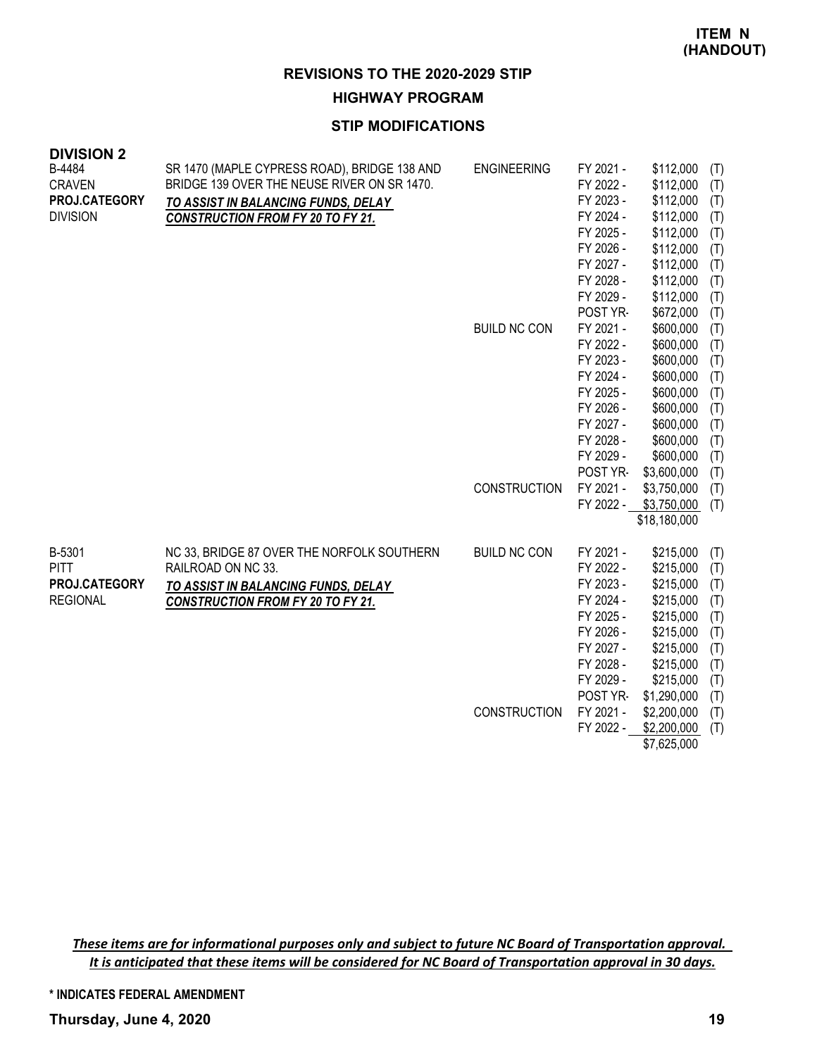**HIGHWAY PROGRAM**

#### **STIP MODIFICATIONS**

| <b>DIVISION 2</b> |                                              |                     |           |              |     |
|-------------------|----------------------------------------------|---------------------|-----------|--------------|-----|
| B-4484            | SR 1470 (MAPLE CYPRESS ROAD), BRIDGE 138 AND | <b>ENGINEERING</b>  | FY 2021 - | \$112,000    | (T) |
| <b>CRAVEN</b>     | BRIDGE 139 OVER THE NEUSE RIVER ON SR 1470.  |                     | FY 2022 - | \$112,000    | (T) |
| PROJ.CATEGORY     | TO ASSIST IN BALANCING FUNDS, DELAY          |                     | FY 2023 - | \$112,000    | (T) |
| <b>DIVISION</b>   | <b>CONSTRUCTION FROM FY 20 TO FY 21.</b>     |                     | FY 2024 - | \$112,000    | (T) |
|                   |                                              |                     | FY 2025 - | \$112,000    | (T) |
|                   |                                              |                     | FY 2026 - | \$112,000    | (T) |
|                   |                                              |                     | FY 2027 - | \$112,000    | (T) |
|                   |                                              |                     | FY 2028 - | \$112,000    | (T) |
|                   |                                              |                     | FY 2029 - | \$112,000    | (T) |
|                   |                                              |                     | POST YR-  | \$672,000    | (T) |
|                   |                                              | <b>BUILD NC CON</b> | FY 2021 - | \$600,000    | (T) |
|                   |                                              |                     | FY 2022 - | \$600,000    | (T) |
|                   |                                              |                     | FY 2023 - | \$600,000    | (T) |
|                   |                                              |                     | FY 2024 - | \$600,000    | (T) |
|                   |                                              |                     | FY 2025 - | \$600,000    | (T) |
|                   |                                              |                     | FY 2026 - | \$600,000    | (T) |
|                   |                                              |                     | FY 2027 - | \$600,000    | (T) |
|                   |                                              |                     | FY 2028 - | \$600,000    | (T) |
|                   |                                              |                     | FY 2029 - | \$600,000    | (T) |
|                   |                                              |                     | POST YR-  | \$3,600,000  | (T) |
|                   |                                              | CONSTRUCTION        | FY 2021 - | \$3,750,000  | (T) |
|                   |                                              |                     | FY 2022 - | \$3,750,000  | (T) |
|                   |                                              |                     |           | \$18,180,000 |     |
| B-5301            | NC 33, BRIDGE 87 OVER THE NORFOLK SOUTHERN   | <b>BUILD NC CON</b> | FY 2021 - | \$215,000    | (T) |
| <b>PITT</b>       | RAILROAD ON NC 33.                           |                     | FY 2022 - | \$215,000    | (T) |
| PROJ.CATEGORY     | TO ASSIST IN BALANCING FUNDS, DELAY          |                     | FY 2023 - | \$215,000    | (T) |
| <b>REGIONAL</b>   | <b>CONSTRUCTION FROM FY 20 TO FY 21.</b>     |                     | FY 2024 - | \$215,000    | (T) |
|                   |                                              |                     | FY 2025 - | \$215,000    | (T) |
|                   |                                              |                     | FY 2026 - | \$215,000    | (T) |
|                   |                                              |                     | FY 2027 - | \$215,000    | (T) |
|                   |                                              |                     | FY 2028 - | \$215,000    | (T) |
|                   |                                              |                     | FY 2029 - | \$215,000    | (T) |
|                   |                                              |                     | POST YR-  | \$1,290,000  | (T) |
|                   |                                              | CONSTRUCTION        | FY 2021 - | \$2,200,000  | (T) |
|                   |                                              |                     | FY 2022 - | \$2,200,000  | (T) |
|                   |                                              |                     |           | \$7,625,000  |     |

These items are for informational purposes only and subject to future NC Board of Transportation approval. It is anticipated that these items will be considered for NC Board of Transportation approval in 30 days.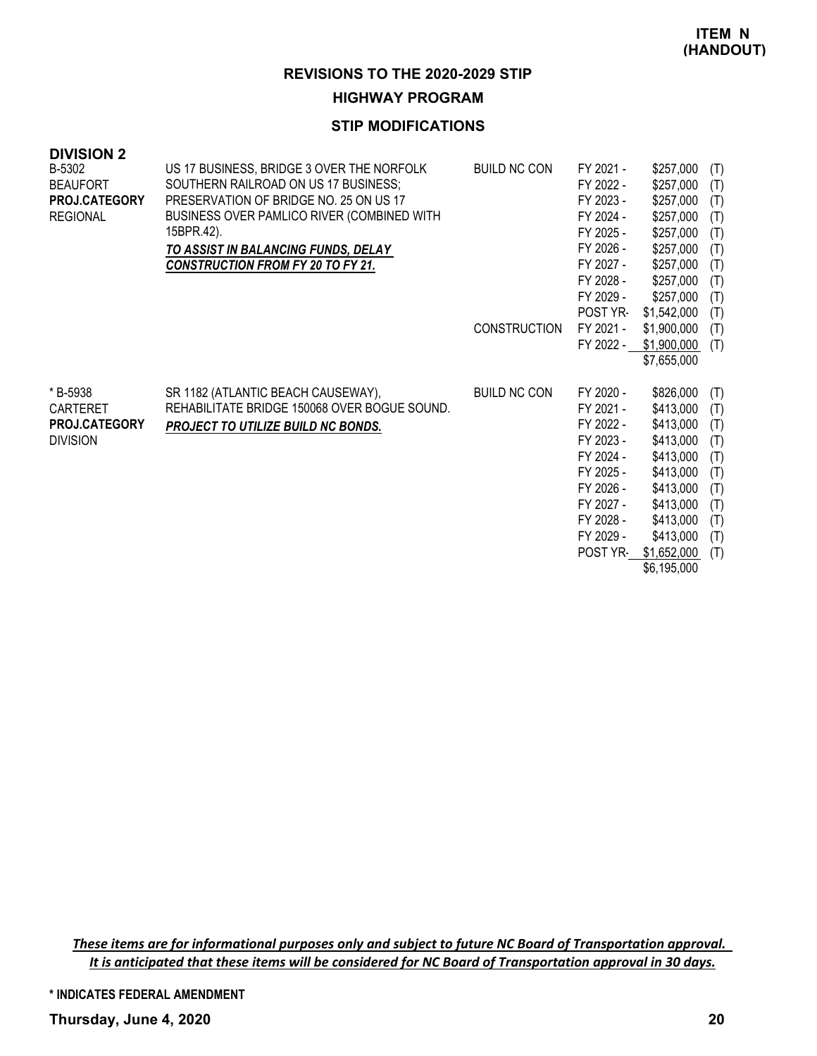#### **HIGHWAY PROGRAM**

#### **STIP MODIFICATIONS**

| <b>DIVISION 2</b><br>B-5302<br><b>BEAUFORT</b><br>PROJ.CATEGORY<br><b>REGIONAL</b> | US 17 BUSINESS, BRIDGE 3 OVER THE NORFOLK<br>SOUTHERN RAILROAD ON US 17 BUSINESS;<br>PRESERVATION OF BRIDGE NO. 25 ON US 17<br>BUSINESS OVER PAMLICO RIVER (COMBINED WITH<br>15BPR.42).<br>TO ASSIST IN BALANCING FUNDS, DELAY<br><b>CONSTRUCTION FROM FY 20 TO FY 21.</b> | <b>BUILD NC CON</b><br><b>CONSTRUCTION</b> | FY 2021 -<br>FY 2022 -<br>FY 2023 -<br>FY 2024 -<br>FY 2025 -<br>FY 2026 -<br>FY 2027 -<br>FY 2028 -<br>FY 2029 -<br><b>POST YR-</b><br>FY 2021 -<br>FY 2022 - | \$257,000<br>\$257,000<br>\$257,000<br>\$257,000<br>\$257,000<br>\$257,000<br>\$257,000<br>\$257,000<br>\$257,000<br>\$1,542,000<br>\$1,900,000<br>\$1,900,000 | (T)<br>(T)<br>(T)<br>(T)<br>(T)<br>(T)<br>(T)<br>(T)<br>(T)<br>(T)<br>(T)<br>(T) |
|------------------------------------------------------------------------------------|----------------------------------------------------------------------------------------------------------------------------------------------------------------------------------------------------------------------------------------------------------------------------|--------------------------------------------|----------------------------------------------------------------------------------------------------------------------------------------------------------------|----------------------------------------------------------------------------------------------------------------------------------------------------------------|----------------------------------------------------------------------------------|
| * B-5938<br>CARTERET<br>PROJ.CATEGORY<br><b>DIVISION</b>                           | SR 1182 (ATLANTIC BEACH CAUSEWAY),<br>REHABILITATE BRIDGE 150068 OVER BOGUE SOUND.<br>PROJECT TO UTILIZE BUILD NC BONDS.                                                                                                                                                   | <b>BUILD NC CON</b>                        | FY 2020 -<br>FY 2021 -<br>FY 2022 -<br>FY 2023 -<br>FY 2024 -<br>FY 2025 -<br>FY 2026 -<br>FY 2027 -<br>FY 2028 -<br>FY 2029 -<br>POST YR-                     | \$7,655,000<br>\$826,000<br>\$413,000<br>\$413,000<br>\$413,000<br>\$413,000<br>\$413,000<br>\$413,000<br>\$413,000<br>\$413,000<br>\$413,000<br>\$1,652,000   | (T)<br>(T)<br>(T)<br>(T)<br>(T)<br>(T)<br>(T)<br>(T)<br>(T)<br>(T)<br>(T)        |

\$6,195,000

These items are for informational purposes only and subject to future NC Board of Transportation approval. It is anticipated that these items will be considered for NC Board of Transportation approval in 30 days.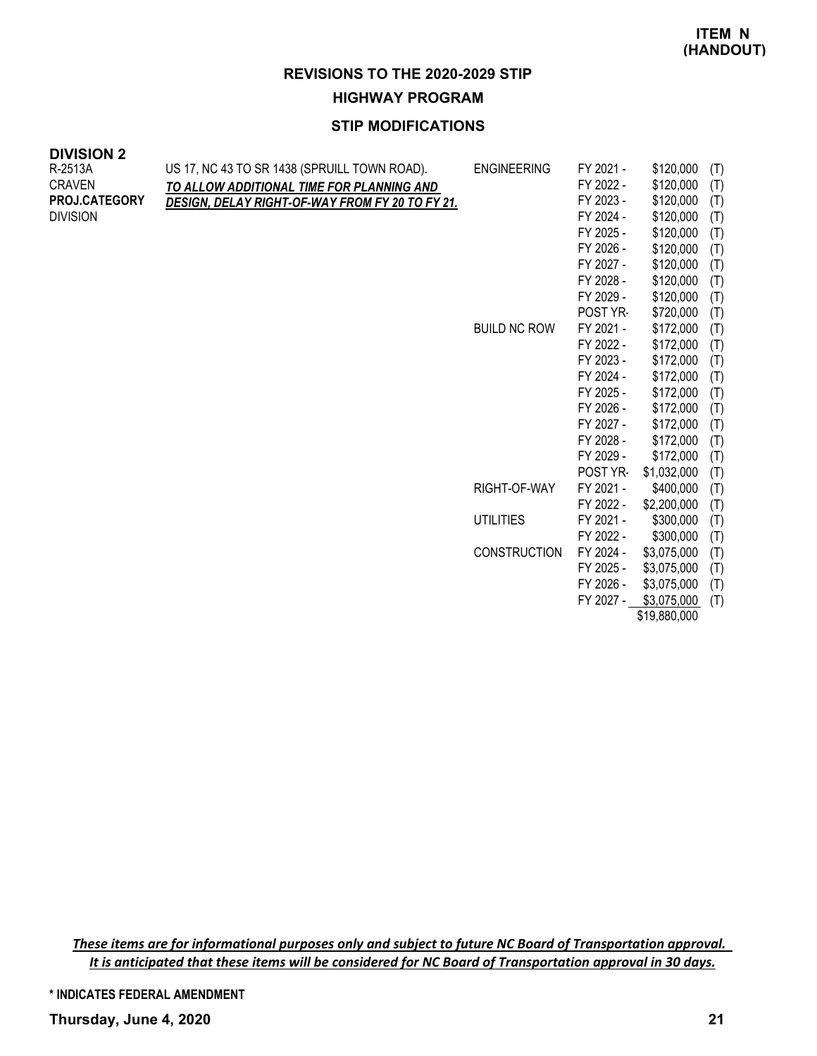**HIGHWAY PROGRAM**

## **STIP MODIFICATIONS**

| <b>DIVISION 2</b> |  |
|-------------------|--|
|-------------------|--|

| א וטוטוע<br>R-2513A<br><b>CRAVEN</b><br>PROJ.CATEGORY<br><b>DIVISION</b> | US 17, NC 43 TO SR 1438 (SPRUILL TOWN ROAD).<br>TO ALLOW ADDITIONAL TIME FOR PLANNING AND<br><b>DESIGN, DELAY RIGHT-OF-WAY FROM FY 20 TO FY 21.</b> | <b>ENGINEERING</b>  | FY 2021 -<br>FY 2022 -<br>FY 2023 -<br>FY 2024 -<br>FY 2025 -<br>FY 2026 -<br>FY 2027 -<br>FY 2028 -<br>FY 2029 - | \$120,000<br>\$120,000<br>\$120,000<br>\$120,000<br>\$120,000<br>\$120,000<br>\$120,000<br>\$120,000<br>\$120,000 | (T)<br>(T)<br>(T)<br>(T)<br>(T)<br>(T)<br>(T)<br>(T)<br>(T) |
|--------------------------------------------------------------------------|-----------------------------------------------------------------------------------------------------------------------------------------------------|---------------------|-------------------------------------------------------------------------------------------------------------------|-------------------------------------------------------------------------------------------------------------------|-------------------------------------------------------------|
|                                                                          |                                                                                                                                                     | <b>BUILD NC ROW</b> | POST YR-<br>FY 2021 -                                                                                             | \$720,000<br>\$172,000                                                                                            | (T)<br>(T)                                                  |
|                                                                          |                                                                                                                                                     |                     | FY 2022 -<br>FY 2023 -                                                                                            | \$172,000<br>\$172,000                                                                                            | (T)<br>(T)                                                  |
|                                                                          |                                                                                                                                                     |                     | FY 2024 -                                                                                                         | \$172,000                                                                                                         | (T)                                                         |
|                                                                          |                                                                                                                                                     |                     | FY 2025 -                                                                                                         | \$172,000                                                                                                         | (T)                                                         |
|                                                                          |                                                                                                                                                     |                     | FY 2026 -                                                                                                         | \$172,000                                                                                                         | (T)                                                         |
|                                                                          |                                                                                                                                                     |                     | FY 2027 -                                                                                                         | \$172,000                                                                                                         | (T)                                                         |
|                                                                          |                                                                                                                                                     |                     | FY 2028 -                                                                                                         | \$172,000                                                                                                         | (T)                                                         |
|                                                                          |                                                                                                                                                     |                     | FY 2029 -                                                                                                         | \$172,000                                                                                                         | (T)                                                         |
|                                                                          |                                                                                                                                                     |                     | POST YR-                                                                                                          | \$1,032,000                                                                                                       | (T)                                                         |
|                                                                          |                                                                                                                                                     | RIGHT-OF-WAY        | FY 2021 -                                                                                                         | \$400,000                                                                                                         | (T)                                                         |
|                                                                          |                                                                                                                                                     |                     | FY 2022 -                                                                                                         | \$2,200,000                                                                                                       | (T)                                                         |
|                                                                          |                                                                                                                                                     | <b>UTILITIES</b>    | FY 2021 -                                                                                                         | \$300,000                                                                                                         | (T)                                                         |
|                                                                          |                                                                                                                                                     |                     | FY 2022 -                                                                                                         | \$300,000                                                                                                         | (T)                                                         |
|                                                                          |                                                                                                                                                     | <b>CONSTRUCTION</b> | FY 2024 -                                                                                                         | \$3,075,000                                                                                                       | (T)                                                         |
|                                                                          |                                                                                                                                                     |                     | FY 2025 -                                                                                                         | \$3,075,000                                                                                                       | (T)                                                         |
|                                                                          |                                                                                                                                                     |                     |                                                                                                                   |                                                                                                                   |                                                             |

FY 2026 - \$3,075,000 (T) FY 2027 - \$3,075,000 (T) \$19,880,000

These items are for informational purposes only and subject to future NC Board of Transportation approval. It is anticipated that these items will be considered for NC Board of Transportation approval in 30 days.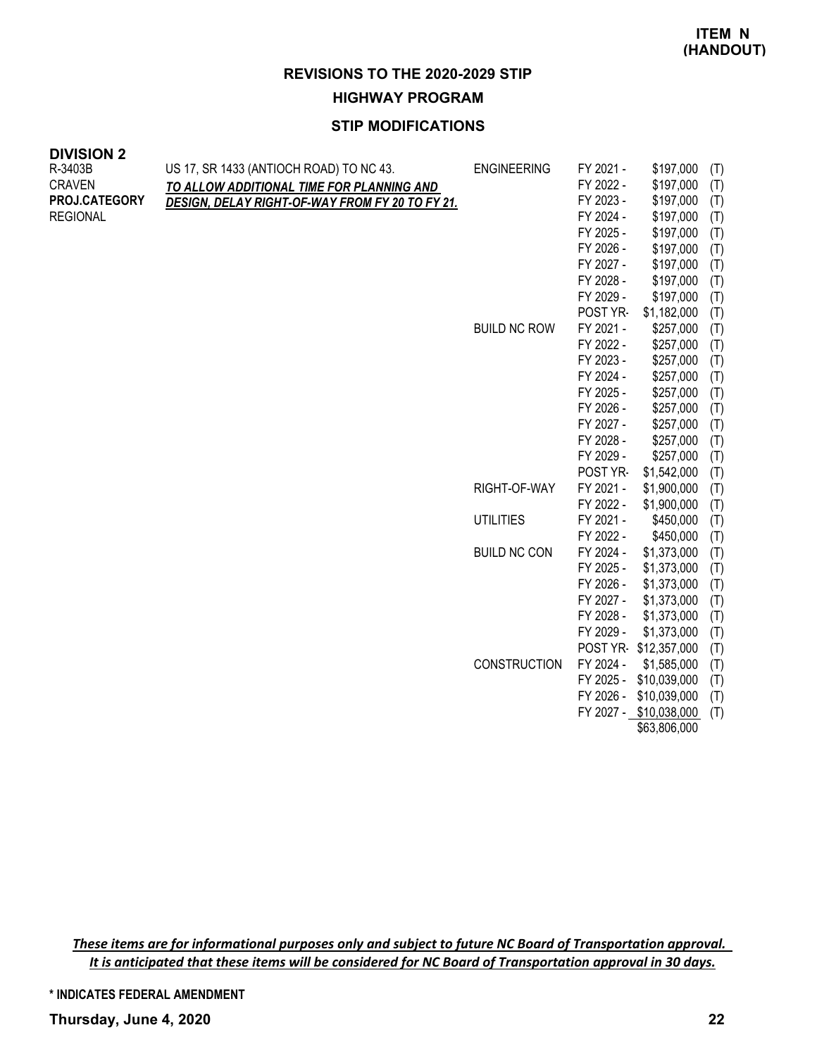#### **HIGHWAY PROGRAM**

#### **STIP MODIFICATIONS**

| <b>DIVISION 2</b> |  |
|-------------------|--|
| R-3403B           |  |
| <b>CRAVEN</b>     |  |

| US 17, SR 1433 (ANTIOCH ROAD) TO NC 43.         | <b>ENGINEERING</b>  | FY 2021 -                                                                      | \$197,000                                                                                                                                                                                                                                                                                                          | (T)                                                                                                                                                                                                                                                                                                                                                                                                                  |
|-------------------------------------------------|---------------------|--------------------------------------------------------------------------------|--------------------------------------------------------------------------------------------------------------------------------------------------------------------------------------------------------------------------------------------------------------------------------------------------------------------|----------------------------------------------------------------------------------------------------------------------------------------------------------------------------------------------------------------------------------------------------------------------------------------------------------------------------------------------------------------------------------------------------------------------|
| TO ALLOW ADDITIONAL TIME FOR PLANNING AND       |                     | FY 2022 -                                                                      | \$197,000                                                                                                                                                                                                                                                                                                          | (T)                                                                                                                                                                                                                                                                                                                                                                                                                  |
| DESIGN, DELAY RIGHT-OF-WAY FROM FY 20 TO FY 21. |                     | FY 2023 -                                                                      | \$197,000                                                                                                                                                                                                                                                                                                          | (T)                                                                                                                                                                                                                                                                                                                                                                                                                  |
|                                                 |                     | FY 2024 -                                                                      | \$197,000                                                                                                                                                                                                                                                                                                          | (T)                                                                                                                                                                                                                                                                                                                                                                                                                  |
|                                                 |                     | FY 2025 -                                                                      | \$197,000                                                                                                                                                                                                                                                                                                          | (T)                                                                                                                                                                                                                                                                                                                                                                                                                  |
|                                                 |                     |                                                                                | \$197,000                                                                                                                                                                                                                                                                                                          | (T)                                                                                                                                                                                                                                                                                                                                                                                                                  |
|                                                 |                     |                                                                                |                                                                                                                                                                                                                                                                                                                    | (T)                                                                                                                                                                                                                                                                                                                                                                                                                  |
|                                                 |                     |                                                                                |                                                                                                                                                                                                                                                                                                                    | (T)                                                                                                                                                                                                                                                                                                                                                                                                                  |
|                                                 |                     |                                                                                |                                                                                                                                                                                                                                                                                                                    | (T)                                                                                                                                                                                                                                                                                                                                                                                                                  |
|                                                 |                     |                                                                                |                                                                                                                                                                                                                                                                                                                    | (T)                                                                                                                                                                                                                                                                                                                                                                                                                  |
|                                                 |                     |                                                                                |                                                                                                                                                                                                                                                                                                                    | (T)                                                                                                                                                                                                                                                                                                                                                                                                                  |
|                                                 |                     |                                                                                |                                                                                                                                                                                                                                                                                                                    | (T)                                                                                                                                                                                                                                                                                                                                                                                                                  |
|                                                 |                     |                                                                                |                                                                                                                                                                                                                                                                                                                    | (T)                                                                                                                                                                                                                                                                                                                                                                                                                  |
|                                                 |                     |                                                                                |                                                                                                                                                                                                                                                                                                                    | (T)                                                                                                                                                                                                                                                                                                                                                                                                                  |
|                                                 |                     |                                                                                |                                                                                                                                                                                                                                                                                                                    | (T)                                                                                                                                                                                                                                                                                                                                                                                                                  |
|                                                 |                     |                                                                                |                                                                                                                                                                                                                                                                                                                    | (T)                                                                                                                                                                                                                                                                                                                                                                                                                  |
|                                                 |                     |                                                                                |                                                                                                                                                                                                                                                                                                                    | (T)                                                                                                                                                                                                                                                                                                                                                                                                                  |
|                                                 |                     |                                                                                |                                                                                                                                                                                                                                                                                                                    | (T)                                                                                                                                                                                                                                                                                                                                                                                                                  |
|                                                 |                     |                                                                                |                                                                                                                                                                                                                                                                                                                    | (T)                                                                                                                                                                                                                                                                                                                                                                                                                  |
|                                                 |                     |                                                                                |                                                                                                                                                                                                                                                                                                                    | (T)                                                                                                                                                                                                                                                                                                                                                                                                                  |
|                                                 |                     |                                                                                |                                                                                                                                                                                                                                                                                                                    | (T)<br>(T)                                                                                                                                                                                                                                                                                                                                                                                                           |
|                                                 |                     |                                                                                |                                                                                                                                                                                                                                                                                                                    | (T)                                                                                                                                                                                                                                                                                                                                                                                                                  |
|                                                 |                     |                                                                                |                                                                                                                                                                                                                                                                                                                    | (T)                                                                                                                                                                                                                                                                                                                                                                                                                  |
|                                                 |                     |                                                                                |                                                                                                                                                                                                                                                                                                                    | (T)                                                                                                                                                                                                                                                                                                                                                                                                                  |
|                                                 |                     |                                                                                |                                                                                                                                                                                                                                                                                                                    | (T)                                                                                                                                                                                                                                                                                                                                                                                                                  |
|                                                 |                     |                                                                                |                                                                                                                                                                                                                                                                                                                    | (T)                                                                                                                                                                                                                                                                                                                                                                                                                  |
|                                                 |                     |                                                                                |                                                                                                                                                                                                                                                                                                                    | (T)                                                                                                                                                                                                                                                                                                                                                                                                                  |
|                                                 |                     |                                                                                |                                                                                                                                                                                                                                                                                                                    | (T)                                                                                                                                                                                                                                                                                                                                                                                                                  |
|                                                 |                     | FY 2029 -                                                                      |                                                                                                                                                                                                                                                                                                                    | (T)                                                                                                                                                                                                                                                                                                                                                                                                                  |
|                                                 |                     |                                                                                |                                                                                                                                                                                                                                                                                                                    | (T)                                                                                                                                                                                                                                                                                                                                                                                                                  |
|                                                 | <b>CONSTRUCTION</b> | FY 2024 -                                                                      | \$1,585,000                                                                                                                                                                                                                                                                                                        | (T)                                                                                                                                                                                                                                                                                                                                                                                                                  |
|                                                 |                     | FY 2025 -                                                                      | \$10,039,000                                                                                                                                                                                                                                                                                                       | (T)                                                                                                                                                                                                                                                                                                                                                                                                                  |
|                                                 |                     |                                                                                |                                                                                                                                                                                                                                                                                                                    | (T)                                                                                                                                                                                                                                                                                                                                                                                                                  |
|                                                 |                     |                                                                                |                                                                                                                                                                                                                                                                                                                    | (T)                                                                                                                                                                                                                                                                                                                                                                                                                  |
|                                                 |                     |                                                                                | \$63,806,000                                                                                                                                                                                                                                                                                                       |                                                                                                                                                                                                                                                                                                                                                                                                                      |
|                                                 |                     | <b>BUILD NC ROW</b><br>RIGHT-OF-WAY<br><b>UTILITIES</b><br><b>BUILD NC CON</b> | FY 2026 -<br>FY 2027 -<br>FY 2028 -<br>FY 2029 -<br>POST YR-<br>FY 2021 -<br>FY 2022 -<br>FY 2023 -<br>FY 2024 -<br>FY 2025 -<br>FY 2026 -<br>FY 2027 -<br>FY 2028 -<br>FY 2029 -<br>POST YR-<br>FY 2021 -<br>FY 2022 -<br>FY 2021 -<br>FY 2022 -<br>FY 2024 -<br>FY 2025 -<br>FY 2026 -<br>FY 2027 -<br>FY 2028 - | \$197,000<br>\$197,000<br>\$197,000<br>\$1,182,000<br>\$257,000<br>\$257,000<br>\$257,000<br>\$257,000<br>\$257,000<br>\$257,000<br>\$257,000<br>\$257,000<br>\$257,000<br>\$1,542,000<br>\$1,900,000<br>\$1,900,000<br>\$450,000<br>\$450,000<br>\$1,373,000<br>\$1,373,000<br>\$1,373,000<br>\$1,373,000<br>\$1,373,000<br>\$1,373,000<br>POST YR \$12,357,000<br>FY 2026 - \$10,039,000<br>FY 2027 - \$10,038,000 |

These items are for informational purposes only and subject to future NC Board of Transportation approval. It is anticipated that these items will be considered for NC Board of Transportation approval in 30 days.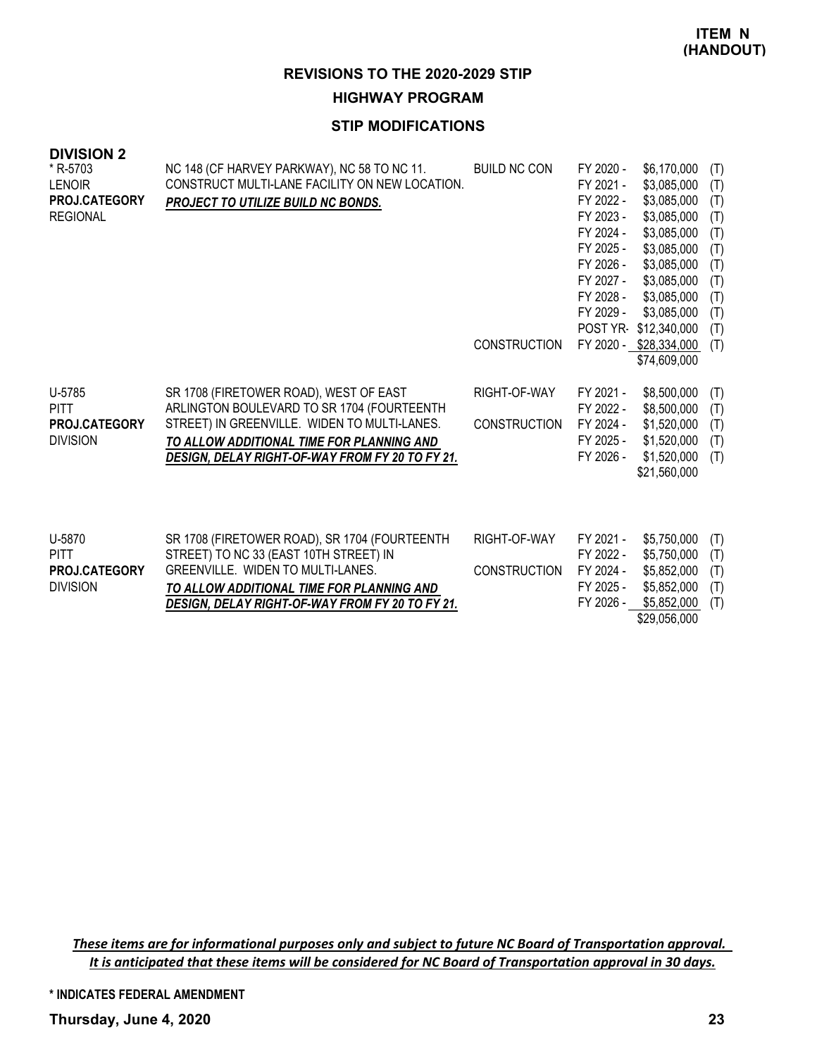#### **HIGHWAY PROGRAM**

### **STIP MODIFICATIONS**

| <b>DIVISION 2</b><br>* R-5703<br><b>LENOIR</b><br><b>PROJ.CATEGORY</b><br><b>REGIONAL</b> | NC 148 (CF HARVEY PARKWAY), NC 58 TO NC 11.<br>CONSTRUCT MULTI-LANE FACILITY ON NEW LOCATION.<br>PROJECT TO UTILIZE BUILD NC BONDS.                                                                                                  | <b>BUILD NC CON</b><br><b>CONSTRUCTION</b> | FY 2020 -<br>FY 2021 -<br>FY 2022 -<br>FY 2023 -<br>FY 2024 -<br>FY 2025 -<br>FY 2026 -<br>FY 2027 -<br>FY 2028 -<br>FY 2029 -<br>POST YR- | \$6,170,000<br>\$3,085,000<br>\$3,085,000<br>\$3,085,000<br>\$3,085,000<br>\$3,085,000<br>\$3,085,000<br>\$3,085,000<br>\$3,085,000<br>\$3,085,000<br>\$12,340,000<br>FY 2020 - \$28,334,000<br>\$74,609,000 | (T)<br>(T)<br>(T)<br>(T)<br>(T)<br>(T)<br>(T)<br>(T)<br>(T)<br>(T)<br>(T)<br>(T) |
|-------------------------------------------------------------------------------------------|--------------------------------------------------------------------------------------------------------------------------------------------------------------------------------------------------------------------------------------|--------------------------------------------|--------------------------------------------------------------------------------------------------------------------------------------------|--------------------------------------------------------------------------------------------------------------------------------------------------------------------------------------------------------------|----------------------------------------------------------------------------------|
| U-5785<br><b>PITT</b><br><b>PROJ.CATEGORY</b><br><b>DIVISION</b>                          | SR 1708 (FIRETOWER ROAD), WEST OF EAST<br>ARLINGTON BOULEVARD TO SR 1704 (FOURTEENTH<br>STREET) IN GREENVILLE. WIDEN TO MULTI-LANES.<br>TO ALLOW ADDITIONAL TIME FOR PLANNING AND<br>DESIGN, DELAY RIGHT-OF-WAY FROM FY 20 TO FY 21. | RIGHT-OF-WAY<br><b>CONSTRUCTION</b>        | FY 2021 -<br>FY 2022 -<br>FY 2024 -<br>FY 2025 -<br>FY 2026 -                                                                              | \$8,500,000<br>\$8,500,000<br>\$1,520,000<br>\$1,520,000<br>\$1,520,000<br>\$21,560,000                                                                                                                      | (T)<br>(T)<br>(T)<br>(T)<br>(T)                                                  |
| U-5870<br><b>PITT</b><br><b>PROJ.CATEGORY</b><br><b>DIVISION</b>                          | SR 1708 (FIRETOWER ROAD), SR 1704 (FOURTEENTH<br>STREET) TO NC 33 (EAST 10TH STREET) IN<br><b>GREENVILLE. WIDEN TO MULTI-LANES.</b><br>TO ALLOW ADDITIONAL TIME FOR PLANNING AND<br>DESIGN, DELAY RIGHT-OF-WAY FROM FY 20 TO FY 21.  | RIGHT-OF-WAY<br><b>CONSTRUCTION</b>        | FY 2021 -<br>FY 2022 -<br>FY 2024 -<br>FY 2025 -<br>FY 2026 -                                                                              | \$5,750,000<br>\$5,750,000<br>\$5,852,000<br>\$5,852,000<br>\$5,852,000                                                                                                                                      | (T)<br>(T)<br>(T)<br>(T)<br>(T)                                                  |

FY 2026 - \$5,852,000 (T)

\$29,056,000

These items are for informational purposes only and subject to future NC Board of Transportation approval. It is anticipated that these items will be considered for NC Board of Transportation approval in 30 days.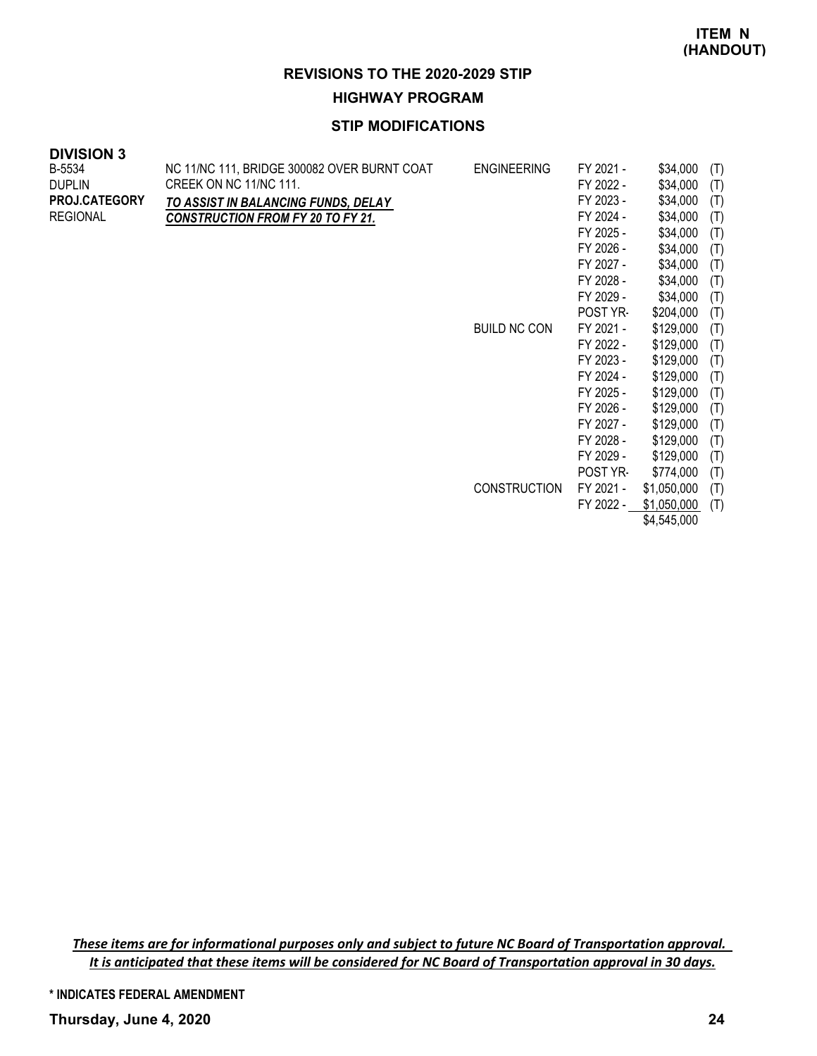FY 2022 - \$1,050,000 (T) \$4,545,000

#### **REVISIONS TO THE 2020-2029 STIP**

**HIGHWAY PROGRAM**

## **STIP MODIFICATIONS**

| <b>DIVISION 3</b>    |                                             |                     |           |             |     |
|----------------------|---------------------------------------------|---------------------|-----------|-------------|-----|
| B-5534               | NC 11/NC 111, BRIDGE 300082 OVER BURNT COAT | <b>ENGINEERING</b>  | FY 2021 - | \$34,000    | (T) |
| <b>DUPLIN</b>        | CREEK ON NC 11/NC 111.                      |                     | FY 2022 - | \$34,000    | (T) |
| <b>PROJ.CATEGORY</b> | TO ASSIST IN BALANCING FUNDS, DELAY         |                     | FY 2023 - | \$34,000    | (T) |
| <b>REGIONAL</b>      | <b>CONSTRUCTION FROM FY 20 TO FY 21.</b>    |                     | FY 2024 - | \$34,000    | (T) |
|                      |                                             |                     | FY 2025 - | \$34,000    | (T) |
|                      |                                             |                     | FY 2026 - | \$34,000    | (T) |
|                      |                                             |                     | FY 2027 - | \$34,000    | (T) |
|                      |                                             |                     | FY 2028 - | \$34,000    | (T) |
|                      |                                             |                     | FY 2029 - | \$34,000    | (T) |
|                      |                                             |                     | POST YR-  | \$204,000   | (T) |
|                      |                                             | <b>BUILD NC CON</b> | FY 2021 - | \$129,000   | (T) |
|                      |                                             |                     | FY 2022 - | \$129,000   | (T) |
|                      |                                             |                     | FY 2023 - | \$129,000   | (T) |
|                      |                                             |                     | FY 2024 - | \$129,000   | (T) |
|                      |                                             |                     | FY 2025 - | \$129,000   | (T) |
|                      |                                             |                     | FY 2026 - | \$129,000   | (T) |
|                      |                                             |                     | FY 2027 - | \$129,000   | (T) |
|                      |                                             |                     | FY 2028 - | \$129,000   | (T) |
|                      |                                             |                     | FY 2029 - | \$129,000   | (T) |
|                      |                                             |                     | POST YR-  | \$774,000   | (T) |
|                      |                                             | <b>CONSTRUCTION</b> | FY 2021 - | \$1,050,000 | (T) |

These items are for informational purposes only and subject to future NC Board of Transportation approval. It is anticipated that these items will be considered for NC Board of Transportation approval in 30 days.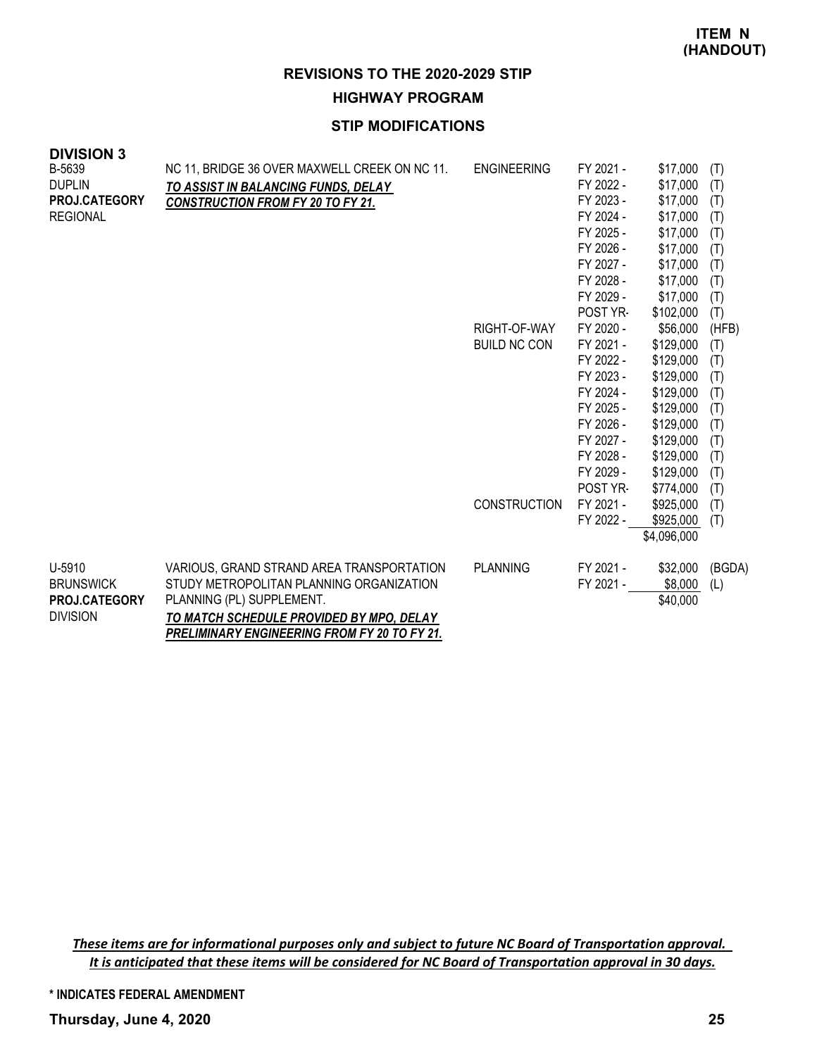# **HIGHWAY PROGRAM**

## **STIP MODIFICATIONS**

| ט ווטוטוען<br>B-5639<br><b>DUPLIN</b><br><b>PROJ.CATEGORY</b><br><b>REGIONAL</b> | NC 11, BRIDGE 36 OVER MAXWELL CREEK ON NC 11.<br>TO ASSIST IN BALANCING FUNDS, DELAY<br><b>CONSTRUCTION FROM FY 20 TO FY 21.</b>                                                                                      | <b>ENGINEERING</b><br>RIGHT-OF-WAY<br><b>BUILD NC CON</b><br><b>CONSTRUCTION</b> | FY 2021 -<br>FY 2022 -<br>FY 2023 -<br>FY 2024 -<br>FY 2025 -<br>FY 2026 -<br>FY 2027 -<br>FY 2028 -<br>FY 2029 -<br>POST YR-<br>FY 2020 -<br>FY 2021 -<br>FY 2022 -<br>FY 2023 -<br>FY 2024 -<br>FY 2025 -<br>FY 2026 -<br>FY 2027 -<br>FY 2028 -<br>FY 2029 -<br>POST YR-<br>FY 2021 -<br>FY 2022 - | \$17,000<br>\$17,000<br>\$17,000<br>\$17,000<br>\$17,000<br>\$17,000<br>\$17,000<br>\$17,000<br>\$17,000<br>\$102,000<br>\$56,000<br>\$129,000<br>\$129,000<br>\$129,000<br>\$129,000<br>\$129,000<br>\$129,000<br>\$129,000<br>\$129,000<br>\$129,000<br>\$774,000<br>\$925,000<br>\$925,000 | (T)<br>(T)<br>(T)<br>(T)<br>(T)<br>(T)<br>(T)<br>(T)<br>(T)<br>(T)<br>(HFB)<br>(T)<br>(T)<br>(T)<br>(T)<br>(T)<br>(T)<br>(T)<br>(T)<br>(T)<br>(T)<br>(T)<br>(T) |
|----------------------------------------------------------------------------------|-----------------------------------------------------------------------------------------------------------------------------------------------------------------------------------------------------------------------|----------------------------------------------------------------------------------|-------------------------------------------------------------------------------------------------------------------------------------------------------------------------------------------------------------------------------------------------------------------------------------------------------|-----------------------------------------------------------------------------------------------------------------------------------------------------------------------------------------------------------------------------------------------------------------------------------------------|-----------------------------------------------------------------------------------------------------------------------------------------------------------------|
|                                                                                  |                                                                                                                                                                                                                       |                                                                                  |                                                                                                                                                                                                                                                                                                       | \$4,096,000                                                                                                                                                                                                                                                                                   |                                                                                                                                                                 |
| U-5910<br><b>BRUNSWICK</b><br>PROJ.CATEGORY<br><b>DIVISION</b>                   | VARIOUS, GRAND STRAND AREA TRANSPORTATION<br>STUDY METROPOLITAN PLANNING ORGANIZATION<br>PLANNING (PL) SUPPLEMENT.<br>TO MATCH SCHEDULE PROVIDED BY MPO, DELAY<br><b>PRELIMINARY ENGINEERING FROM FY 20 TO FY 21.</b> | <b>PLANNING</b>                                                                  | FY 2021 -<br>FY 2021 -                                                                                                                                                                                                                                                                                | \$32,000<br>\$8,000<br>\$40,000                                                                                                                                                                                                                                                               | (BGDA)<br>(L)                                                                                                                                                   |

These items are for informational purposes only and subject to future NC Board of Transportation approval. It is anticipated that these items will be considered for NC Board of Transportation approval in 30 days.

**\* INDICATES FEDERAL AMENDMENT**

**Thursday, June 4, 2020 25**

**DIVISION 3**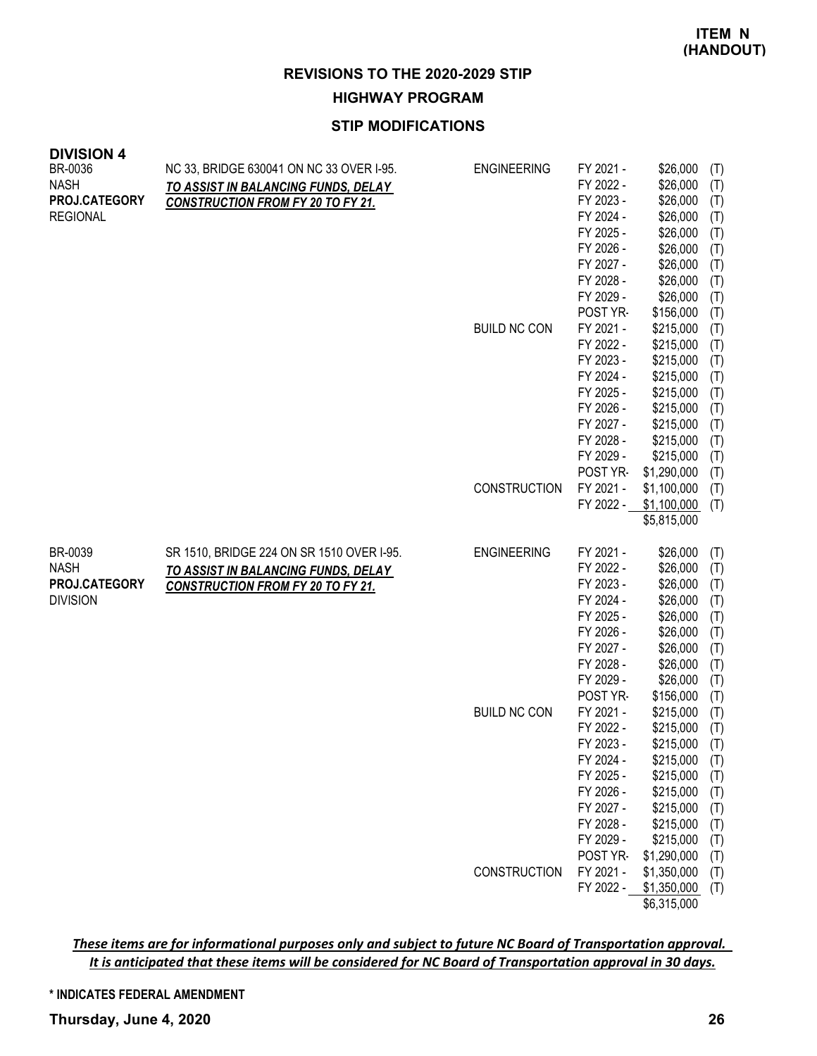# **HIGHWAY PROGRAM**

# **STIP MODIFICATIONS**

| <b>DIVISION 4</b><br>BR-0036<br><b>NASH</b><br>PROJ.CATEGORY<br><b>REGIONAL</b> | NC 33, BRIDGE 630041 ON NC 33 OVER I-95.<br>TO ASSIST IN BALANCING FUNDS, DELAY<br><b>CONSTRUCTION FROM FY 20 TO FY 21.</b>  | <b>ENGINEERING</b><br><b>BUILD NC CON</b><br>CONSTRUCTION | FY 2021 -<br>FY 2022 -<br>FY 2023 -<br>FY 2024 -<br>FY 2025 -<br>FY 2026 -<br>FY 2027 -<br>FY 2028 -<br>FY 2029 -<br>POST YR-<br>FY 2021 -<br>FY 2022 -<br>FY 2023 -<br>FY 2024 -<br>FY 2025 -<br>FY 2026 -<br>FY 2027 -<br>FY 2028 -<br>FY 2029 -<br>POST YR-<br>FY 2021 -<br>FY 2022 - | \$26,000<br>\$26,000<br>\$26,000<br>\$26,000<br>\$26,000<br>\$26,000<br>\$26,000<br>\$26,000<br>\$26,000<br>\$156,000<br>\$215,000<br>\$215,000<br>\$215,000<br>\$215,000<br>\$215,000<br>\$215,000<br>\$215,000<br>\$215,000<br>\$215,000<br>\$1,290,000<br>\$1,100,000<br>\$1,100,000<br>\$5,815,000 | (T)<br>(T)<br>(T)<br>(T)<br>(T)<br>(T)<br>(T)<br>(T)<br>(T)<br>(T)<br>(T)<br>(T)<br>(T)<br>(T)<br>(T)<br>(T)<br>(T)<br>(T)<br>(T)<br>(T)<br>(T)<br>(T) |
|---------------------------------------------------------------------------------|------------------------------------------------------------------------------------------------------------------------------|-----------------------------------------------------------|------------------------------------------------------------------------------------------------------------------------------------------------------------------------------------------------------------------------------------------------------------------------------------------|--------------------------------------------------------------------------------------------------------------------------------------------------------------------------------------------------------------------------------------------------------------------------------------------------------|--------------------------------------------------------------------------------------------------------------------------------------------------------|
| BR-0039<br><b>NASH</b><br>PROJ.CATEGORY<br><b>DIVISION</b>                      | SR 1510, BRIDGE 224 ON SR 1510 OVER I-95.<br>TO ASSIST IN BALANCING FUNDS, DELAY<br><b>CONSTRUCTION FROM FY 20 TO FY 21.</b> | <b>ENGINEERING</b><br><b>BUILD NC CON</b><br>CONSTRUCTION | FY 2021 -<br>FY 2022 -<br>FY 2023 -<br>FY 2024 -<br>FY 2025 -<br>FY 2026 -<br>FY 2027 -<br>FY 2028 -<br>FY 2029 -<br>POST YR-<br>FY 2021 -<br>FY 2022 -<br>FY 2023 -<br>FY 2024 -<br>FY 2025 -<br>FY 2026 -<br>FY 2027 -<br>FY 2028 -<br>FY 2029 -<br>POST YR-<br>FY 2021 -<br>FY 2022 - | \$26,000<br>\$26,000<br>\$26,000<br>\$26,000<br>\$26,000<br>\$26,000<br>\$26,000<br>\$26,000<br>\$26,000<br>\$156,000<br>\$215,000<br>\$215,000<br>\$215,000<br>\$215,000<br>\$215,000<br>\$215,000<br>\$215,000<br>\$215,000<br>\$215,000<br>\$1,290,000<br>\$1,350,000<br>\$1,350,000                | (T)<br>(T)<br>(T)<br>(T)<br>(T)<br>(T)<br>(T)<br>(T)<br>(T)<br>(T)<br>(T)<br>(T)<br>(T)<br>(T)<br>(T)<br>(T)<br>(T)<br>(T)<br>(T)<br>(T)<br>(T)<br>(T) |
|                                                                                 |                                                                                                                              |                                                           |                                                                                                                                                                                                                                                                                          | \$6,315,000                                                                                                                                                                                                                                                                                            |                                                                                                                                                        |

These items are for informational purposes only and subject to future NC Board of Transportation approval. It is anticipated that these items will be considered for NC Board of Transportation approval in 30 days.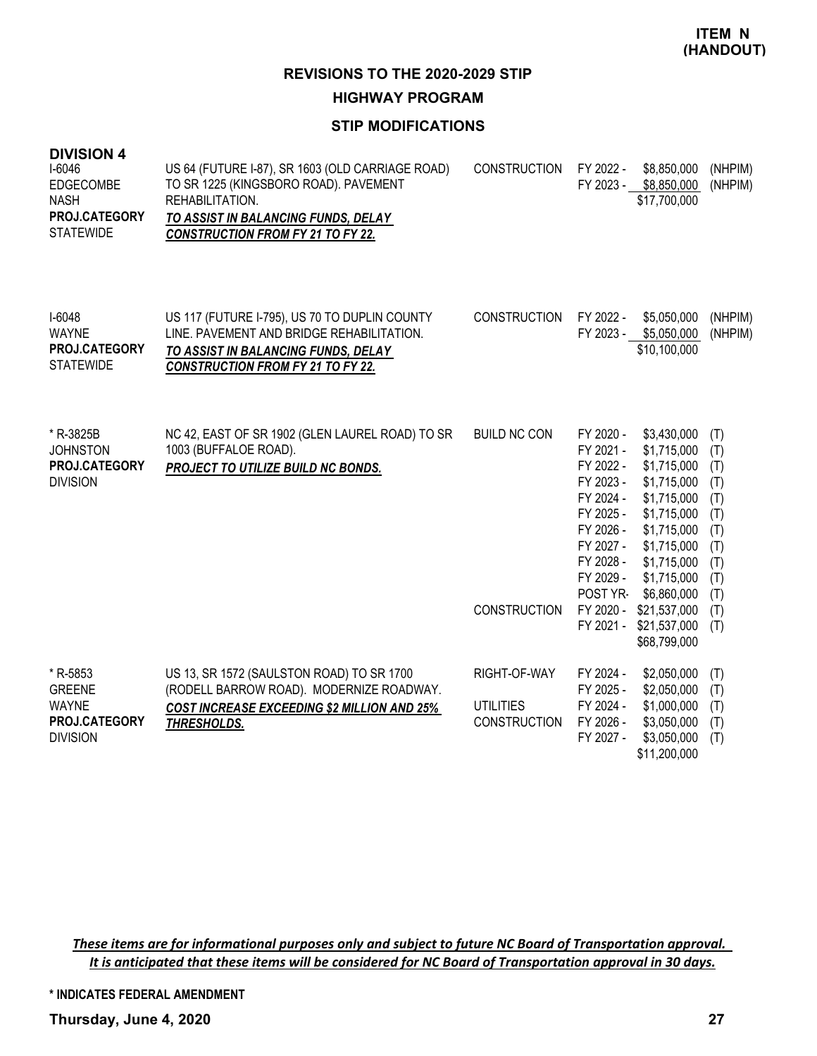**HIGHWAY PROGRAM**

## **STIP MODIFICATIONS**

| + ווטופועוט<br>I-6046<br>EDGECOMBE<br><b>NASH</b><br>PROJ.CATEGORY<br><b>STATEWIDE</b> | US 64 (FUTURE I-87), SR 1603 (OLD CARRIAGE ROAD)<br>TO SR 1225 (KINGSBORO ROAD). PAVEMENT<br>REHABILITATION.<br>TO ASSIST IN BALANCING FUNDS, DELAY<br><b>CONSTRUCTION FROM FY 21 TO FY 22.</b> | <b>CONSTRUCTION</b>                                     | FY 2022 -<br>FY 2023 -                                                                                                                                               | \$8,850,000<br>\$8,850,000<br>\$17,700,000                                                                                                                                                                        | (NHPIM)<br>(NHPIM)                                                                      |
|----------------------------------------------------------------------------------------|-------------------------------------------------------------------------------------------------------------------------------------------------------------------------------------------------|---------------------------------------------------------|----------------------------------------------------------------------------------------------------------------------------------------------------------------------|-------------------------------------------------------------------------------------------------------------------------------------------------------------------------------------------------------------------|-----------------------------------------------------------------------------------------|
| $I-6048$<br><b>WAYNE</b><br>PROJ.CATEGORY<br><b>STATEWIDE</b>                          | US 117 (FUTURE I-795), US 70 TO DUPLIN COUNTY<br>LINE. PAVEMENT AND BRIDGE REHABILITATION.<br>TO ASSIST IN BALANCING FUNDS, DELAY<br><b>CONSTRUCTION FROM FY 21 TO FY 22.</b>                   | <b>CONSTRUCTION</b>                                     | FY 2022 -                                                                                                                                                            | \$5,050,000<br>FY 2023 - \$5,050,000<br>\$10,100,000                                                                                                                                                              | (NHPIM)<br>(NHPIM)                                                                      |
| * R-3825B<br><b>JOHNSTON</b><br>PROJ.CATEGORY<br><b>DIVISION</b>                       | NC 42, EAST OF SR 1902 (GLEN LAUREL ROAD) TO SR<br>1003 (BUFFALOE ROAD).<br>PROJECT TO UTILIZE BUILD NC BONDS.                                                                                  | <b>BUILD NC CON</b><br><b>CONSTRUCTION</b>              | FY 2020 -<br>FY 2021 -<br>FY 2022 -<br>FY 2023 -<br>FY 2024 -<br>FY 2025 -<br>FY 2026 -<br>FY 2027 -<br>FY 2028 -<br>FY 2029 -<br>POST YR-<br>FY 2020 -<br>FY 2021 - | \$3,430,000<br>\$1,715,000<br>\$1,715,000<br>\$1,715,000<br>\$1,715,000<br>\$1,715,000<br>\$1,715,000<br>\$1,715,000<br>\$1,715,000<br>\$1,715,000<br>\$6,860,000<br>\$21,537,000<br>\$21,537,000<br>\$68,799,000 | (T)<br>(T)<br>(T)<br>(T)<br>(T)<br>(T)<br>(T)<br>(T)<br>(T)<br>(T)<br>(T)<br>(T)<br>(T) |
| * R-5853<br><b>GREENE</b><br><b>WAYNE</b><br>PROJ.CATEGORY<br><b>DIVISION</b>          | US 13, SR 1572 (SAULSTON ROAD) TO SR 1700<br>(RODELL BARROW ROAD). MODERNIZE ROADWAY.<br><b>COST INCREASE EXCEEDING \$2 MILLION AND 25%</b><br>THRESHOLDS.                                      | RIGHT-OF-WAY<br><b>UTILITIES</b><br><b>CONSTRUCTION</b> | FY 2024 -<br>FY 2025 -<br>FY 2024 -<br>FY 2026 -<br>FY 2027 -                                                                                                        | \$2,050,000<br>\$2,050,000<br>\$1,000,000<br>\$3,050,000<br>\$3,050,000<br>\$11,200,000                                                                                                                           | (T)<br>(T)<br>(T)<br>(T)<br>(T)                                                         |

These items are for informational purposes only and subject to future NC Board of Transportation approval. It is anticipated that these items will be considered for NC Board of Transportation approval in 30 days.

**\* INDICATES FEDERAL AMENDMENT**

**Thursday, June 4, 2020 27**

**DIVISION 4**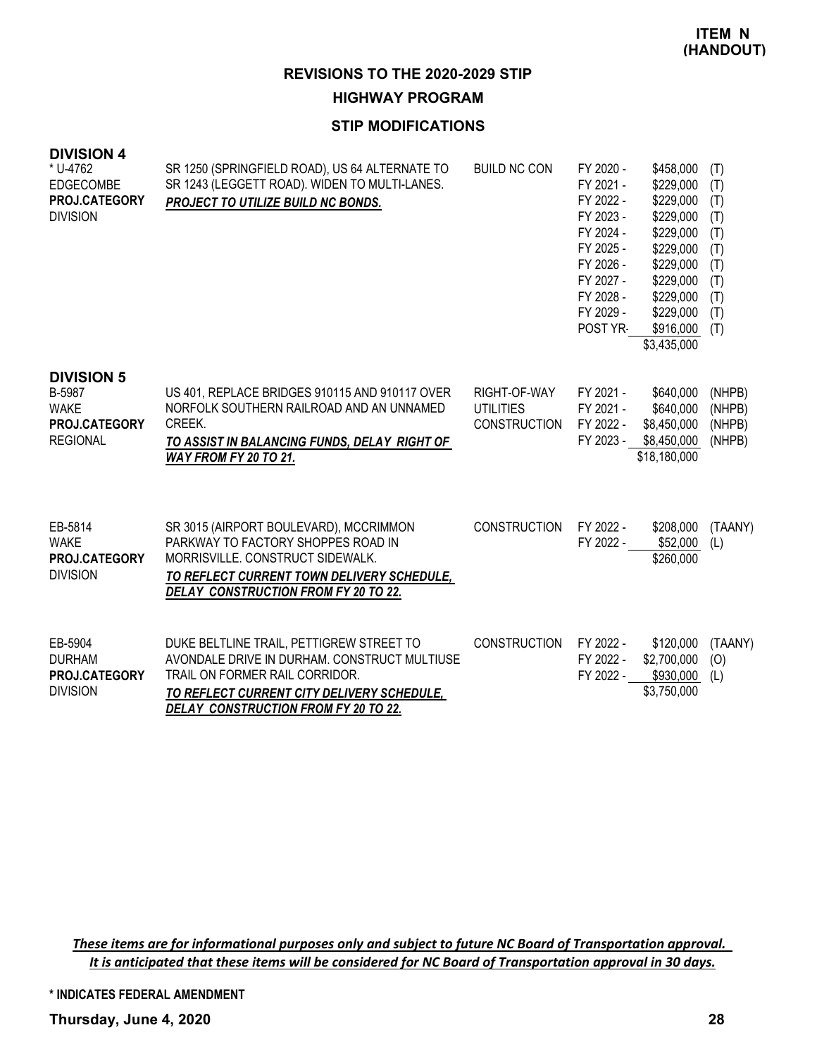**HIGHWAY PROGRAM**

## **STIP MODIFICATIONS**

| <b>DIVISION 4</b><br>* U-4762<br><b>EDGECOMBE</b><br>PROJ.CATEGORY<br><b>DIVISION</b> | SR 1250 (SPRINGFIELD ROAD), US 64 ALTERNATE TO<br>SR 1243 (LEGGETT ROAD). WIDEN TO MULTI-LANES.<br>PROJECT TO UTILIZE BUILD NC BONDS.                                                                                   | <b>BUILD NC CON</b>                                     | FY 2020 -<br>FY 2021 -<br>FY 2022 -<br>FY 2023 -<br>FY 2024 -<br>FY 2025 -<br>FY 2026 -<br>FY 2027 -<br>FY 2028 -<br>FY 2029 -<br>POST YR- | \$458,000<br>\$229,000<br>\$229,000<br>\$229,000<br>\$229,000<br>\$229,000<br>\$229,000<br>\$229,000<br>\$229,000<br>\$229,000<br>\$916,000<br>\$3,435,000 | (T)<br>(T)<br>(T)<br>(T)<br>(T)<br>(T)<br>(T)<br>(T)<br>(T)<br>(T)<br>(T) |
|---------------------------------------------------------------------------------------|-------------------------------------------------------------------------------------------------------------------------------------------------------------------------------------------------------------------------|---------------------------------------------------------|--------------------------------------------------------------------------------------------------------------------------------------------|------------------------------------------------------------------------------------------------------------------------------------------------------------|---------------------------------------------------------------------------|
| <b>DIVISION 5</b><br>B-5987<br><b>WAKE</b><br>PROJ.CATEGORY<br><b>REGIONAL</b>        | US 401, REPLACE BRIDGES 910115 AND 910117 OVER<br>NORFOLK SOUTHERN RAILROAD AND AN UNNAMED<br>CREEK.<br>TO ASSIST IN BALANCING FUNDS, DELAY RIGHT OF<br>WAY FROM FY 20 TO 21.                                           | RIGHT-OF-WAY<br><b>UTILITIES</b><br><b>CONSTRUCTION</b> | FY 2021 -<br>FY 2021 -<br>FY 2022 -<br>FY 2023 -                                                                                           | \$640,000<br>\$640,000<br>\$8,450,000<br>\$8,450,000<br>\$18,180,000                                                                                       | (NHPB)<br>(NHPB)<br>(NHPB)<br>(NHPB)                                      |
| EB-5814<br><b>WAKE</b><br><b>PROJ.CATEGORY</b><br><b>DIVISION</b>                     | SR 3015 (AIRPORT BOULEVARD), MCCRIMMON<br>PARKWAY TO FACTORY SHOPPES ROAD IN<br>MORRISVILLE, CONSTRUCT SIDEWALK.<br>TO REFLECT CURRENT TOWN DELIVERY SCHEDULE,<br>DELAY CONSTRUCTION FROM FY 20 TO 22.                  | <b>CONSTRUCTION</b>                                     | FY 2022 -<br>FY 2022 -                                                                                                                     | \$208,000<br>\$52,000<br>\$260,000                                                                                                                         | (TAANY)<br>(L)                                                            |
| EB-5904<br><b>DURHAM</b><br><b>PROJ.CATEGORY</b><br><b>DIVISION</b>                   | DUKE BELTLINE TRAIL, PETTIGREW STREET TO<br>AVONDALE DRIVE IN DURHAM, CONSTRUCT MULTIUSE<br>TRAIL ON FORMER RAIL CORRIDOR.<br>TO REFLECT CURRENT CITY DELIVERY SCHEDULE,<br><b>DELAY CONSTRUCTION FROM FY 20 TO 22.</b> | <b>CONSTRUCTION</b>                                     | FY 2022 -<br>FY 2022 -<br>FY 2022 -                                                                                                        | \$120,000<br>\$2,700,000<br>\$930,000<br>\$3,750,000                                                                                                       | (TAANY)<br>(O)<br>(L)                                                     |

These items are for informational purposes only and subject to future NC Board of Transportation approval. It is anticipated that these items will be considered for NC Board of Transportation approval in 30 days.

**\* INDICATES FEDERAL AMENDMENT**

**Thursday, June 4, 2020 28**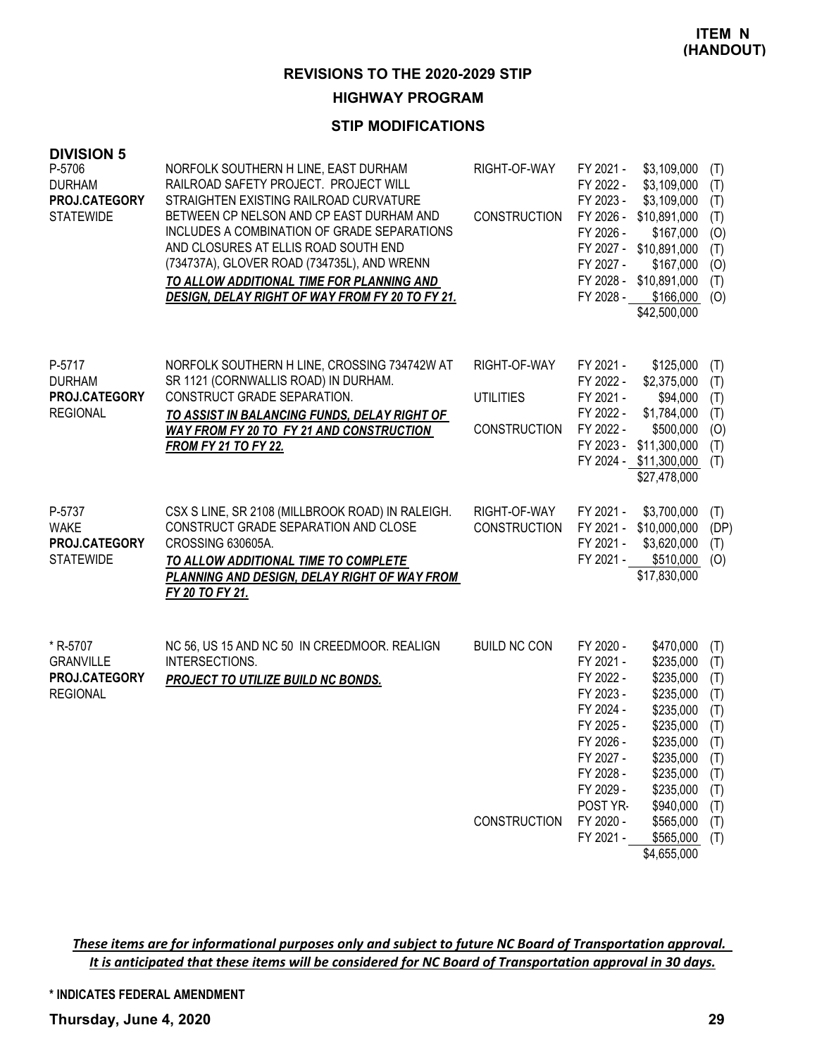#### **HIGHWAY PROGRAM**

#### **STIP MODIFICATIONS**

| <b>DIVISION 5</b><br>P-5706<br><b>DURHAM</b><br>PROJ.CATEGORY<br><b>STATEWIDE</b> | NORFOLK SOUTHERN H LINE, EAST DURHAM<br>RAILROAD SAFETY PROJECT. PROJECT WILL<br>STRAIGHTEN EXISTING RAILROAD CURVATURE<br>BETWEEN CP NELSON AND CP EAST DURHAM AND<br>INCLUDES A COMBINATION OF GRADE SEPARATIONS<br>AND CLOSURES AT ELLIS ROAD SOUTH END<br>(734737A), GLOVER ROAD (734735L), AND WRENN<br>TO ALLOW ADDITIONAL TIME FOR PLANNING AND<br>DESIGN, DELAY RIGHT OF WAY FROM FY 20 TO FY 21. | RIGHT-OF-WAY<br><b>CONSTRUCTION</b>                     | FY 2021 -<br>\$3,109,000<br>FY 2022 -<br>\$3,109,000<br>FY 2023 -<br>\$3,109,000<br>\$10,891,000<br>FY 2026 -<br>FY 2026 -<br>\$167,000<br>FY 2027 -<br>\$10,891,000<br>FY 2027 -<br>\$167,000<br>FY 2028 -<br>\$10,891,000<br>FY 2028 -<br>\$166,000<br>\$42,500,000                                                                              | (T)<br>(T)<br>(T)<br>(T)<br>(0)<br>(T)<br>(O)<br>(T)<br>(O)                      |
|-----------------------------------------------------------------------------------|-----------------------------------------------------------------------------------------------------------------------------------------------------------------------------------------------------------------------------------------------------------------------------------------------------------------------------------------------------------------------------------------------------------|---------------------------------------------------------|----------------------------------------------------------------------------------------------------------------------------------------------------------------------------------------------------------------------------------------------------------------------------------------------------------------------------------------------------|----------------------------------------------------------------------------------|
| P-5717<br><b>DURHAM</b><br>PROJ.CATEGORY<br><b>REGIONAL</b>                       | NORFOLK SOUTHERN H LINE, CROSSING 734742W AT<br>SR 1121 (CORNWALLIS ROAD) IN DURHAM.<br>CONSTRUCT GRADE SEPARATION.<br>TO ASSIST IN BALANCING FUNDS, DELAY RIGHT OF<br>WAY FROM FY 20 TO FY 21 AND CONSTRUCTION<br><b>FROM FY 21 TO FY 22.</b>                                                                                                                                                            | RIGHT-OF-WAY<br><b>UTILITIES</b><br><b>CONSTRUCTION</b> | FY 2021 -<br>\$125,000<br>\$2,375,000<br>FY 2022 -<br>FY 2021 -<br>\$94,000<br>FY 2022 -<br>\$1,784,000<br>FY 2022 -<br>\$500,000<br>FY 2023 -<br>\$11,300,000<br>FY 2024 - \$11,300,000<br>\$27,478,000                                                                                                                                           | (T)<br>(T)<br>(T)<br>(T)<br>(O)<br>(T)<br>(T)                                    |
| P-5737<br><b>WAKE</b><br>PROJ.CATEGORY<br><b>STATEWIDE</b>                        | CSX S LINE, SR 2108 (MILLBROOK ROAD) IN RALEIGH.<br>CONSTRUCT GRADE SEPARATION AND CLOSE<br>CROSSING 630605A.<br>TO ALLOW ADDITIONAL TIME TO COMPLETE<br>PLANNING AND DESIGN, DELAY RIGHT OF WAY FROM<br>FY 20 TO FY 21.                                                                                                                                                                                  | RIGHT-OF-WAY<br><b>CONSTRUCTION</b>                     | FY 2021 -<br>\$3,700,000<br>FY 2021 - \$10,000,000<br>\$3,620,000<br>FY 2021 -<br>FY 2021 -<br>\$510,000<br>\$17,830,000                                                                                                                                                                                                                           | (T)<br>(DP)<br>(T)<br>(O)                                                        |
| * R-5707<br><b>GRANVILLE</b><br>PROJ.CATEGORY<br><b>REGIONAL</b>                  | NC 56, US 15 AND NC 50 IN CREEDMOOR. REALIGN<br>INTERSECTIONS.<br>PROJECT TO UTILIZE BUILD NC BONDS.                                                                                                                                                                                                                                                                                                      | <b>BUILD NC CON</b><br><b>CONSTRUCTION</b>              | FY 2020 -<br>\$470,000<br>FY 2021 -<br>\$235,000<br>FY 2022 -<br>\$235,000<br>FY 2023 -<br>\$235,000<br>FY 2024 -<br>\$235,000<br>FY 2025 -<br>\$235,000<br>FY 2026 -<br>\$235,000<br>$$235,000$ (T)<br>FY 2027 -<br>FY 2028 -<br>\$235,000<br>FY 2029 -<br>\$235,000<br>POST YR-<br>\$940,000<br>FY 2020 -<br>\$565,000<br>FY 2021 -<br>\$565,000 | (T)<br>(T)<br>(T)<br>(T)<br>(T)<br>(T)<br>(T)<br>(T)<br>(T)<br>(T)<br>(T)<br>(T) |
|                                                                                   |                                                                                                                                                                                                                                                                                                                                                                                                           |                                                         | \$4,655,000                                                                                                                                                                                                                                                                                                                                        |                                                                                  |

These items are for informational purposes only and subject to future NC Board of Transportation approval. It is anticipated that these items will be considered for NC Board of Transportation approval in 30 days.

**\* INDICATES FEDERAL AMENDMENT**

**Thursday, June 4, 2020 29**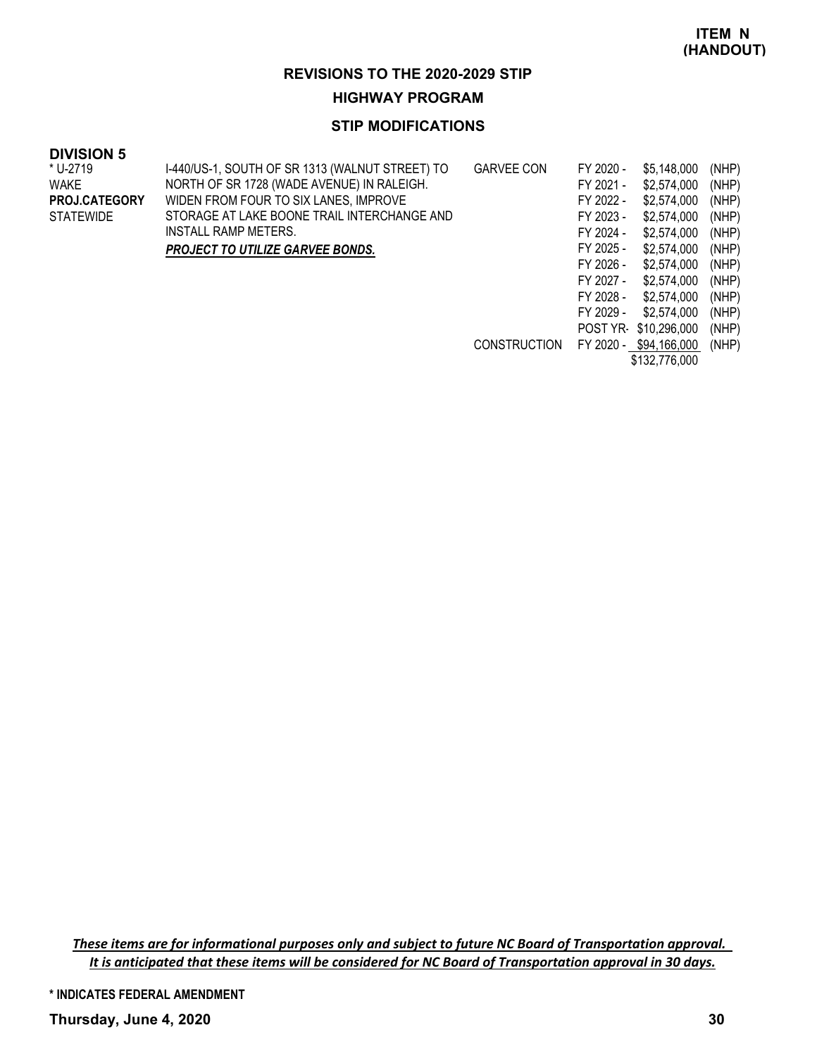#### **HIGHWAY PROGRAM**

#### **STIP MODIFICATIONS**

#### **DIVISION 5**

| * U-2719             | I-440/US-1, SOUTH OF SR 1313 (WALNUT STREET) TO | <b>GARVEE CON</b>   | FY 2020 - | \$5,148,000            | (NHP) |
|----------------------|-------------------------------------------------|---------------------|-----------|------------------------|-------|
| WAKE                 | NORTH OF SR 1728 (WADE AVENUE) IN RALEIGH.      |                     | FY 2021 - | \$2,574,000            | (NHP) |
| <b>PROJ.CATEGORY</b> | WIDEN FROM FOUR TO SIX LANES, IMPROVE           |                     | FY 2022 - | \$2,574,000            | (NHP) |
| <b>STATEWIDE</b>     | STORAGE AT LAKE BOONE TRAIL INTERCHANGE AND     |                     | FY 2023 - | \$2,574,000            | (NHP) |
|                      | INSTALL RAMP METERS.                            |                     | FY 2024 - | \$2,574,000            | (NHP) |
|                      | <b>PROJECT TO UTILIZE GARVEE BONDS.</b>         |                     | FY 2025 - | \$2,574,000            | (NHP) |
|                      |                                                 |                     | FY 2026 - | \$2,574,000            | (NHP) |
|                      |                                                 |                     | FY 2027 - | \$2,574,000            | (NHP) |
|                      |                                                 |                     | FY 2028 - | \$2,574,000            | (NHP) |
|                      |                                                 |                     | FY 2029 - | \$2.574.000            | (NHP) |
|                      |                                                 |                     |           | POST YR \$10,296,000   | (NHP) |
|                      |                                                 | <b>CONSTRUCTION</b> |           | FY 2020 - \$94,166,000 | (NHP) |
|                      |                                                 |                     |           | \$132,776,000          |       |

These items are for informational purposes only and subject to future NC Board of Transportation approval. It is anticipated that these items will be considered for NC Board of Transportation approval in 30 days.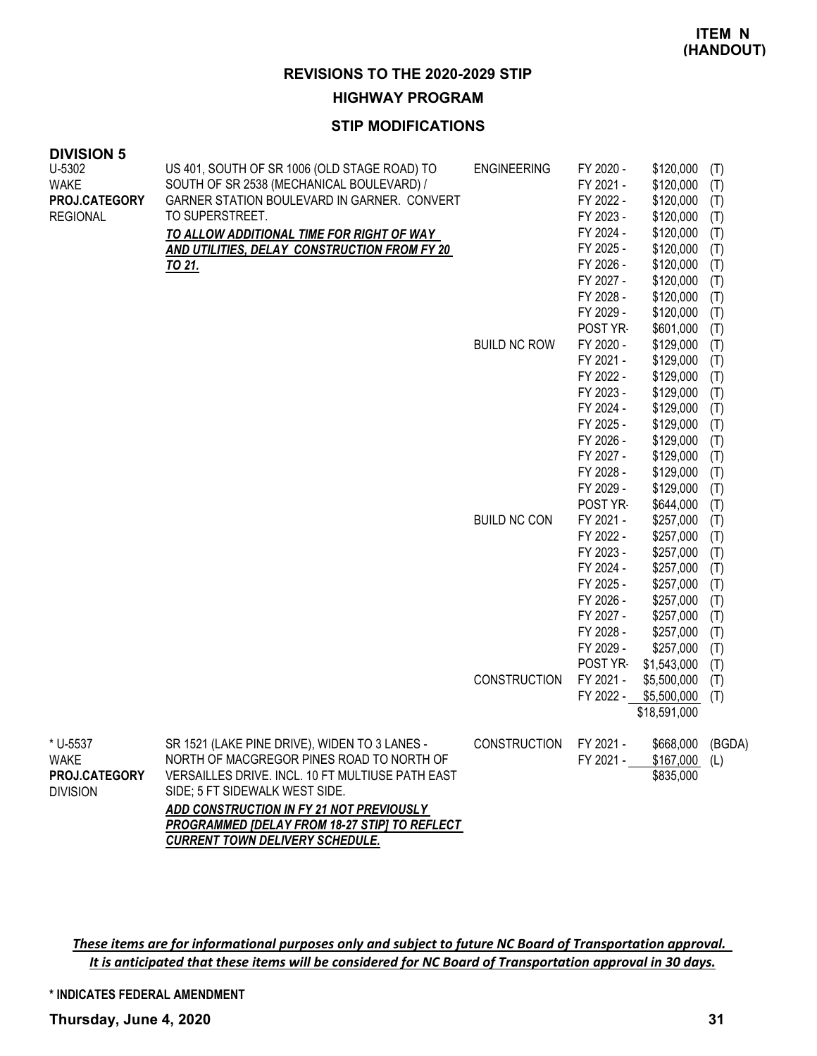#### **HIGHWAY PROGRAM**

#### **STIP MODIFICATIONS**

| <b>DIVISION 5</b>                |                                                                |                     |                        |                        |            |
|----------------------------------|----------------------------------------------------------------|---------------------|------------------------|------------------------|------------|
| U-5302                           | US 401, SOUTH OF SR 1006 (OLD STAGE ROAD) TO                   | <b>ENGINEERING</b>  | FY 2020 -              | \$120,000              | (T)        |
| <b>WAKE</b>                      | SOUTH OF SR 2538 (MECHANICAL BOULEVARD) /                      |                     | FY 2021 -              | \$120,000              | (T)        |
| PROJ.CATEGORY<br><b>REGIONAL</b> | GARNER STATION BOULEVARD IN GARNER. CONVERT<br>TO SUPERSTREET. |                     | FY 2022 -<br>FY 2023 - | \$120,000              | (T)        |
|                                  |                                                                |                     | FY 2024 -              | \$120,000<br>\$120,000 | (T)        |
|                                  | TO ALLOW ADDITIONAL TIME FOR RIGHT OF WAY                      |                     | FY 2025 -              | \$120,000              | (T)<br>(T) |
|                                  | AND UTILITIES, DELAY CONSTRUCTION FROM FY 20<br>TO 21.         |                     | FY 2026 -              | \$120,000              | (T)        |
|                                  |                                                                |                     | FY 2027 -              | \$120,000              | (T)        |
|                                  |                                                                |                     | FY 2028 -              | \$120,000              | (T)        |
|                                  |                                                                |                     | FY 2029 -              | \$120,000              | (T)        |
|                                  |                                                                |                     | POST YR-               | \$601,000              | (T)        |
|                                  |                                                                | <b>BUILD NC ROW</b> | FY 2020 -              | \$129,000              | (T)        |
|                                  |                                                                |                     | FY 2021 -              | \$129,000              | (T)        |
|                                  |                                                                |                     | FY 2022 -              | \$129,000              | (T)        |
|                                  |                                                                |                     | FY 2023 -              | \$129,000              | (T)        |
|                                  |                                                                |                     | FY 2024 -              | \$129,000              | (T)        |
|                                  |                                                                |                     | FY 2025 -              | \$129,000              | (T)        |
|                                  |                                                                |                     | FY 2026 -              | \$129,000              | (T)        |
|                                  |                                                                |                     | FY 2027 -              | \$129,000              | (T)        |
|                                  |                                                                |                     | FY 2028 -              | \$129,000              | (T)        |
|                                  |                                                                |                     | FY 2029 -              | \$129,000              | (T)        |
|                                  |                                                                |                     | POST YR-               | \$644,000              | (T)        |
|                                  |                                                                | <b>BUILD NC CON</b> | FY 2021 -              | \$257,000              | (T)        |
|                                  |                                                                |                     | FY 2022 -              | \$257,000              | (T)        |
|                                  |                                                                |                     | FY 2023 -              | \$257,000              | (T)        |
|                                  |                                                                |                     | FY 2024 -              | \$257,000              | (T)        |
|                                  |                                                                |                     | FY 2025 -              | \$257,000              | (T)        |
|                                  |                                                                |                     | FY 2026 -              | \$257,000              | (T)        |
|                                  |                                                                |                     | FY 2027 -              | \$257,000              | (T)        |
|                                  |                                                                |                     | FY 2028 -              | \$257,000              | (T)        |
|                                  |                                                                |                     | FY 2029 -              | \$257,000              | (T)        |
|                                  |                                                                |                     | POST YR-               | \$1,543,000            | (T)        |
|                                  |                                                                | <b>CONSTRUCTION</b> | FY 2021 -              | \$5,500,000            | (T)        |
|                                  |                                                                |                     | FY 2022 -              | \$5,500,000            | (T)        |
|                                  |                                                                |                     |                        | \$18,591,000           |            |
| * U-5537                         | SR 1521 (LAKE PINE DRIVE), WIDEN TO 3 LANES -                  | <b>CONSTRUCTION</b> | FY 2021 -              | \$668,000              | (BGDA)     |
| <b>WAKE</b>                      | NORTH OF MACGREGOR PINES ROAD TO NORTH OF                      |                     | FY 2021 -              | \$167,000              | (L)        |
| PROJ.CATEGORY                    | VERSAILLES DRIVE. INCL. 10 FT MULTIUSE PATH EAST               |                     |                        | \$835,000              |            |
| <b>DIVISION</b>                  | SIDE; 5 FT SIDEWALK WEST SIDE.                                 |                     |                        |                        |            |
|                                  | ADD CONSTRUCTION IN FY 21 NOT PREVIOUSLY                       |                     |                        |                        |            |
|                                  | PROGRAMMED [DELAY FROM 18-27 STIP] TO REFLECT                  |                     |                        |                        |            |
|                                  | <b>CURRENT TOWN DELIVERY SCHEDULE.</b>                         |                     |                        |                        |            |

These items are for informational purposes only and subject to future NC Board of Transportation approval. It is anticipated that these items will be considered for NC Board of Transportation approval in 30 days.

**\* INDICATES FEDERAL AMENDMENT**

**Thursday, June 4, 2020 31**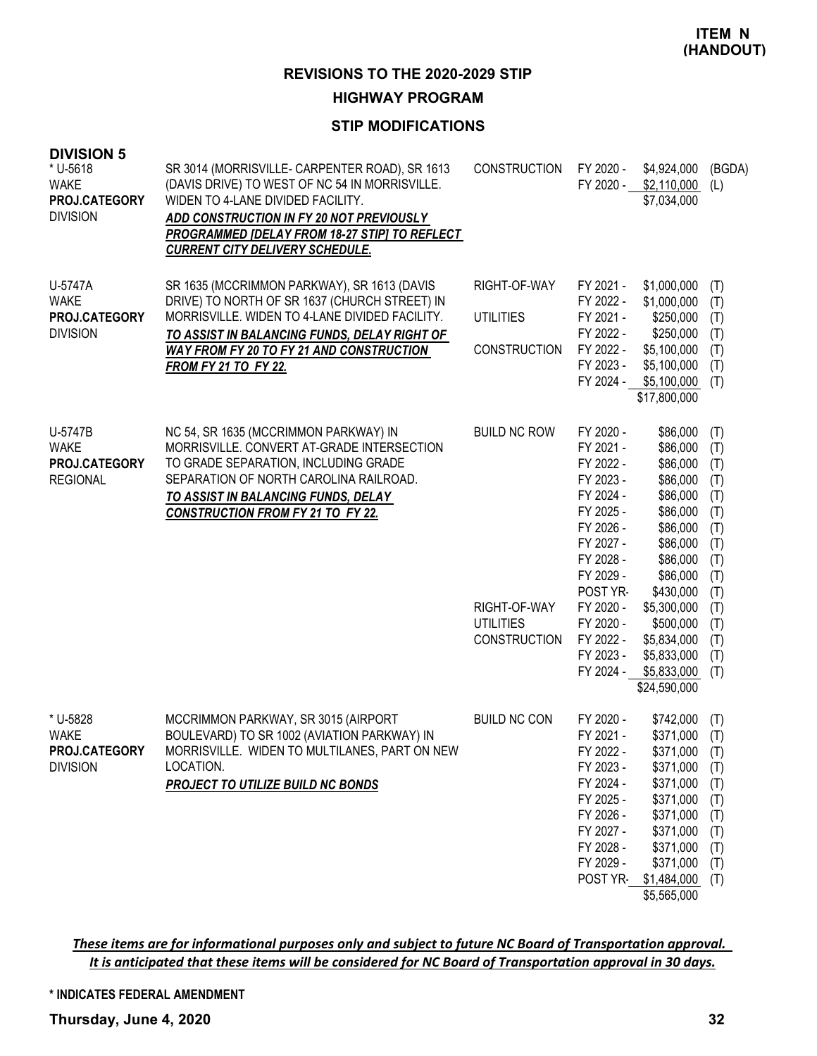#### **HIGHWAY PROGRAM**

#### **STIP MODIFICATIONS**

| <b>DIVISION 5</b><br>* U-5618<br><b>WAKE</b><br>PROJ.CATEGORY<br><b>DIVISION</b> | SR 3014 (MORRISVILLE- CARPENTER ROAD), SR 1613<br>(DAVIS DRIVE) TO WEST OF NC 54 IN MORRISVILLE.<br>WIDEN TO 4-LANE DIVIDED FACILITY.<br>ADD CONSTRUCTION IN FY 20 NOT PREVIOUSLY<br>PROGRAMMED [DELAY FROM 18-27 STIP] TO REFLECT<br><b>CURRENT CITY DELIVERY SCHEDULE.</b> | <b>CONSTRUCTION</b>                                                            | FY 2020 -<br>FY 2020 -                                                                                                                                                                                      | \$4,924,000<br>\$2,110,000<br>\$7,034,000                                                                                                                                                                                  | (BGDA)<br>(L)                                                                                                |
|----------------------------------------------------------------------------------|------------------------------------------------------------------------------------------------------------------------------------------------------------------------------------------------------------------------------------------------------------------------------|--------------------------------------------------------------------------------|-------------------------------------------------------------------------------------------------------------------------------------------------------------------------------------------------------------|----------------------------------------------------------------------------------------------------------------------------------------------------------------------------------------------------------------------------|--------------------------------------------------------------------------------------------------------------|
| U-5747A<br><b>WAKE</b><br>PROJ.CATEGORY<br><b>DIVISION</b>                       | SR 1635 (MCCRIMMON PARKWAY), SR 1613 (DAVIS<br>DRIVE) TO NORTH OF SR 1637 (CHURCH STREET) IN<br>MORRISVILLE. WIDEN TO 4-LANE DIVIDED FACILITY.<br>TO ASSIST IN BALANCING FUNDS, DELAY RIGHT OF<br>WAY FROM FY 20 TO FY 21 AND CONSTRUCTION<br><b>FROM FY 21 TO FY 22.</b>    | RIGHT-OF-WAY<br><b>UTILITIES</b><br><b>CONSTRUCTION</b>                        | FY 2021 -<br>FY 2022 -<br>FY 2021 -<br>FY 2022 -<br>FY 2022 -<br>FY 2023 -<br>FY 2024 -                                                                                                                     | \$1,000,000<br>\$1,000,000<br>\$250,000<br>\$250,000<br>\$5,100,000<br>\$5,100,000<br>\$5,100,000<br>\$17,800,000                                                                                                          | (T)<br>(T)<br>(T)<br>(T)<br>(T)<br>(T)<br>(T)                                                                |
| U-5747B<br><b>WAKE</b><br>PROJ.CATEGORY<br><b>REGIONAL</b>                       | NC 54, SR 1635 (MCCRIMMON PARKWAY) IN<br>MORRISVILLE. CONVERT AT-GRADE INTERSECTION<br>TO GRADE SEPARATION, INCLUDING GRADE<br>SEPARATION OF NORTH CAROLINA RAILROAD.<br>TO ASSIST IN BALANCING FUNDS, DELAY<br><b>CONSTRUCTION FROM FY 21 TO FY 22.</b>                     | <b>BUILD NC ROW</b><br>RIGHT-OF-WAY<br><b>UTILITIES</b><br><b>CONSTRUCTION</b> | FY 2020 -<br>FY 2021 -<br>FY 2022 -<br>FY 2023 -<br>FY 2024 -<br>FY 2025 -<br>FY 2026 -<br>FY 2027 -<br>FY 2028 -<br>FY 2029 -<br>POST YR-<br>FY 2020 -<br>FY 2020 -<br>FY 2022 -<br>FY 2023 -<br>FY 2024 - | \$86,000<br>\$86,000<br>\$86,000<br>\$86,000<br>\$86,000<br>\$86,000<br>\$86,000<br>\$86,000<br>\$86,000<br>\$86,000<br>\$430,000<br>\$5,300,000<br>\$500,000<br>\$5,834,000<br>\$5,833,000<br>\$5,833,000<br>\$24,590,000 | (T)<br>(T)<br>(T)<br>(T)<br>(T)<br>(T)<br>(T)<br>(T)<br>(T)<br>(T)<br>(T)<br>(T)<br>(T)<br>(T)<br>(T)<br>(T) |
| * U-5828<br><b>WAKE</b><br>PROJ.CATEGORY<br><b>DIVISION</b>                      | MCCRIMMON PARKWAY, SR 3015 (AIRPORT<br>BOULEVARD) TO SR 1002 (AVIATION PARKWAY) IN<br>MORRISVILLE. WIDEN TO MULTILANES, PART ON NEW<br>LOCATION.<br>PROJECT TO UTILIZE BUILD NC BONDS                                                                                        | <b>BUILD NC CON</b>                                                            | FY 2020 -<br>FY 2021 -<br>FY 2022 -<br>FY 2023 -<br>FY 2024 -<br>FY 2025 -<br>FY 2026 -<br>FY 2027 -<br>FY 2028 -<br>FY 2029 -                                                                              | \$742,000<br>\$371,000<br>\$371,000<br>\$371,000<br>\$371,000<br>\$371,000<br>\$371,000<br>\$371,000<br>\$371,000<br>\$371,000<br>POST YR \$1,484,000<br>\$5,565,000                                                       | (T)<br>(T)<br>(T)<br>(T)<br>(T)<br>(T)<br>(T)<br>(T)<br>(T)<br>(T)<br>(T)                                    |

These items are for informational purposes only and subject to future NC Board of Transportation approval. It is anticipated that these items will be considered for NC Board of Transportation approval in 30 days.

#### **\* INDICATES FEDERAL AMENDMENT**

# **Thursday, June 4, 2020 32**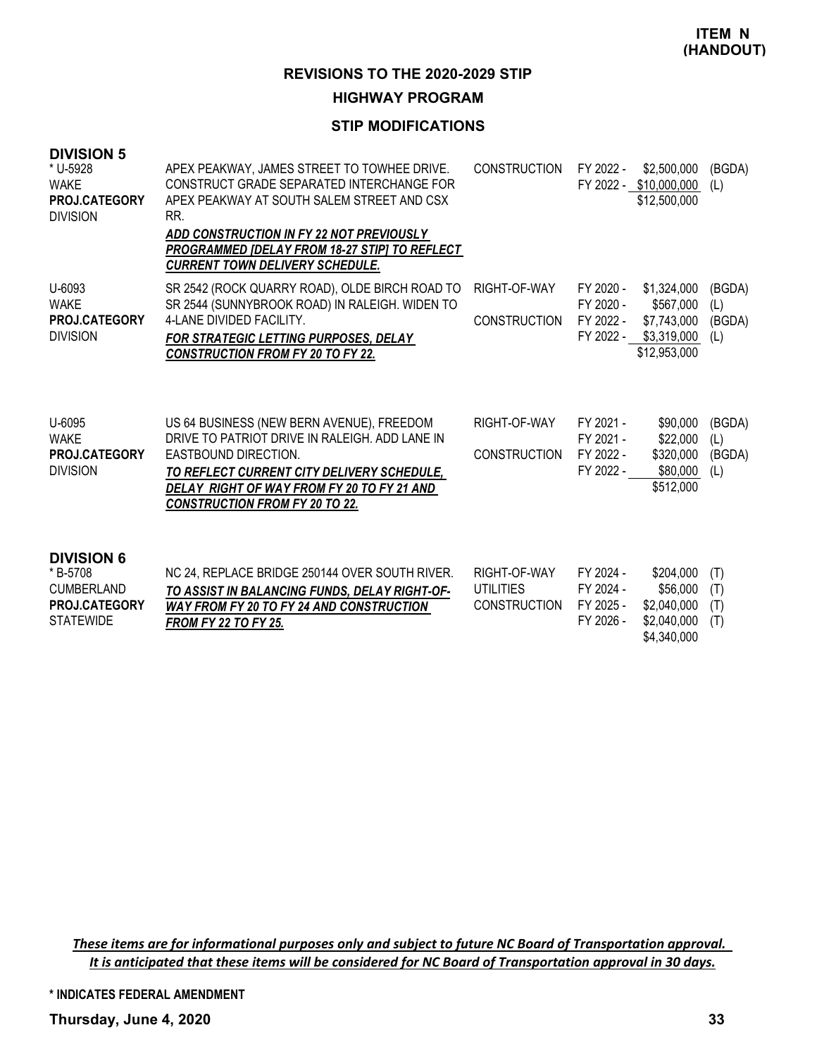#### **HIGHWAY PROGRAM**

#### **STIP MODIFICATIONS**

| <b>DIVISION 5</b><br>* U-5928<br><b>WAKE</b><br>PROJ.CATEGORY<br><b>DIVISION</b> | APEX PEAKWAY, JAMES STREET TO TOWHEE DRIVE.<br>CONSTRUCT GRADE SEPARATED INTERCHANGE FOR<br>APEX PEAKWAY AT SOUTH SALEM STREET AND CSX<br>RR.<br>ADD CONSTRUCTION IN FY 22 NOT PREVIOUSLY<br>PROGRAMMED [DELAY FROM 18-27 STIP] TO REFLECT<br><b>CURRENT TOWN DELIVERY SCHEDULE.</b> | <b>CONSTRUCTION</b>                 | FY 2022 -                                        | \$2,500,000<br>FY 2022 - \$10,000,000<br>\$12,500,000                  | (BGDA)<br>(L)                  |
|----------------------------------------------------------------------------------|--------------------------------------------------------------------------------------------------------------------------------------------------------------------------------------------------------------------------------------------------------------------------------------|-------------------------------------|--------------------------------------------------|------------------------------------------------------------------------|--------------------------------|
| U-6093<br>WAKE<br>PROJ.CATEGORY<br><b>DIVISION</b>                               | SR 2542 (ROCK QUARRY ROAD), OLDE BIRCH ROAD TO<br>SR 2544 (SUNNYBROOK ROAD) IN RALEIGH. WIDEN TO<br>4-LANE DIVIDED FACILITY.<br><b>FOR STRATEGIC LETTING PURPOSES, DELAY</b><br><b>CONSTRUCTION FROM FY 20 TO FY 22.</b>                                                             | RIGHT-OF-WAY<br><b>CONSTRUCTION</b> | FY 2020 -<br>FY 2020 -<br>FY 2022 -<br>FY 2022 - | \$1,324,000<br>\$567,000<br>\$7,743,000<br>\$3,319,000<br>\$12,953,000 | (BGDA)<br>(L)<br>(BGDA)<br>(L) |
| U-6095<br><b>WAKE</b><br><b>PROJ.CATEGORY</b><br><b>DIVISION</b>                 | US 64 BUSINESS (NEW BERN AVENUE), FREEDOM<br>DRIVE TO PATRIOT DRIVE IN RALEIGH. ADD LANE IN<br>EASTBOUND DIRECTION.<br>TO REFLECT CURRENT CITY DELIVERY SCHEDULE,<br>DELAY RIGHT OF WAY FROM FY 20 TO FY 21 AND<br><b>CONSTRUCTION FROM FY 20 TO 22.</b>                             | RIGHT-OF-WAY<br><b>CONSTRUCTION</b> | FY 2021 -<br>FY 2021 -<br>FY 2022 -<br>FY 2022 - | \$90,000<br>\$22,000<br>\$320,000<br>\$80,000<br>\$512,000             | (BGDA)<br>(L)<br>(BGDA)<br>(L) |
| <b>DIVISION 6</b><br>* B-5708<br>CLIMBERI AND                                    | NC 24, REPLACE BRIDGE 250144 OVER SOUTH RIVER.<br>TO A COICT IN DAI ANCINO FIINDO. DEI AV DIOUT OF                                                                                                                                                                                   | RIGHT-OF-WAY<br>LITILITIES.         | FY 2024 -<br>FY 2024 -                           | \$204,000<br>\$56.000                                                  | (T)<br>(T)                     |

| ----------           |                                                 |                     |           | $\ddot{\phantom{1}}$ |  |
|----------------------|-------------------------------------------------|---------------------|-----------|----------------------|--|
| CUMBERLAND           | TO ASSIST IN BALANCING FUNDS, DELAY RIGHT-OF-   | UTILITIES           | FY 2024 - | $$56,000$ (T)        |  |
| <b>PROJ.CATEGORY</b> | <b>WAY FROM FY 20 TO FY 24 AND CONSTRUCTION</b> | <b>CONSTRUCTION</b> | FY 2025 - | $$2,040,000$ (T)     |  |
| <b>STATEWIDE</b>     | <b>FROM FY 22 TO FY 25.</b>                     |                     | FY 2026 - | $$2,040,000$ (T)     |  |
|                      |                                                 |                     |           | \$4,340,000          |  |

These items are for informational purposes only and subject to future NC Board of Transportation approval. It is anticipated that these items will be considered for NC Board of Transportation approval in 30 days.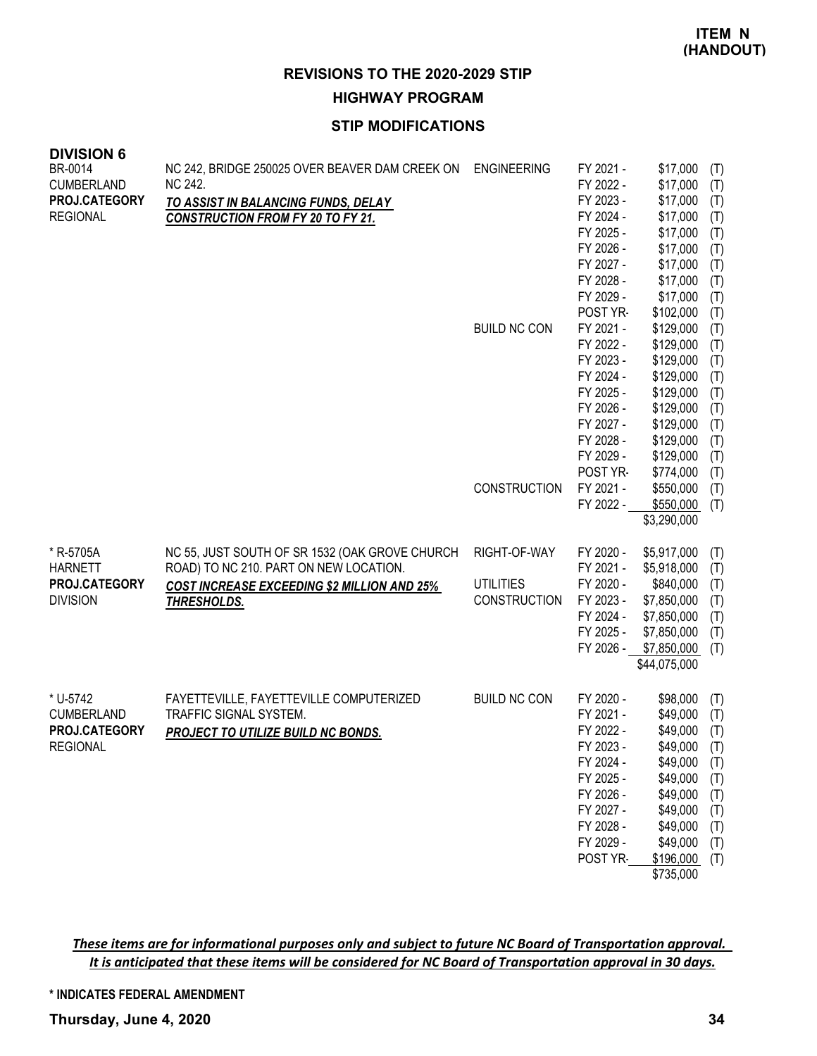**HIGHWAY PROGRAM**

## **STIP MODIFICATIONS**

| <b>DIVISION 6</b>            |                                                                              |                     |                        |                             |            |
|------------------------------|------------------------------------------------------------------------------|---------------------|------------------------|-----------------------------|------------|
| BR-0014<br><b>CUMBERLAND</b> | NC 242, BRIDGE 250025 OVER BEAVER DAM CREEK ON ENGINEERING<br><b>NC 242.</b> |                     | FY 2021 -<br>FY 2022 - | \$17,000<br>\$17,000        | (T)<br>(T) |
| PROJ.CATEGORY                | TO ASSIST IN BALANCING FUNDS, DELAY                                          |                     | FY 2023 -              | \$17,000                    | (T)        |
| <b>REGIONAL</b>              | <b>CONSTRUCTION FROM FY 20 TO FY 21.</b>                                     |                     | FY 2024 -              | \$17,000                    | (T)        |
|                              |                                                                              |                     | FY 2025 -              | \$17,000                    | (T)        |
|                              |                                                                              |                     | FY 2026 -              | \$17,000                    | (T)        |
|                              |                                                                              |                     | FY 2027 -              | \$17,000                    | (T)        |
|                              |                                                                              |                     | FY 2028 -<br>FY 2029 - | \$17,000<br>\$17,000        | (T)        |
|                              |                                                                              |                     | POST YR-               | \$102,000                   | (T)<br>(T) |
|                              |                                                                              | <b>BUILD NC CON</b> | FY 2021 -              | \$129,000                   | (T)        |
|                              |                                                                              |                     | FY 2022 -              | \$129,000                   | (T)        |
|                              |                                                                              |                     | FY 2023 -              | \$129,000                   | (T)        |
|                              |                                                                              |                     | FY 2024 -              | \$129,000                   | (T)        |
|                              |                                                                              |                     | FY 2025 -              | \$129,000                   | (T)        |
|                              |                                                                              |                     | FY 2026 -<br>FY 2027 - | \$129,000<br>\$129,000      | (T)        |
|                              |                                                                              |                     | FY 2028 -              | \$129,000                   | (T)<br>(T) |
|                              |                                                                              |                     | FY 2029 -              | \$129,000                   | (T)        |
|                              |                                                                              |                     | POST YR-               | \$774,000                   | (T)        |
|                              |                                                                              | <b>CONSTRUCTION</b> | FY 2021 -              | \$550,000                   | (T)        |
|                              |                                                                              |                     | FY 2022 -              | \$550,000                   | (T)        |
|                              |                                                                              |                     |                        | \$3,290,000                 |            |
| * R-5705A                    | NC 55, JUST SOUTH OF SR 1532 (OAK GROVE CHURCH                               | RIGHT-OF-WAY        | FY 2020 -              | \$5,917,000                 | (T)        |
| <b>HARNETT</b>               | ROAD) TO NC 210. PART ON NEW LOCATION.                                       |                     | FY 2021 -              | \$5,918,000                 | (T)        |
| PROJ.CATEGORY                | <b>COST INCREASE EXCEEDING \$2 MILLION AND 25%</b>                           | <b>UTILITIES</b>    | FY 2020 -              | \$840,000                   | (T)        |
| <b>DIVISION</b>              | <b>THRESHOLDS.</b>                                                           | <b>CONSTRUCTION</b> | FY 2023 -              | \$7,850,000                 | (T)        |
|                              |                                                                              |                     | FY 2024 -              | \$7,850,000                 | (T)        |
|                              |                                                                              |                     | FY 2025 -              | \$7,850,000                 | (T)        |
|                              |                                                                              |                     | FY 2026 -              | \$7,850,000<br>\$44,075,000 | (T)        |
|                              |                                                                              |                     |                        |                             |            |
| * U-5742                     | FAYETTEVILLE, FAYETTEVILLE COMPUTERIZED                                      | <b>BUILD NC CON</b> | FY 2020 -              | \$98,000                    | (T)        |
| <b>CUMBERLAND</b>            | TRAFFIC SIGNAL SYSTEM.                                                       |                     | FY 2021 -              | \$49,000                    | (T)        |
| PROJ.CATEGORY                | PROJECT TO UTILIZE BUILD NC BONDS.                                           |                     | FY 2022 -              | \$49,000                    | (T)        |
| <b>REGIONAL</b>              |                                                                              |                     | FY 2023 -              | \$49,000                    | (T)        |
|                              |                                                                              |                     | FY 2024 -              | \$49,000                    | (T)        |
|                              |                                                                              |                     | FY 2025 -<br>FY 2026 - | \$49,000                    | (T)        |
|                              |                                                                              |                     | FY 2027 -              | \$49,000<br>\$49,000        | (T)<br>(T) |
|                              |                                                                              |                     | FY 2028 -              | \$49,000                    | (T)        |
|                              |                                                                              |                     | FY 2029 -              | \$49,000                    | (T)        |
|                              |                                                                              |                     | POST YR-               | \$196,000                   | (T)        |
|                              |                                                                              |                     |                        | \$735,000                   |            |

These items are for informational purposes only and subject to future NC Board of Transportation approval. It is anticipated that these items will be considered for NC Board of Transportation approval in 30 days.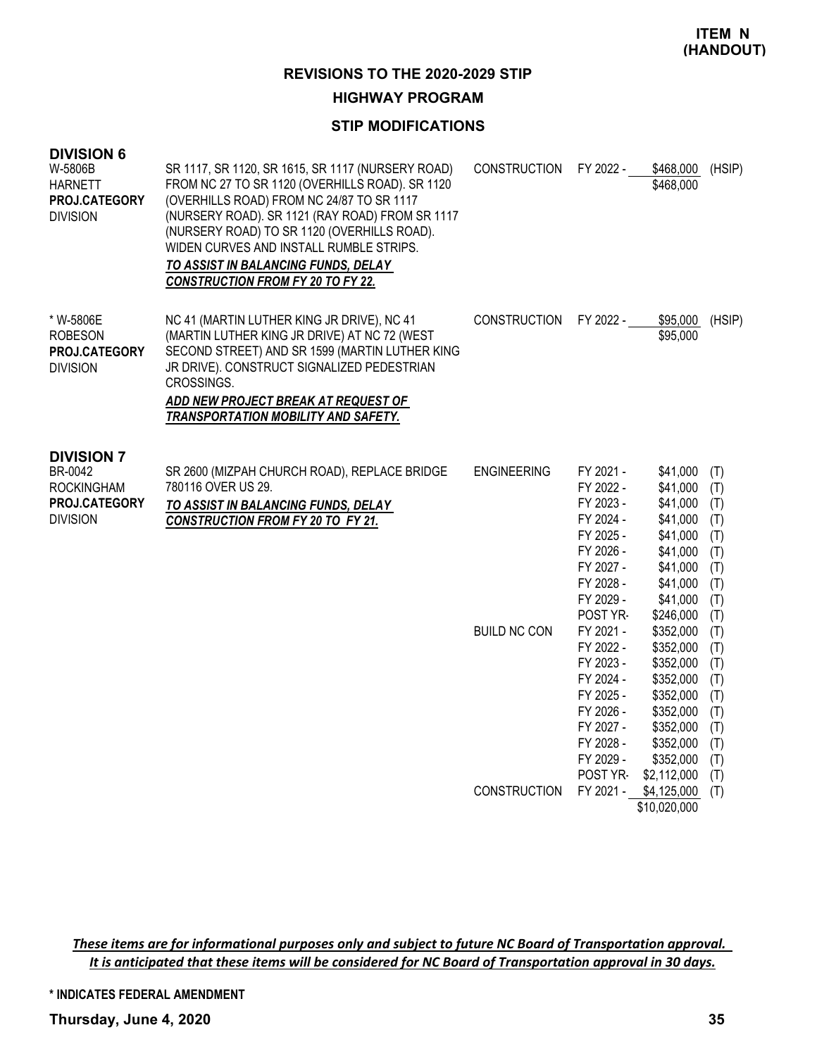#### **HIGHWAY PROGRAM**

#### **STIP MODIFICATIONS**

| <b>DIVISION 6</b><br>W-5806B<br><b>HARNETT</b><br>PROJ.CATEGORY<br><b>DIVISION</b>    | SR 1117, SR 1120, SR 1615, SR 1117 (NURSERY ROAD)<br>FROM NC 27 TO SR 1120 (OVERHILLS ROAD). SR 1120<br>(OVERHILLS ROAD) FROM NC 24/87 TO SR 1117<br>(NURSERY ROAD). SR 1121 (RAY ROAD) FROM SR 1117<br>(NURSERY ROAD) TO SR 1120 (OVERHILLS ROAD).<br>WIDEN CURVES AND INSTALL RUMBLE STRIPS.<br>TO ASSIST IN BALANCING FUNDS, DELAY<br><b>CONSTRUCTION FROM FY 20 TO FY 22.</b> | <b>CONSTRUCTION</b>                       | FY 2022 -                                                                                                                                                                                                   | \$468,000<br>\$468,000                                                                                                                                                                              | (HSIP)                                                                                                       |
|---------------------------------------------------------------------------------------|-----------------------------------------------------------------------------------------------------------------------------------------------------------------------------------------------------------------------------------------------------------------------------------------------------------------------------------------------------------------------------------|-------------------------------------------|-------------------------------------------------------------------------------------------------------------------------------------------------------------------------------------------------------------|-----------------------------------------------------------------------------------------------------------------------------------------------------------------------------------------------------|--------------------------------------------------------------------------------------------------------------|
| * W-5806E<br><b>ROBESON</b><br>PROJ.CATEGORY<br><b>DIVISION</b>                       | NC 41 (MARTIN LUTHER KING JR DRIVE), NC 41<br>(MARTIN LUTHER KING JR DRIVE) AT NC 72 (WEST<br>SECOND STREET) AND SR 1599 (MARTIN LUTHER KING<br>JR DRIVE). CONSTRUCT SIGNALIZED PEDESTRIAN<br>CROSSINGS.<br>ADD NEW PROJECT BREAK AT REQUEST OF<br>TRANSPORTATION MOBILITY AND SAFETY.                                                                                            | <b>CONSTRUCTION</b>                       | FY 2022 -                                                                                                                                                                                                   | \$95,000<br>\$95,000                                                                                                                                                                                | (HSIP)                                                                                                       |
| <b>DIVISION 7</b><br>BR-0042<br><b>ROCKINGHAM</b><br>PROJ.CATEGORY<br><b>DIVISION</b> | SR 2600 (MIZPAH CHURCH ROAD), REPLACE BRIDGE<br>780116 OVER US 29.<br>TO ASSIST IN BALANCING FUNDS, DELAY<br><b>CONSTRUCTION FROM FY 20 TO FY 21.</b>                                                                                                                                                                                                                             | <b>ENGINEERING</b><br><b>BUILD NC CON</b> | FY 2021 -<br>FY 2022 -<br>FY 2023 -<br>FY 2024 -<br>FY 2025 -<br>FY 2026 -<br>FY 2027 -<br>FY 2028 -<br>FY 2029 -<br>POST YR-<br>FY 2021 -<br>FY 2022 -<br>FY 2023 -<br>FY 2024 -<br>FY 2025 -<br>FY 2026 - | \$41,000<br>\$41,000<br>\$41,000<br>\$41,000<br>\$41,000<br>\$41,000<br>\$41,000<br>\$41,000<br>\$41,000<br>\$246,000<br>\$352,000<br>\$352,000<br>\$352,000<br>\$352,000<br>\$352,000<br>\$352,000 | (T)<br>(T)<br>(T)<br>(T)<br>(T)<br>(T)<br>(T)<br>(T)<br>(T)<br>(T)<br>(T)<br>(T)<br>(T)<br>(T)<br>(T)<br>(T) |
|                                                                                       |                                                                                                                                                                                                                                                                                                                                                                                   | <b>CONSTRUCTION</b>                       | FY 2027 -<br>FY 2028 -<br>FY 2029 -<br>POST YR-<br>FY 2021 -                                                                                                                                                | \$352,000<br>\$352,000<br>\$352,000<br>\$2,112,000<br>\$4,125,000<br>\$10,020,000                                                                                                                   | (T)<br>(T)<br>(T)<br>(T)<br>(T)                                                                              |

These items are for informational purposes only and subject to future NC Board of Transportation approval. It is anticipated that these items will be considered for NC Board of Transportation approval in 30 days.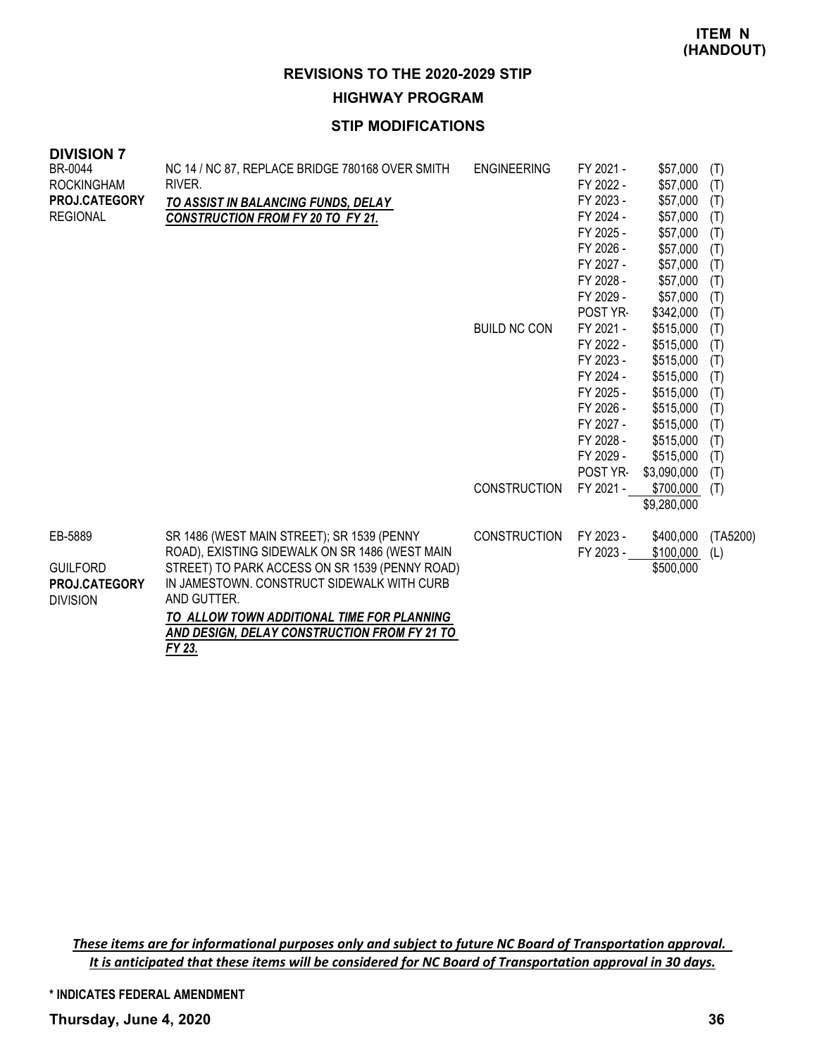**HIGHWAY PROGRAM**

## **STIP MODIFICATIONS**

| <b>DIVISION 7</b><br>BR-0044<br><b>ROCKINGHAM</b><br>PROJ.CATEGORY<br><b>REGIONAL</b> | NC 14 / NC 87, REPLACE BRIDGE 780168 OVER SMITH<br>RIVER.<br>TO ASSIST IN BALANCING FUNDS, DELAY<br><b>CONSTRUCTION FROM FY 20 TO FY 21.</b>                                                                                                                                                              | <b>ENGINEERING</b><br><b>BUILD NC CON</b> | FY 2021 -<br>FY 2022 -<br>FY 2023 -<br>FY 2024 -<br>FY 2025 -<br>FY 2026 -<br>FY 2027 -<br>FY 2028 -<br>FY 2029 -<br>POST YR-<br>FY 2021 -<br>FY 2022 -<br>FY 2023 -<br>FY 2024 -<br>FY 2025 - | \$57,000<br>\$57,000<br>\$57,000<br>\$57,000<br>\$57,000<br>\$57,000<br>\$57,000<br>\$57,000<br>\$57,000<br>\$342,000<br>\$515,000<br>\$515,000<br>\$515,000<br>\$515,000<br>\$515,000 | (T)<br>(T)<br>(T)<br>(T)<br>(T)<br>(T)<br>(T)<br>(T)<br>(T)<br>(T)<br>(T)<br>(T)<br>(T)<br>(T)<br>(T) |
|---------------------------------------------------------------------------------------|-----------------------------------------------------------------------------------------------------------------------------------------------------------------------------------------------------------------------------------------------------------------------------------------------------------|-------------------------------------------|------------------------------------------------------------------------------------------------------------------------------------------------------------------------------------------------|----------------------------------------------------------------------------------------------------------------------------------------------------------------------------------------|-------------------------------------------------------------------------------------------------------|
|                                                                                       |                                                                                                                                                                                                                                                                                                           |                                           | FY 2026 -<br>FY 2027 -                                                                                                                                                                         | \$515,000<br>\$515,000                                                                                                                                                                 | (T)<br>(T)                                                                                            |
|                                                                                       |                                                                                                                                                                                                                                                                                                           |                                           | FY 2028 -                                                                                                                                                                                      | \$515,000                                                                                                                                                                              | (T)                                                                                                   |
|                                                                                       |                                                                                                                                                                                                                                                                                                           |                                           | FY 2029 -<br>POST YR-                                                                                                                                                                          | \$515,000<br>\$3,090,000                                                                                                                                                               | (T)<br>(T)                                                                                            |
|                                                                                       |                                                                                                                                                                                                                                                                                                           | <b>CONSTRUCTION</b>                       | FY 2021 -                                                                                                                                                                                      | \$700,000<br>\$9,280,000                                                                                                                                                               | (T)                                                                                                   |
| EB-5889<br><b>GUILFORD</b><br><b>PROJ.CATEGORY</b><br><b>DIVISION</b>                 | SR 1486 (WEST MAIN STREET); SR 1539 (PENNY<br>ROAD), EXISTING SIDEWALK ON SR 1486 (WEST MAIN<br>STREET) TO PARK ACCESS ON SR 1539 (PENNY ROAD)<br>IN JAMESTOWN. CONSTRUCT SIDEWALK WITH CURB<br>AND GUTTER.<br>TO ALLOW TOWN ADDITIONAL TIME FOR PLANNING<br>AND DESIGN, DELAY CONSTRUCTION FROM FY 21 TO | <b>CONSTRUCTION</b>                       | FY 2023 -<br>FY 2023 -                                                                                                                                                                         | \$400,000<br>\$100,000<br>\$500,000                                                                                                                                                    | (TA5200)<br>(L)                                                                                       |
|                                                                                       | FY 23.                                                                                                                                                                                                                                                                                                    |                                           |                                                                                                                                                                                                |                                                                                                                                                                                        |                                                                                                       |

These items are for informational purposes only and subject to future NC Board of Transportation approval. It is anticipated that these items will be considered for NC Board of Transportation approval in 30 days.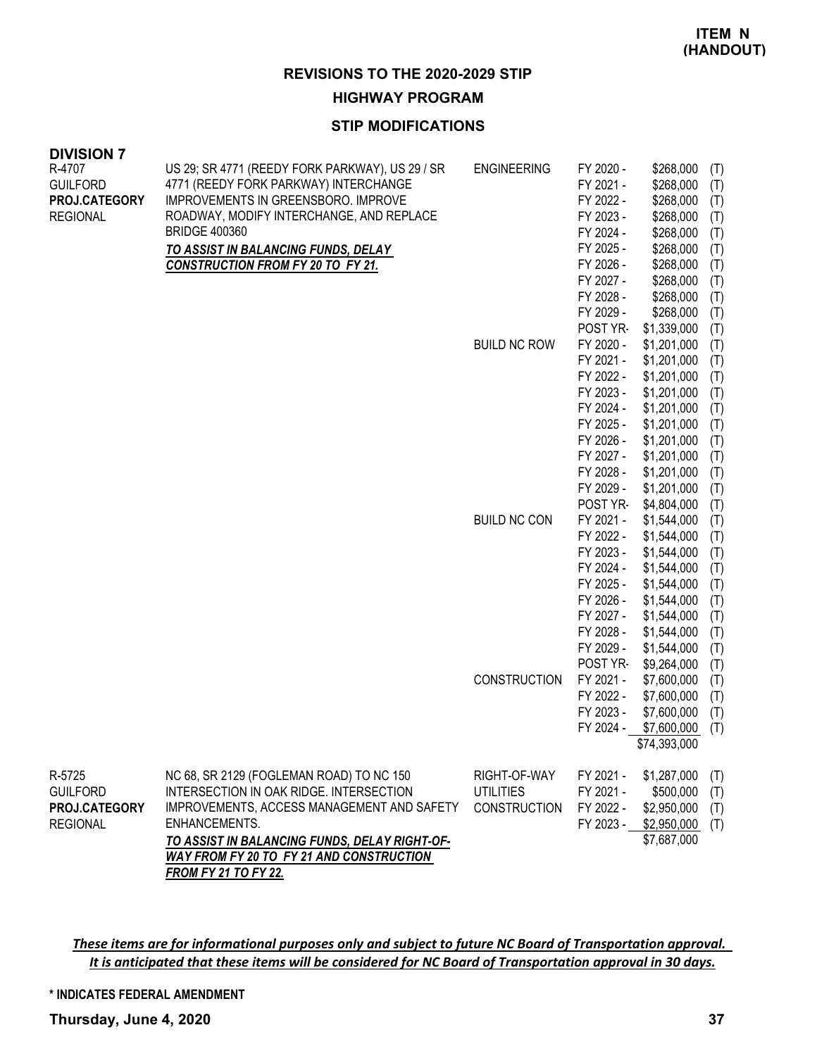#### **HIGHWAY PROGRAM**

#### **STIP MODIFICATIONS**

| <b>DIVISION 7</b><br>R-4707 | US 29; SR 4771 (REEDY FORK PARKWAY), US 29 / SR | <b>ENGINEERING</b>  | FY 2020 -              | \$268,000                  |            |
|-----------------------------|-------------------------------------------------|---------------------|------------------------|----------------------------|------------|
| <b>GUILFORD</b>             | 4771 (REEDY FORK PARKWAY) INTERCHANGE           |                     | FY 2021 -              | \$268,000                  | (T)<br>(T) |
| PROJ.CATEGORY               | IMPROVEMENTS IN GREENSBORO. IMPROVE             |                     | FY 2022 -              | \$268,000                  | (T)        |
| <b>REGIONAL</b>             | ROADWAY, MODIFY INTERCHANGE, AND REPLACE        |                     | FY 2023 -              | \$268,000                  | (T)        |
|                             | <b>BRIDGE 400360</b>                            |                     | FY 2024 -              | \$268,000                  | (T)        |
|                             | TO ASSIST IN BALANCING FUNDS, DELAY             |                     | FY 2025 -              | \$268,000                  | (T)        |
|                             | <b>CONSTRUCTION FROM FY 20 TO FY 21.</b>        |                     | FY 2026 -              | \$268,000                  | (T)        |
|                             |                                                 |                     | FY 2027 -              | \$268,000                  | (T)        |
|                             |                                                 |                     | FY 2028 -              | \$268,000                  | (T)        |
|                             |                                                 |                     | FY 2029 -              | \$268,000                  | (T)        |
|                             |                                                 |                     | POST YR-               | \$1,339,000                | (T)        |
|                             |                                                 | <b>BUILD NC ROW</b> | FY 2020 -              | \$1,201,000                | (T)        |
|                             |                                                 |                     | FY 2021 -              | \$1,201,000                | (T)        |
|                             |                                                 |                     | FY 2022 -              | \$1,201,000                | (T)        |
|                             |                                                 |                     | FY 2023 -              | \$1,201,000                | (T)        |
|                             |                                                 |                     | FY 2024 -              | \$1,201,000                | (T)        |
|                             |                                                 |                     | FY 2025 -              | \$1,201,000                | (T)        |
|                             |                                                 |                     | FY 2026 -<br>FY 2027 - | \$1,201,000<br>\$1,201,000 | (T)        |
|                             |                                                 |                     | FY 2028 -              | \$1,201,000                | (T)        |
|                             |                                                 |                     | FY 2029 -              | \$1,201,000                | (T)<br>(T) |
|                             |                                                 |                     | POST YR-               | \$4,804,000                | (T)        |
|                             |                                                 | <b>BUILD NC CON</b> | FY 2021 -              | \$1,544,000                | (T)        |
|                             |                                                 |                     | FY 2022 -              | \$1,544,000                | (T)        |
|                             |                                                 |                     | FY 2023 -              | \$1,544,000                | (T)        |
|                             |                                                 |                     | FY 2024 -              | \$1,544,000                | (T)        |
|                             |                                                 |                     | FY 2025 -              | \$1,544,000                | (T)        |
|                             |                                                 |                     | FY 2026 -              | \$1,544,000                | (T)        |
|                             |                                                 |                     | FY 2027 -              | \$1,544,000                | (T)        |
|                             |                                                 |                     | FY 2028 -              | \$1,544,000                | (T)        |
|                             |                                                 |                     | FY 2029 -              | \$1,544,000                | (T)        |
|                             |                                                 |                     | POST YR-               | \$9,264,000                | (T)        |
|                             |                                                 | <b>CONSTRUCTION</b> | FY 2021 -              | \$7,600,000                | (T)        |
|                             |                                                 |                     | FY 2022 -              | \$7,600,000                | (T)        |
|                             |                                                 |                     | FY 2023 -              | \$7,600,000                | (T)        |
|                             |                                                 |                     | FY 2024 -              | \$7,600,000                | (T)        |
|                             |                                                 |                     |                        | \$74,393,000               |            |
| R-5725                      | NC 68, SR 2129 (FOGLEMAN ROAD) TO NC 150        | RIGHT-OF-WAY        | FY 2021 -              | \$1,287,000                | (T)        |
| <b>GUILFORD</b>             | INTERSECTION IN OAK RIDGE. INTERSECTION         | <b>UTILITIES</b>    | FY 2021 -              | \$500,000                  | (T)        |
| PROJ.CATEGORY               | IMPROVEMENTS, ACCESS MANAGEMENT AND SAFETY      | <b>CONSTRUCTION</b> | FY 2022 -              | \$2,950,000                | (T)        |
| <b>REGIONAL</b>             | ENHANCEMENTS.                                   |                     | FY 2023 -              | \$2,950,000                | (T)        |
|                             | TO ASSIST IN BALANCING FUNDS, DELAY RIGHT-OF-   |                     |                        | \$7,687,000                |            |
|                             | WAY FROM FY 20 TO FY 21 AND CONSTRUCTION        |                     |                        |                            |            |
|                             | <b>FROM FY 21 TO FY 22.</b>                     |                     |                        |                            |            |

These items are for informational purposes only and subject to future NC Board of Transportation approval. It is anticipated that these items will be considered for NC Board of Transportation approval in 30 days.

**\* INDICATES FEDERAL AMENDMENT**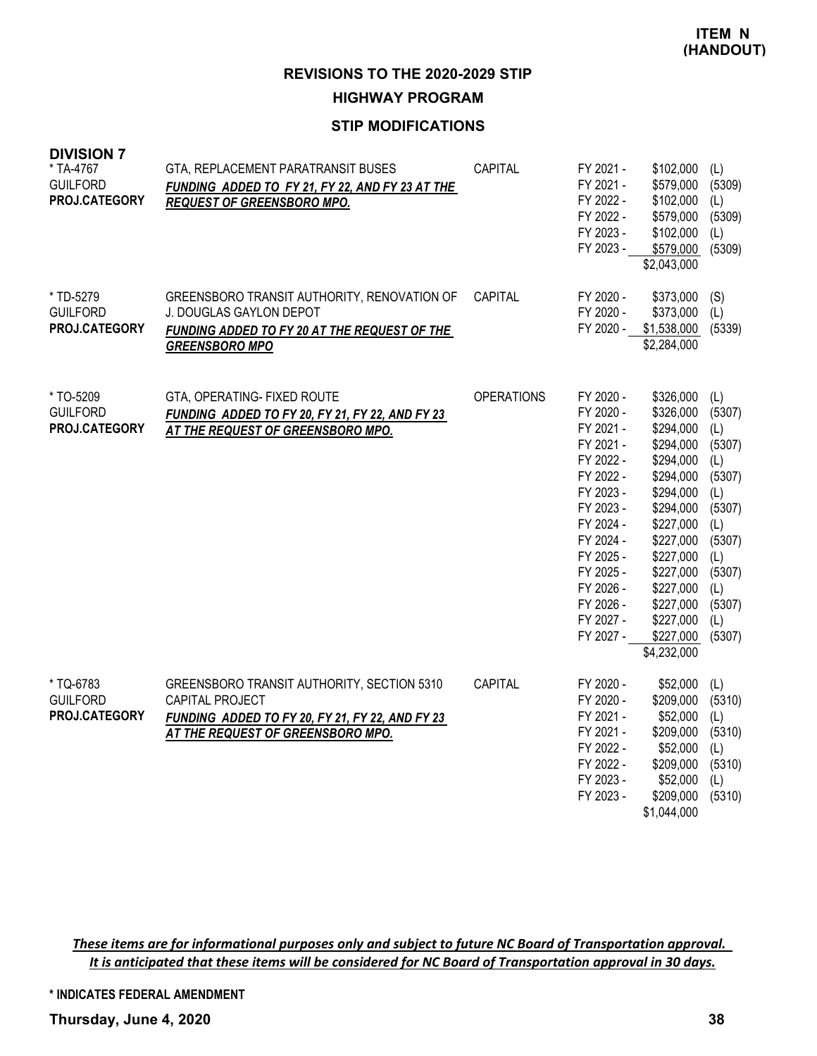**REVISIONS TO THE 2020-2029 STIP HIGHWAY PROGRAM**

#### **STIP MODIFICATIONS**

| <b>DIVISION 7</b><br>* TA-4767<br><b>GUILFORD</b><br>PROJ.CATEGORY | GTA, REPLACEMENT PARATRANSIT BUSES<br>FUNDING ADDED TO FY 21, FY 22, AND FY 23 AT THE<br><b>REQUEST OF GREENSBORO MPO.</b>                             | CAPITAL           | FY 2021 -<br>FY 2021 -<br>FY 2022 -<br>FY 2022 -<br>FY 2023 -<br>FY 2023 -                                                                                                                                   | \$102,000<br>\$579,000<br>\$102,000<br>\$579,000<br>\$102,000<br>\$579,000<br>\$2,043,000                                                                                                                                   | (L)<br>(5309)<br>(L)<br>(5309)<br>(L)<br>(5309)                                                                                      |
|--------------------------------------------------------------------|--------------------------------------------------------------------------------------------------------------------------------------------------------|-------------------|--------------------------------------------------------------------------------------------------------------------------------------------------------------------------------------------------------------|-----------------------------------------------------------------------------------------------------------------------------------------------------------------------------------------------------------------------------|--------------------------------------------------------------------------------------------------------------------------------------|
| * TD-5279<br><b>GUILFORD</b><br>PROJ.CATEGORY                      | GREENSBORO TRANSIT AUTHORITY, RENOVATION OF<br>J. DOUGLAS GAYLON DEPOT<br><b>FUNDING ADDED TO FY 20 AT THE REQUEST OF THE</b><br><b>GREENSBORO MPO</b> | CAPITAL           | FY 2020 -<br>FY 2020 -<br>FY 2020 -                                                                                                                                                                          | \$373,000<br>\$373,000<br>\$1,538,000<br>\$2,284,000                                                                                                                                                                        | (S)<br>(L)<br>(5339)                                                                                                                 |
| * TO-5209<br><b>GUILFORD</b><br>PROJ.CATEGORY                      | GTA, OPERATING- FIXED ROUTE<br>FUNDING ADDED TO FY 20, FY 21, FY 22, AND FY 23<br>AT THE REQUEST OF GREENSBORO MPO.                                    | <b>OPERATIONS</b> | FY 2020 -<br>FY 2020 -<br>FY 2021 -<br>FY 2021 -<br>FY 2022 -<br>FY 2022 -<br>FY 2023 -<br>FY 2023 -<br>FY 2024 -<br>FY 2024 -<br>FY 2025 -<br>FY 2025 -<br>FY 2026 -<br>FY 2026 -<br>FY 2027 -<br>FY 2027 - | \$326,000<br>\$326,000<br>\$294,000<br>\$294,000<br>\$294,000<br>\$294,000<br>\$294,000<br>\$294,000<br>\$227,000<br>\$227,000<br>\$227,000<br>\$227,000<br>\$227,000<br>\$227,000<br>\$227,000<br>\$227,000<br>\$4,232,000 | (L)<br>(5307)<br>(L)<br>(5307)<br>(L)<br>(5307)<br>(L)<br>(5307)<br>(L)<br>(5307)<br>(L)<br>(5307)<br>(L)<br>(5307)<br>(L)<br>(5307) |
| * TQ-6783<br><b>GUILFORD</b><br>PROJ.CATEGORY                      | GREENSBORO TRANSIT AUTHORITY, SECTION 5310<br>CAPITAL PROJECT<br>FUNDING ADDED TO FY 20, FY 21, FY 22, AND FY 23<br>AT THE REQUEST OF GREENSBORO MPO.  | <b>CAPITAL</b>    | FY 2020 -<br>FY 2020 -<br>FY 2021 -<br>FY 2021 -<br>FY 2022 -<br>FY 2022 -<br>FY 2023 -<br>FY 2023 -                                                                                                         | \$52,000<br>\$209,000<br>\$52,000<br>\$209,000<br>\$52,000<br>\$209,000<br>\$52,000<br>\$209,000<br>\$1,044,000                                                                                                             | (L)<br>(5310)<br>(L)<br>(5310)<br>(L)<br>(5310)<br>(L)<br>(5310)                                                                     |

These items are for informational purposes only and subject to future NC Board of Transportation approval. It is anticipated that these items will be considered for NC Board of Transportation approval in 30 days.

**\* INDICATES FEDERAL AMENDMENT**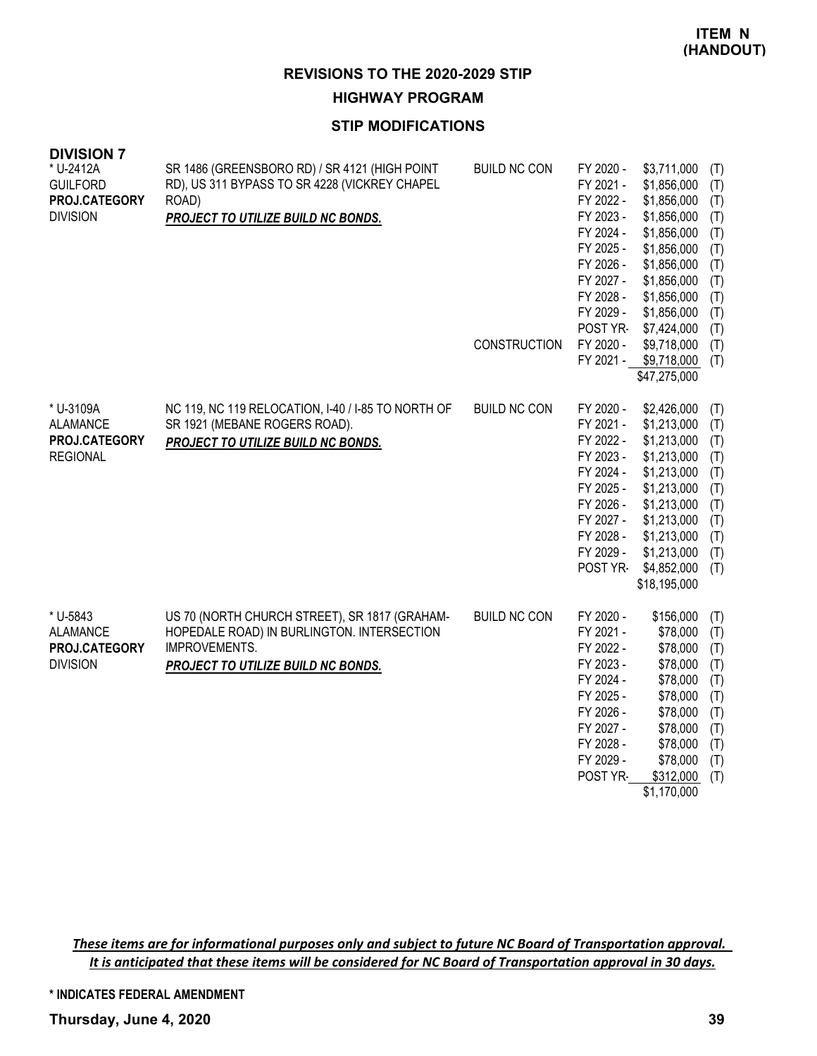#### **HIGHWAY PROGRAM**

# **STIP MODIFICATIONS**

| <b>DIVISION 7</b><br>* U-2412A   | SR 1486 (GREENSBORO RD) / SR 4121 (HIGH POINT                                               | <b>BUILD NC CON</b> | FY 2020 -              | \$3,711,000                | (T)        |
|----------------------------------|---------------------------------------------------------------------------------------------|---------------------|------------------------|----------------------------|------------|
| <b>GUILFORD</b><br>PROJ.CATEGORY | RD), US 311 BYPASS TO SR 4228 (VICKREY CHAPEL<br>ROAD)                                      |                     | FY 2021 -<br>FY 2022 - | \$1,856,000<br>\$1,856,000 | (T)        |
| <b>DIVISION</b>                  | PROJECT TO UTILIZE BUILD NC BONDS.                                                          |                     | FY 2023 -              | \$1,856,000                | (T)<br>(T) |
|                                  |                                                                                             |                     | FY 2024 -              | \$1,856,000                | (T)        |
|                                  |                                                                                             |                     | FY 2025 -              | \$1,856,000                | (T)        |
|                                  |                                                                                             |                     | FY 2026 -              | \$1,856,000                | (T)        |
|                                  |                                                                                             |                     | FY 2027 -              | \$1,856,000                | (T)        |
|                                  |                                                                                             |                     | FY 2028 -              | \$1,856,000                | (T)        |
|                                  |                                                                                             |                     | FY 2029 -              | \$1,856,000                | (T)        |
|                                  |                                                                                             | CONSTRUCTION        | POST YR-<br>FY 2020 -  | \$7,424,000<br>\$9,718,000 | (T)<br>(T) |
|                                  |                                                                                             |                     | FY 2021 -              | \$9,718,000                | (T)        |
|                                  |                                                                                             |                     |                        | \$47,275,000               |            |
|                                  |                                                                                             |                     |                        |                            |            |
| * U-3109A                        | NC 119, NC 119 RELOCATION, I-40 / I-85 TO NORTH OF                                          | <b>BUILD NC CON</b> | FY 2020 -              | \$2,426,000                | (T)        |
| <b>ALAMANCE</b>                  | SR 1921 (MEBANE ROGERS ROAD).                                                               |                     | FY 2021 -              | \$1,213,000                | (T)        |
| PROJ.CATEGORY                    | PROJECT TO UTILIZE BUILD NC BONDS.                                                          |                     | FY 2022 -              | \$1,213,000                | (T)        |
| <b>REGIONAL</b>                  |                                                                                             |                     | FY 2023 -              | \$1,213,000                | (T)        |
|                                  |                                                                                             |                     | FY 2024 -              | \$1,213,000                | (T)        |
|                                  |                                                                                             |                     | FY 2025 -<br>FY 2026 - | \$1,213,000<br>\$1,213,000 | (T)<br>(T) |
|                                  |                                                                                             |                     | FY 2027 -              | \$1,213,000                | (T)        |
|                                  |                                                                                             |                     | FY 2028 -              | \$1,213,000                | (T)        |
|                                  |                                                                                             |                     | FY 2029 -              | \$1,213,000                | (T)        |
|                                  |                                                                                             |                     | POST YR-               | \$4,852,000                | (T)        |
|                                  |                                                                                             |                     |                        | \$18,195,000               |            |
|                                  |                                                                                             |                     |                        |                            |            |
| * U-5843<br><b>ALAMANCE</b>      | US 70 (NORTH CHURCH STREET), SR 1817 (GRAHAM-<br>HOPEDALE ROAD) IN BURLINGTON. INTERSECTION | <b>BUILD NC CON</b> | FY 2020 -<br>FY 2021 - | \$156,000<br>\$78,000      | (T)        |
| PROJ.CATEGORY                    | IMPROVEMENTS.                                                                               |                     | FY 2022 -              | \$78,000                   | (T)<br>(T) |
| <b>DIVISION</b>                  | PROJECT TO UTILIZE BUILD NC BONDS.                                                          |                     | FY 2023 -              | \$78,000                   | (T)        |
|                                  |                                                                                             |                     | FY 2024 -              | \$78,000                   | (T)        |
|                                  |                                                                                             |                     | FY 2025 -              | \$78,000                   | (T)        |
|                                  |                                                                                             |                     | FY 2026 -              | \$78,000                   | (T)        |
|                                  |                                                                                             |                     | FY 2027 -              | \$78,000                   | (T)        |
|                                  |                                                                                             |                     | FY 2028 -              | \$78,000                   | (T)        |
|                                  |                                                                                             |                     | FY 2029 -              | \$78,000                   | (T)        |
|                                  |                                                                                             |                     | POST YR-               | \$312,000                  | (T)        |
|                                  |                                                                                             |                     |                        | \$1,170,000                |            |

These items are for informational purposes only and subject to future NC Board of Transportation approval. It is anticipated that these items will be considered for NC Board of Transportation approval in 30 days.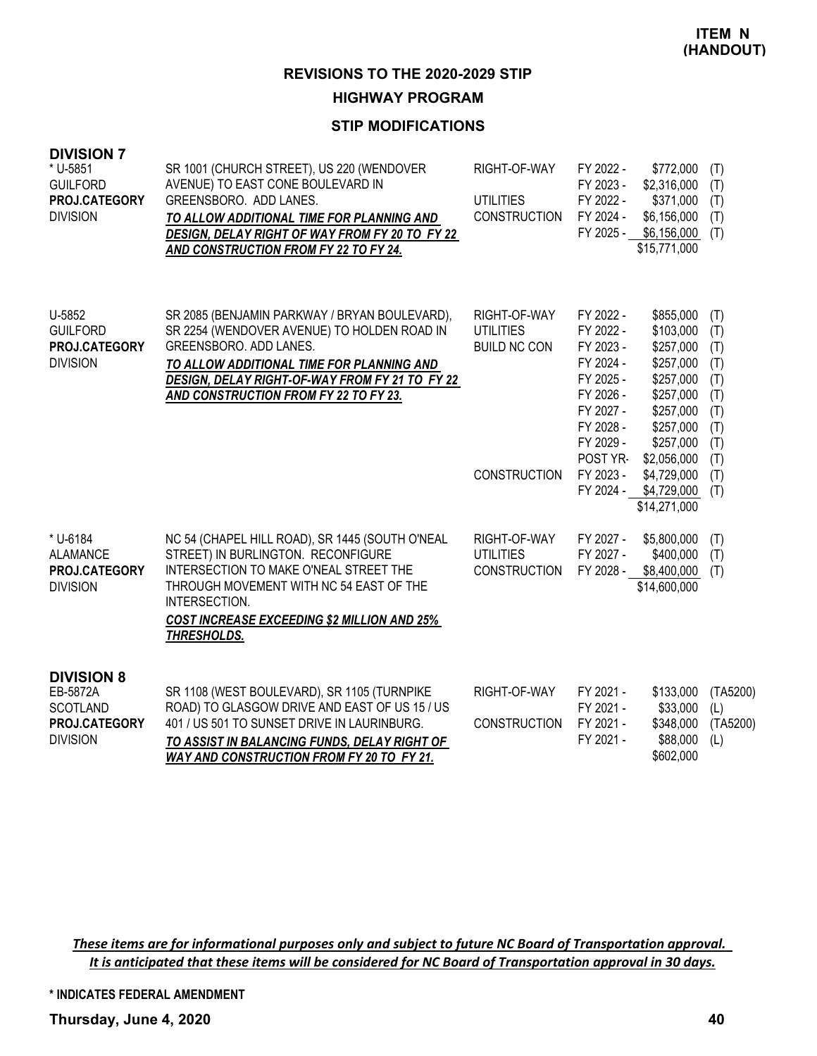#### **HIGHWAY PROGRAM**

# **STIP MODIFICATIONS**

| <b>DIVISION 7</b><br>* U-5851<br><b>GUILFORD</b><br>PROJ.CATEGORY<br><b>DIVISION</b> | SR 1001 (CHURCH STREET), US 220 (WENDOVER<br>AVENUE) TO EAST CONE BOULEVARD IN<br>GREENSBORO. ADD LANES.<br>TO ALLOW ADDITIONAL TIME FOR PLANNING AND<br>DESIGN, DELAY RIGHT OF WAY FROM FY 20 TO FY 22<br><b>AND CONSTRUCTION FROM FY 22 TO FY 24.</b>          | RIGHT-OF-WAY<br><b>UTILITIES</b><br><b>CONSTRUCTION</b> | FY 2022 -<br>\$772,000<br>FY 2023 -<br>\$2,316,000<br>FY 2022 -<br>\$371,000<br>FY 2024 -<br>\$6,156,000<br>FY 2025 -<br>\$6,156,000<br>\$15,771,000                                                                                                              | (T)<br>(T)<br>(T)<br>(T)<br>(T)                                    |
|--------------------------------------------------------------------------------------|------------------------------------------------------------------------------------------------------------------------------------------------------------------------------------------------------------------------------------------------------------------|---------------------------------------------------------|-------------------------------------------------------------------------------------------------------------------------------------------------------------------------------------------------------------------------------------------------------------------|--------------------------------------------------------------------|
| U-5852<br><b>GUILFORD</b><br>PROJ.CATEGORY<br><b>DIVISION</b>                        | SR 2085 (BENJAMIN PARKWAY / BRYAN BOULEVARD),<br>SR 2254 (WENDOVER AVENUE) TO HOLDEN ROAD IN<br>GREENSBORO. ADD LANES.<br>TO ALLOW ADDITIONAL TIME FOR PLANNING AND<br>DESIGN, DELAY RIGHT-OF-WAY FROM FY 21 TO FY 22<br>AND CONSTRUCTION FROM FY 22 TO FY 23.   | RIGHT-OF-WAY<br><b>UTILITIES</b><br><b>BUILD NC CON</b> | FY 2022 -<br>\$855,000<br>FY 2022 -<br>\$103,000<br>FY 2023 -<br>\$257,000<br>FY 2024 -<br>\$257,000<br>FY 2025 -<br>\$257,000<br>FY 2026 -<br>\$257,000<br>FY 2027 -<br>\$257,000<br>FY 2028 -<br>\$257,000<br>FY 2029 -<br>\$257,000<br>POST YR-<br>\$2,056,000 | (T)<br>(T)<br>(T)<br>(T)<br>(T)<br>(T)<br>(T)<br>(T)<br>(T)<br>(T) |
|                                                                                      |                                                                                                                                                                                                                                                                  | <b>CONSTRUCTION</b>                                     | FY 2023 -<br>\$4,729,000<br>FY 2024 -<br>\$4,729,000<br>\$14,271,000                                                                                                                                                                                              | (T)<br>(T)                                                         |
| * U-6184<br><b>ALAMANCE</b><br><b>PROJ.CATEGORY</b><br><b>DIVISION</b>               | NC 54 (CHAPEL HILL ROAD), SR 1445 (SOUTH O'NEAL<br>STREET) IN BURLINGTON. RECONFIGURE<br>INTERSECTION TO MAKE O'NEAL STREET THE<br>THROUGH MOVEMENT WITH NC 54 EAST OF THE<br>INTERSECTION.<br><b>COST INCREASE EXCEEDING \$2 MILLION AND 25%</b><br>THRESHOLDS. | RIGHT-OF-WAY<br><b>UTILITIES</b><br><b>CONSTRUCTION</b> | FY 2027 -<br>\$5,800,000<br>FY 2027 -<br>\$400,000<br>FY 2028 -<br>\$8,400,000<br>\$14,600,000                                                                                                                                                                    | (T)<br>(T)<br>(T)                                                  |
| <b>DIVISION 8</b><br>EB-5872A<br><b>SCOTLAND</b><br>PROJ.CATEGORY<br><b>DIVISION</b> | SR 1108 (WEST BOULEVARD), SR 1105 (TURNPIKE<br>ROAD) TO GLASGOW DRIVE AND EAST OF US 15 / US<br>401 / US 501 TO SUNSET DRIVE IN LAURINBURG.<br>TO ASSIST IN BALANCING FUNDS, DELAY RIGHT OF<br><b>WAY AND CONSTRUCTION FROM FY 20 TO FY 21.</b>                  | RIGHT-OF-WAY<br><b>CONSTRUCTION</b>                     | FY 2021 -<br>\$133,000<br>FY 2021 -<br>\$33,000<br>FY 2021 -<br>\$348,000<br>FY 2021 -<br>\$88,000<br>\$602,000                                                                                                                                                   | (TA5200)<br>(L)<br>(TA5200)<br>(L)                                 |

These items are for informational purposes only and subject to future NC Board of Transportation approval. It is anticipated that these items will be considered for NC Board of Transportation approval in 30 days.

**\* INDICATES FEDERAL AMENDMENT**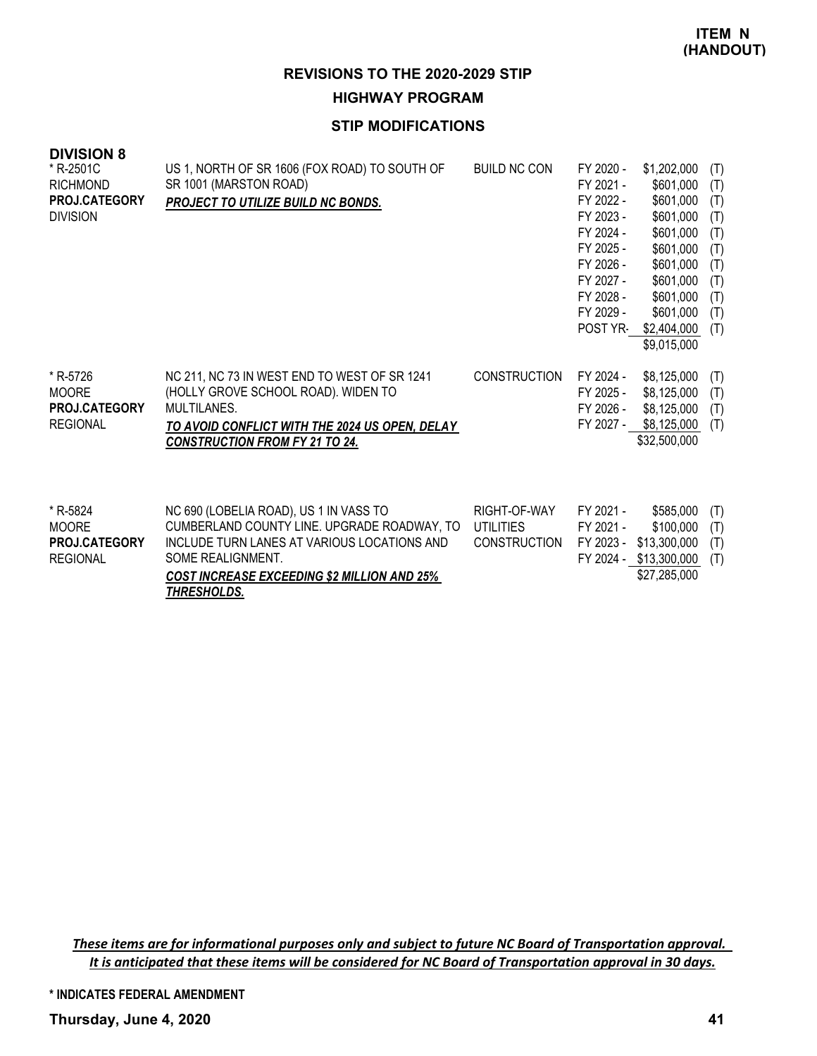**REVISIONS TO THE 2020-2029 STIP HIGHWAY PROGRAM**

#### **STIP MODIFICATIONS**

| <b>DIVISION 8</b><br>* R-2501C<br><b>RICHMOND</b><br><b>PROJ.CATEGORY</b><br><b>DIVISION</b> | US 1, NORTH OF SR 1606 (FOX ROAD) TO SOUTH OF<br>SR 1001 (MARSTON ROAD)<br>PROJECT TO UTILIZE BUILD NC BONDS.                                                                                 | <b>BUILD NC CON</b>                              | FY 2020 -<br>FY 2021 -<br>FY 2022 -<br>FY 2023 -<br>FY 2024 -<br>FY 2025 -<br>FY 2026 -<br>FY 2027 -<br>FY 2028 -<br>FY 2029 -<br>POST YR- | \$1,202,000<br>\$601,000<br>\$601,000<br>\$601,000<br>\$601,000<br>\$601,000<br>\$601,000<br>\$601,000<br>\$601,000<br>\$601,000<br>\$2,404,000<br>\$9,015,000 | (T)<br>(T)<br>(T)<br>(T)<br>(T)<br>(T)<br>(T)<br>(T)<br>(T)<br>(T)<br>(T) |
|----------------------------------------------------------------------------------------------|-----------------------------------------------------------------------------------------------------------------------------------------------------------------------------------------------|--------------------------------------------------|--------------------------------------------------------------------------------------------------------------------------------------------|----------------------------------------------------------------------------------------------------------------------------------------------------------------|---------------------------------------------------------------------------|
| * R-5726<br><b>MOORE</b><br><b>PROJ.CATEGORY</b><br><b>REGIONAL</b>                          | NC 211, NC 73 IN WEST END TO WEST OF SR 1241<br>(HOLLY GROVE SCHOOL ROAD). WIDEN TO<br>MULTILANES.<br>TO AVOID CONFLICT WITH THE 2024 US OPEN, DELAY<br><b>CONSTRUCTION FROM FY 21 TO 24.</b> | <b>CONSTRUCTION</b>                              | FY 2024 -<br>FY 2025 -<br>FY 2026 -<br>FY 2027 -                                                                                           | \$8,125,000<br>\$8,125,000<br>\$8,125,000<br>\$8,125,000<br>\$32,500,000                                                                                       | (T)<br>(T)<br>(T)<br>(T)                                                  |
| * R-5824<br><b>MOORE</b><br><b>PROJ.CATEGORY</b><br><b>REGIONAL</b>                          | NC 690 (LOBELIA ROAD), US 1 IN VASS TO<br>CUMBERLAND COUNTY LINE. UPGRADE ROADWAY, TO<br>INCLUDE TURN LANES AT VARIOUS LOCATIONS AND<br>SOME REALIGNMENT.                                     | RIGHT-OF-WAY<br>UTILITIES<br><b>CONSTRUCTION</b> | FY 2021 -<br>FY 2021 -<br>FY 2023 -                                                                                                        | \$585,000<br>\$100,000<br>\$13,300,000<br>FY 2024 - \$13,300,000                                                                                               | (T)<br>(T)<br>(T)<br>(T)                                                  |

*COST INCREASE EXCEEDING \$2 MILLION AND 25% THRESHOLDS.*

\$27,285,000

These items are for informational purposes only and subject to future NC Board of Transportation approval. It is anticipated that these items will be considered for NC Board of Transportation approval in 30 days.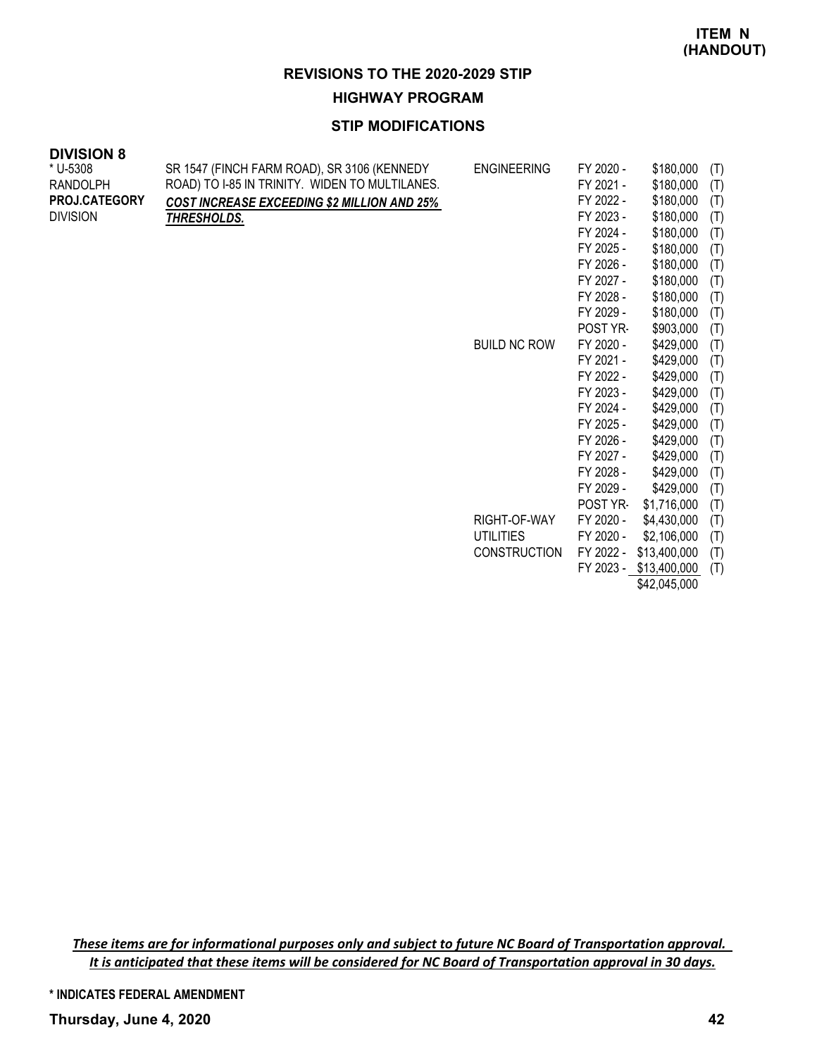**HIGHWAY PROGRAM**

# **STIP MODIFICATIONS**

| <b>DIVISION 8</b> |                                                    |                     |           |              |     |
|-------------------|----------------------------------------------------|---------------------|-----------|--------------|-----|
| * U-5308          | SR 1547 (FINCH FARM ROAD), SR 3106 (KENNEDY        | <b>ENGINEERING</b>  | FY 2020 - | \$180,000    | (T) |
| <b>RANDOLPH</b>   | ROAD) TO I-85 IN TRINITY. WIDEN TO MULTILANES.     |                     | FY 2021 - | \$180,000    | (T) |
| PROJ.CATEGORY     | <b>COST INCREASE EXCEEDING \$2 MILLION AND 25%</b> |                     | FY 2022 - | \$180,000    | (T) |
| <b>DIVISION</b>   | <b>THRESHOLDS.</b>                                 |                     | FY 2023 - | \$180,000    | (T) |
|                   |                                                    |                     | FY 2024 - | \$180,000    | (T) |
|                   |                                                    |                     | FY 2025 - | \$180,000    | (T) |
|                   |                                                    |                     | FY 2026 - | \$180,000    | (T) |
|                   |                                                    |                     | FY 2027 - | \$180,000    | (T) |
|                   |                                                    |                     | FY 2028 - | \$180,000    | (T) |
|                   |                                                    |                     | FY 2029 - | \$180,000    | (T) |
|                   |                                                    |                     | POST YR-  | \$903,000    | (T) |
|                   |                                                    | <b>BUILD NC ROW</b> | FY 2020 - | \$429,000    | (T) |
|                   |                                                    |                     | FY 2021 - | \$429,000    | (T) |
|                   |                                                    |                     | FY 2022 - | \$429,000    | (T) |
|                   |                                                    |                     | FY 2023 - | \$429,000    | (T) |
|                   |                                                    |                     | FY 2024 - | \$429,000    | (T) |
|                   |                                                    |                     | FY 2025 - | \$429,000    | (T) |
|                   |                                                    |                     | FY 2026 - | \$429,000    | (T) |
|                   |                                                    |                     | FY 2027 - | \$429,000    | (T) |
|                   |                                                    |                     | FY 2028 - | \$429,000    | (T) |
|                   |                                                    |                     | FY 2029 - | \$429,000    | (T) |
|                   |                                                    |                     | POST YR-  | \$1,716,000  | (T) |
|                   |                                                    | RIGHT-OF-WAY        | FY 2020 - | \$4,430,000  | (T) |
|                   |                                                    | <b>UTILITIES</b>    | FY 2020 - | \$2,106,000  | (T) |
|                   |                                                    | <b>CONSTRUCTION</b> | FY 2022 - | \$13,400,000 | (T) |
|                   |                                                    |                     | FY 2023 - | \$13,400,000 | (T) |

\$42,045,000

These items are for informational purposes only and subject to future NC Board of Transportation approval. It is anticipated that these items will be considered for NC Board of Transportation approval in 30 days.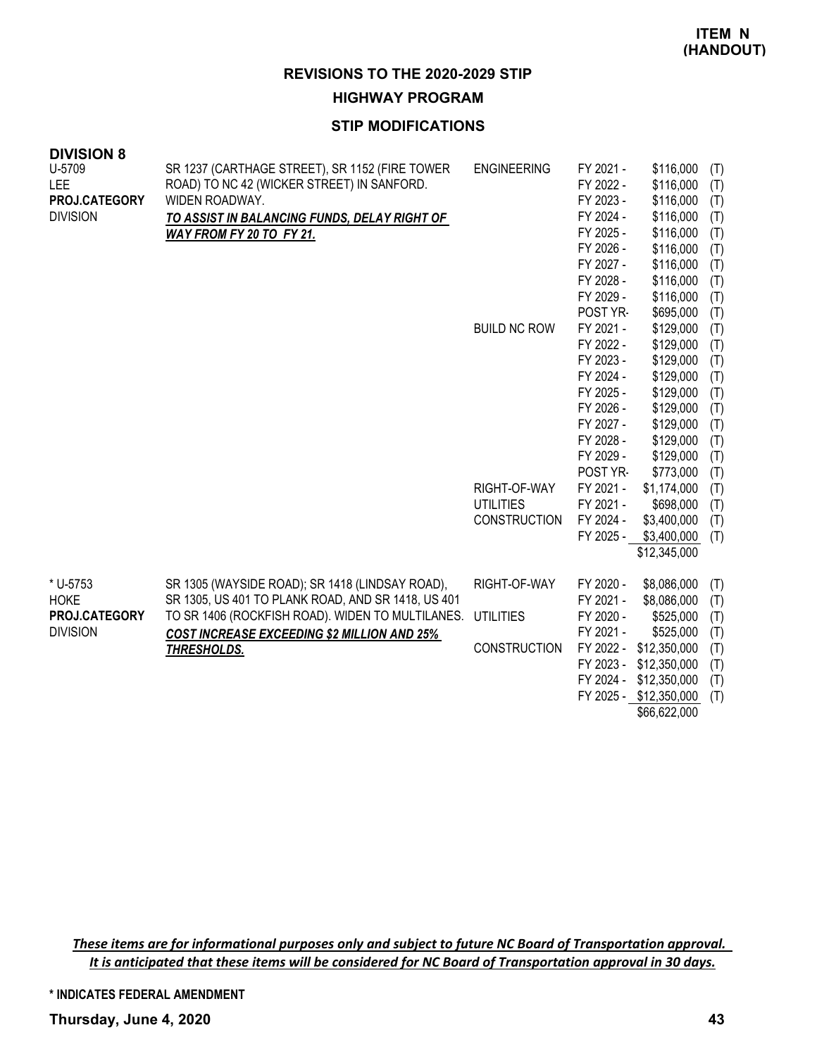**HIGHWAY PROGRAM**

#### **STIP MODIFICATIONS**

| <b>DIVISION 8</b>                     |                                                                                                                |                     |                                     |                                     |                   |
|---------------------------------------|----------------------------------------------------------------------------------------------------------------|---------------------|-------------------------------------|-------------------------------------|-------------------|
| U-5709<br>LEE<br><b>PROJ.CATEGORY</b> | SR 1237 (CARTHAGE STREET), SR 1152 (FIRE TOWER<br>ROAD) TO NC 42 (WICKER STREET) IN SANFORD.<br>WIDEN ROADWAY. | <b>ENGINEERING</b>  | FY 2021 -<br>FY 2022 -<br>FY 2023 - | \$116,000<br>\$116,000<br>\$116,000 | (T)<br>(T)<br>(T) |
| <b>DIVISION</b>                       | TO ASSIST IN BALANCING FUNDS, DELAY RIGHT OF                                                                   |                     | FY 2024 -                           | \$116,000                           | (T)               |
|                                       | WAY FROM FY 20 TO FY 21.                                                                                       |                     | FY 2025 -                           | \$116,000                           | (T)               |
|                                       |                                                                                                                |                     | FY 2026 -                           | \$116,000                           | (T)               |
|                                       |                                                                                                                |                     | FY 2027 -                           | \$116,000                           | (T)               |
|                                       |                                                                                                                |                     | FY 2028 -                           | \$116,000                           | (T)               |
|                                       |                                                                                                                |                     | FY 2029 -                           | \$116,000                           | (T)               |
|                                       |                                                                                                                |                     | POST YR-                            | \$695,000                           | (T)               |
|                                       |                                                                                                                | <b>BUILD NC ROW</b> | FY 2021 -                           | \$129,000                           | (T)               |
|                                       |                                                                                                                |                     | FY 2022 -                           | \$129,000                           | (T)               |
|                                       |                                                                                                                |                     | FY 2023 -                           | \$129,000                           | (T)               |
|                                       |                                                                                                                |                     | FY 2024 -                           | \$129,000                           | (T)               |
|                                       |                                                                                                                |                     | FY 2025 -                           | \$129,000                           | (T)               |
|                                       |                                                                                                                |                     | FY 2026 -                           | \$129,000                           | (T)               |
|                                       |                                                                                                                |                     | FY 2027 -                           | \$129,000                           | (T)               |
|                                       |                                                                                                                |                     | FY 2028 -                           | \$129,000                           | (T)               |
|                                       |                                                                                                                |                     | FY 2029 -                           | \$129,000                           | (T)               |
|                                       |                                                                                                                |                     | POST YR-                            | \$773,000                           | (T)               |
|                                       |                                                                                                                | RIGHT-OF-WAY        | FY 2021 -                           | \$1,174,000                         | (T)               |
|                                       |                                                                                                                | <b>UTILITIES</b>    | FY 2021 -                           | \$698,000                           | (T)               |
|                                       |                                                                                                                | <b>CONSTRUCTION</b> | FY 2024 -                           | \$3,400,000                         | (T)               |
|                                       |                                                                                                                |                     | FY 2025 -                           | \$3,400,000                         | (T)               |
|                                       |                                                                                                                |                     |                                     | \$12,345,000                        |                   |
| * U-5753                              | SR 1305 (WAYSIDE ROAD); SR 1418 (LINDSAY ROAD),                                                                | RIGHT-OF-WAY        | FY 2020 -                           | \$8,086,000                         | (T)               |
| <b>HOKE</b>                           | SR 1305, US 401 TO PLANK ROAD, AND SR 1418, US 401                                                             |                     | FY 2021 -                           | \$8,086,000                         | (T)               |
| PROJ.CATEGORY                         | TO SR 1406 (ROCKFISH ROAD). WIDEN TO MULTILANES.                                                               | <b>UTILITIES</b>    | FY 2020 -                           | \$525,000                           | (T)               |
| <b>DIVISION</b>                       | <b>COST INCREASE EXCEEDING \$2 MILLION AND 25%</b>                                                             |                     | FY 2021 -                           | \$525,000                           | (T)               |
|                                       | THRESHOLDS.                                                                                                    | <b>CONSTRUCTION</b> | FY 2022 -                           | \$12,350,000                        | (T)               |
|                                       |                                                                                                                |                     | FY 2023 -                           | \$12,350,000                        | (T)               |
|                                       |                                                                                                                |                     | FY 2024 -                           | \$12,350,000                        | (T)               |
|                                       |                                                                                                                |                     |                                     | FY 2025 - \$12,350,000              | (T)               |
|                                       |                                                                                                                |                     |                                     | $C_0$ $C_1$ $C_2$ $D_1$ $D_1$       |                   |

\$66,622,000

These items are for informational purposes only and subject to future NC Board of Transportation approval. It is anticipated that these items will be considered for NC Board of Transportation approval in 30 days.

**\* INDICATES FEDERAL AMENDMENT**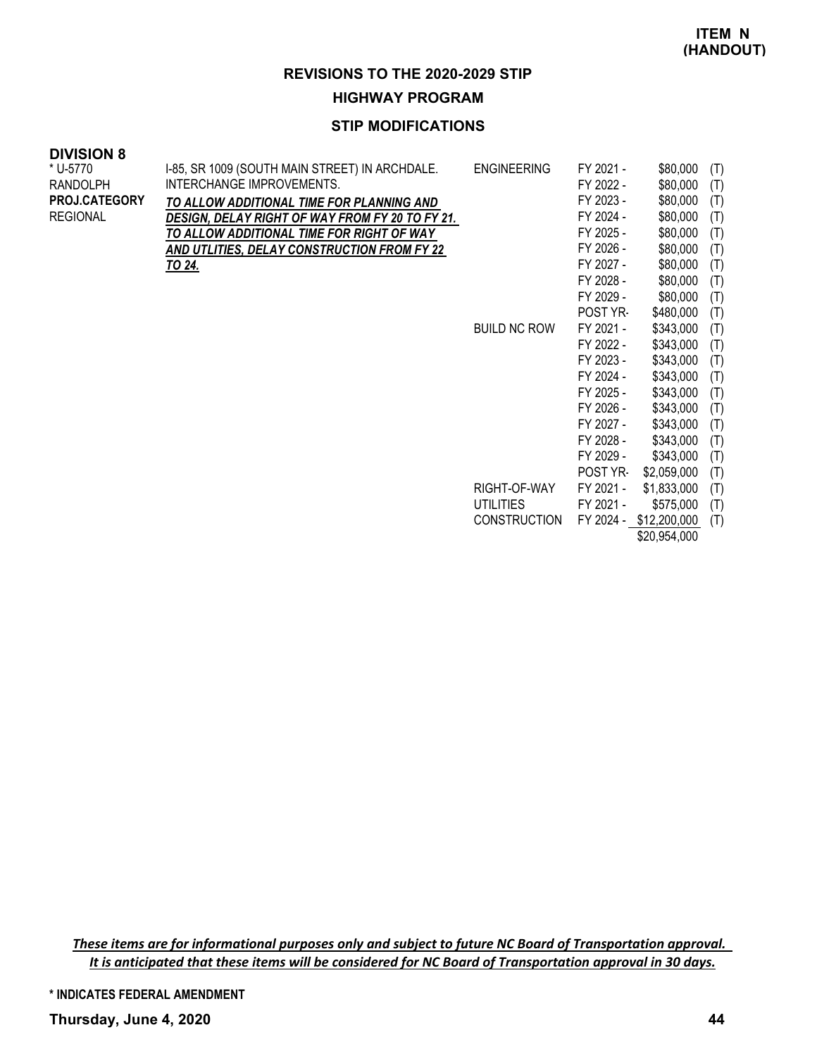#### **HIGHWAY PROGRAM**

#### **STIP MODIFICATIONS**

#### **DIVISION 8**

| * U-5770        | I-85, SR 1009 (SOUTH MAIN STREET) IN ARCHDALE.         | <b>ENGINEERING</b>  | FY 2021 -       | \$80,000               | (T) |
|-----------------|--------------------------------------------------------|---------------------|-----------------|------------------------|-----|
| RANDOLPH        | INTERCHANGE IMPROVEMENTS.                              |                     | FY 2022 -       | \$80,000               | (T) |
| PROJ.CATEGORY   | TO ALLOW ADDITIONAL TIME FOR PLANNING AND              |                     | FY 2023 -       | \$80,000               | (T) |
| <b>REGIONAL</b> | <b>DESIGN, DELAY RIGHT OF WAY FROM FY 20 TO FY 21.</b> |                     | FY 2024 -       | \$80,000               | (T) |
|                 | TO ALLOW ADDITIONAL TIME FOR RIGHT OF WAY              |                     | FY 2025 -       | \$80,000               | (T) |
|                 | AND UTLITIES, DELAY CONSTRUCTION FROM FY 22            |                     | FY 2026 -       | \$80,000               | (T) |
|                 | <u>TO 24.</u>                                          |                     | FY 2027 -       | \$80,000               | (T) |
|                 |                                                        |                     | FY 2028 -       | \$80,000               | (T) |
|                 |                                                        |                     | FY 2029 -       | \$80,000               | (T) |
|                 |                                                        |                     | POST YR-        | \$480,000              | (T) |
|                 |                                                        | <b>BUILD NC ROW</b> | FY 2021 -       | \$343,000              | (T) |
|                 |                                                        |                     | FY 2022 -       | \$343,000              | (T) |
|                 |                                                        |                     | FY 2023 -       | \$343,000              | (T) |
|                 |                                                        |                     | FY 2024 -       | \$343,000              | (T) |
|                 |                                                        |                     | FY 2025 -       | \$343,000              | (T) |
|                 |                                                        |                     | FY 2026 -       | \$343,000              | (T) |
|                 |                                                        |                     | FY 2027 -       | \$343,000              | (T) |
|                 |                                                        |                     | FY 2028 -       | \$343,000              | (T) |
|                 |                                                        |                     | FY 2029 -       | \$343,000              | (T) |
|                 |                                                        |                     | <b>POST YR-</b> | \$2,059,000            | (T) |
|                 |                                                        | RIGHT-OF-WAY        | FY 2021 -       | \$1,833,000            | (T) |
|                 |                                                        | <b>UTILITIES</b>    | FY 2021 -       | \$575,000              | (T) |
|                 |                                                        | <b>CONSTRUCTION</b> |                 | FY 2024 - \$12,200,000 | (T) |
|                 |                                                        |                     |                 | \$20,954,000           |     |

These items are for informational purposes only and subject to future NC Board of Transportation approval. It is anticipated that these items will be considered for NC Board of Transportation approval in 30 days.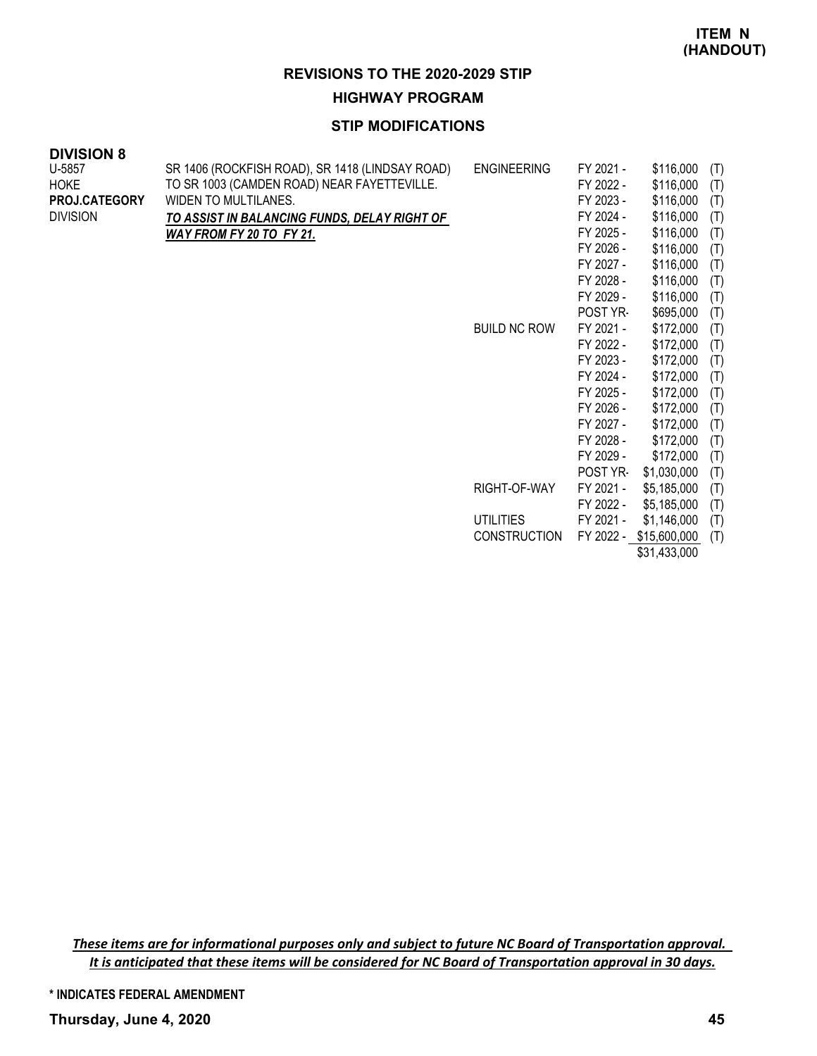#### **HIGHWAY PROGRAM**

#### **STIP MODIFICATIONS**

| <b>DIVISION 8</b> |                                                 |                     |           |             |     |
|-------------------|-------------------------------------------------|---------------------|-----------|-------------|-----|
| U-5857            | SR 1406 (ROCKFISH ROAD), SR 1418 (LINDSAY ROAD) | <b>ENGINEERING</b>  | FY 2021 - | \$116,000   | (T) |
| <b>HOKE</b>       | TO SR 1003 (CAMDEN ROAD) NEAR FAYETTEVILLE.     |                     | FY 2022 - | \$116,000   | (T) |
| PROJ.CATEGORY     | WIDEN TO MULTILANES.                            |                     | FY 2023 - | \$116,000   | (T) |
| <b>DIVISION</b>   | TO ASSIST IN BALANCING FUNDS, DELAY RIGHT OF    |                     | FY 2024 - | \$116,000   | (T) |
|                   | WAY FROM FY 20 TO FY 21.                        |                     | FY 2025 - | \$116,000   | (T) |
|                   |                                                 |                     | FY 2026 - | \$116,000   | (T) |
|                   |                                                 |                     | FY 2027 - | \$116,000   | (T) |
|                   |                                                 |                     | FY 2028 - | \$116,000   | (T) |
|                   |                                                 |                     | FY 2029 - | \$116,000   | (T) |
|                   |                                                 |                     | POST YR-  | \$695,000   | (T) |
|                   |                                                 | <b>BUILD NC ROW</b> | FY 2021 - | \$172,000   | (T) |
|                   |                                                 |                     | FY 2022 - | \$172,000   | (T) |
|                   |                                                 |                     | FY 2023 - | \$172,000   | (T) |
|                   |                                                 |                     | FY 2024 - | \$172,000   | (T) |
|                   |                                                 |                     | FY 2025 - | \$172,000   | (T) |
|                   |                                                 |                     | FY 2026 - | \$172,000   | (T) |
|                   |                                                 |                     | FY 2027 - | \$172,000   | (T) |
|                   |                                                 |                     | FY 2028 - | \$172,000   | (T) |
|                   |                                                 |                     | FY 2029 - | \$172,000   | (T) |
|                   |                                                 |                     | POST YR-  | \$1,030,000 | (T) |
|                   |                                                 | RIGHT-OF-WAY        | FY 2021 - | \$5,185,000 | (T) |

FY 2022 - \$5,185,000 (T) UTILITIES FY 2021 - \$1,146,000 (T) CONSTRUCTION FY 2022 - \$15,600,000 (T) \$31,433,000

These items are for informational purposes only and subject to future NC Board of Transportation approval. It is anticipated that these items will be considered for NC Board of Transportation approval in 30 days.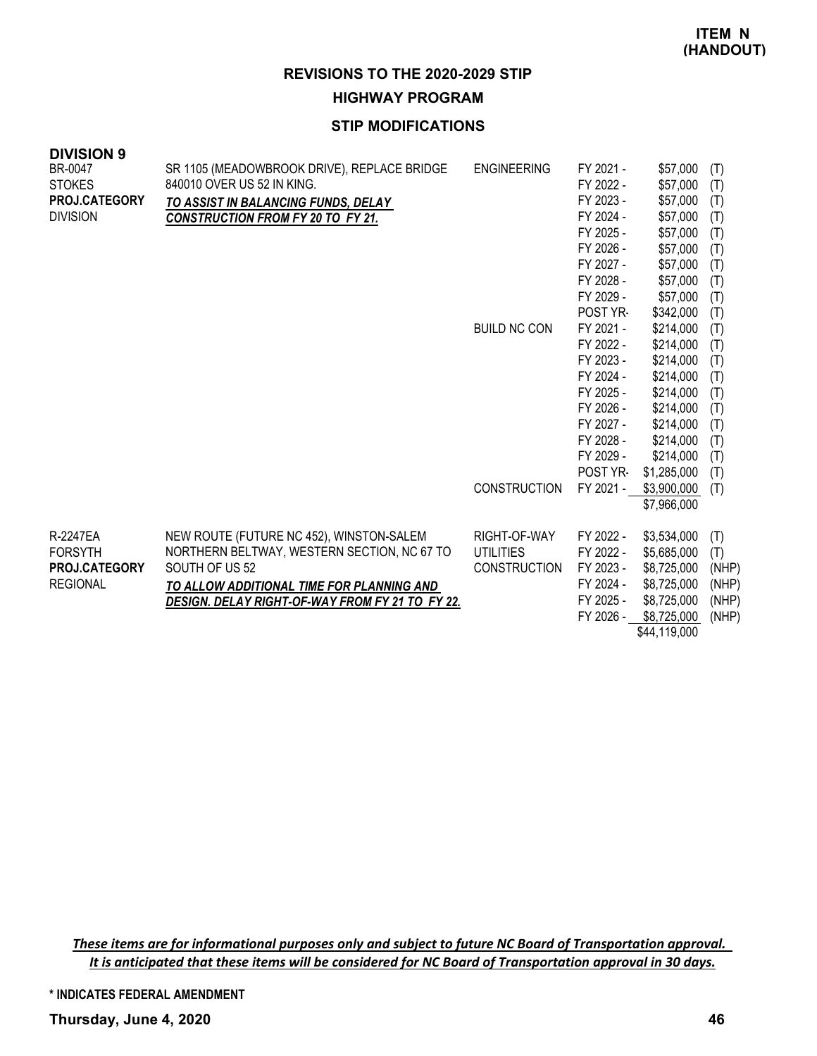**HIGHWAY PROGRAM**

# **STIP MODIFICATIONS**

| <b>DIVISION 9</b> |                                                 |                     |           |              |       |
|-------------------|-------------------------------------------------|---------------------|-----------|--------------|-------|
| BR-0047           | SR 1105 (MEADOWBROOK DRIVE), REPLACE BRIDGE     | <b>ENGINEERING</b>  | FY 2021 - | \$57,000     | (T)   |
| <b>STOKES</b>     | 840010 OVER US 52 IN KING.                      |                     | FY 2022 - | \$57,000     | (T)   |
| PROJ.CATEGORY     | TO ASSIST IN BALANCING FUNDS, DELAY             |                     | FY 2023 - | \$57,000     | (T)   |
| <b>DIVISION</b>   | <b>CONSTRUCTION FROM FY 20 TO FY 21.</b>        |                     | FY 2024 - | \$57,000     | (T)   |
|                   |                                                 |                     | FY 2025 - | \$57,000     | (T)   |
|                   |                                                 |                     | FY 2026 - | \$57,000     | (T)   |
|                   |                                                 |                     | FY 2027 - | \$57,000     | (T)   |
|                   |                                                 |                     | FY 2028 - | \$57,000     | (T)   |
|                   |                                                 |                     | FY 2029 - | \$57,000     | (T)   |
|                   |                                                 |                     | POST YR-  | \$342,000    | (T)   |
|                   |                                                 | <b>BUILD NC CON</b> | FY 2021 - | \$214,000    | (T)   |
|                   |                                                 |                     | FY 2022 - | \$214,000    | (T)   |
|                   |                                                 |                     | FY 2023 - | \$214,000    | (T)   |
|                   |                                                 |                     | FY 2024 - | \$214,000    | (T)   |
|                   |                                                 |                     | FY 2025 - | \$214,000    | (T)   |
|                   |                                                 |                     | FY 2026 - | \$214,000    | (T)   |
|                   |                                                 |                     | FY 2027 - | \$214,000    | (T)   |
|                   |                                                 |                     | FY 2028 - | \$214,000    | (T)   |
|                   |                                                 |                     | FY 2029 - | \$214,000    | (T)   |
|                   |                                                 |                     | POST YR-  | \$1,285,000  | (T)   |
|                   |                                                 | <b>CONSTRUCTION</b> | FY 2021 - | \$3,900,000  | (T)   |
|                   |                                                 |                     |           | \$7,966,000  |       |
| R-2247EA          | NEW ROUTE (FUTURE NC 452), WINSTON-SALEM        | RIGHT-OF-WAY        | FY 2022 - | \$3,534,000  | (T)   |
| <b>FORSYTH</b>    | NORTHERN BELTWAY, WESTERN SECTION, NC 67 TO     | <b>UTILITIES</b>    | FY 2022 - | \$5,685,000  | (T)   |
| PROJ.CATEGORY     | SOUTH OF US 52                                  | <b>CONSTRUCTION</b> | FY 2023 - | \$8,725,000  | (NHP) |
| <b>REGIONAL</b>   | TO ALLOW ADDITIONAL TIME FOR PLANNING AND       |                     | FY 2024 - | \$8,725,000  | (NHP) |
|                   | DESIGN. DELAY RIGHT-OF-WAY FROM FY 21 TO FY 22. |                     | FY 2025 - | \$8,725,000  | (NHP) |
|                   |                                                 |                     | FY 2026 - | \$8,725,000  | (NHP) |
|                   |                                                 |                     |           | \$44,119,000 |       |

These items are for informational purposes only and subject to future NC Board of Transportation approval. It is anticipated that these items will be considered for NC Board of Transportation approval in 30 days.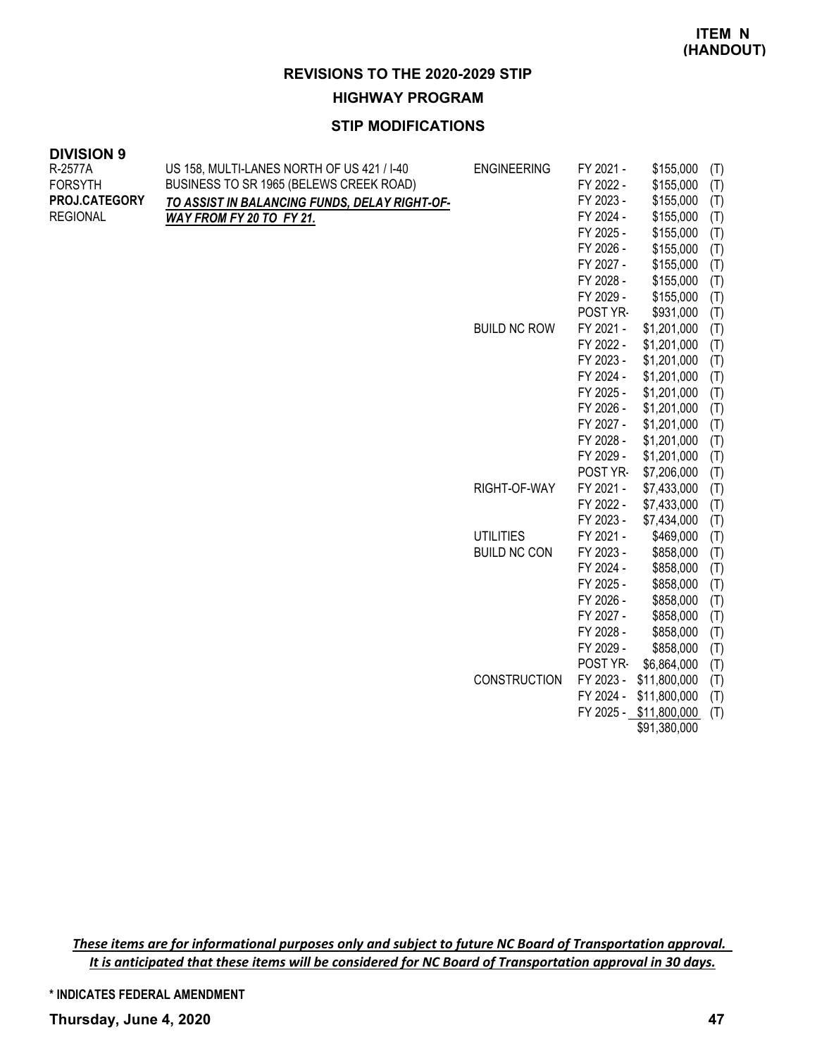**HIGHWAY PROGRAM**

# **STIP MODIFICATIONS**

| <b>DIVISION 9</b> |                                               |                     |           |                        |     |
|-------------------|-----------------------------------------------|---------------------|-----------|------------------------|-----|
| R-2577A           | US 158, MULTI-LANES NORTH OF US 421 / I-40    | <b>ENGINEERING</b>  | FY 2021 - | \$155,000              | (T) |
| <b>FORSYTH</b>    | BUSINESS TO SR 1965 (BELEWS CREEK ROAD)       |                     | FY 2022 - | \$155,000              | (T) |
| PROJ.CATEGORY     | TO ASSIST IN BALANCING FUNDS, DELAY RIGHT-OF- |                     | FY 2023 - | \$155,000              | (T) |
| <b>REGIONAL</b>   | WAY FROM FY 20 TO FY 21.                      |                     | FY 2024 - | \$155,000              | (T) |
|                   |                                               |                     | FY 2025 - | \$155,000              | (T) |
|                   |                                               |                     | FY 2026 - | \$155,000              | (T) |
|                   |                                               |                     | FY 2027 - | \$155,000              | (T) |
|                   |                                               |                     | FY 2028 - | \$155,000              | (T) |
|                   |                                               |                     | FY 2029 - | \$155,000              | (T) |
|                   |                                               |                     | POST YR-  | \$931,000              | (T) |
|                   |                                               | <b>BUILD NC ROW</b> | FY 2021 - | \$1,201,000            | (T) |
|                   |                                               |                     | FY 2022 - | \$1,201,000            | (T) |
|                   |                                               |                     | FY 2023 - | \$1,201,000            | (T) |
|                   |                                               |                     | FY 2024 - | \$1,201,000            | (T) |
|                   |                                               |                     | FY 2025 - | \$1,201,000            | (T) |
|                   |                                               |                     | FY 2026 - | \$1,201,000            | (T) |
|                   |                                               |                     | FY 2027 - | \$1,201,000            | (T) |
|                   |                                               |                     | FY 2028 - | \$1,201,000            | (T) |
|                   |                                               |                     | FY 2029 - | \$1,201,000            | (T) |
|                   |                                               |                     | POST YR-  | \$7,206,000            | (T) |
|                   |                                               | RIGHT-OF-WAY        | FY 2021 - | \$7,433,000            | (T) |
|                   |                                               |                     | FY 2022 - | \$7,433,000            | (T) |
|                   |                                               |                     | FY 2023 - | \$7,434,000            | (T) |
|                   |                                               | <b>UTILITIES</b>    | FY 2021 - | \$469,000              | (T) |
|                   |                                               | <b>BUILD NC CON</b> | FY 2023 - | \$858,000              | (T) |
|                   |                                               |                     | FY 2024 - | \$858,000              | (T) |
|                   |                                               |                     | FY 2025 - | \$858,000              | (T) |
|                   |                                               |                     | FY 2026 - | \$858,000              | (T) |
|                   |                                               |                     | FY 2027 - | \$858,000              | (T) |
|                   |                                               |                     | FY 2028 - | \$858,000              | (T) |
|                   |                                               |                     | FY 2029 - | \$858,000              | (T) |
|                   |                                               |                     | POST YR-  | \$6,864,000            | (T) |
|                   |                                               | <b>CONSTRUCTION</b> |           | FY 2023 - \$11,800,000 | (T) |
|                   |                                               |                     |           | FY 2024 - \$11,800,000 | (T) |
|                   |                                               |                     |           | FY 2025 - \$11,800,000 | (T) |
|                   |                                               |                     |           | \$91,380,000           |     |

These items are for informational purposes only and subject to future NC Board of Transportation approval. It is anticipated that these items will be considered for NC Board of Transportation approval in 30 days.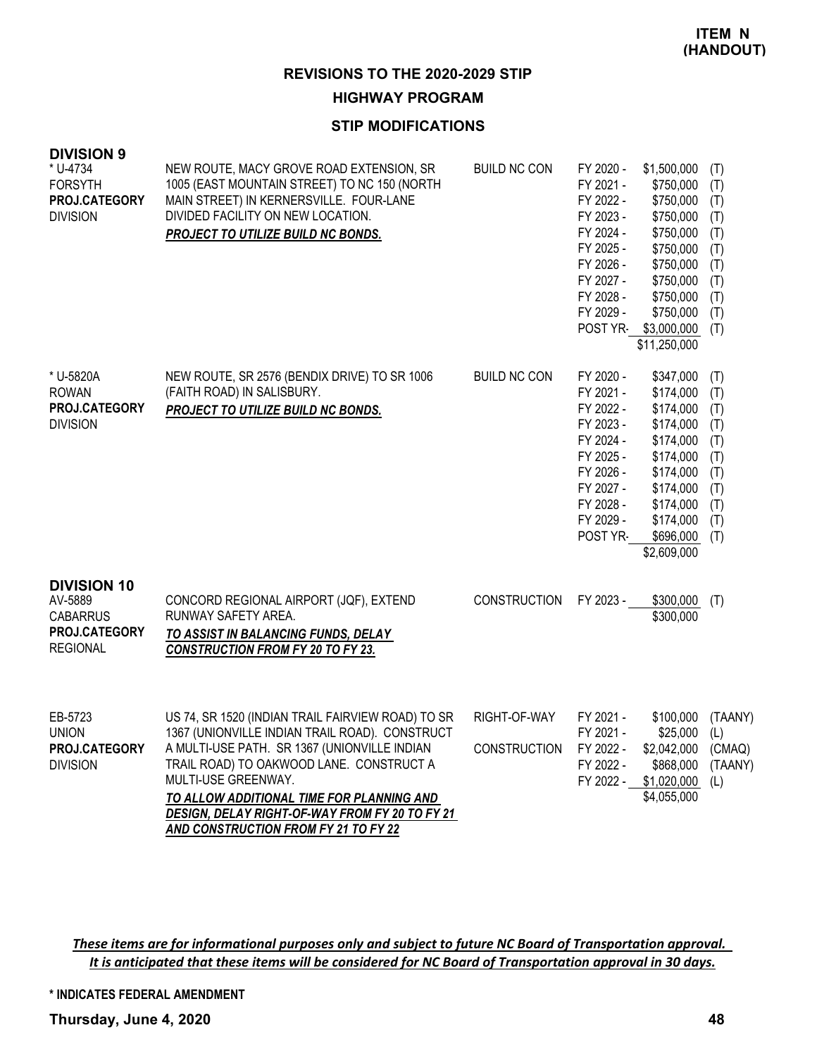#### **HIGHWAY PROGRAM**

# **STIP MODIFICATIONS**

| <b>DIVISION 9</b><br>* U-4734<br><b>FORSYTH</b><br>PROJ.CATEGORY<br><b>DIVISION</b>  | NEW ROUTE, MACY GROVE ROAD EXTENSION, SR<br>1005 (EAST MOUNTAIN STREET) TO NC 150 (NORTH<br>MAIN STREET) IN KERNERSVILLE. FOUR-LANE<br>DIVIDED FACILITY ON NEW LOCATION.<br><b>PROJECT TO UTILIZE BUILD NC BONDS.</b>                                                                                                 | <b>BUILD NC CON</b>                 | FY 2020 -<br>FY 2021 -<br>FY 2022 -<br>FY 2023 -<br>FY 2024 -<br>FY 2025 -<br>FY 2026 -<br>FY 2027 -<br>FY 2028 -<br>FY 2029 -<br>POST YR- | \$1,500,000<br>\$750,000<br>\$750,000<br>\$750,000<br>\$750,000<br>\$750,000<br>\$750,000<br>\$750,000<br>\$750,000<br>\$750,000<br>\$3,000,000<br>\$11,250,000 | (T)<br>(T)<br>(T)<br>(T)<br>(T)<br>(T)<br>(T)<br>(T)<br>(T)<br>(T)<br>(T) |
|--------------------------------------------------------------------------------------|-----------------------------------------------------------------------------------------------------------------------------------------------------------------------------------------------------------------------------------------------------------------------------------------------------------------------|-------------------------------------|--------------------------------------------------------------------------------------------------------------------------------------------|-----------------------------------------------------------------------------------------------------------------------------------------------------------------|---------------------------------------------------------------------------|
| * U-5820A<br><b>ROWAN</b><br>PROJ.CATEGORY<br><b>DIVISION</b>                        | NEW ROUTE, SR 2576 (BENDIX DRIVE) TO SR 1006<br>(FAITH ROAD) IN SALISBURY.<br>PROJECT TO UTILIZE BUILD NC BONDS.                                                                                                                                                                                                      | <b>BUILD NC CON</b>                 | FY 2020 -<br>FY 2021 -<br>FY 2022 -<br>FY 2023 -<br>FY 2024 -<br>FY 2025 -<br>FY 2026 -<br>FY 2027 -<br>FY 2028 -<br>FY 2029 -<br>POST YR- | \$347,000<br>\$174,000<br>\$174,000<br>\$174,000<br>\$174,000<br>\$174,000<br>\$174,000<br>\$174,000<br>\$174,000<br>\$174,000<br>$$696,000$ (T)<br>\$2,609,000 | (T)<br>(T)<br>(T)<br>(T)<br>(T)<br>(T)<br>(T)<br>(T)<br>(T)<br>(T)        |
| <b>DIVISION 10</b><br>AV-5889<br><b>CABARRUS</b><br>PROJ.CATEGORY<br><b>REGIONAL</b> | CONCORD REGIONAL AIRPORT (JQF), EXTEND<br>RUNWAY SAFETY AREA.<br>TO ASSIST IN BALANCING FUNDS, DELAY<br><b>CONSTRUCTION FROM FY 20 TO FY 23.</b>                                                                                                                                                                      | <b>CONSTRUCTION</b>                 | FY 2023 -                                                                                                                                  | \$300,000<br>\$300,000                                                                                                                                          | (T)                                                                       |
| EB-5723<br><b>UNION</b><br>PROJ.CATEGORY<br><b>DIVISION</b>                          | US 74, SR 1520 (INDIAN TRAIL FAIRVIEW ROAD) TO SR<br>1367 (UNIONVILLE INDIAN TRAIL ROAD). CONSTRUCT<br>A MULTI-USE PATH. SR 1367 (UNIONVILLE INDIAN<br>TRAIL ROAD) TO OAKWOOD LANE. CONSTRUCT A<br>MULTI-USE GREENWAY.<br>TO ALLOW ADDITIONAL TIME FOR PLANNING AND<br>DESIGN, DELAY RIGHT-OF-WAY FROM FY 20 TO FY 21 | RIGHT-OF-WAY<br><b>CONSTRUCTION</b> | FY 2021 -<br>FY 2021 -<br>FY 2022 -<br>FY 2022 -<br>FY 2022 -                                                                              | \$100,000<br>\$25,000<br>\$2,042,000<br>\$868,000<br>\$1,020,000<br>\$4,055,000                                                                                 | (TAANY)<br>(L)<br>(CMAQ)<br>(TAANY)<br>(L)                                |

These items are for informational purposes only and subject to future NC Board of Transportation approval. It is anticipated that these items will be considered for NC Board of Transportation approval in 30 days.

*AND CONSTRUCTION FROM FY 21 TO FY 22*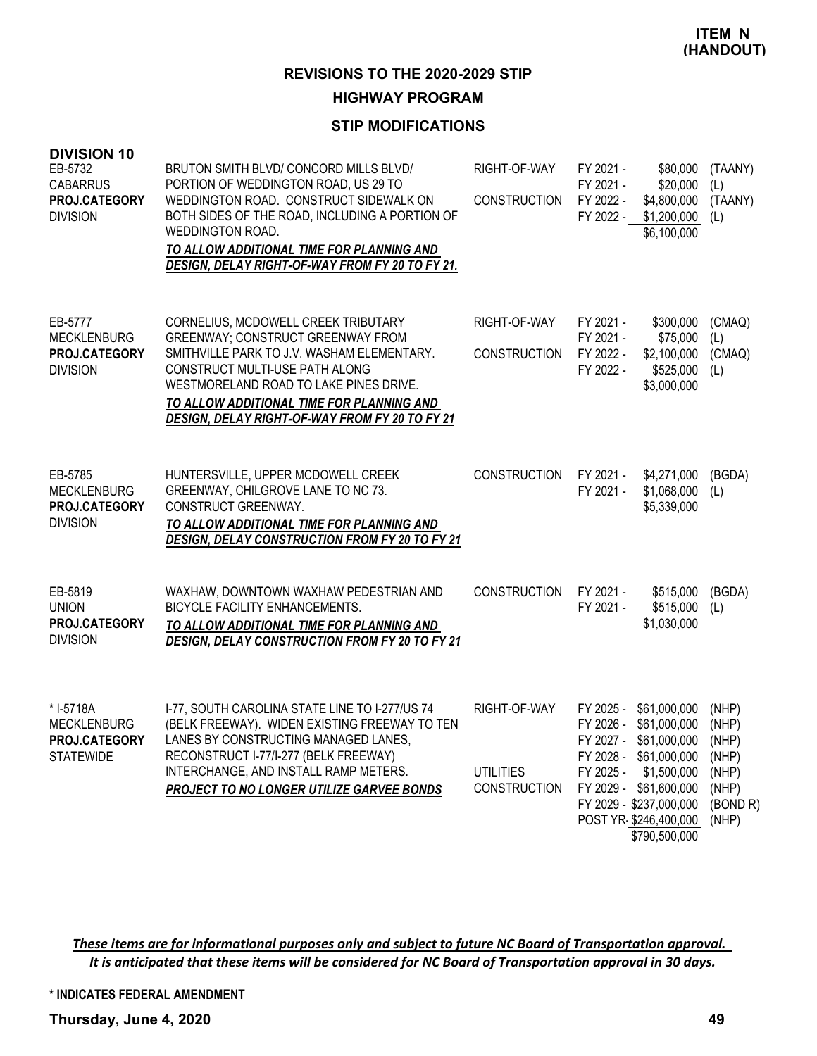# **HIGHWAY PROGRAM**

# **STIP MODIFICATIONS**

| <b>DIVISION 10</b><br>EB-5732<br><b>CABARRUS</b><br>PROJ.CATEGORY<br><b>DIVISION</b> | BRUTON SMITH BLVD/ CONCORD MILLS BLVD/<br>PORTION OF WEDDINGTON ROAD, US 29 TO<br>WEDDINGTON ROAD. CONSTRUCT SIDEWALK ON<br>BOTH SIDES OF THE ROAD, INCLUDING A PORTION OF<br>WEDDINGTON ROAD.<br>TO ALLOW ADDITIONAL TIME FOR PLANNING AND<br>DESIGN, DELAY RIGHT-OF-WAY FROM FY 20 TO FY 21.           | RIGHT-OF-WAY<br><b>CONSTRUCTION</b>                     | FY 2021 -<br>\$80,000<br>FY 2021 -<br>\$20,000<br>FY 2022 -<br>\$4,800,000<br>\$1,200,000<br>FY 2022 -<br>\$6,100,000                                                                                                                       | (TAANY)<br>(L)<br>(TAANY)<br>(L)                               |
|--------------------------------------------------------------------------------------|----------------------------------------------------------------------------------------------------------------------------------------------------------------------------------------------------------------------------------------------------------------------------------------------------------|---------------------------------------------------------|---------------------------------------------------------------------------------------------------------------------------------------------------------------------------------------------------------------------------------------------|----------------------------------------------------------------|
| EB-5777<br><b>MECKLENBURG</b><br>PROJ.CATEGORY<br><b>DIVISION</b>                    | CORNELIUS, MCDOWELL CREEK TRIBUTARY<br><b>GREENWAY; CONSTRUCT GREENWAY FROM</b><br>SMITHVILLE PARK TO J.V. WASHAM ELEMENTARY.<br>CONSTRUCT MULTI-USE PATH ALONG<br>WESTMORELAND ROAD TO LAKE PINES DRIVE.<br>TO ALLOW ADDITIONAL TIME FOR PLANNING AND<br>DESIGN, DELAY RIGHT-OF-WAY FROM FY 20 TO FY 21 | RIGHT-OF-WAY<br><b>CONSTRUCTION</b>                     | \$300,000<br>FY 2021 -<br>\$75,000<br>FY 2021 -<br>FY 2022 -<br>\$2,100,000<br>FY 2022 -<br>\$525,000<br>\$3,000,000                                                                                                                        | (CMAQ)<br>(L)<br>(CMAQ)<br>(L)                                 |
| EB-5785<br><b>MECKLENBURG</b><br><b>PROJ.CATEGORY</b><br><b>DIVISION</b>             | HUNTERSVILLE, UPPER MCDOWELL CREEK<br>GREENWAY, CHILGROVE LANE TO NC 73.<br>CONSTRUCT GREENWAY.<br>TO ALLOW ADDITIONAL TIME FOR PLANNING AND<br><b>DESIGN, DELAY CONSTRUCTION FROM FY 20 TO FY 21</b>                                                                                                    | <b>CONSTRUCTION</b>                                     | FY 2021 -<br>\$4,271,000<br>FY 2021 -<br>\$1,068,000<br>\$5,339,000                                                                                                                                                                         | (BGDA)<br>(L)                                                  |
| EB-5819<br><b>UNION</b><br>PROJ.CATEGORY<br><b>DIVISION</b>                          | WAXHAW, DOWNTOWN WAXHAW PEDESTRIAN AND<br>BICYCLE FACILITY ENHANCEMENTS.<br>TO ALLOW ADDITIONAL TIME FOR PLANNING AND<br><b>DESIGN, DELAY CONSTRUCTION FROM FY 20 TO FY 21</b>                                                                                                                           | <b>CONSTRUCTION</b>                                     | FY 2021 -<br>\$515,000<br>\$515,000<br>FY 2021 -<br>\$1,030,000                                                                                                                                                                             | (BGDA)<br>(L)                                                  |
| * I-5718A<br><b>MECKLENBURG</b><br>PROJ CATEGORY<br><b>STATEWIDE</b>                 | I-77, SOUTH CAROLINA STATE LINE TO I-277/US 74<br>(BELK FREEWAY). WIDEN EXISTING FREEWAY TO TEN<br>LANES BY CONSTRUCTING MANAGED LANES.<br>RECONSTRUCT I-77/I-277 (BELK FREEWAY)<br>INTERCHANGE, AND INSTALL RAMP METERS.<br>PROJECT TO NO LONGER UTILIZE GARVEE BONDS                                   | RIGHT-OF-WAY<br><b>UTILITIES</b><br><b>CONSTRUCTION</b> | FY 2025 -<br>\$61,000,000<br>\$61,000,000<br>FY 2026 -<br>FY 2027 - \$61,000,000 (NHP)<br>FY 2028 - \$61,000,000<br>FY 2025 -<br>\$1,500,000<br>FY 2029 - \$61,600,000<br>FY 2029 - \$237,000,000<br>POST YR-\$246,400,000<br>\$790,500,000 | (NHP)<br>(NHP)<br>(NHP)<br>(NHP)<br>(NHP)<br>(BOND R)<br>(NHP) |

These items are for informational purposes only and subject to future NC Board of Transportation approval. It is anticipated that these items will be considered for NC Board of Transportation approval in 30 days.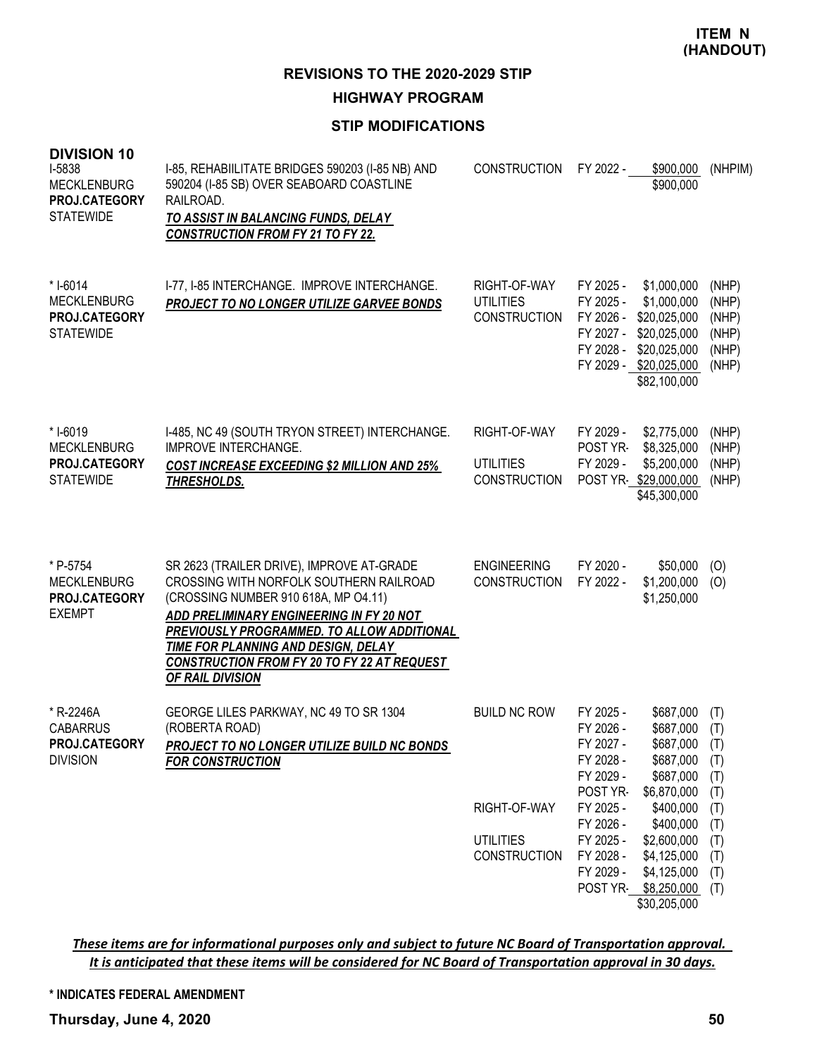#### **HIGHWAY PROGRAM**

# **STIP MODIFICATIONS**

| <b>DIVISION 10</b><br>I-5838<br><b>MECKLENBURG</b><br><b>PROJ.CATEGORY</b><br><b>STATEWIDE</b> | I-85, REHABIILITATE BRIDGES 590203 (I-85 NB) AND<br>590204 (I-85 SB) OVER SEABOARD COASTLINE<br>RAILROAD.<br>TO ASSIST IN BALANCING FUNDS, DELAY<br><b>CONSTRUCTION FROM FY 21 TO FY 22.</b>                                                                                                                                     | <b>CONSTRUCTION</b>                                                            | FY 2022 -                                                                                                                                              | \$900,000<br>\$900,000                                                                                                                                                             | (NHPIM)                                                                          |
|------------------------------------------------------------------------------------------------|----------------------------------------------------------------------------------------------------------------------------------------------------------------------------------------------------------------------------------------------------------------------------------------------------------------------------------|--------------------------------------------------------------------------------|--------------------------------------------------------------------------------------------------------------------------------------------------------|------------------------------------------------------------------------------------------------------------------------------------------------------------------------------------|----------------------------------------------------------------------------------|
| * I-6014<br><b>MECKLENBURG</b><br>PROJ.CATEGORY<br><b>STATEWIDE</b>                            | I-77, I-85 INTERCHANGE. IMPROVE INTERCHANGE.<br>PROJECT TO NO LONGER UTILIZE GARVEE BONDS                                                                                                                                                                                                                                        | RIGHT-OF-WAY<br><b>UTILITIES</b><br><b>CONSTRUCTION</b>                        | FY 2025 -<br>FY 2025 -<br>FY 2028 -                                                                                                                    | \$1,000,000<br>\$1,000,000<br>FY 2026 - \$20,025,000<br>FY 2027 - \$20,025,000<br>\$20,025,000<br>FY 2029 - \$20,025,000<br>\$82,100,000                                           | (NHP)<br>(NHP)<br>(NHP)<br>(NHP)<br>(NHP)<br>(NHP)                               |
| * I-6019<br><b>MECKLENBURG</b><br>PROJ.CATEGORY<br><b>STATEWIDE</b>                            | I-485, NC 49 (SOUTH TRYON STREET) INTERCHANGE.<br><b>IMPROVE INTERCHANGE.</b><br><b>COST INCREASE EXCEEDING \$2 MILLION AND 25%</b><br>THRESHOLDS.                                                                                                                                                                               | RIGHT-OF-WAY<br><b>UTILITIES</b><br><b>CONSTRUCTION</b>                        | FY 2029 -<br>POST YR-<br>FY 2029 -                                                                                                                     | \$2,775,000<br>\$8,325,000<br>\$5,200,000<br>POST YR-\$29,000,000<br>\$45,300,000                                                                                                  | (NHP)<br>(NHP)<br>(NHP)<br>(NHP)                                                 |
| * P-5754<br><b>MECKLENBURG</b><br>PROJ.CATEGORY<br><b>EXEMPT</b>                               | SR 2623 (TRAILER DRIVE), IMPROVE AT-GRADE<br>CROSSING WITH NORFOLK SOUTHERN RAILROAD<br>(CROSSING NUMBER 910 618A, MP O4.11)<br>ADD PRELIMINARY ENGINEERING IN FY 20 NOT<br>PREVIOUSLY PROGRAMMED. TO ALLOW ADDITIONAL<br>TIME FOR PLANNING AND DESIGN, DELAY<br>CONSTRUCTION FROM FY 20 TO FY 22 AT REQUEST<br>OF RAIL DIVISION | <b>ENGINEERING</b><br><b>CONSTRUCTION</b>                                      | FY 2020 -<br>FY 2022 -                                                                                                                                 | \$50,000<br>\$1,200,000<br>\$1,250,000                                                                                                                                             | (O)<br>(0)                                                                       |
| * R-2246A<br><b>CABARRUS</b><br><b>PROJ.CATEGORY</b><br><b>DIVISION</b>                        | GEORGE LILES PARKWAY, NC 49 TO SR 1304<br>(ROBERTA ROAD)<br><b>PROJECT TO NO LONGER UTILIZE BUILD NC BONDS</b><br><b>FOR CONSTRUCTION</b>                                                                                                                                                                                        | <b>BUILD NC ROW</b><br>RIGHT-OF-WAY<br><b>UTILITIES</b><br><b>CONSTRUCTION</b> | FY 2025 -<br>FY 2026 -<br>FY 2027 -<br>FY 2028 -<br>FY 2029 -<br>POST YR-<br>FY 2025 -<br>FY 2026 -<br>FY 2025 -<br>FY 2028 -<br>FY 2029 -<br>POST YR- | \$687,000<br>\$687,000<br>\$687,000<br>\$687,000<br>\$687,000<br>\$6,870,000<br>\$400,000<br>\$400,000<br>\$2,600,000<br>\$4,125,000<br>\$4,125,000<br>\$8,250,000<br>\$30,205,000 | (T)<br>(T)<br>(T)<br>(T)<br>(T)<br>(T)<br>(T)<br>(T)<br>(T)<br>(T)<br>(T)<br>(T) |

These items are for informational purposes only and subject to future NC Board of Transportation approval. It is anticipated that these items will be considered for NC Board of Transportation approval in 30 days.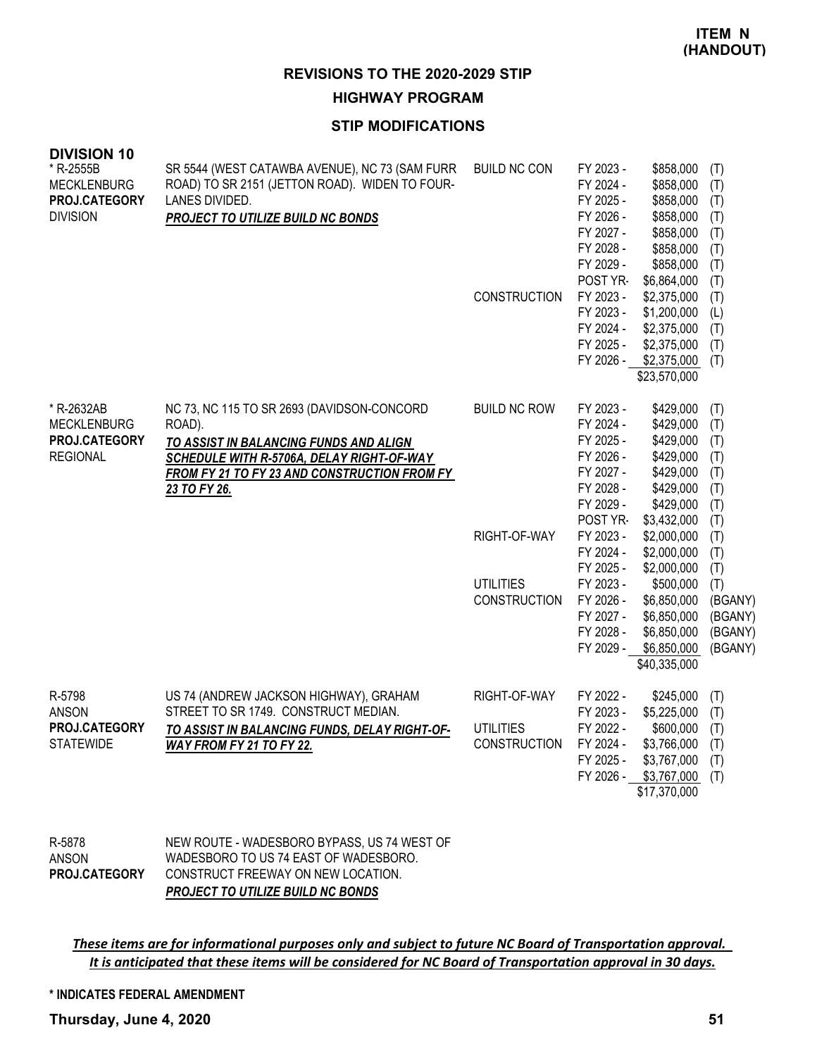#### **HIGHWAY PROGRAM**

## **STIP MODIFICATIONS**

| <b>DIVISION 10</b><br>* R-2555B<br><b>MECKLENBURG</b><br>PROJ.CATEGORY<br><b>DIVISION</b> | SR 5544 (WEST CATAWBA AVENUE), NC 73 (SAM FURR<br>ROAD) TO SR 2151 (JETTON ROAD). WIDEN TO FOUR-<br>LANES DIVIDED.<br>PROJECT TO UTILIZE BUILD NC BONDS                                                     | <b>BUILD NC CON</b><br><b>CONSTRUCTION</b>                                     | FY 2023 -<br>FY 2024 -<br>FY 2025 -<br>FY 2026 -<br>FY 2027 -<br>FY 2028 -<br>FY 2029 -<br>POST YR-<br>FY 2023 -<br>FY 2023 -<br>FY 2024 -<br>FY 2025 -<br>FY 2026 -                           | \$858,000<br>\$858,000<br>\$858,000<br>\$858,000<br>\$858,000<br>\$858,000<br>\$858,000<br>\$6,864,000<br>\$2,375,000<br>\$1,200,000<br>\$2,375,000<br>\$2,375,000<br>\$2,375,000<br>\$23,570,000             | (T)<br>(T)<br>(T)<br>(T)<br>(T)<br>(T)<br>(T)<br>(T)<br>(T)<br>(L)<br>(T)<br>(T)<br>(T)                           |
|-------------------------------------------------------------------------------------------|-------------------------------------------------------------------------------------------------------------------------------------------------------------------------------------------------------------|--------------------------------------------------------------------------------|------------------------------------------------------------------------------------------------------------------------------------------------------------------------------------------------|---------------------------------------------------------------------------------------------------------------------------------------------------------------------------------------------------------------|-------------------------------------------------------------------------------------------------------------------|
| * R-2632AB<br><b>MECKLENBURG</b><br>PROJ.CATEGORY<br><b>REGIONAL</b>                      | NC 73, NC 115 TO SR 2693 (DAVIDSON-CONCORD<br>ROAD).<br>TO ASSIST IN BALANCING FUNDS AND ALIGN<br>SCHEDULE WITH R-5706A, DELAY RIGHT-OF-WAY<br>FROM FY 21 TO FY 23 AND CONSTRUCTION FROM FY<br>23 TO FY 26. | <b>BUILD NC ROW</b><br>RIGHT-OF-WAY<br><b>UTILITIES</b><br><b>CONSTRUCTION</b> | FY 2023 -<br>FY 2024 -<br>FY 2025 -<br>FY 2026 -<br>FY 2027 -<br>FY 2028 -<br>FY 2029 -<br>POST YR-<br>FY 2023 -<br>FY 2024 -<br>FY 2025 -<br>FY 2023 -<br>FY 2026 -<br>FY 2027 -<br>FY 2028 - | \$429,000<br>\$429,000<br>\$429,000<br>\$429,000<br>\$429,000<br>\$429,000<br>\$429,000<br>\$3,432,000<br>\$2,000,000<br>\$2,000,000<br>\$2,000,000<br>\$500,000<br>\$6,850,000<br>\$6,850,000<br>\$6,850,000 | (T)<br>(T)<br>(T)<br>(T)<br>(T)<br>(T)<br>(T)<br>(T)<br>(T)<br>(T)<br>(T)<br>(T)<br>(BGANY)<br>(BGANY)<br>(BGANY) |
| R-5798<br><b>ANSON</b><br>PROJ.CATEGORY<br><b>STATEWIDE</b>                               | US 74 (ANDREW JACKSON HIGHWAY), GRAHAM<br>STREET TO SR 1749. CONSTRUCT MEDIAN.<br>TO ASSIST IN BALANCING FUNDS, DELAY RIGHT-OF-<br>WAY FROM FY 21 TO FY 22.                                                 | RIGHT-OF-WAY<br><b>UTILITIES</b><br><b>CONSTRUCTION</b>                        | FY 2029 -<br>FY 2022 -<br>FY 2023 -<br>FY 2022 -<br>FY 2024 -<br>FY 2025 -<br>FY 2026 -                                                                                                        | \$6,850,000<br>\$40,335,000<br>\$245,000<br>\$5,225,000<br>\$600,000<br>\$3,766,000<br>\$3,767,000<br>\$3,767,000<br>\$17,370,000                                                                             | (BGANY)<br>(T)<br>(T)<br>(T)<br>(T)<br>(T)<br>(T)                                                                 |

NEW ROUTE - WADESBORO BYPASS, US 74 WEST OF WADESBORO TO US 74 EAST OF WADESBORO. CONSTRUCT FREEWAY ON NEW LOCATION. *PROJECT TO UTILIZE BUILD NC BONDS* R-5878 ANSON **PROJ.CATEGORY**

These items are for informational purposes only and subject to future NC Board of Transportation approval. It is anticipated that these items will be considered for NC Board of Transportation approval in 30 days.

#### **\* INDICATES FEDERAL AMENDMENT**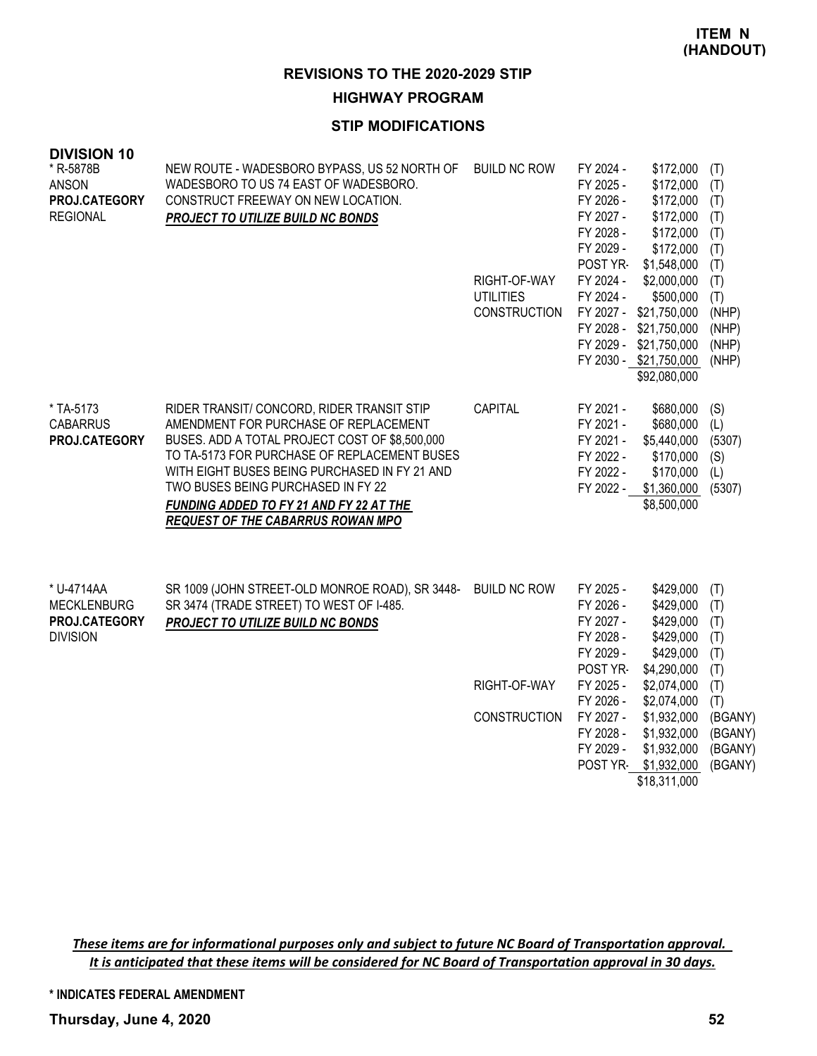#### **HIGHWAY PROGRAM**

## **STIP MODIFICATIONS**

| <b>DIVISION 10</b><br>* R-5878B<br><b>ANSON</b><br>PROJ.CATEGORY<br><b>REGIONAL</b> | NEW ROUTE - WADESBORO BYPASS, US 52 NORTH OF<br>WADESBORO TO US 74 EAST OF WADESBORO.<br>CONSTRUCT FREEWAY ON NEW LOCATION.<br>PROJECT TO UTILIZE BUILD NC BONDS                                                                                                                                                                                                    | <b>BUILD NC ROW</b><br>RIGHT-OF-WAY<br><b>UTILITIES</b><br><b>CONSTRUCTION</b> | FY 2024 -<br>FY 2025 -<br>FY 2026 -<br>FY 2027 -<br>FY 2028 -<br>FY 2029 -<br>POST YR-<br>FY 2024 -<br>FY 2024 -<br>FY 2027 -<br>FY 2028 -<br>FY 2029 - | \$172,000<br>\$172,000<br>\$172,000<br>\$172,000<br>\$172,000<br>\$172,000<br>\$1,548,000<br>\$2,000,000<br>\$500,000<br>\$21,750,000<br>\$21,750,000<br>\$21,750,000<br>FY 2030 - \$21,750,000<br>\$92,080,000 | (T)<br>(T)<br>(T)<br>(T)<br>(T)<br>(T)<br>(T)<br>(T)<br>(T)<br>(NHP)<br>(NHP)<br>(NHP)<br>(NHP) |
|-------------------------------------------------------------------------------------|---------------------------------------------------------------------------------------------------------------------------------------------------------------------------------------------------------------------------------------------------------------------------------------------------------------------------------------------------------------------|--------------------------------------------------------------------------------|---------------------------------------------------------------------------------------------------------------------------------------------------------|-----------------------------------------------------------------------------------------------------------------------------------------------------------------------------------------------------------------|-------------------------------------------------------------------------------------------------|
| * TA-5173<br><b>CABARRUS</b><br>PROJ.CATEGORY                                       | RIDER TRANSIT/ CONCORD, RIDER TRANSIT STIP<br>AMENDMENT FOR PURCHASE OF REPLACEMENT<br>BUSES. ADD A TOTAL PROJECT COST OF \$8,500,000<br>TO TA-5173 FOR PURCHASE OF REPLACEMENT BUSES<br>WITH EIGHT BUSES BEING PURCHASED IN FY 21 AND<br>TWO BUSES BEING PURCHASED IN FY 22<br>FUNDING ADDED TO FY 21 AND FY 22 AT THE<br><b>REQUEST OF THE CABARRUS ROWAN MPO</b> | <b>CAPITAL</b>                                                                 | FY 2021 -<br>FY 2021 -<br>FY 2021 -<br>FY 2022 -<br>FY 2022 -<br>FY 2022 -                                                                              | \$680,000<br>\$680,000<br>\$5,440,000<br>\$170,000<br>\$170,000<br>\$1,360,000<br>\$8,500,000                                                                                                                   | (S)<br>(L)<br>(5307)<br>(S)<br>(L)<br>(5307)                                                    |
| * U-4714AA<br><b>MECKLENBURG</b><br><b>PROJ.CATEGORY</b><br><b>DIVISION</b>         | SR 1009 (JOHN STREET-OLD MONROE ROAD), SR 3448-<br>SR 3474 (TRADE STREET) TO WEST OF I-485.<br>PROJECT TO UTILIZE BUILD NC BONDS                                                                                                                                                                                                                                    | <b>BUILD NC ROW</b>                                                            | FY 2025 -<br>FY 2026 -<br>FY 2027 -<br>FY 2028 -<br>FY 2029 -<br>POST YR-                                                                               | \$429,000<br>\$429,000<br>\$429,000<br>\$429,000<br>\$429,000<br>\$4,290,000                                                                                                                                    | (T)<br>(T)<br>(T)<br>(T)<br>(T)<br>(T)                                                          |
|                                                                                     |                                                                                                                                                                                                                                                                                                                                                                     | RIGHT-OF-WAY                                                                   | FY 2025 -<br>FY 2026 -                                                                                                                                  | \$2,074,000<br>\$2,074,000                                                                                                                                                                                      | (T)<br>(T)                                                                                      |
|                                                                                     |                                                                                                                                                                                                                                                                                                                                                                     | <b>CONSTRUCTION</b>                                                            | FY 2027 -<br>FY 2028 -<br>FY 2029 -                                                                                                                     | \$1,932,000<br>\$1,932,000<br>\$1,932,000<br>POST YR-\$1,932,000<br>\$18,311,000                                                                                                                                | (BGANY)<br>(BGANY)<br>(BGANY)<br>(BGANY)                                                        |

These items are for informational purposes only and subject to future NC Board of Transportation approval. It is anticipated that these items will be considered for NC Board of Transportation approval in 30 days.

**\* INDICATES FEDERAL AMENDMENT**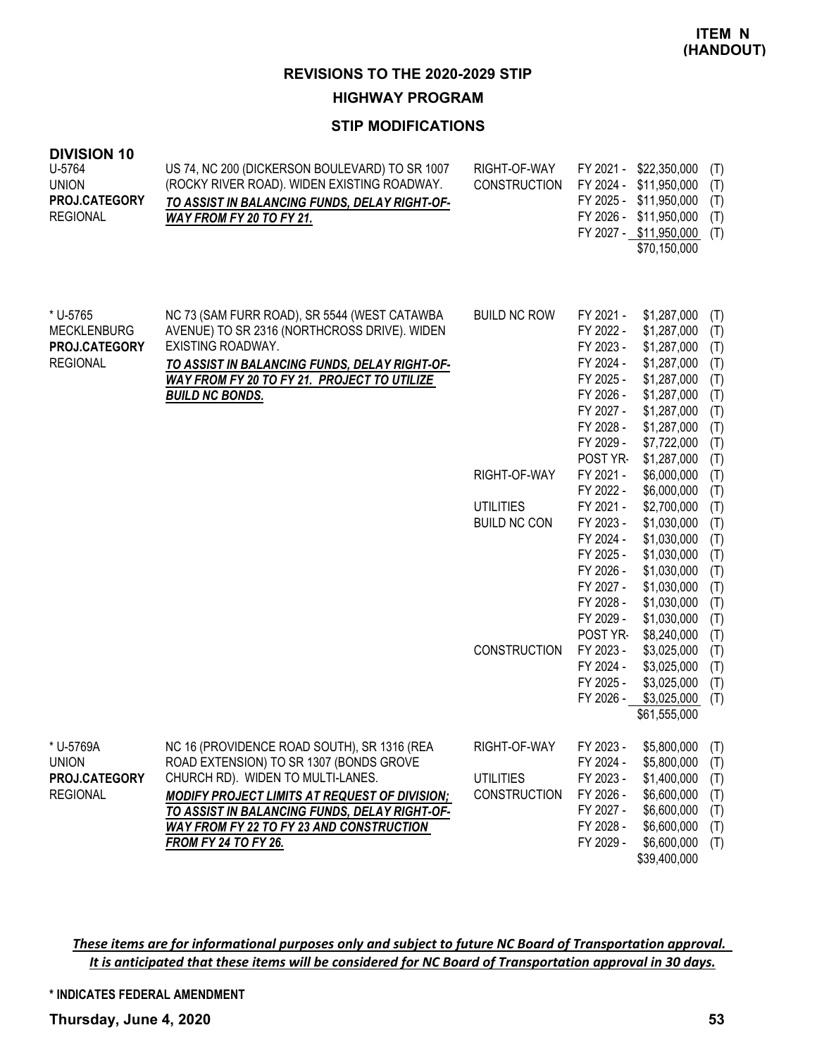#### **HIGHWAY PROGRAM**

# **STIP MODIFICATIONS**

| <b>DIVISION 10</b><br>U-5764<br><b>UNION</b><br>PROJ.CATEGORY<br><b>REGIONAL</b> | US 74, NC 200 (DICKERSON BOULEVARD) TO SR 1007<br>(ROCKY RIVER ROAD). WIDEN EXISTING ROADWAY.<br>TO ASSIST IN BALANCING FUNDS, DELAY RIGHT-OF-<br>WAY FROM FY 20 TO FY 21.                                                                                                                                      | RIGHT-OF-WAY<br><b>CONSTRUCTION</b>                     |                                                                                                                               | FY 2021 - \$22,350,000<br>FY 2024 - \$11,950,000<br>FY 2025 - \$11,950,000<br>FY 2026 - \$11,950,000<br>FY 2027 - \$11,950,000<br>\$70,150,000     | (T)<br>(T)<br>(T)<br>(T)<br>(T)                                    |
|----------------------------------------------------------------------------------|-----------------------------------------------------------------------------------------------------------------------------------------------------------------------------------------------------------------------------------------------------------------------------------------------------------------|---------------------------------------------------------|-------------------------------------------------------------------------------------------------------------------------------|----------------------------------------------------------------------------------------------------------------------------------------------------|--------------------------------------------------------------------|
| * U-5765<br><b>MECKLENBURG</b><br>PROJ.CATEGORY<br><b>REGIONAL</b>               | NC 73 (SAM FURR ROAD), SR 5544 (WEST CATAWBA<br>AVENUE) TO SR 2316 (NORTHCROSS DRIVE). WIDEN<br>EXISTING ROADWAY.<br>TO ASSIST IN BALANCING FUNDS, DELAY RIGHT-OF-<br>WAY FROM FY 20 TO FY 21. PROJECT TO UTILIZE<br><b>BUILD NC BONDS.</b>                                                                     | <b>BUILD NC ROW</b>                                     | FY 2021 -<br>FY 2022 -<br>FY 2023 -<br>FY 2024 -<br>FY 2025 -<br>FY 2026 -<br>FY 2027 -<br>FY 2028 -<br>FY 2029 -<br>POST YR- | \$1,287,000<br>\$1,287,000<br>\$1,287,000<br>\$1,287,000<br>\$1,287,000<br>\$1,287,000<br>\$1,287,000<br>\$1,287,000<br>\$7,722,000<br>\$1,287,000 | (T)<br>(T)<br>(T)<br>(T)<br>(T)<br>(T)<br>(T)<br>(T)<br>(T)<br>(T) |
|                                                                                  |                                                                                                                                                                                                                                                                                                                 | RIGHT-OF-WAY                                            | FY 2021 -<br>FY 2022 -                                                                                                        | \$6,000,000<br>\$6,000,000                                                                                                                         | (T)<br>(T)                                                         |
|                                                                                  |                                                                                                                                                                                                                                                                                                                 | <b>UTILITIES</b><br><b>BUILD NC CON</b>                 | FY 2021 -<br>FY 2023 -<br>FY 2024 -<br>FY 2025 -<br>FY 2026 -<br>FY 2027 -<br>FY 2028 -<br>FY 2029 -<br>POST YR-              | \$2,700,000<br>\$1,030,000<br>\$1,030,000<br>\$1,030,000<br>\$1,030,000<br>\$1,030,000<br>\$1,030,000<br>\$1,030,000<br>\$8,240,000                | (T)<br>(T)<br>(T)<br>(T)<br>(T)<br>(T)<br>(T)<br>(T)<br>(T)        |
|                                                                                  |                                                                                                                                                                                                                                                                                                                 | <b>CONSTRUCTION</b>                                     | FY 2023 -<br>FY 2024 -<br>FY 2025 -<br>FY 2026 -                                                                              | \$3,025,000<br>\$3,025,000<br>\$3,025,000<br>\$3,025,000<br>\$61,555,000                                                                           | (T)<br>(T)<br>(T)<br>(T)                                           |
| * U-5769A<br><b>UNION</b><br>PROJ.CATEGORY<br><b>REGIONAL</b>                    | NC 16 (PROVIDENCE ROAD SOUTH), SR 1316 (REA<br>ROAD EXTENSION) TO SR 1307 (BONDS GROVE<br>CHURCH RD). WIDEN TO MULTI-LANES.<br><b>MODIFY PROJECT LIMITS AT REQUEST OF DIVISION;</b><br>TO ASSIST IN BALANCING FUNDS, DELAY RIGHT-OF-<br><b>WAY FROM FY 22 TO FY 23 AND CONSTRUCTION</b><br>FROM FY 24 TO FY 26. | RIGHT-OF-WAY<br><b>UTILITIES</b><br><b>CONSTRUCTION</b> | FY 2023 -<br>FY 2024 -<br>FY 2023 -<br>FY 2026 -<br>FY 2027 -<br>FY 2028 -<br>FY 2029 -                                       | $$5,800,000$ (T)<br>\$5,800,000<br>\$1,400,000<br>\$6,600,000<br>\$6,600,000<br>\$6,600,000<br>\$6,600,000<br>\$39,400,000                         | (T)<br>(T)<br>(T)<br>(T)<br>(T)<br>(T)                             |

These items are for informational purposes only and subject to future NC Board of Transportation approval. It is anticipated that these items will be considered for NC Board of Transportation approval in 30 days.

**\* INDICATES FEDERAL AMENDMENT**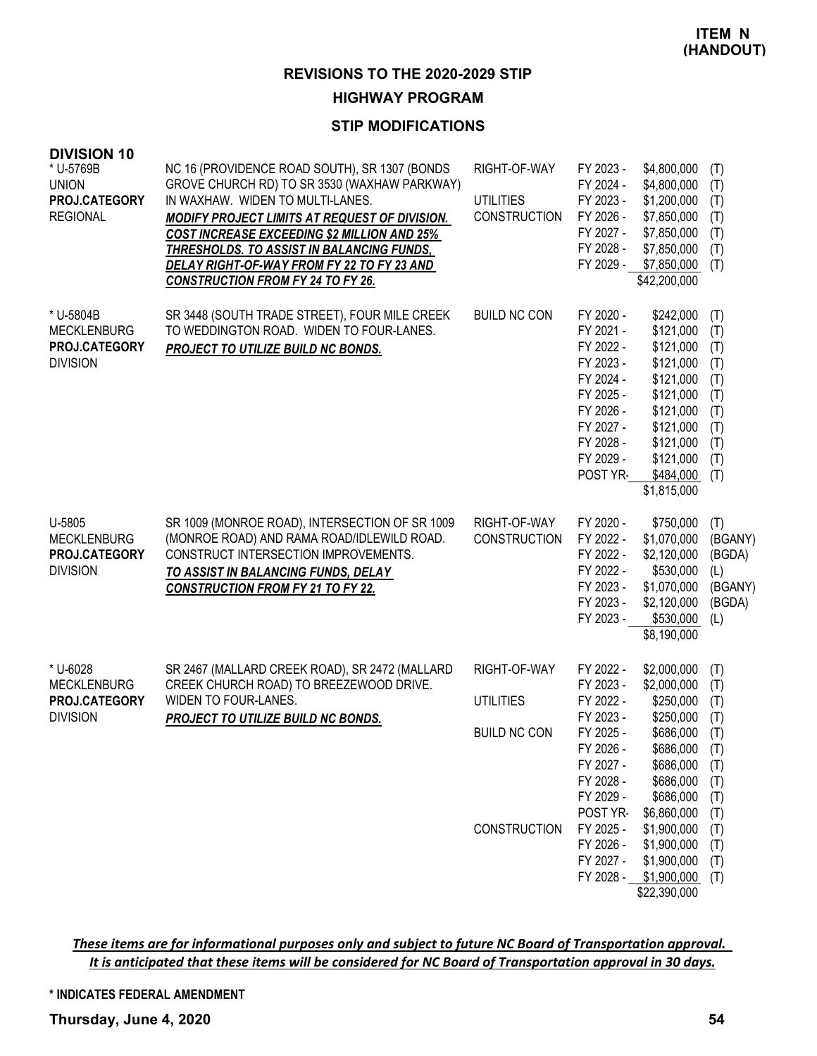## **HIGHWAY PROGRAM**

# **STIP MODIFICATIONS**

| <b>DIVISION 10</b><br>* U-5769B<br><b>UNION</b><br>PROJ.CATEGORY<br><b>REGIONAL</b> | NC 16 (PROVIDENCE ROAD SOUTH), SR 1307 (BONDS<br>GROVE CHURCH RD) TO SR 3530 (WAXHAW PARKWAY)<br>IN WAXHAW. WIDEN TO MULTI-LANES.<br>MODIFY PROJECT LIMITS AT REQUEST OF DIVISION.<br>COST INCREASE EXCEEDING \$2 MILLION AND 25%<br><u>THRESHOLDS. TO ASSIST IN BALANCING FUNDS,</u><br><u>DELAY RIGHT-OF-WAY FROM FY 22 TO FY 23 AND</u><br><b>CONSTRUCTION FROM FY 24 TO FY 26.</b> | RIGHT-OF-WAY<br><b>UTILITIES</b><br><b>CONSTRUCTION</b>                        | FY 2023 -<br>FY 2024 -<br>FY 2023 -<br>FY 2026 -<br>FY 2027 -<br>FY 2028 -<br>FY 2029 -                                                                                           | \$4,800,000<br>\$4,800,000<br>\$1,200,000<br>\$7,850,000<br>\$7,850,000<br>\$7,850,000<br>\$7,850,000<br>\$42,200,000                                                                                            | (T)<br>(T)<br>(T)<br>(T)<br>(T)<br>(T)<br>(T)                                                  |
|-------------------------------------------------------------------------------------|----------------------------------------------------------------------------------------------------------------------------------------------------------------------------------------------------------------------------------------------------------------------------------------------------------------------------------------------------------------------------------------|--------------------------------------------------------------------------------|-----------------------------------------------------------------------------------------------------------------------------------------------------------------------------------|------------------------------------------------------------------------------------------------------------------------------------------------------------------------------------------------------------------|------------------------------------------------------------------------------------------------|
| * U-5804B<br><b>MECKLENBURG</b><br>PROJ.CATEGORY<br><b>DIVISION</b>                 | SR 3448 (SOUTH TRADE STREET), FOUR MILE CREEK<br>TO WEDDINGTON ROAD. WIDEN TO FOUR-LANES.<br>PROJECT TO UTILIZE BUILD NC BONDS.                                                                                                                                                                                                                                                        | <b>BUILD NC CON</b>                                                            | FY 2020 -<br>FY 2021 -<br>FY 2022 -<br>FY 2023 -<br>FY 2024 -<br>FY 2025 -<br>FY 2026 -<br>FY 2027 -<br>FY 2028 -<br>FY 2029 -<br>POST YR-                                        | \$242,000<br>\$121,000<br>\$121,000<br>\$121,000<br>\$121,000<br>\$121,000<br>\$121,000<br>\$121,000<br>\$121,000<br>\$121,000<br>\$484,000<br>\$1,815,000                                                       | (T)<br>(T)<br>(T)<br>(T)<br>(T)<br>(T)<br>(T)<br>(T)<br>(T)<br>(T)<br>(T)                      |
| U-5805<br><b>MECKLENBURG</b><br>PROJ.CATEGORY<br><b>DIVISION</b>                    | SR 1009 (MONROE ROAD), INTERSECTION OF SR 1009<br>(MONROE ROAD) AND RAMA ROAD/IDLEWILD ROAD.<br>CONSTRUCT INTERSECTION IMPROVEMENTS.<br>TO ASSIST IN BALANCING FUNDS, DELAY<br><b>CONSTRUCTION FROM FY 21 TO FY 22.</b>                                                                                                                                                                | RIGHT-OF-WAY<br><b>CONSTRUCTION</b>                                            | FY 2020 -<br>FY 2022 -<br>FY 2022 -<br>FY 2022 -<br>FY 2023 -<br>FY 2023 -<br>FY 2023 -                                                                                           | \$750,000<br>\$1,070,000<br>\$2,120,000<br>\$530,000<br>\$1,070,000<br>\$2,120,000<br>\$530,000<br>\$8,190,000                                                                                                   | (T)<br>(BGANY)<br>(BGDA)<br>(L)<br>(BGANY)<br>(BGDA)<br>(L)                                    |
| * U-6028<br><b>MECKLENBURG</b><br>PROJ.CATEGORY<br><b>DIVISION</b>                  | SR 2467 (MALLARD CREEK ROAD), SR 2472 (MALLARD<br>CREEK CHURCH ROAD) TO BREEZEWOOD DRIVE.<br>WIDEN TO FOUR-LANES.<br>PROJECT TO UTILIZE BUILD NC BONDS.                                                                                                                                                                                                                                | RIGHT-OF-WAY<br><b>UTILITIES</b><br><b>BUILD NC CON</b><br><b>CONSTRUCTION</b> | FY 2022 -<br>FY 2023 -<br>FY 2022 -<br>FY 2023 -<br>FY 2025 -<br>FY 2026 -<br>FY 2027 -<br>FY 2028 -<br>FY 2029 -<br>POST YR-<br>FY 2025 -<br>FY 2026 -<br>FY 2027 -<br>FY 2028 - | \$2,000,000<br>\$2,000,000<br>\$250,000<br>\$250,000<br>\$686,000<br>\$686,000<br>\$686,000<br>\$686,000<br>\$686,000<br>\$6,860,000<br>\$1,900,000<br>\$1,900,000<br>\$1,900,000<br>\$1,900,000<br>\$22,390,000 | (T)<br>(T)<br>(T)<br>(T)<br>(T)<br>(T)<br>(T)<br>(T)<br>(T)<br>(T)<br>(T)<br>(T)<br>(T)<br>(T) |

These items are for informational purposes only and subject to future NC Board of Transportation approval. It is anticipated that these items will be considered for NC Board of Transportation approval in 30 days.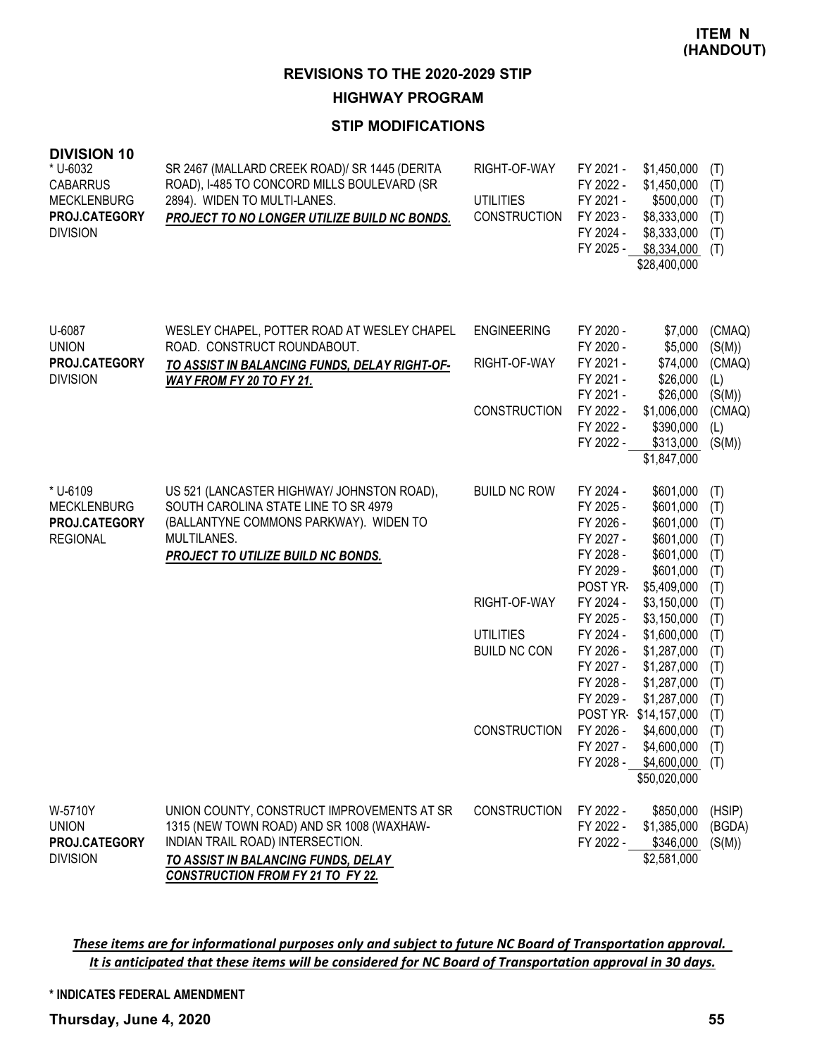# **HIGHWAY PROGRAM**

# **STIP MODIFICATIONS**

| <b>DIVISION 10</b><br>* U-6032<br><b>CABARRUS</b><br><b>MECKLENBURG</b><br>PROJ.CATEGORY<br><b>DIVISION</b> | SR 2467 (MALLARD CREEK ROAD)/ SR 1445 (DERITA<br>ROAD), I-485 TO CONCORD MILLS BOULEVARD (SR<br>2894). WIDEN TO MULTI-LANES.<br>PROJECT TO NO LONGER UTILIZE BUILD NC BONDS.                                   | RIGHT-OF-WAY<br><b>UTILITIES</b><br><b>CONSTRUCTION</b> | FY 2021 -<br>FY 2022 -<br>FY 2021 -<br>FY 2023 -<br>FY 2024 -<br>FY 2025 -             | \$1,450,000<br>\$1,450,000<br>\$500,000<br>\$8,333,000<br>\$8,333,000<br>\$8,334,000<br>\$28,400,000 | (T)<br>(T)<br>(T)<br>(T)<br>(T)<br>(T)        |
|-------------------------------------------------------------------------------------------------------------|----------------------------------------------------------------------------------------------------------------------------------------------------------------------------------------------------------------|---------------------------------------------------------|----------------------------------------------------------------------------------------|------------------------------------------------------------------------------------------------------|-----------------------------------------------|
| U-6087<br><b>UNION</b>                                                                                      | WESLEY CHAPEL, POTTER ROAD AT WESLEY CHAPEL<br>ROAD. CONSTRUCT ROUNDABOUT.                                                                                                                                     | <b>ENGINEERING</b>                                      | FY 2020 -<br>FY 2020 -                                                                 | \$7,000<br>\$5,000                                                                                   | (CMAQ)<br>(S(M))                              |
| PROJ.CATEGORY<br><b>DIVISION</b>                                                                            | TO ASSIST IN BALANCING FUNDS, DELAY RIGHT-OF-<br><b>WAY FROM FY 20 TO FY 21.</b>                                                                                                                               | RIGHT-OF-WAY                                            | FY 2021 -<br>FY 2021 -<br>FY 2021 -                                                    | \$74,000<br>\$26,000<br>\$26,000                                                                     | (CMAQ)<br>(L)<br>(S(M))                       |
|                                                                                                             |                                                                                                                                                                                                                | <b>CONSTRUCTION</b>                                     | FY 2022 -<br>FY 2022 -<br>FY 2022 -                                                    | \$1,006,000<br>\$390,000<br>\$313,000<br>\$1,847,000                                                 | (CMAQ)<br>(L)<br>(S(M))                       |
| * U-6109<br><b>MECKLENBURG</b><br>PROJ.CATEGORY<br><b>REGIONAL</b>                                          | US 521 (LANCASTER HIGHWAY/ JOHNSTON ROAD),<br>SOUTH CAROLINA STATE LINE TO SR 4979<br>(BALLANTYNE COMMONS PARKWAY). WIDEN TO<br>MULTILANES.<br>PROJECT TO UTILIZE BUILD NC BONDS.                              | <b>BUILD NC ROW</b>                                     | FY 2024 -<br>FY 2025 -<br>FY 2026 -<br>FY 2027 -<br>FY 2028 -<br>FY 2029 -<br>POST YR- | \$601,000<br>\$601,000<br>\$601,000<br>\$601,000<br>\$601,000<br>\$601,000<br>\$5,409,000            | (T)<br>(T)<br>(T)<br>(T)<br>(T)<br>(T)<br>(T) |
|                                                                                                             |                                                                                                                                                                                                                | RIGHT-OF-WAY                                            | FY 2024 -<br>FY 2025 -                                                                 | \$3,150,000<br>\$3,150,000                                                                           | (T)<br>(T)                                    |
|                                                                                                             |                                                                                                                                                                                                                | <b>UTILITIES</b><br><b>BUILD NC CON</b>                 | FY 2024 -<br>FY 2026 -<br>FY 2027 -<br>FY 2028 -<br>FY 2029 -                          | \$1,600,000<br>\$1,287,000<br>\$1,287,000<br>\$1,287,000<br>\$1,287,000<br>POST YR-\$14,157,000      | (T)<br>(T)<br>(T)<br>(T)<br>(T)<br>(T)        |
|                                                                                                             |                                                                                                                                                                                                                | CONSTRUCTION                                            | FY 2026 -<br>FY 2027 -<br>FY 2028 -                                                    | \$4,600,000<br>\$4,600,000<br>\$4,600,000<br>\$50,020,000                                            | (T)<br>(T)<br>(T)                             |
| W-5710Y<br><b>UNION</b><br>PROJ.CATEGORY<br><b>DIVISION</b>                                                 | UNION COUNTY, CONSTRUCT IMPROVEMENTS AT SR<br>1315 (NEW TOWN ROAD) AND SR 1008 (WAXHAW-<br>INDIAN TRAIL ROAD) INTERSECTION.<br>TO ASSIST IN BALANCING FUNDS, DELAY<br><b>CONSTRUCTION FROM FY 21 TO FY 22.</b> | <b>CONSTRUCTION</b>                                     | FY 2022 -<br>FY 2022 -<br>FY 2022 -                                                    | \$850,000<br>\$1,385,000<br>\$346,000<br>\$2,581,000                                                 | (HSIP)<br>(BGDA)<br>(S(M))                    |

These items are for informational purposes only and subject to future NC Board of Transportation approval. It is anticipated that these items will be considered for NC Board of Transportation approval in 30 days.

**\* INDICATES FEDERAL AMENDMENT**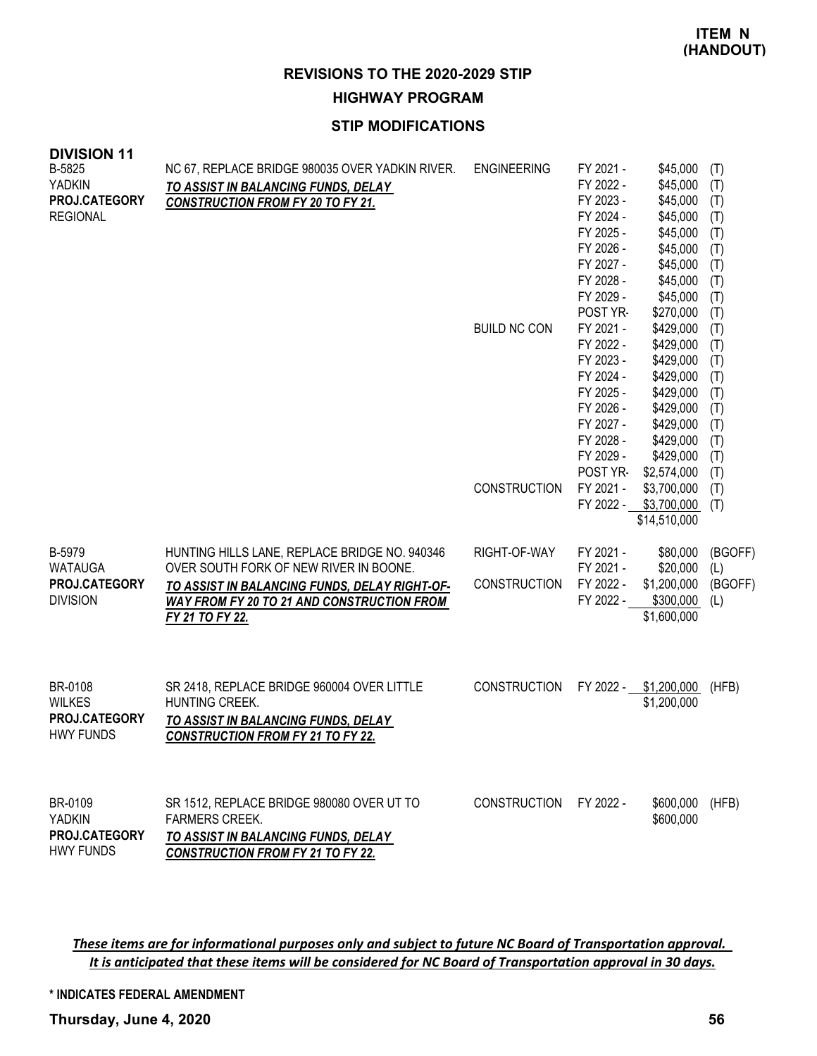**HIGHWAY PROGRAM**

# **STIP MODIFICATIONS**

| <b>DIVISION 11</b><br>B-5825<br><b>YADKIN</b><br>PROJ.CATEGORY<br><b>REGIONAL</b> | NC 67, REPLACE BRIDGE 980035 OVER YADKIN RIVER.<br>TO ASSIST IN BALANCING FUNDS, DELAY<br><b>CONSTRUCTION FROM FY 20 TO FY 21.</b>                    | <b>ENGINEERING</b><br><b>BUILD NC CON</b> | FY 2021 -<br>FY 2022 -<br>FY 2023 -<br>FY 2024 -<br>FY 2025 -<br>FY 2026 -<br>FY 2027 -<br>FY 2028 -<br>FY 2029 -<br>POST YR-<br>FY 2021 -<br>FY 2022 -<br>FY 2023 -<br>FY 2024 -<br>FY 2025 -<br>FY 2026 -<br>FY 2027 -<br>FY 2028 -<br>FY 2029 - | \$45,000<br>\$45,000<br>\$45,000<br>\$45,000<br>\$45,000<br>\$45,000<br>\$45,000<br>\$45,000<br>\$45,000<br>\$270,000<br>\$429,000<br>\$429,000<br>\$429,000<br>\$429,000<br>\$429,000<br>\$429,000<br>\$429,000<br>\$429,000<br>\$429,000 | (T)<br>(T)<br>(T)<br>(T)<br>(T)<br>(T)<br>(T)<br>(T)<br>(T)<br>(T)<br>(T)<br>(T)<br>(T)<br>(T)<br>(T)<br>(T)<br>(T)<br>(T)<br>(T) |
|-----------------------------------------------------------------------------------|-------------------------------------------------------------------------------------------------------------------------------------------------------|-------------------------------------------|----------------------------------------------------------------------------------------------------------------------------------------------------------------------------------------------------------------------------------------------------|--------------------------------------------------------------------------------------------------------------------------------------------------------------------------------------------------------------------------------------------|-----------------------------------------------------------------------------------------------------------------------------------|
|                                                                                   |                                                                                                                                                       | <b>CONSTRUCTION</b>                       | POST YR-<br>FY 2021 -                                                                                                                                                                                                                              | \$2,574,000<br>\$3,700,000<br>FY 2022 - \$3,700,000<br>\$14,510,000                                                                                                                                                                        | (T)<br>(T)<br>(T)                                                                                                                 |
| B-5979<br><b>WATAUGA</b>                                                          | HUNTING HILLS LANE, REPLACE BRIDGE NO. 940346<br>OVER SOUTH FORK OF NEW RIVER IN BOONE.                                                               | RIGHT-OF-WAY                              | FY 2021 -<br>FY 2021 -                                                                                                                                                                                                                             | \$80,000<br>\$20,000                                                                                                                                                                                                                       | (BGOFF)<br>(L)                                                                                                                    |
| PROJ.CATEGORY<br><b>DIVISION</b>                                                  | TO ASSIST IN BALANCING FUNDS, DELAY RIGHT-OF-<br><b>WAY FROM FY 20 TO 21 AND CONSTRUCTION FROM</b><br>FY 21 TO FY 22.                                 | <b>CONSTRUCTION</b>                       | FY 2022 -<br>FY 2022 -                                                                                                                                                                                                                             | \$1,200,000<br>\$300,000<br>\$1,600,000                                                                                                                                                                                                    | (BGOFF)<br>(L)                                                                                                                    |
| BR-0108<br><b>WILKES</b><br>PROJ.CATEGORY<br><b>HWY FUNDS</b>                     | SR 2418, REPLACE BRIDGE 960004 OVER LITTLE<br>HUNTING CREEK.<br>TO ASSIST IN BALANCING FUNDS, DELAY<br><b>CONSTRUCTION FROM FY 21 TO FY 22.</b>       | <b>CONSTRUCTION</b>                       | FY 2022 -                                                                                                                                                                                                                                          | \$1,200,000<br>\$1,200,000                                                                                                                                                                                                                 | (HFB)                                                                                                                             |
| BR-0109<br><b>YADKIN</b><br><b>PROJ.CATEGORY</b><br><b>HWY FUNDS</b>              | SR 1512, REPLACE BRIDGE 980080 OVER UT TO<br><b>FARMERS CREEK.</b><br>TO ASSIST IN BALANCING FUNDS, DELAY<br><b>CONSTRUCTION FROM FY 21 TO FY 22.</b> | <b>CONSTRUCTION</b>                       | FY 2022 -                                                                                                                                                                                                                                          | \$600,000<br>\$600,000                                                                                                                                                                                                                     | (HFB)                                                                                                                             |

These items are for informational purposes only and subject to future NC Board of Transportation approval. It is anticipated that these items will be considered for NC Board of Transportation approval in 30 days.

**\* INDICATES FEDERAL AMENDMENT**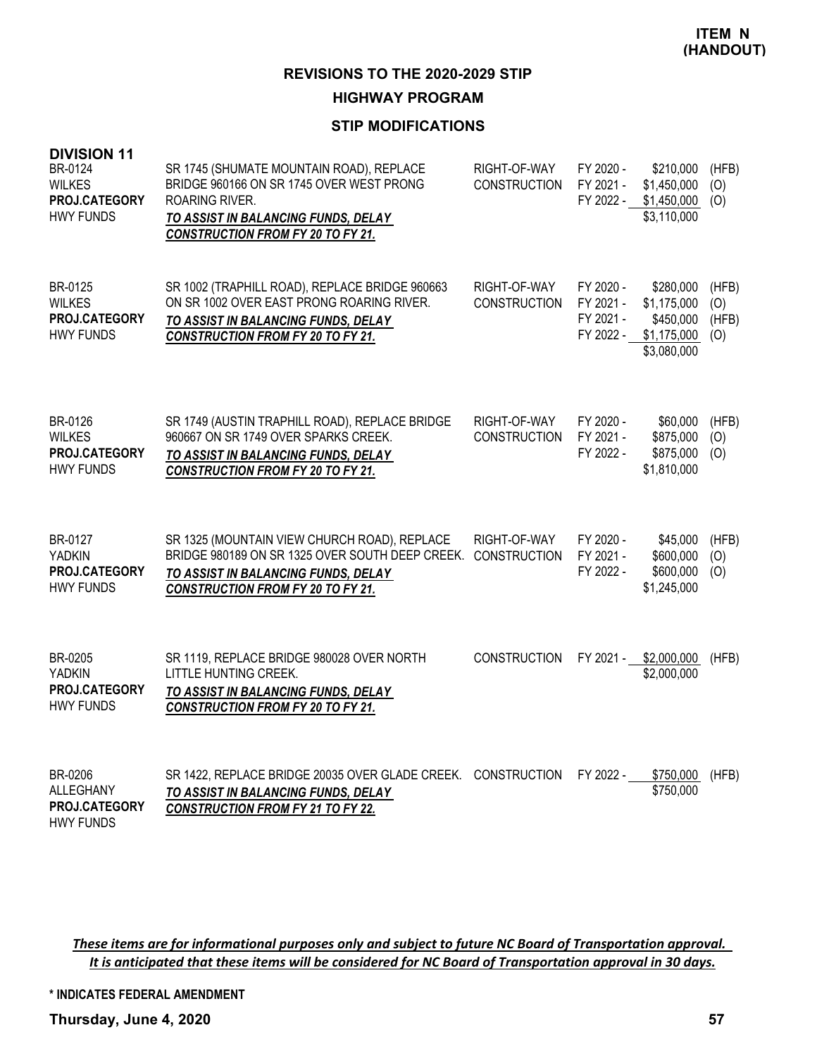# **HIGHWAY PROGRAM**

# **STIP MODIFICATIONS**

| <b>DIVISION 11</b><br>BR-0124<br><b>WILKES</b><br>PROJ.CATEGORY<br><b>HWY FUNDS</b> | SR 1745 (SHUMATE MOUNTAIN ROAD), REPLACE<br>BRIDGE 960166 ON SR 1745 OVER WEST PRONG<br>ROARING RIVER.<br>TO ASSIST IN BALANCING FUNDS, DELAY<br><b>CONSTRUCTION FROM FY 20 TO FY 21.</b> | RIGHT-OF-WAY<br><b>CONSTRUCTION</b> | FY 2020 -<br>FY 2021 -<br>FY 2022 -              | \$210,000<br>\$1,450,000<br>\$1,450,000<br>\$3,110,000              | (HFB)<br>(O)<br>(O)          |
|-------------------------------------------------------------------------------------|-------------------------------------------------------------------------------------------------------------------------------------------------------------------------------------------|-------------------------------------|--------------------------------------------------|---------------------------------------------------------------------|------------------------------|
| BR-0125<br><b>WILKES</b><br>PROJ.CATEGORY<br><b>HWY FUNDS</b>                       | SR 1002 (TRAPHILL ROAD), REPLACE BRIDGE 960663<br>ON SR 1002 OVER EAST PRONG ROARING RIVER.<br>TO ASSIST IN BALANCING FUNDS, DELAY<br><b>CONSTRUCTION FROM FY 20 TO FY 21.</b>            | RIGHT-OF-WAY<br><b>CONSTRUCTION</b> | FY 2020 -<br>FY 2021 -<br>FY 2021 -<br>FY 2022 - | \$280,000<br>\$1,175,000<br>\$450,000<br>\$1,175,000<br>\$3,080,000 | (HFB)<br>(O)<br>(HFB)<br>(O) |
| BR-0126<br><b>WILKES</b><br>PROJ.CATEGORY<br><b>HWY FUNDS</b>                       | SR 1749 (AUSTIN TRAPHILL ROAD), REPLACE BRIDGE<br>960667 ON SR 1749 OVER SPARKS CREEK.<br>TO ASSIST IN BALANCING FUNDS, DELAY<br><b>CONSTRUCTION FROM FY 20 TO FY 21.</b>                 | RIGHT-OF-WAY<br><b>CONSTRUCTION</b> | FY 2020 -<br>FY 2021 -<br>FY 2022 -              | \$60,000<br>\$875,000<br>\$875,000<br>\$1,810,000                   | (HFB)<br>(O)<br>(O)          |
| BR-0127<br>YADKIN<br>PROJ.CATEGORY<br><b>HWY FUNDS</b>                              | SR 1325 (MOUNTAIN VIEW CHURCH ROAD), REPLACE<br>BRIDGE 980189 ON SR 1325 OVER SOUTH DEEP CREEK.<br>TO ASSIST IN BALANCING FUNDS, DELAY<br><b>CONSTRUCTION FROM FY 20 TO FY 21.</b>        | RIGHT-OF-WAY<br><b>CONSTRUCTION</b> | FY 2020 -<br>FY 2021 -<br>FY 2022 -              | \$45,000<br>\$600,000<br>\$600,000<br>\$1,245,000                   | (HFB)<br>(O)<br>(O)          |
| BR-0205<br><b>YADKIN</b><br>PROJ.CATEGORY<br><b>HWY FUNDS</b>                       | SR 1119, REPLACE BRIDGE 980028 OVER NORTH<br>LITTLE HUNTING CREEK.<br>TO ASSIST IN BALANCING FUNDS, DELAY<br><b>CONSTRUCTION FROM FY 20 TO FY 21.</b>                                     | <b>CONSTRUCTION</b>                 | FY 2021 - \$2,000,000                            | \$2,000,000                                                         | (HFB)                        |
| BR-0206<br><b>ALLEGHANY</b><br>PROJ.CATEGORY                                        | SR 1422, REPLACE BRIDGE 20035 OVER GLADE CREEK. CONSTRUCTION<br>TO ASSIST IN BALANCING FUNDS, DELAY<br><b>CONSTRUCTION FROM FY 21 TO FY 22.</b>                                           |                                     | FY 2022 -                                        | \$750,000<br>\$750,000                                              | (HFB)                        |

These items are for informational purposes only and subject to future NC Board of Transportation approval. It is anticipated that these items will be considered for NC Board of Transportation approval in 30 days.

**\* INDICATES FEDERAL AMENDMENT**

**Thursday, June 4, 2020 57**

HWY FUNDS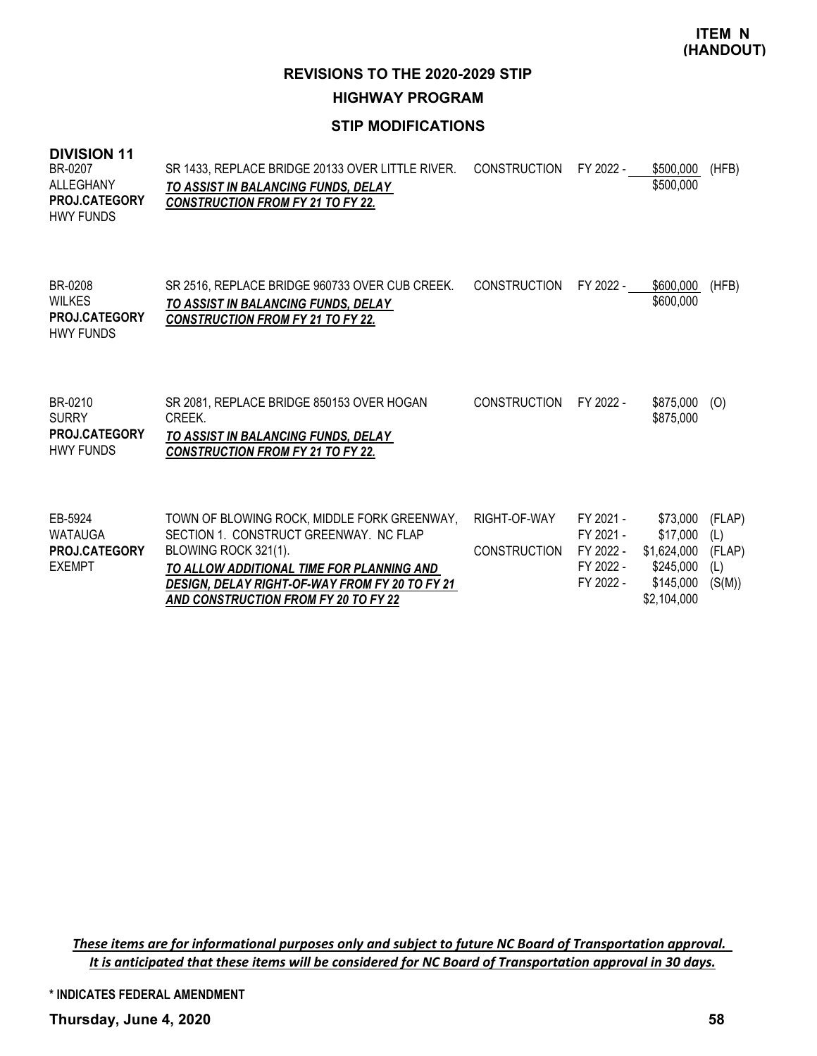**REVISIONS TO THE 2020-2029 STIP HIGHWAY PROGRAM**

# **STIP MODIFICATIONS**

#### **DIVISION 11**

| BR-0207<br>ALLEGHANY<br><b>PROJ.CATEGORY</b><br><b>HWY FUNDS</b>     | SR 1433, REPLACE BRIDGE 20133 OVER LITTLE RIVER.<br>TO ASSIST IN BALANCING FUNDS, DELAY<br><b>CONSTRUCTION FROM FY 21 TO FY 22.</b>                                                                                                                         | <b>CONSTRUCTION</b>                 | FY 2022 -                                                     | \$500,000<br>\$500,000                                                       | (HFB)                                    |
|----------------------------------------------------------------------|-------------------------------------------------------------------------------------------------------------------------------------------------------------------------------------------------------------------------------------------------------------|-------------------------------------|---------------------------------------------------------------|------------------------------------------------------------------------------|------------------------------------------|
| BR-0208<br><b>WILKES</b><br><b>PROJ.CATEGORY</b><br><b>HWY FUNDS</b> | SR 2516, REPLACE BRIDGE 960733 OVER CUB CREEK.<br>TO ASSIST IN BALANCING FUNDS, DELAY<br><b>CONSTRUCTION FROM FY 21 TO FY 22.</b>                                                                                                                           | <b>CONSTRUCTION</b>                 | FY 2022 -                                                     | \$600,000<br>\$600,000                                                       | (HFB)                                    |
| BR-0210<br><b>SURRY</b><br>PROJ.CATEGORY<br><b>HWY FUNDS</b>         | SR 2081, REPLACE BRIDGE 850153 OVER HOGAN<br>CREEK.<br>TO ASSIST IN BALANCING FUNDS, DELAY<br><b>CONSTRUCTION FROM FY 21 TO FY 22.</b>                                                                                                                      | <b>CONSTRUCTION</b>                 | FY 2022 -                                                     | \$875,000<br>\$875,000                                                       | (0)                                      |
| EB-5924<br><b>WATAUGA</b><br><b>PROJ.CATEGORY</b><br><b>EXEMPT</b>   | TOWN OF BLOWING ROCK, MIDDLE FORK GREENWAY,<br>SECTION 1. CONSTRUCT GREENWAY. NC FLAP<br>BLOWING ROCK 321(1).<br>TO ALLOW ADDITIONAL TIME FOR PLANNING AND<br><b>DESIGN, DELAY RIGHT-OF-WAY FROM FY 20 TO FY 21</b><br>AND CONSTRUCTION FROM FY 20 TO FY 22 | RIGHT-OF-WAY<br><b>CONSTRUCTION</b> | FY 2021 -<br>FY 2021 -<br>FY 2022 -<br>FY 2022 -<br>FY 2022 - | \$73,000<br>\$17,000<br>\$1,624,000<br>\$245,000<br>\$145,000<br>\$2,104,000 | (FLAP)<br>(L)<br>(FLAP)<br>(L)<br>(S(M)) |

These items are for informational purposes only and subject to future NC Board of Transportation approval. It is anticipated that these items will be considered for NC Board of Transportation approval in 30 days.

**\* INDICATES FEDERAL AMENDMENT**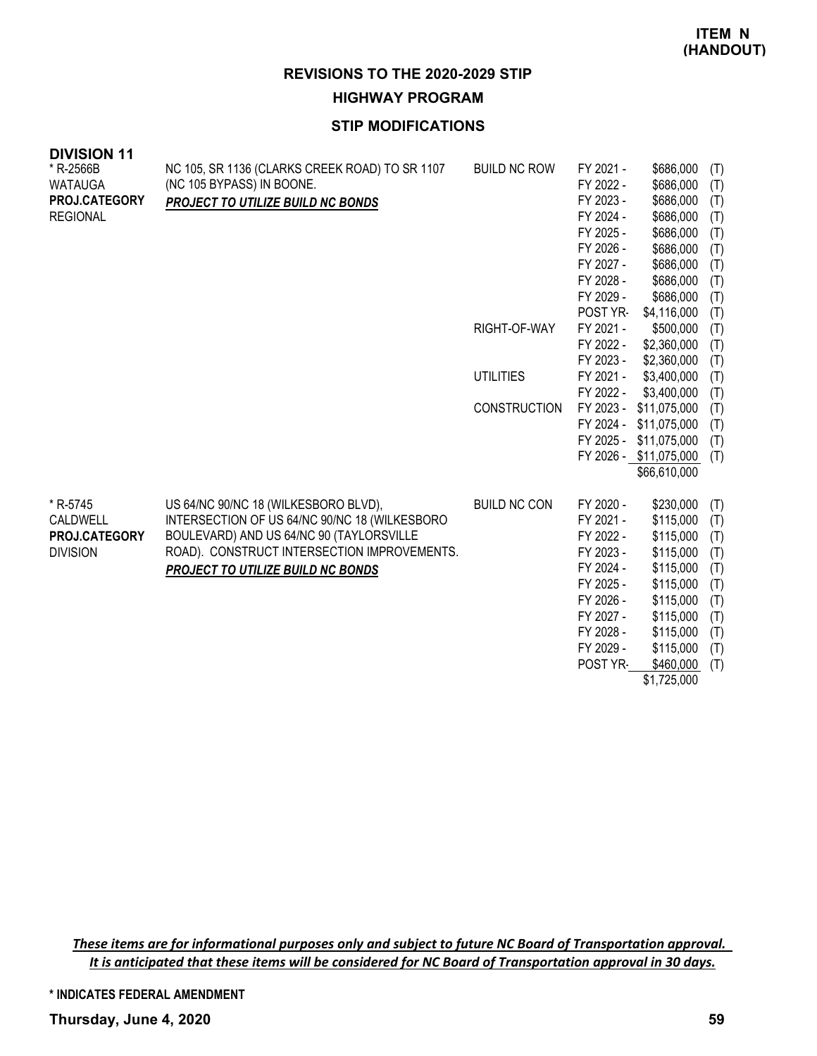# **HIGHWAY PROGRAM**

# **STIP MODIFICATIONS**

| <b>DIVISION 11</b> |                                                |                     |           |                        |     |
|--------------------|------------------------------------------------|---------------------|-----------|------------------------|-----|
| * R-2566B          | NC 105, SR 1136 (CLARKS CREEK ROAD) TO SR 1107 | <b>BUILD NC ROW</b> | FY 2021 - | \$686,000              | (T) |
| <b>WATAUGA</b>     | (NC 105 BYPASS) IN BOONE.                      |                     | FY 2022 - | \$686,000              | (T) |
| PROJ.CATEGORY      | PROJECT TO UTILIZE BUILD NC BONDS              |                     | FY 2023 - | \$686,000              | (T) |
| <b>REGIONAL</b>    |                                                |                     | FY 2024 - | \$686,000              | (T) |
|                    |                                                |                     | FY 2025 - | \$686,000              | (T) |
|                    |                                                |                     | FY 2026 - | \$686,000              | (T) |
|                    |                                                |                     | FY 2027 - | \$686,000              | (T) |
|                    |                                                |                     | FY 2028 - | \$686,000              | (T) |
|                    |                                                |                     | FY 2029 - | \$686,000              | (T) |
|                    |                                                |                     | POST YR-  | \$4,116,000            | (T) |
|                    |                                                | RIGHT-OF-WAY        | FY 2021 - | \$500,000              | (T) |
|                    |                                                |                     | FY 2022 - | \$2,360,000            | (T) |
|                    |                                                |                     | FY 2023 - | \$2,360,000            | (T) |
|                    |                                                | <b>UTILITIES</b>    | FY 2021 - | \$3,400,000            | (T) |
|                    |                                                |                     | FY 2022 - | \$3,400,000            | (T) |
|                    |                                                | <b>CONSTRUCTION</b> | FY 2023 - | \$11,075,000           | (T) |
|                    |                                                |                     | FY 2024 - | \$11,075,000           | (T) |
|                    |                                                |                     | FY 2025 - | \$11,075,000           | (T) |
|                    |                                                |                     |           | FY 2026 - \$11,075,000 | (T) |
|                    |                                                |                     |           | \$66,610,000           |     |
| * R-5745           | US 64/NC 90/NC 18 (WILKESBORO BLVD),           | <b>BUILD NC CON</b> | FY 2020 - | \$230,000              | (T) |
| CALDWELL           | INTERSECTION OF US 64/NC 90/NC 18 (WILKESBORO  |                     | FY 2021 - | \$115,000              | (T) |
| PROJ.CATEGORY      | BOULEVARD) AND US 64/NC 90 (TAYLORSVILLE       |                     | FY 2022 - | \$115,000              | (T) |
| <b>DIVISION</b>    | ROAD). CONSTRUCT INTERSECTION IMPROVEMENTS.    |                     | FY 2023 - | \$115,000              | (T) |
|                    | PROJECT TO UTILIZE BUILD NC BONDS              |                     | FY 2024 - | \$115,000              | (T) |
|                    |                                                |                     | FY 2025 - | \$115,000              | (T) |
|                    |                                                |                     | FY 2026 - | \$115,000              | (T) |
|                    |                                                |                     | FY 2027 - | \$115,000              | (T) |
|                    |                                                |                     | FY 2028 - | \$115,000              | (T) |
|                    |                                                |                     | FY 2029 - | \$115,000              | (T) |
|                    |                                                |                     | POST YR-  | \$460,000              | (T) |
|                    |                                                |                     |           | \$1,725,000            |     |

These items are for informational purposes only and subject to future NC Board of Transportation approval. It is anticipated that these items will be considered for NC Board of Transportation approval in 30 days.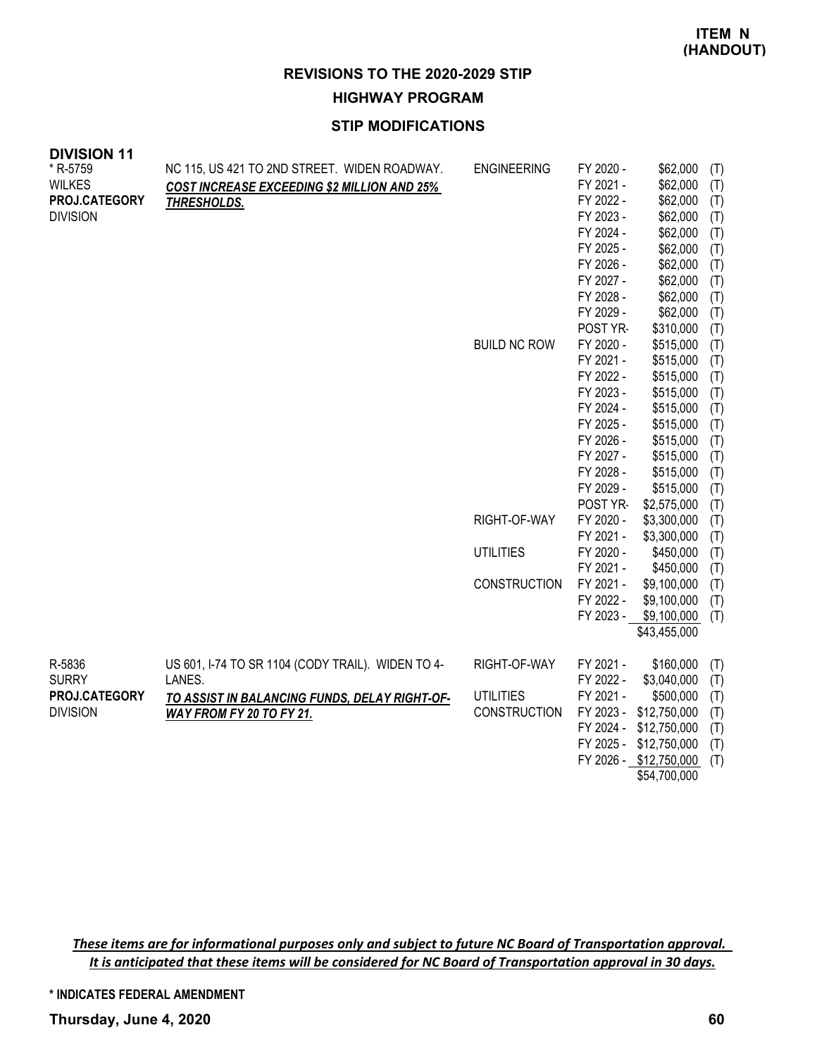**HIGHWAY PROGRAM**

# **STIP MODIFICATIONS**

| <b>DIVISION 11</b>           |                                                    |                     |           |                        |     |
|------------------------------|----------------------------------------------------|---------------------|-----------|------------------------|-----|
| * R-5759                     | NC 115, US 421 TO 2ND STREET. WIDEN ROADWAY.       | <b>ENGINEERING</b>  | FY 2020 - | \$62,000               | (T) |
| <b>WILKES</b>                | <b>COST INCREASE EXCEEDING \$2 MILLION AND 25%</b> |                     | FY 2021 - | \$62,000               | (T) |
| PROJ.CATEGORY<br>THRESHOLDS. |                                                    |                     | FY 2022 - | \$62,000               | (T) |
| <b>DIVISION</b>              |                                                    |                     | FY 2023 - | \$62,000               | (T) |
|                              |                                                    |                     | FY 2024 - | \$62,000               | (T) |
|                              |                                                    |                     | FY 2025 - | \$62,000               | (T) |
|                              |                                                    |                     | FY 2026 - | \$62,000               | (T) |
|                              |                                                    |                     | FY 2027 - | \$62,000               | (T) |
|                              |                                                    |                     | FY 2028 - | \$62,000               | (T) |
|                              |                                                    |                     | FY 2029 - | \$62,000               | (T) |
|                              |                                                    |                     | POST YR-  | \$310,000              | (T) |
|                              |                                                    | <b>BUILD NC ROW</b> | FY 2020 - | \$515,000              | (T) |
|                              |                                                    |                     | FY 2021 - | \$515,000              | (T) |
|                              |                                                    |                     | FY 2022 - | \$515,000              | (T) |
|                              |                                                    |                     | FY 2023 - | \$515,000              | (T) |
|                              |                                                    |                     | FY 2024 - | \$515,000              | (T) |
|                              |                                                    |                     | FY 2025 - | \$515,000              | (T) |
|                              |                                                    |                     | FY 2026 - | \$515,000              | (T) |
|                              |                                                    |                     | FY 2027 - | \$515,000              | (T) |
|                              |                                                    |                     | FY 2028 - | \$515,000              | (T) |
|                              |                                                    |                     | FY 2029 - | \$515,000              | (T) |
|                              |                                                    |                     | POST YR-  | \$2,575,000            | (T) |
|                              |                                                    | RIGHT-OF-WAY        | FY 2020 - | \$3,300,000            | (T) |
|                              |                                                    |                     | FY 2021 - | \$3,300,000            | (T) |
|                              |                                                    | <b>UTILITIES</b>    | FY 2020 - | \$450,000              | (T) |
|                              |                                                    |                     | FY 2021 - | \$450,000              | (T) |
|                              |                                                    | <b>CONSTRUCTION</b> | FY 2021 - | \$9,100,000            | (T) |
|                              |                                                    |                     | FY 2022 - | \$9,100,000            | (T) |
|                              |                                                    |                     | FY 2023 - | \$9,100,000            | (T) |
|                              |                                                    |                     |           | \$43,455,000           |     |
| R-5836                       | US 601, I-74 TO SR 1104 (CODY TRAIL). WIDEN TO 4-  | RIGHT-OF-WAY        | FY 2021 - | \$160,000              | (T) |
| <b>SURRY</b><br>LANES.       |                                                    |                     | FY 2022 - | \$3,040,000            | (T) |
| PROJ.CATEGORY                | TO ASSIST IN BALANCING FUNDS, DELAY RIGHT-OF-      | <b>UTILITIES</b>    | FY 2021 - | \$500,000              | (T) |
| <b>DIVISION</b>              | WAY FROM FY 20 TO FY 21.                           | <b>CONSTRUCTION</b> | FY 2023 - | \$12,750,000           | (T) |
|                              |                                                    |                     | FY 2024 - | \$12,750,000           | (T) |
|                              |                                                    |                     | FY 2025 - | \$12,750,000           | (T) |
|                              |                                                    |                     |           |                        |     |
|                              |                                                    |                     |           | FY 2026 - \$12,750,000 | (T) |

These items are for informational purposes only and subject to future NC Board of Transportation approval. It is anticipated that these items will be considered for NC Board of Transportation approval in 30 days.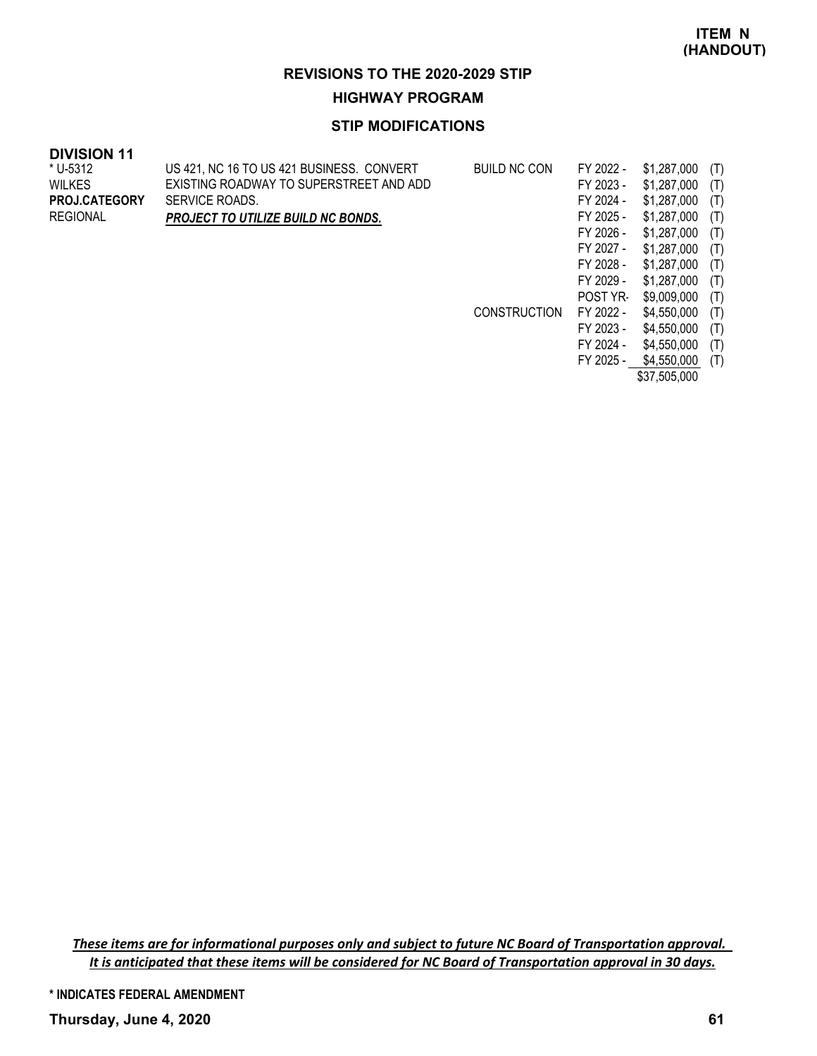#### **HIGHWAY PROGRAM**

## **STIP MODIFICATIONS**

#### **DIVISION 11**

| US 421, NC 16 TO US 421 BUSINESS. CONVERT | <b>BUILD NC CON</b> | FY 2022 -       | \$1,287,000 | (T) |
|-------------------------------------------|---------------------|-----------------|-------------|-----|
| EXISTING ROADWAY TO SUPERSTREET AND ADD   |                     | FY 2023 -       | \$1,287,000 | (T) |
| SERVICE ROADS.                            |                     | FY 2024 -       | \$1,287,000 | (T) |
| <b>PROJECT TO UTILIZE BUILD NC BONDS.</b> |                     | FY 2025 -       | \$1,287,000 | (T) |
|                                           |                     | FY 2026 -       | \$1,287,000 | (T) |
|                                           |                     | FY 2027 -       | \$1,287,000 | (T) |
|                                           |                     | FY 2028 -       | \$1,287,000 | (T) |
|                                           |                     | FY 2029 -       | \$1,287,000 | (T) |
|                                           |                     | <b>POST YR-</b> | \$9,009,000 | (T) |
|                                           | <b>CONSTRUCTION</b> | FY 2022 -       | \$4,550,000 | (T) |
|                                           |                     | FY 2023 -       | \$4,550,000 | (T) |
|                                           |                     | FY 2024 -       | \$4,550,000 | (T) |
|                                           |                     |                 |             |     |

FY 2025 - \$4,550,000 (T) \$37,505,000

These items are for informational purposes only and subject to future NC Board of Transportation approval. It is anticipated that these items will be considered for NC Board of Transportation approval in 30 days.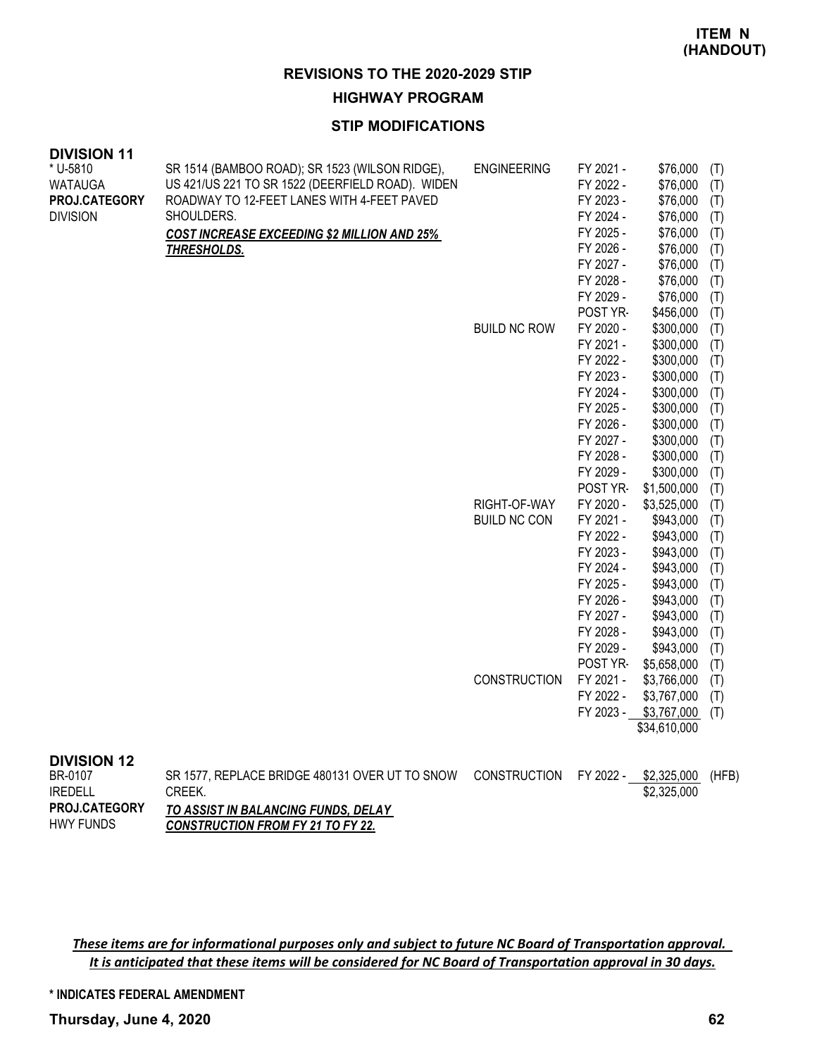#### **HIGHWAY PROGRAM**

#### **STIP MODIFICATIONS**

| <b>DIVISION 11</b> |                                                    |                     |           |              |     |
|--------------------|----------------------------------------------------|---------------------|-----------|--------------|-----|
| * U-5810           | SR 1514 (BAMBOO ROAD); SR 1523 (WILSON RIDGE),     | <b>ENGINEERING</b>  | FY 2021 - | \$76,000     | (T) |
| <b>WATAUGA</b>     | US 421/US 221 TO SR 1522 (DEERFIELD ROAD). WIDEN   |                     | FY 2022 - | \$76,000     | (T) |
| PROJ.CATEGORY      | ROADWAY TO 12-FEET LANES WITH 4-FEET PAVED         |                     | FY 2023 - | \$76,000     | (T) |
| <b>DIVISION</b>    | SHOULDERS.                                         |                     | FY 2024 - | \$76,000     | (T) |
|                    | <b>COST INCREASE EXCEEDING \$2 MILLION AND 25%</b> |                     | FY 2025 - | \$76,000     | (T) |
|                    | THRESHOLDS.                                        |                     | FY 2026 - | \$76,000     | (T) |
|                    |                                                    |                     | FY 2027 - | \$76,000     | (T) |
|                    |                                                    |                     | FY 2028 - | \$76,000     | (T) |
|                    |                                                    |                     | FY 2029 - | \$76,000     | (T) |
|                    |                                                    |                     | POST YR-  | \$456,000    | (T) |
|                    |                                                    | <b>BUILD NC ROW</b> | FY 2020 - | \$300,000    | (T) |
|                    |                                                    |                     | FY 2021 - | \$300,000    | (T) |
|                    |                                                    |                     | FY 2022 - | \$300,000    | (T) |
|                    |                                                    |                     | FY 2023 - | \$300,000    | (T) |
|                    |                                                    |                     | FY 2024 - | \$300,000    | (T) |
|                    |                                                    |                     | FY 2025 - | \$300,000    | (T) |
|                    |                                                    |                     | FY 2026 - | \$300,000    | (T) |
|                    |                                                    |                     | FY 2027 - | \$300,000    | (T) |
|                    |                                                    |                     | FY 2028 - | \$300,000    | (T) |
|                    |                                                    |                     | FY 2029 - | \$300,000    | (T) |
|                    |                                                    |                     | POST YR-  | \$1,500,000  | (T) |
|                    |                                                    | RIGHT-OF-WAY        | FY 2020 - | \$3,525,000  | (T) |
|                    |                                                    | <b>BUILD NC CON</b> | FY 2021 - | \$943,000    | (T) |
|                    |                                                    |                     | FY 2022 - | \$943,000    | (T) |
|                    |                                                    |                     | FY 2023 - | \$943,000    | (T) |
|                    |                                                    |                     | FY 2024 - | \$943,000    | (T) |
|                    |                                                    |                     | FY 2025 - | \$943,000    | (T) |
|                    |                                                    |                     | FY 2026 - | \$943,000    | (T) |
|                    |                                                    |                     | FY 2027 - | \$943,000    | (T) |
|                    |                                                    |                     | FY 2028 - | \$943,000    | (T) |
|                    |                                                    |                     | FY 2029 - | \$943,000    | (T) |
|                    |                                                    |                     | POST YR-  | \$5,658,000  | (T) |
|                    |                                                    | CONSTRUCTION        | FY 2021 - | \$3,766,000  | (T) |
|                    |                                                    |                     | FY 2022 - | \$3,767,000  | (T) |
|                    |                                                    |                     | FY 2023 - | \$3,767,000  | (T) |
|                    |                                                    |                     |           | \$34,610,000 |     |

# **DIVISION 12**<br>BR-0107

| BR-0107              | SR 1577, REPLACE BRIDGE 480131 OVER UT TO SNOW | CONSTRUCTION FY 2022 - \$2,325,000 (HFB) |             |  |
|----------------------|------------------------------------------------|------------------------------------------|-------------|--|
| <b>IREDELL</b>       | CREEK.                                         |                                          | \$2,325,000 |  |
| <b>PROJ.CATEGORY</b> | TO ASSIST IN BALANCING FUNDS, DELAY            |                                          |             |  |
| <b>HWY FUNDS</b>     | <b>CONSTRUCTION FROM FY 21 TO FY 22.</b>       |                                          |             |  |

These items are for informational purposes only and subject to future NC Board of Transportation approval. It is anticipated that these items will be considered for NC Board of Transportation approval in 30 days.

**\* INDICATES FEDERAL AMENDMENT**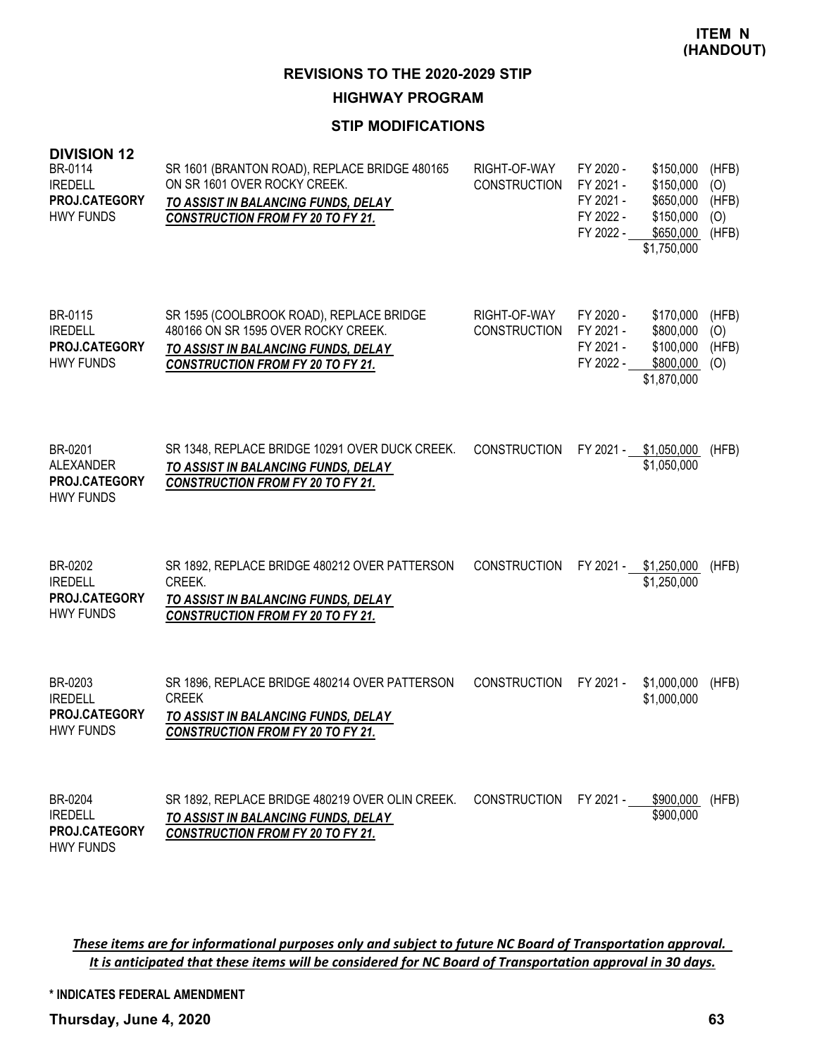#### **HIGHWAY PROGRAM**

# **STIP MODIFICATIONS**

| <b>DIVISION 12</b><br>BR-0114<br><b>IREDELL</b><br>PROJ.CATEGORY<br><b>HWY FUNDS</b> | SR 1601 (BRANTON ROAD), REPLACE BRIDGE 480165<br>ON SR 1601 OVER ROCKY CREEK.<br>TO ASSIST IN BALANCING FUNDS, DELAY<br><b>CONSTRUCTION FROM FY 20 TO FY 21.</b>   | RIGHT-OF-WAY<br><b>CONSTRUCTION</b> | FY 2020 -<br>FY 2021 -<br>FY 2021 -<br>FY 2022 -<br>FY 2022 - | \$150,000<br>\$150,000<br>\$650,000<br>\$150,000<br>\$650,000<br>\$1,750,000 | (HFB)<br>(O)<br>(HFB)<br>(O)<br>(HFB) |
|--------------------------------------------------------------------------------------|--------------------------------------------------------------------------------------------------------------------------------------------------------------------|-------------------------------------|---------------------------------------------------------------|------------------------------------------------------------------------------|---------------------------------------|
| BR-0115<br><b>IREDELL</b><br>PROJ.CATEGORY<br><b>HWY FUNDS</b>                       | SR 1595 (COOLBROOK ROAD), REPLACE BRIDGE<br>480166 ON SR 1595 OVER ROCKY CREEK.<br>TO ASSIST IN BALANCING FUNDS, DELAY<br><b>CONSTRUCTION FROM FY 20 TO FY 21.</b> | RIGHT-OF-WAY<br><b>CONSTRUCTION</b> | FY 2020 -<br>FY 2021 -<br>FY 2021 -<br>FY 2022 -              | \$170,000<br>\$800,000<br>\$100,000<br>\$800,000<br>\$1,870,000              | (HFB)<br>(O)<br>(HFB)<br>(O)          |
| BR-0201<br><b>ALEXANDER</b><br>PROJ.CATEGORY<br><b>HWY FUNDS</b>                     | SR 1348, REPLACE BRIDGE 10291 OVER DUCK CREEK.<br>TO ASSIST IN BALANCING FUNDS, DELAY<br><b>CONSTRUCTION FROM FY 20 TO FY 21.</b>                                  | <b>CONSTRUCTION</b>                 | FY 2021 -                                                     | \$1,050,000<br>\$1,050,000                                                   | (HFB)                                 |
| BR-0202<br><b>IREDELL</b><br>PROJ.CATEGORY<br><b>HWY FUNDS</b>                       | SR 1892, REPLACE BRIDGE 480212 OVER PATTERSON<br>CREEK.<br>TO ASSIST IN BALANCING FUNDS, DELAY<br><b>CONSTRUCTION FROM FY 20 TO FY 21.</b>                         | <b>CONSTRUCTION</b>                 | FY 2021 -                                                     | \$1,250,000<br>\$1,250,000                                                   | (HFB)                                 |
| BR-0203<br><b>IREDELL</b><br><b>PROJ.CATEGORY</b><br><b>HWY FUNDS</b>                | SR 1896, REPLACE BRIDGE 480214 OVER PATTERSON<br><b>CREEK</b><br>TO ASSIST IN BALANCING FUNDS, DELAY<br><b>CONSTRUCTION FROM FY 20 TO FY 21.</b>                   | <b>CONSTRUCTION</b>                 | FY 2021 -                                                     | \$1,000,000<br>\$1,000,000                                                   | (HFB)                                 |
| BR-0204<br><b>IREDELL</b><br>PROJ.CATEGORY<br><b>HWY FUNDS</b>                       | SR 1892, REPLACE BRIDGE 480219 OVER OLIN CREEK.<br><u>TO ASSIST IN BALANCING FUNDS, DELAY</u><br><b>CONSTRUCTION FROM FY 20 TO FY 21.</b>                          | CONSTRUCTION                        | FY 2021 -                                                     | \$900,000<br>\$900,000                                                       | (HFB)                                 |

These items are for informational purposes only and subject to future NC Board of Transportation approval. It is anticipated that these items will be considered for NC Board of Transportation approval in 30 days.

**\* INDICATES FEDERAL AMENDMENT**

**Thursday, June 4, 2020 63**

**DIVISION 12**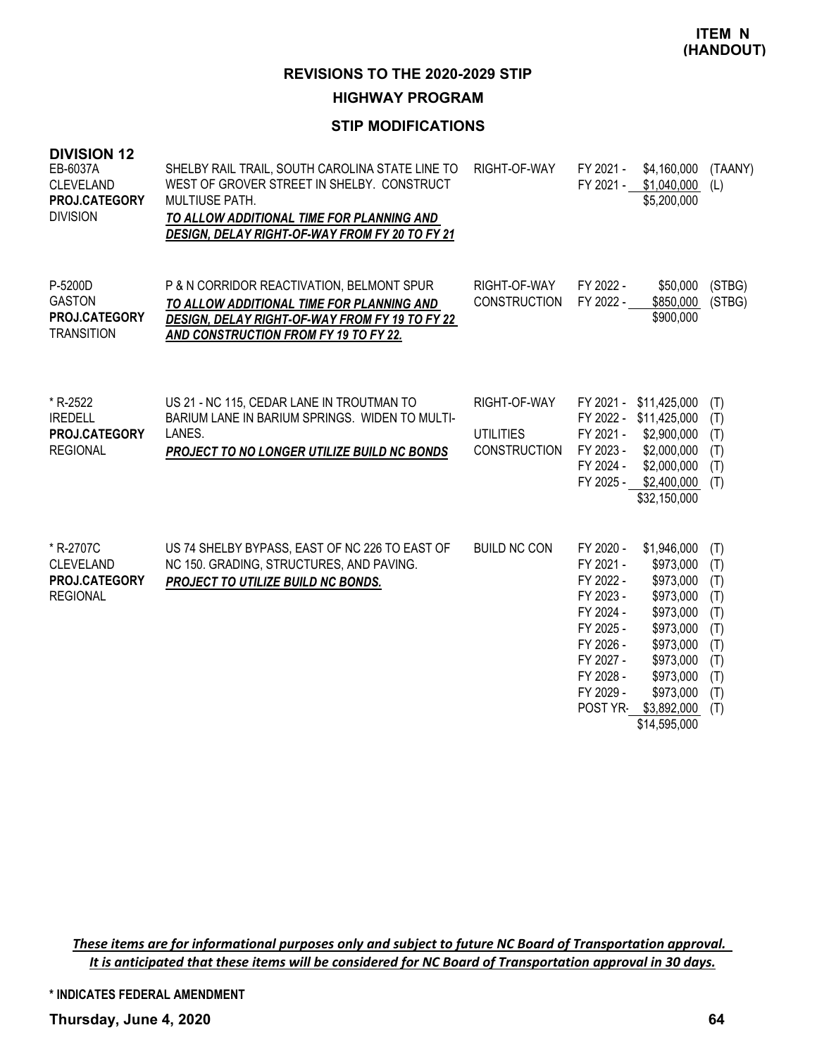# **HIGHWAY PROGRAM**

# **STIP MODIFICATIONS**

| <b>DIVISION 12</b><br>EB-6037A<br><b>CLEVELAND</b><br>PROJ.CATEGORY<br><b>DIVISION</b> | SHELBY RAIL TRAIL, SOUTH CAROLINA STATE LINE TO<br>WEST OF GROVER STREET IN SHELBY. CONSTRUCT<br>MULTIUSE PATH.<br>TO ALLOW ADDITIONAL TIME FOR PLANNING AND<br>DESIGN, DELAY RIGHT-OF-WAY FROM FY 20 TO FY 21 | RIGHT-OF-WAY                                            | FY 2021 -                                                                                                                      | \$4,160,000<br>FY 2021 - \$1,040,000<br>\$5,200,000                                                                                                                      | (TAANY)<br>(L)                                                            |
|----------------------------------------------------------------------------------------|----------------------------------------------------------------------------------------------------------------------------------------------------------------------------------------------------------------|---------------------------------------------------------|--------------------------------------------------------------------------------------------------------------------------------|--------------------------------------------------------------------------------------------------------------------------------------------------------------------------|---------------------------------------------------------------------------|
| P-5200D<br><b>GASTON</b><br>PROJ.CATEGORY<br><b>TRANSITION</b>                         | P & N CORRIDOR REACTIVATION, BELMONT SPUR<br>TO ALLOW ADDITIONAL TIME FOR PLANNING AND<br>DESIGN, DELAY RIGHT-OF-WAY FROM FY 19 TO FY 22<br>AND CONSTRUCTION FROM FY 19 TO FY 22.                              | RIGHT-OF-WAY<br><b>CONSTRUCTION</b>                     | FY 2022 -<br>FY 2022 -                                                                                                         | \$50,000<br>\$850,000<br>\$900,000                                                                                                                                       | (STBG)<br>(STBG)                                                          |
| * R-2522<br><b>IREDELL</b><br><b>PROJ.CATEGORY</b><br><b>REGIONAL</b>                  | US 21 - NC 115, CEDAR LANE IN TROUTMAN TO<br>BARIUM LANE IN BARIUM SPRINGS. WIDEN TO MULTI-<br>LANES.<br><b>PROJECT TO NO LONGER UTILIZE BUILD NC BONDS</b>                                                    | RIGHT-OF-WAY<br><b>UTILITIES</b><br><b>CONSTRUCTION</b> | FY 2021 -<br>FY 2021 -<br>FY 2023 -<br>FY 2024 -                                                                               | \$11,425,000<br>FY 2022 - \$11,425,000<br>\$2,900,000<br>\$2,000,000<br>\$2,000,000<br>FY 2025 - \$2,400,000<br>\$32,150,000                                             | (T)<br>(T)<br>(T)<br>(T)<br>(T)<br>(T)                                    |
| * R-2707C<br><b>CLEVELAND</b><br>PROJ.CATEGORY<br><b>REGIONAL</b>                      | US 74 SHELBY BYPASS, EAST OF NC 226 TO EAST OF<br>NC 150. GRADING, STRUCTURES, AND PAVING.<br>PROJECT TO UTILIZE BUILD NC BONDS.                                                                               | <b>BUILD NC CON</b>                                     | FY 2020 -<br>FY 2021 -<br>FY 2022 -<br>FY 2023 -<br>FY 2024 -<br>FY 2025 -<br>FY 2026 -<br>FY 2027 -<br>FY 2028 -<br>FY 2029 - | \$1,946,000<br>\$973,000<br>\$973,000<br>\$973,000<br>\$973,000<br>\$973,000<br>\$973,000<br>\$973,000<br>\$973,000<br>\$973,000<br>POST YR- \$3,892,000<br>\$14,595,000 | (T)<br>(T)<br>(T)<br>(T)<br>(T)<br>(T)<br>(T)<br>(T)<br>(T)<br>(T)<br>(T) |

These items are for informational purposes only and subject to future NC Board of Transportation approval. It is anticipated that these items will be considered for NC Board of Transportation approval in 30 days.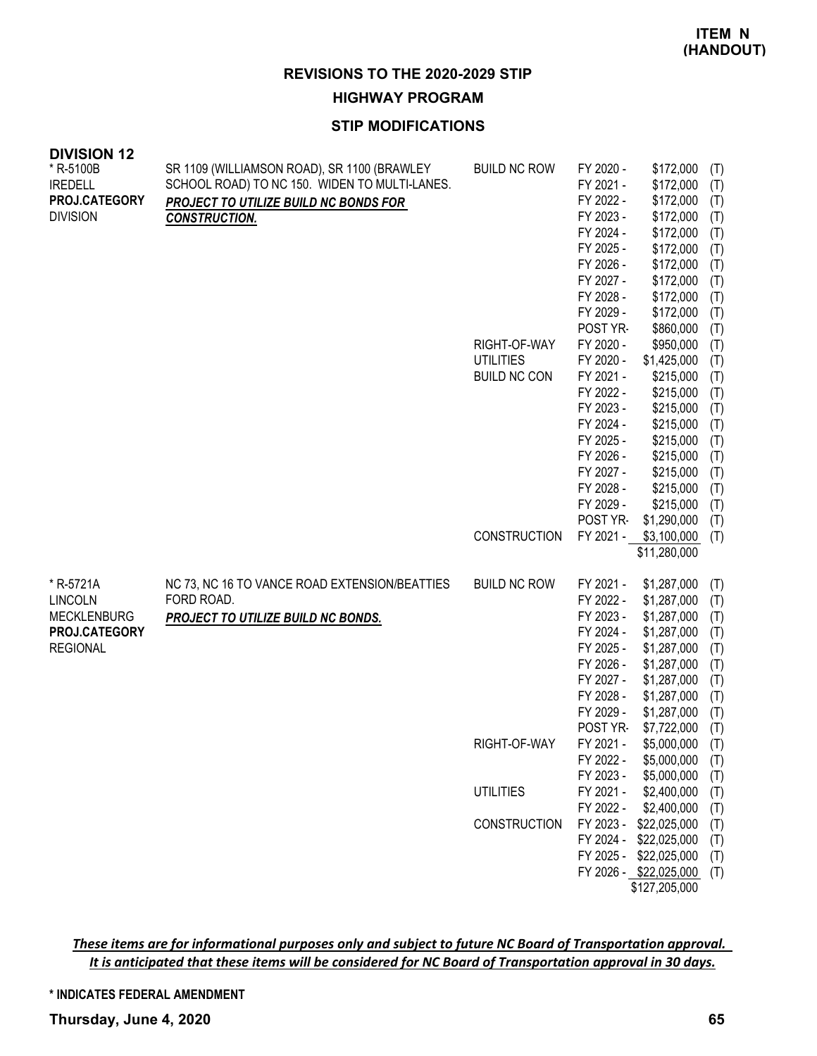**HIGHWAY PROGRAM**

# **STIP MODIFICATIONS**

| <b>DIVISION 12</b><br>* R-5100B<br><b>IREDELL</b><br>PROJ.CATEGORY<br><b>DIVISION</b> | SR 1109 (WILLIAMSON ROAD), SR 1100 (BRAWLEY<br>SCHOOL ROAD) TO NC 150. WIDEN TO MULTI-LANES.<br>PROJECT TO UTILIZE BUILD NC BONDS FOR<br><b>CONSTRUCTION.</b> | <b>BUILD NC ROW</b><br>RIGHT-OF-WAY<br><b>UTILITIES</b><br><b>BUILD NC CON</b> | FY 2020 -<br>FY 2021 -<br>FY 2022 -<br>FY 2023 -<br>FY 2024 -<br>FY 2025 -<br>FY 2026 -<br>FY 2027 -<br>FY 2028 -<br>FY 2029 -<br>POST YR-<br>FY 2020 -<br>FY 2020 -<br>FY 2021 -<br>FY 2022 -<br>FY 2023 -<br>FY 2024 -<br>FY 2025 -<br>FY 2026 -<br>FY 2027 -<br>FY 2028 -<br>FY 2029 -<br>POST YR- | \$172,000<br>\$172,000<br>\$172,000<br>\$172,000<br>\$172,000<br>\$172,000<br>\$172,000<br>\$172,000<br>\$172,000<br>\$172,000<br>\$860,000<br>\$950,000<br>\$1,425,000<br>\$215,000<br>\$215,000<br>\$215,000<br>\$215,000<br>\$215,000<br>\$215,000<br>\$215,000<br>\$215,000<br>\$215,000<br>\$1,290,000 | (T)<br>(T)<br>(T)<br>(T)<br>(T)<br>(T)<br>(T)<br>(T)<br>(T)<br>(T)<br>(T)<br>(T)<br>(T)<br>(T)<br>(T)<br>(T)<br>(T)<br>(T)<br>(T)<br>(T)<br>(T)<br>(T)<br>(T) |
|---------------------------------------------------------------------------------------|---------------------------------------------------------------------------------------------------------------------------------------------------------------|--------------------------------------------------------------------------------|-------------------------------------------------------------------------------------------------------------------------------------------------------------------------------------------------------------------------------------------------------------------------------------------------------|-------------------------------------------------------------------------------------------------------------------------------------------------------------------------------------------------------------------------------------------------------------------------------------------------------------|---------------------------------------------------------------------------------------------------------------------------------------------------------------|
|                                                                                       |                                                                                                                                                               | <b>CONSTRUCTION</b>                                                            | FY 2021 -                                                                                                                                                                                                                                                                                             | \$3,100,000<br>\$11,280,000                                                                                                                                                                                                                                                                                 | (T)                                                                                                                                                           |
| * R-5721A<br><b>LINCOLN</b><br><b>MECKLENBURG</b><br>PROJ.CATEGORY<br><b>REGIONAL</b> | NC 73, NC 16 TO VANCE ROAD EXTENSION/BEATTIES<br>FORD ROAD.<br>PROJECT TO UTILIZE BUILD NC BONDS.                                                             | <b>BUILD NC ROW</b>                                                            | FY 2021 -<br>FY 2022 -<br>FY 2023 -<br>FY 2024 -<br>FY 2025 -<br>FY 2026 -<br>FY 2027 -<br>FY 2028 -<br>FY 2029 -<br>POST YR-                                                                                                                                                                         | \$1,287,000<br>\$1,287,000<br>\$1,287,000<br>\$1,287,000<br>\$1,287,000<br>\$1,287,000<br>\$1,287,000<br>\$1,287,000<br>\$1,287,000<br>\$7,722,000                                                                                                                                                          | (T)<br>(T)<br>(T)<br>(T)<br>(T)<br>(T)<br>(T)<br>(T)<br>(T)<br>(T)                                                                                            |
|                                                                                       |                                                                                                                                                               | RIGHT-OF-WAY                                                                   | FY 2021 -<br>FY 2022 -<br>FY 2023 -                                                                                                                                                                                                                                                                   | \$5,000,000<br>\$5,000,000<br>\$5,000,000                                                                                                                                                                                                                                                                   | (T)<br>(T)                                                                                                                                                    |
|                                                                                       |                                                                                                                                                               | <b>UTILITIES</b>                                                               | FY 2021 -<br>FY 2022 -                                                                                                                                                                                                                                                                                | \$2,400,000<br>\$2,400,000                                                                                                                                                                                                                                                                                  | (T)<br>(T)<br>(T)                                                                                                                                             |
|                                                                                       |                                                                                                                                                               | <b>CONSTRUCTION</b>                                                            | FY 2023 -<br>FY 2024 -<br>FY 2025 -<br>FY 2026 -                                                                                                                                                                                                                                                      | \$22,025,000<br>\$22,025,000<br>\$22,025,000<br>\$22,025,000<br>\$127,205,000                                                                                                                                                                                                                               | (T)<br>(T)<br>(T)<br>(T)                                                                                                                                      |

These items are for informational purposes only and subject to future NC Board of Transportation approval. It is anticipated that these items will be considered for NC Board of Transportation approval in 30 days.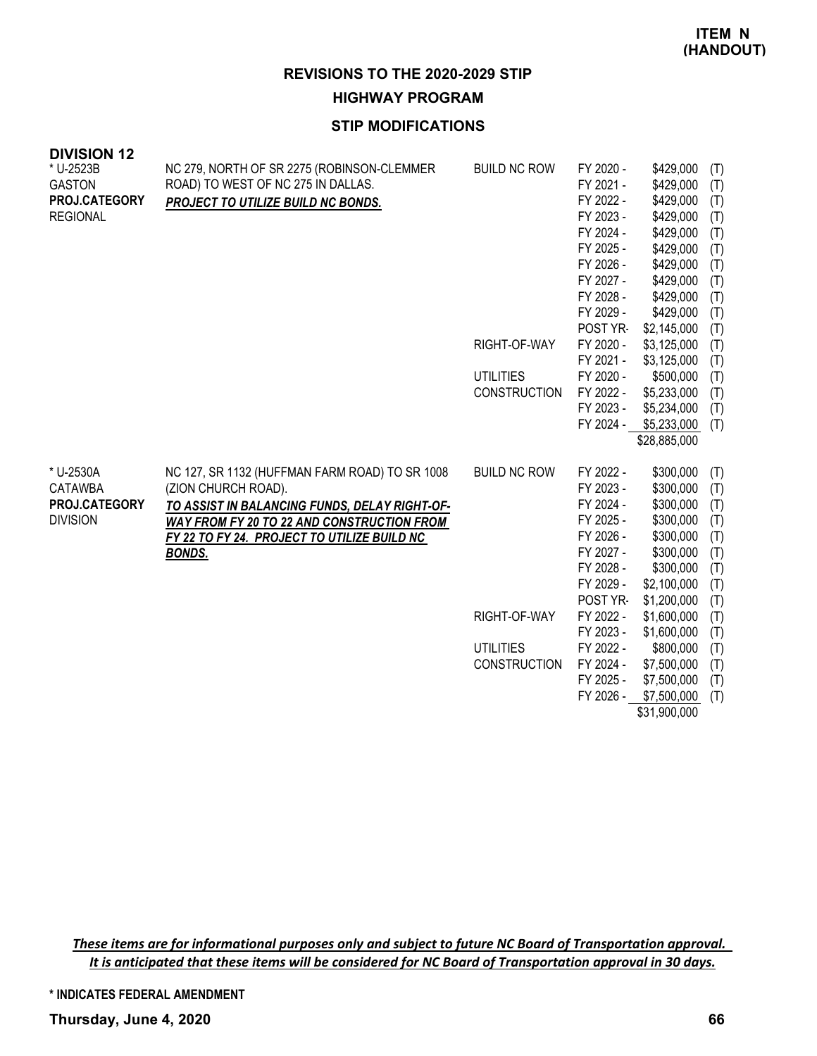**HIGHWAY PROGRAM**

# **STIP MODIFICATIONS**

| <b>DIVISION 12</b><br>* U-2523B<br><b>GASTON</b><br>PROJ.CATEGORY<br><b>REGIONAL</b> | NC 279, NORTH OF SR 2275 (ROBINSON-CLEMMER<br>ROAD) TO WEST OF NC 275 IN DALLAS.<br>PROJECT TO UTILIZE BUILD NC BONDS.                                                                                                               | <b>BUILD NC ROW</b><br>RIGHT-OF-WAY<br><b>UTILITIES</b><br><b>CONSTRUCTION</b> | FY 2020 -<br>FY 2021 -<br>FY 2022 -<br>FY 2023 -<br>FY 2024 -<br>FY 2025 -<br>FY 2026 -<br>FY 2027 -<br>FY 2028 -<br>FY 2029 -<br>POST YR-<br>FY 2020 -<br>FY 2021 -<br>FY 2020 -<br>FY 2022 -<br>FY 2023 - | \$429,000<br>\$429,000<br>\$429,000<br>\$429,000<br>\$429,000<br>\$429,000<br>\$429,000<br>\$429,000<br>\$429,000<br>\$429,000<br>\$2,145,000<br>\$3,125,000<br>\$3,125,000<br>\$500,000<br>\$5,233,000<br>\$5,234,000 | (T)<br>(T)<br>(T)<br>(T)<br>(T)<br>(T)<br>(T)<br>(T)<br>(T)<br>(T)<br>(T)<br>(T)<br>(T)<br>(T)<br>(T)<br>(T) |
|--------------------------------------------------------------------------------------|--------------------------------------------------------------------------------------------------------------------------------------------------------------------------------------------------------------------------------------|--------------------------------------------------------------------------------|-------------------------------------------------------------------------------------------------------------------------------------------------------------------------------------------------------------|------------------------------------------------------------------------------------------------------------------------------------------------------------------------------------------------------------------------|--------------------------------------------------------------------------------------------------------------|
|                                                                                      |                                                                                                                                                                                                                                      |                                                                                | FY 2024 -                                                                                                                                                                                                   | \$5,233,000                                                                                                                                                                                                            | (T)                                                                                                          |
|                                                                                      |                                                                                                                                                                                                                                      |                                                                                |                                                                                                                                                                                                             | \$28,885,000                                                                                                                                                                                                           |                                                                                                              |
| * U-2530A<br><b>CATAWBA</b><br>PROJ.CATEGORY<br><b>DIVISION</b>                      | NC 127, SR 1132 (HUFFMAN FARM ROAD) TO SR 1008<br>(ZION CHURCH ROAD).<br>TO ASSIST IN BALANCING FUNDS, DELAY RIGHT-OF-<br>WAY FROM FY 20 TO 22 AND CONSTRUCTION FROM<br>FY 22 TO FY 24. PROJECT TO UTILIZE BUILD NC<br><b>BONDS.</b> | <b>BUILD NC ROW</b>                                                            | FY 2022 -<br>FY 2023 -<br>FY 2024 -<br>FY 2025 -<br>FY 2026 -<br>FY 2027 -<br>FY 2028 -<br>FY 2029 -<br>POST YR-                                                                                            | \$300,000<br>\$300,000<br>\$300,000<br>\$300,000<br>\$300,000<br>\$300,000<br>\$300,000<br>\$2,100,000<br>\$1,200,000                                                                                                  | (T)<br>(T)<br>(T)<br>(T)<br>(T)<br>(T)<br>(T)<br>(T)<br>(T)                                                  |
|                                                                                      |                                                                                                                                                                                                                                      | RIGHT-OF-WAY                                                                   | FY 2022 -                                                                                                                                                                                                   | \$1,600,000                                                                                                                                                                                                            | (T)                                                                                                          |
|                                                                                      |                                                                                                                                                                                                                                      | <b>UTILITIES</b>                                                               | FY 2023 -<br>FY 2022 -                                                                                                                                                                                      | \$1,600,000<br>\$800,000                                                                                                                                                                                               | (T)<br>(T)                                                                                                   |
|                                                                                      |                                                                                                                                                                                                                                      | <b>CONSTRUCTION</b>                                                            | FY 2024 -                                                                                                                                                                                                   | \$7,500,000                                                                                                                                                                                                            | (T)                                                                                                          |
|                                                                                      |                                                                                                                                                                                                                                      |                                                                                | FY 2025 -                                                                                                                                                                                                   | \$7,500,000                                                                                                                                                                                                            | (T)                                                                                                          |
|                                                                                      |                                                                                                                                                                                                                                      |                                                                                | FY 2026 -                                                                                                                                                                                                   | \$7,500,000                                                                                                                                                                                                            | (T)                                                                                                          |
|                                                                                      |                                                                                                                                                                                                                                      |                                                                                |                                                                                                                                                                                                             | \$31,900,000                                                                                                                                                                                                           |                                                                                                              |

These items are for informational purposes only and subject to future NC Board of Transportation approval. It is anticipated that these items will be considered for NC Board of Transportation approval in 30 days.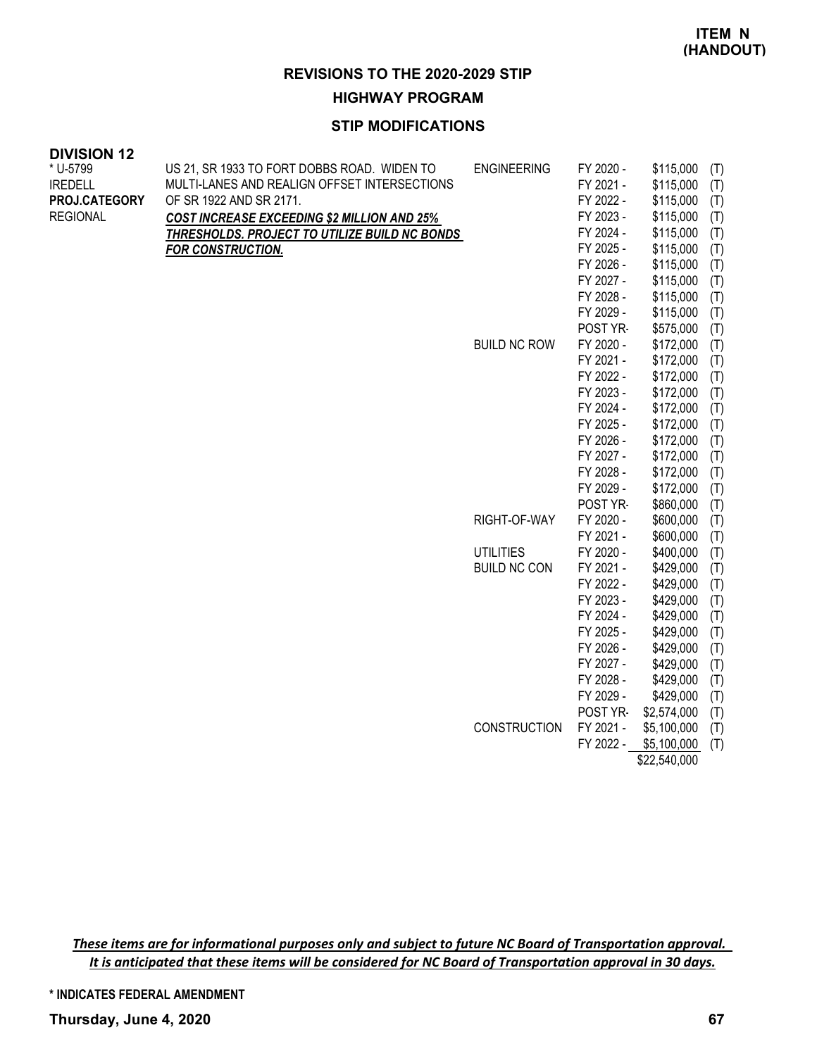#### **HIGHWAY PROGRAM**

#### **STIP MODIFICATIONS**

| <b>DIVISION 12</b> |                                                    |                     |           |           |     |
|--------------------|----------------------------------------------------|---------------------|-----------|-----------|-----|
| * U-5799           | US 21, SR 1933 TO FORT DOBBS ROAD. WIDEN TO        | <b>ENGINEERING</b>  | FY 2020 - | \$115,000 | (T) |
| <b>IREDELL</b>     | MULTI-LANES AND REALIGN OFFSET INTERSECTIONS       |                     | FY 2021 - | \$115,000 | (T) |
| PROJ.CATEGORY      | OF SR 1922 AND SR 2171.                            |                     | FY 2022 - | \$115,000 | (T) |
| <b>REGIONAL</b>    | <b>COST INCREASE EXCEEDING \$2 MILLION AND 25%</b> |                     | FY 2023 - | \$115,000 | (T) |
|                    | THRESHOLDS. PROJECT TO UTILIZE BUILD NC BONDS      |                     | FY 2024 - | \$115,000 | (T) |
|                    | <b>FOR CONSTRUCTION.</b>                           |                     | FY 2025 - | \$115,000 | (T) |
|                    |                                                    |                     | FY 2026 - | \$115,000 | (T) |
|                    |                                                    |                     | FY 2027 - | \$115,000 | (T) |
|                    |                                                    |                     | FY 2028 - | \$115,000 | (T) |
|                    |                                                    |                     | FY 2029 - | \$115,000 | (T) |
|                    |                                                    |                     | POST YR-  | \$575,000 | (T) |
|                    |                                                    | <b>BUILD NC ROW</b> | FY 2020 - | \$172,000 | (T) |
|                    |                                                    |                     | FY 2021 - | \$172,000 | (T) |
|                    |                                                    |                     | FY 2022 - | \$172,000 | (T) |
|                    |                                                    |                     | FY 2023 - | \$172,000 | (T) |
|                    |                                                    |                     | FY 2024 - | \$172,000 | (T) |
|                    |                                                    |                     | FY 2025 - | \$172,000 | (T) |
|                    |                                                    |                     | FY 2026 - | \$172,000 | (T) |
|                    |                                                    |                     | FY 2027 - | \$172,000 | (T) |
|                    |                                                    |                     | FY 2028 - | \$172,000 | (T) |
|                    |                                                    |                     | FY 2029 - | \$172,000 | (T) |
|                    |                                                    |                     | POST YR-  | \$860,000 | (T) |
|                    |                                                    | RIGHT-OF-WAY        | FY 2020 - | \$600,000 | (T) |
|                    |                                                    |                     | FY 2021 - | \$600,000 | (T) |
|                    |                                                    | <b>UTILITIES</b>    | FY 2020 - | \$400,000 | (T) |
|                    |                                                    | <b>BUILD NC CON</b> | FY 2021 - | \$429,000 | (T) |
|                    |                                                    |                     | FY 2022 - | \$429,000 | (T) |
|                    |                                                    |                     | FY 2023 - | \$429,000 | (T) |
|                    |                                                    |                     | FY 2024 - | \$429,000 | (T) |
|                    |                                                    |                     | FY 2025 - | \$429,000 | (T) |
|                    |                                                    |                     | FY 2026 - | \$429,000 | (T) |
|                    |                                                    |                     | FY 2027 - | \$429,000 | (T) |
|                    |                                                    |                     | FY 2028 - | \$429,000 | (T) |
|                    |                                                    |                     | FY 2029 - | \$429,000 | (T) |
|                    |                                                    |                     |           |           |     |

POST YR- \$2,574,000 (T) CONSTRUCTION FY 2021 - \$5,100,000 (T)  $FY$  2022  $-$  \$5,100,000  $(T)$ 

 $\overline{$22,540,000}$ 

These items are for informational purposes only and subject to future NC Board of Transportation approval. It is anticipated that these items will be considered for NC Board of Transportation approval in 30 days.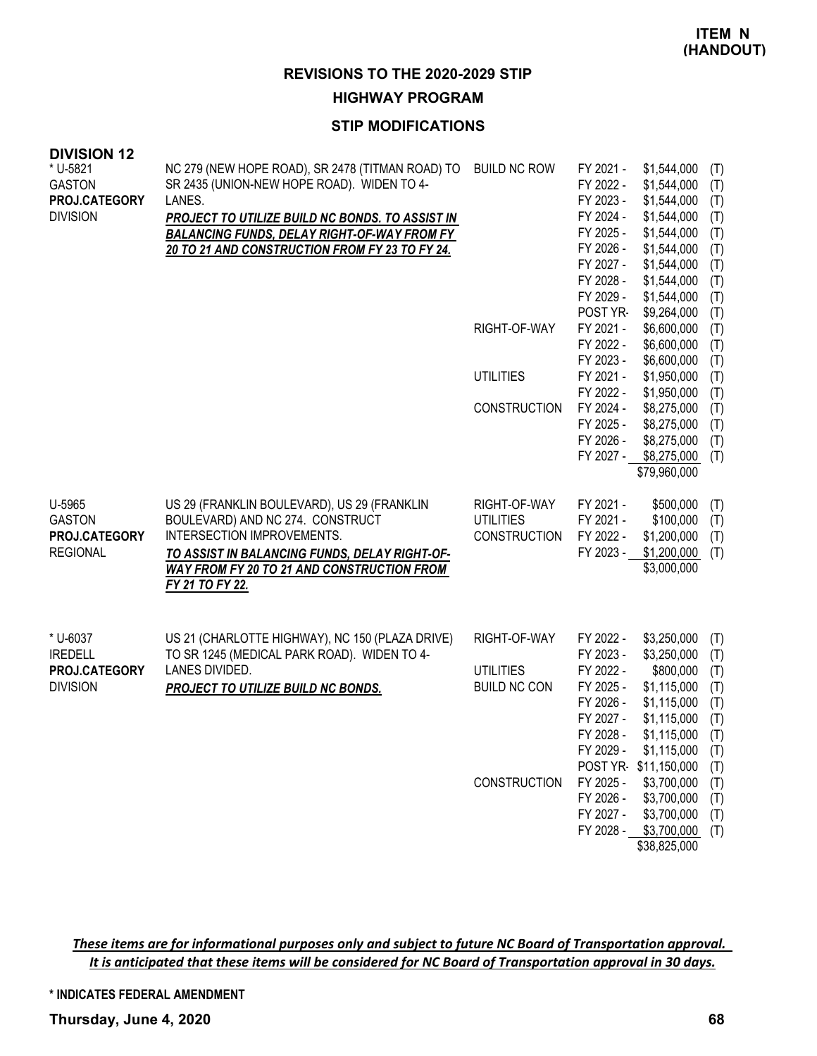#### **HIGHWAY PROGRAM**

#### **STIP MODIFICATIONS**

| <b>DIVISION 12</b>                         |                                                                                                          |                     |                                     |                                           |                   |
|--------------------------------------------|----------------------------------------------------------------------------------------------------------|---------------------|-------------------------------------|-------------------------------------------|-------------------|
| * U-5821<br><b>GASTON</b><br>PROJ.CATEGORY | NC 279 (NEW HOPE ROAD), SR 2478 (TITMAN ROAD) TO<br>SR 2435 (UNION-NEW HOPE ROAD). WIDEN TO 4-<br>LANES. | <b>BUILD NC ROW</b> | FY 2021 -<br>FY 2022 -<br>FY 2023 - | \$1,544,000<br>\$1,544,000<br>\$1,544,000 | (T)<br>(T)<br>(T) |
| <b>DIVISION</b>                            | <b>PROJECT TO UTILIZE BUILD NC BONDS. TO ASSIST IN</b>                                                   |                     | FY 2024 -                           | \$1,544,000                               | (T)               |
|                                            | <b>BALANCING FUNDS, DELAY RIGHT-OF-WAY FROM FY</b>                                                       |                     | FY 2025 -                           | \$1,544,000                               | (T)               |
|                                            | 20 TO 21 AND CONSTRUCTION FROM FY 23 TO FY 24.                                                           |                     | FY 2026 -                           | \$1,544,000                               | (T)               |
|                                            |                                                                                                          |                     | FY 2027 -                           | \$1,544,000                               | (T)               |
|                                            |                                                                                                          |                     | FY 2028 -                           | \$1,544,000                               | (T)               |
|                                            |                                                                                                          |                     | FY 2029 -<br>POST YR-               | \$1,544,000                               | (T)               |
|                                            |                                                                                                          | RIGHT-OF-WAY        | FY 2021 -                           | \$9,264,000<br>\$6,600,000                | (T)               |
|                                            |                                                                                                          |                     | FY 2022 -                           | \$6,600,000                               | (T)<br>(T)        |
|                                            |                                                                                                          |                     | FY 2023 -                           | \$6,600,000                               | (T)               |
|                                            |                                                                                                          | <b>UTILITIES</b>    | FY 2021 -                           | \$1,950,000                               | (T)               |
|                                            |                                                                                                          |                     | FY 2022 -                           | \$1,950,000                               | (T)               |
|                                            |                                                                                                          | <b>CONSTRUCTION</b> | FY 2024 -                           | \$8,275,000                               | (T)               |
|                                            |                                                                                                          |                     | FY 2025 -                           | \$8,275,000                               | (T)               |
|                                            |                                                                                                          |                     | FY 2026 -                           | \$8,275,000                               | (T)               |
|                                            |                                                                                                          |                     | FY 2027 -                           | \$8,275,000                               | (T)               |
|                                            |                                                                                                          |                     |                                     | \$79,960,000                              |                   |
| U-5965                                     | US 29 (FRANKLIN BOULEVARD), US 29 (FRANKLIN                                                              | RIGHT-OF-WAY        | FY 2021 -                           | \$500,000                                 | (T)               |
| <b>GASTON</b>                              | BOULEVARD) AND NC 274. CONSTRUCT                                                                         | <b>UTILITIES</b>    | FY 2021 -                           | \$100,000                                 | (T)               |
| PROJ.CATEGORY                              | INTERSECTION IMPROVEMENTS.                                                                               | <b>CONSTRUCTION</b> | FY 2022 -                           | \$1,200,000                               | (T)               |
| <b>REGIONAL</b>                            | TO ASSIST IN BALANCING FUNDS, DELAY RIGHT-OF-                                                            |                     | FY 2023 -                           | \$1,200,000                               | (T)               |
|                                            | <b>WAY FROM FY 20 TO 21 AND CONSTRUCTION FROM</b>                                                        |                     |                                     | \$3,000,000                               |                   |
|                                            | FY 21 TO FY 22.                                                                                          |                     |                                     |                                           |                   |
|                                            |                                                                                                          |                     |                                     |                                           |                   |
| * U-6037                                   | US 21 (CHARLOTTE HIGHWAY), NC 150 (PLAZA DRIVE)                                                          | RIGHT-OF-WAY        | FY 2022 -                           | \$3,250,000                               | (T)               |
| <b>IREDELL</b>                             | TO SR 1245 (MEDICAL PARK ROAD). WIDEN TO 4-                                                              |                     | FY 2023 -                           | \$3,250,000                               | (T)               |
| PROJ.CATEGORY                              | LANES DIVIDED.                                                                                           | <b>UTILITIES</b>    | FY 2022 -                           | \$800,000                                 | (T)               |
| <b>DIVISION</b>                            | PROJECT TO UTILIZE BUILD NC BONDS.                                                                       | <b>BUILD NC CON</b> | FY 2025 -                           | \$1,115,000                               | (T)               |
|                                            |                                                                                                          |                     | FY 2026 -<br>FY 2027 -              | \$1,115,000<br>\$1,115,000                | (T)               |
|                                            |                                                                                                          |                     | FY 2028 -                           | \$1,115,000                               | (T)<br>(T)        |
|                                            |                                                                                                          |                     | FY 2029 -                           | \$1,115,000                               | (T)               |
|                                            |                                                                                                          |                     | POST YR-                            | \$11,150,000                              | (T)               |
|                                            |                                                                                                          | CONSTRUCTION        | FY 2025 -                           | \$3,700,000                               | (T)               |
|                                            |                                                                                                          |                     | FY 2026 -                           | \$3,700,000                               | (T)               |
|                                            |                                                                                                          |                     | FY 2027 -                           | \$3,700,000                               | (T)               |
|                                            |                                                                                                          |                     | FY 2028 -                           | \$3,700,000                               | (T)               |
|                                            |                                                                                                          |                     |                                     | \$38,825,000                              |                   |

These items are for informational purposes only and subject to future NC Board of Transportation approval. It is anticipated that these items will be considered for NC Board of Transportation approval in 30 days.

**\* INDICATES FEDERAL AMENDMENT**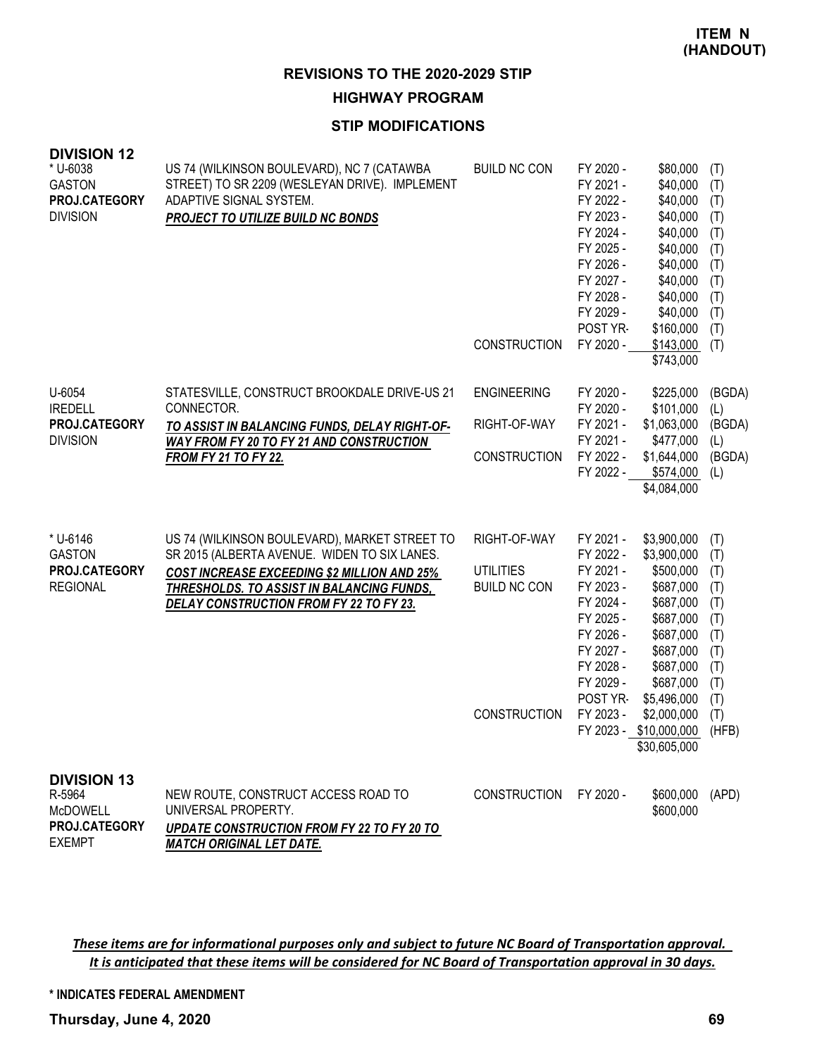#### **HIGHWAY PROGRAM**

#### **STIP MODIFICATIONS**

| <b>DIVISION 12</b><br>* U-6038<br><b>GASTON</b><br>PROJ.CATEGORY<br><b>DIVISION</b> | US 74 (WILKINSON BOULEVARD), NC 7 (CATAWBA<br>STREET) TO SR 2209 (WESLEYAN DRIVE). IMPLEMENT<br>ADAPTIVE SIGNAL SYSTEM.<br><b>PROJECT TO UTILIZE BUILD NC BONDS</b>                                                                         | <b>BUILD NC CON</b><br><b>CONSTRUCTION</b>                                     | FY 2020 -<br>FY 2021 -<br>FY 2022 -<br>FY 2023 -<br>FY 2024 -<br>FY 2025 -<br>FY 2026 -<br>FY 2027 -<br>FY 2028 -<br>FY 2029 -<br>POST YR-<br>FY 2020 - | \$80,000<br>\$40,000<br>\$40,000<br>\$40,000<br>\$40,000<br>\$40,000<br>\$40,000<br>\$40,000<br>\$40,000<br>\$40,000<br>\$160,000<br>\$143,000<br>\$743,000                                                | (T)<br>(T)<br>(T)<br>(T)<br>(T)<br>(T)<br>(T)<br>(T)<br>(T)<br>(T)<br>(T)<br>(T)          |
|-------------------------------------------------------------------------------------|---------------------------------------------------------------------------------------------------------------------------------------------------------------------------------------------------------------------------------------------|--------------------------------------------------------------------------------|---------------------------------------------------------------------------------------------------------------------------------------------------------|------------------------------------------------------------------------------------------------------------------------------------------------------------------------------------------------------------|-------------------------------------------------------------------------------------------|
| U-6054<br><b>IREDELL</b><br>PROJ.CATEGORY<br><b>DIVISION</b>                        | STATESVILLE, CONSTRUCT BROOKDALE DRIVE-US 21<br>CONNECTOR.<br>TO ASSIST IN BALANCING FUNDS, DELAY RIGHT-OF-<br><b>WAY FROM FY 20 TO FY 21 AND CONSTRUCTION</b><br><b>FROM FY 21 TO FY 22.</b>                                               | <b>ENGINEERING</b><br>RIGHT-OF-WAY<br><b>CONSTRUCTION</b>                      | FY 2020 -<br>FY 2020 -<br>FY 2021 -<br>FY 2021 -<br>FY 2022 -<br>FY 2022 -                                                                              | \$225,000<br>\$101,000<br>\$1,063,000<br>\$477,000<br>\$1,644,000<br>\$574,000<br>\$4,084,000                                                                                                              | (BGDA)<br>(L)<br>(BGDA)<br>(L)<br>(BGDA)<br>(L)                                           |
| * U-6146<br><b>GASTON</b><br>PROJ.CATEGORY<br><b>REGIONAL</b>                       | US 74 (WILKINSON BOULEVARD), MARKET STREET TO<br>SR 2015 (ALBERTA AVENUE. WIDEN TO SIX LANES.<br><b>COST INCREASE EXCEEDING \$2 MILLION AND 25%</b><br>THRESHOLDS. TO ASSIST IN BALANCING FUNDS,<br>DELAY CONSTRUCTION FROM FY 22 TO FY 23. | RIGHT-OF-WAY<br><b>UTILITIES</b><br><b>BUILD NC CON</b><br><b>CONSTRUCTION</b> | FY 2021 -<br>FY 2022 -<br>FY 2021 -<br>FY 2023 -<br>FY 2024 -<br>FY 2025 -<br>FY 2026 -<br>FY 2027 -<br>FY 2028 -<br>FY 2029 -<br>POST YR-<br>FY 2023 - | \$3,900,000<br>\$3,900,000<br>\$500,000<br>\$687,000<br>\$687,000<br>\$687,000<br>\$687,000<br>\$687,000<br>\$687,000<br>\$687,000<br>\$5,496,000<br>\$2,000,000<br>FY 2023 - \$10,000,000<br>\$30,605,000 | (T)<br>(T)<br>(T)<br>(T)<br>(T)<br>(T)<br>(T)<br>(T)<br>(T)<br>(T)<br>(T)<br>(T)<br>(HFB) |
| <b>DIVISION 13</b><br>R-5964<br><b>McDOWELL</b><br>PROJ.CATEGORY<br><b>EXEMPT</b>   | NEW ROUTE, CONSTRUCT ACCESS ROAD TO<br>UNIVERSAL PROPERTY.<br>UPDATE CONSTRUCTION FROM FY 22 TO FY 20 TO<br><b>MATCH ORIGINAL LET DATE.</b>                                                                                                 | <b>CONSTRUCTION</b>                                                            | FY 2020 -                                                                                                                                               | \$600,000<br>\$600,000                                                                                                                                                                                     | (APD)                                                                                     |

These items are for informational purposes only and subject to future NC Board of Transportation approval. It is anticipated that these items will be considered for NC Board of Transportation approval in 30 days.

**\* INDICATES FEDERAL AMENDMENT**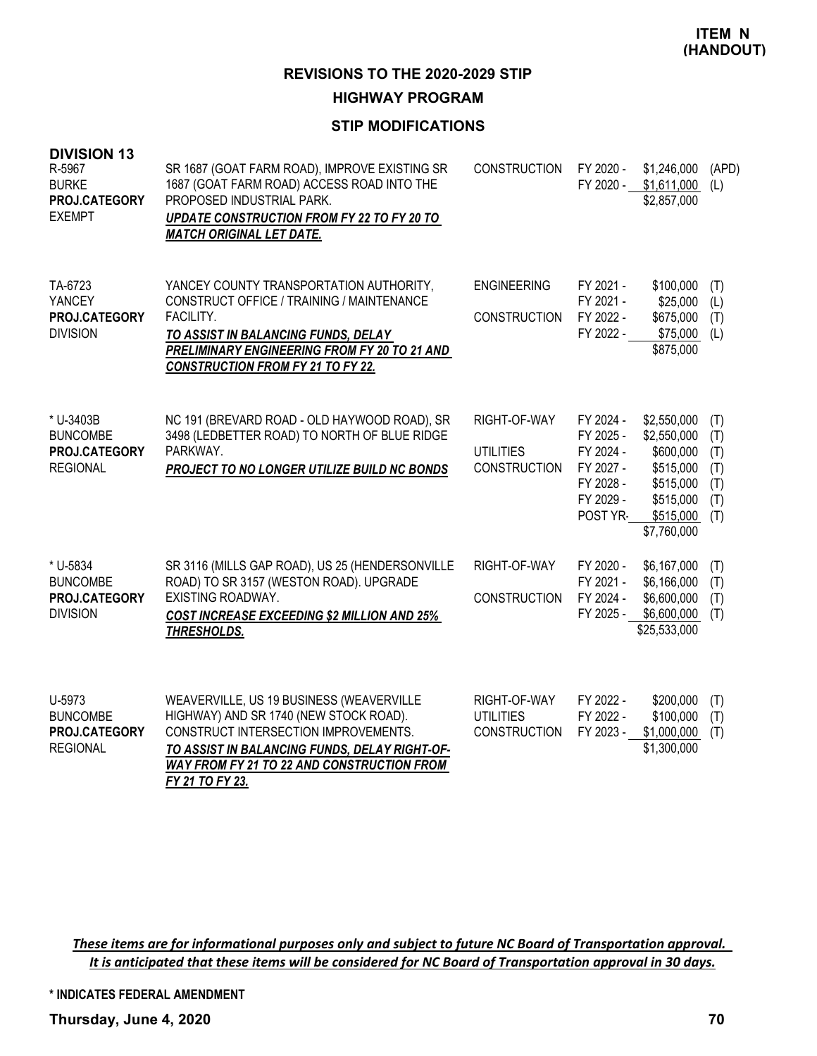# **HIGHWAY PROGRAM**

# **STIP MODIFICATIONS**

| <b>DIVISION 13</b><br>R-5967<br><b>BURKE</b><br>PROJ.CATEGORY<br><b>EXEMPT</b> | SR 1687 (GOAT FARM ROAD), IMPROVE EXISTING SR<br>1687 (GOAT FARM ROAD) ACCESS ROAD INTO THE<br>PROPOSED INDUSTRIAL PARK.<br>UPDATE CONSTRUCTION FROM FY 22 TO FY 20 TO<br><b>MATCH ORIGINAL LET DATE.</b>                                           | <b>CONSTRUCTION</b>                                     | FY 2020 -<br>FY 2020 -                                                                 | \$1,246,000<br>\$1,611,000<br>\$2,857,000                                                                  | (APD)<br>(L)                                  |
|--------------------------------------------------------------------------------|-----------------------------------------------------------------------------------------------------------------------------------------------------------------------------------------------------------------------------------------------------|---------------------------------------------------------|----------------------------------------------------------------------------------------|------------------------------------------------------------------------------------------------------------|-----------------------------------------------|
| TA-6723<br>YANCEY<br>PROJ.CATEGORY<br><b>DIVISION</b>                          | YANCEY COUNTY TRANSPORTATION AUTHORITY,<br>CONSTRUCT OFFICE / TRAINING / MAINTENANCE<br>FACILITY.<br>TO ASSIST IN BALANCING FUNDS, DELAY<br>PRELIMINARY ENGINEERING FROM FY 20 TO 21 AND<br><b>CONSTRUCTION FROM FY 21 TO FY 22.</b>                | <b>ENGINEERING</b><br><b>CONSTRUCTION</b>               | FY 2021 -<br>FY 2021 -<br>FY 2022 -<br>FY 2022 -                                       | \$100,000<br>\$25,000<br>\$675,000<br>\$75,000<br>\$875,000                                                | (T)<br>(L)<br>(T)<br>(L)                      |
| * U-3403B<br><b>BUNCOMBE</b><br>PROJ.CATEGORY<br><b>REGIONAL</b>               | NC 191 (BREVARD ROAD - OLD HAYWOOD ROAD), SR<br>3498 (LEDBETTER ROAD) TO NORTH OF BLUE RIDGE<br>PARKWAY.<br>PROJECT TO NO LONGER UTILIZE BUILD NC BONDS                                                                                             | RIGHT-OF-WAY<br><b>UTILITIES</b><br><b>CONSTRUCTION</b> | FY 2024 -<br>FY 2025 -<br>FY 2024 -<br>FY 2027 -<br>FY 2028 -<br>FY 2029 -<br>POST YR- | \$2,550,000<br>\$2,550,000<br>\$600,000<br>\$515,000<br>\$515,000<br>\$515,000<br>\$515,000<br>\$7,760,000 | (T)<br>(T)<br>(T)<br>(T)<br>(T)<br>(T)<br>(T) |
| * U-5834<br><b>BUNCOMBE</b><br>PROJ.CATEGORY<br><b>DIVISION</b>                | SR 3116 (MILLS GAP ROAD), US 25 (HENDERSONVILLE<br>ROAD) TO SR 3157 (WESTON ROAD). UPGRADE<br><b>EXISTING ROADWAY.</b><br><b>COST INCREASE EXCEEDING \$2 MILLION AND 25%</b><br>THRESHOLDS.                                                         | RIGHT-OF-WAY<br><b>CONSTRUCTION</b>                     | FY 2020 -<br>FY 2021 -<br>FY 2024 -<br>FY 2025 -                                       | \$6,167,000<br>\$6,166,000<br>\$6,600,000<br>\$6,600,000<br>\$25,533,000                                   | (T)<br>(T)<br>(T)<br>(T)                      |
| U-5973<br><b>BUNCOMBE</b><br>PROJ.CATEGORY<br><b>REGIONAL</b>                  | WEAVERVILLE, US 19 BUSINESS (WEAVERVILLE<br>HIGHWAY) AND SR 1740 (NEW STOCK ROAD).<br>CONSTRUCT INTERSECTION IMPROVEMENTS.<br>TO ASSIST IN BALANCING FUNDS, DELAY RIGHT-OF-<br><b>WAY FROM FY 21 TO 22 AND CONSTRUCTION FROM</b><br>FY 21 TO FY 23. | RIGHT-OF-WAY<br><b>UTILITIES</b><br><b>CONSTRUCTION</b> | FY 2022 -<br>FY 2022 -<br>FY 2023 -                                                    | \$200,000<br>\$100,000<br>\$1,000,000<br>\$1,300,000                                                       | (T)<br>(T)<br>(T)                             |

These items are for informational purposes only and subject to future NC Board of Transportation approval. It is anticipated that these items will be considered for NC Board of Transportation approval in 30 days.

**\* INDICATES FEDERAL AMENDMENT**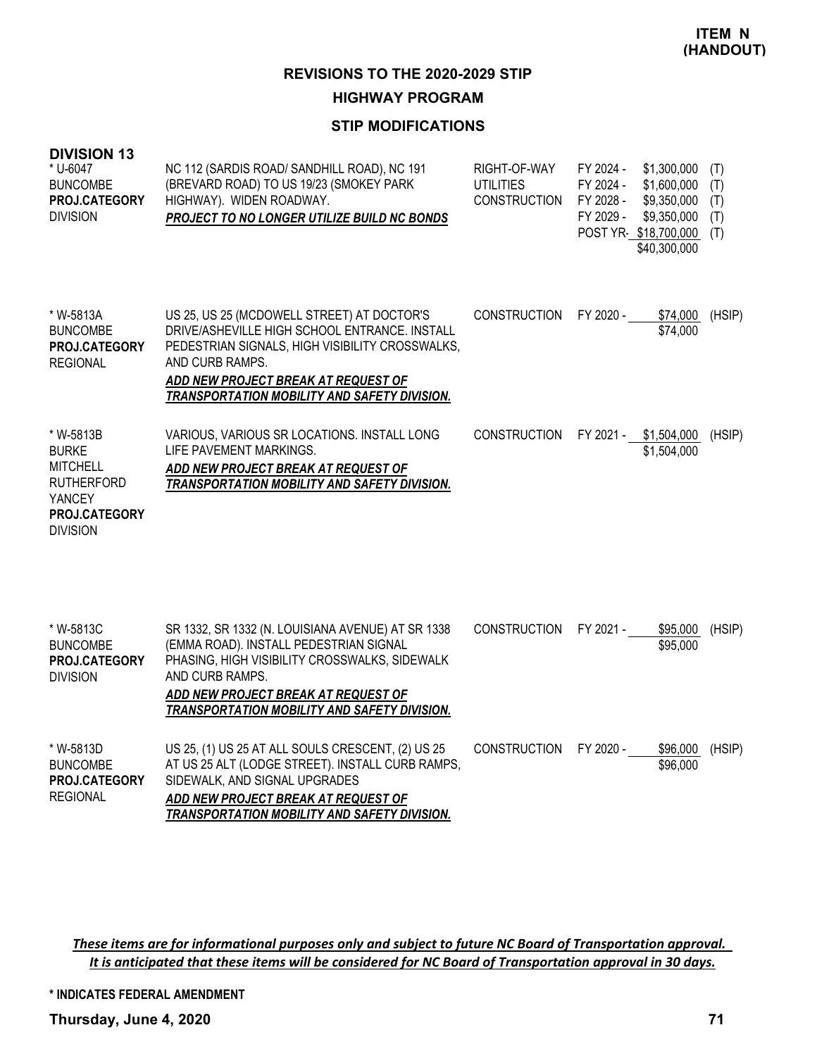## **HIGHWAY PROGRAM**

## **STIP MODIFICATIONS**

| <b>DIVISION 13</b><br>* U-6047<br><b>BUNCOMBE</b><br>PROJ.CATEGORY<br><b>DIVISION</b>                           | NC 112 (SARDIS ROAD/ SANDHILL ROAD), NC 191<br>(BREVARD ROAD) TO US 19/23 (SMOKEY PARK<br>HIGHWAY). WIDEN ROADWAY.<br>PROJECT TO NO LONGER UTILIZE BUILD NC BONDS                                                                                        | RIGHT-OF-WAY<br><b>UTILITIES</b><br><b>CONSTRUCTION</b> | FY 2024 -<br>FY 2024 -<br>FY 2028 -<br>FY 2029 - | \$1,300,000<br>\$1,600,000<br>\$9,350,000<br>\$9,350,000<br>POST YR \$18,700,000<br>\$40,300,000 | (T)<br>(T)<br>(T)<br>(T)<br>(T) |
|-----------------------------------------------------------------------------------------------------------------|----------------------------------------------------------------------------------------------------------------------------------------------------------------------------------------------------------------------------------------------------------|---------------------------------------------------------|--------------------------------------------------|--------------------------------------------------------------------------------------------------|---------------------------------|
| * W-5813A<br><b>BUNCOMBE</b><br><b>PROJ.CATEGORY</b><br><b>REGIONAL</b>                                         | US 25, US 25 (MCDOWELL STREET) AT DOCTOR'S<br>DRIVE/ASHEVILLE HIGH SCHOOL ENTRANCE. INSTALL<br>PEDESTRIAN SIGNALS, HIGH VISIBILITY CROSSWALKS,<br>AND CURB RAMPS.<br>ADD NEW PROJECT BREAK AT REQUEST OF<br>TRANSPORTATION MOBILITY AND SAFETY DIVISION. | <b>CONSTRUCTION</b>                                     | FY 2020 -                                        | \$74,000<br>\$74,000                                                                             | (HSIP)                          |
| * W-5813B<br><b>BURKE</b><br><b>MITCHELL</b><br><b>RUTHERFORD</b><br>YANCEY<br>PROJ.CATEGORY<br><b>DIVISION</b> | VARIOUS, VARIOUS SR LOCATIONS. INSTALL LONG<br>LIFE PAVEMENT MARKINGS.<br>ADD NEW PROJECT BREAK AT REQUEST OF<br>TRANSPORTATION MOBILITY AND SAFETY DIVISION.                                                                                            | <b>CONSTRUCTION</b>                                     | FY 2021 -                                        | \$1,504,000<br>\$1,504,000                                                                       | (HSIP)                          |
| * W-5813C<br><b>BUNCOMBE</b><br><b>PROJ.CATEGORY</b><br><b>DIVISION</b>                                         | SR 1332, SR 1332 (N. LOUISIANA AVENUE) AT SR 1338<br>(EMMA ROAD). INSTALL PEDESTRIAN SIGNAL<br>PHASING, HIGH VISIBILITY CROSSWALKS, SIDEWALK<br>AND CURB RAMPS.<br>ADD NEW PROJECT BREAK AT REQUEST OF<br>TRANSPORTATION MOBILITY AND SAFETY DIVISION.   | <b>CONSTRUCTION</b>                                     | FY 2021 -                                        | \$95,000<br>\$95,000                                                                             | (HSIP)                          |
| * W-5813D<br><b>BUNCOMBE</b><br>PROJ.CATEGORY<br><b>REGIONAL</b>                                                | US 25, (1) US 25 AT ALL SOULS CRESCENT, (2) US 25<br>AT US 25 ALT (LODGE STREET). INSTALL CURB RAMPS,<br>SIDEWALK, AND SIGNAL UPGRADES<br>ADD NEW PROJECT BREAK AT REQUEST OF<br>TRANSPORTATION MOBILITY AND SAFETY DIVISION.                            | <b>CONSTRUCTION</b>                                     | FY 2020 -                                        | \$96,000<br>\$96,000                                                                             | (HSIP)                          |

These items are for informational purposes only and subject to future NC Board of Transportation approval. It is anticipated that these items will be considered for NC Board of Transportation approval in 30 days.

**\* INDICATES FEDERAL AMENDMENT**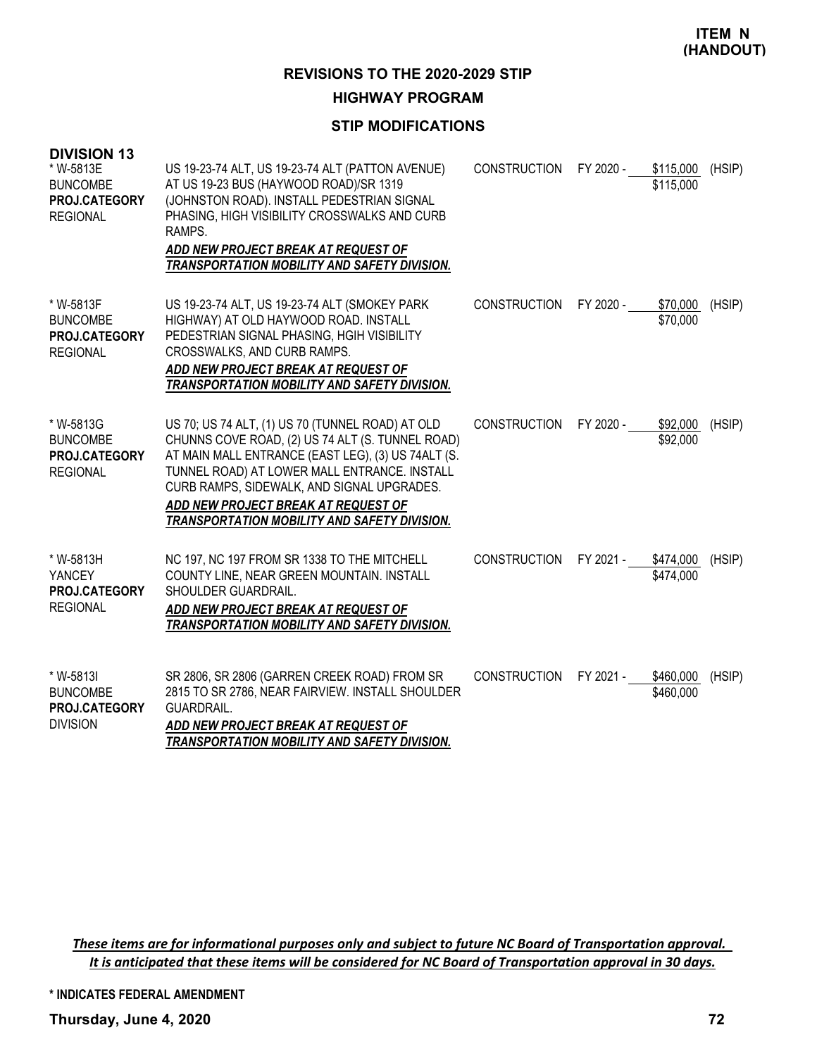**ITEM N (HANDOUT)**

**REVISIONS TO THE 2020-2029 STIP**

**HIGHWAY PROGRAM**

# **STIP MODIFICATIONS**

| <b>DIVISION 13</b><br>* W-5813E<br><b>BUNCOMBE</b><br>PROJ.CATEGORY<br><b>REGIONAL</b> | US 19-23-74 ALT, US 19-23-74 ALT (PATTON AVENUE)<br>AT US 19-23 BUS (HAYWOOD ROAD)/SR 1319<br>(JOHNSTON ROAD). INSTALL PEDESTRIAN SIGNAL<br>PHASING, HIGH VISIBILITY CROSSWALKS AND CURB<br>RAMPS.<br>ADD NEW PROJECT BREAK AT REQUEST OF<br><b>TRANSPORTATION MOBILITY AND SAFETY DIVISION.</b>                                                | CONSTRUCTION FY 2020 - |           | \$115,000<br>\$115,000 | (HSIP) |
|----------------------------------------------------------------------------------------|-------------------------------------------------------------------------------------------------------------------------------------------------------------------------------------------------------------------------------------------------------------------------------------------------------------------------------------------------|------------------------|-----------|------------------------|--------|
| * W-5813F<br><b>BUNCOMBE</b><br><b>PROJ.CATEGORY</b><br><b>REGIONAL</b>                | US 19-23-74 ALT, US 19-23-74 ALT (SMOKEY PARK<br>HIGHWAY) AT OLD HAYWOOD ROAD. INSTALL<br>PEDESTRIAN SIGNAL PHASING, HGIH VISIBILITY<br>CROSSWALKS, AND CURB RAMPS.<br>ADD NEW PROJECT BREAK AT REQUEST OF<br>TRANSPORTATION MOBILITY AND SAFETY DIVISION.                                                                                      | <b>CONSTRUCTION</b>    | FY 2020 - | \$70,000<br>\$70,000   | (HSIP) |
| * W-5813G<br><b>BUNCOMBE</b><br>PROJ.CATEGORY<br><b>REGIONAL</b>                       | US 70; US 74 ALT, (1) US 70 (TUNNEL ROAD) AT OLD<br>CHUNNS COVE ROAD, (2) US 74 ALT (S. TUNNEL ROAD)<br>AT MAIN MALL ENTRANCE (EAST LEG), (3) US 74ALT (S.<br>TUNNEL ROAD) AT LOWER MALL ENTRANCE. INSTALL<br>CURB RAMPS, SIDEWALK, AND SIGNAL UPGRADES.<br>ADD NEW PROJECT BREAK AT REQUEST OF<br>TRANSPORTATION MOBILITY AND SAFETY DIVISION. | <b>CONSTRUCTION</b>    | FY 2020 - | \$92,000<br>\$92,000   | (HSIP) |
| * W-5813H<br>YANCEY<br>PROJ.CATEGORY<br><b>REGIONAL</b>                                | NC 197, NC 197 FROM SR 1338 TO THE MITCHELL<br>COUNTY LINE, NEAR GREEN MOUNTAIN. INSTALL<br>SHOULDER GUARDRAIL.<br>ADD NEW PROJECT BREAK AT REQUEST OF<br>TRANSPORTATION MOBILITY AND SAFETY DIVISION.                                                                                                                                          | <b>CONSTRUCTION</b>    | FY 2021 - | \$474,000<br>\$474,000 | (HSIP) |
| * W-5813I<br><b>BUNCOMBE</b><br>PROJ.CATEGORY<br><b>DIVISION</b>                       | SR 2806, SR 2806 (GARREN CREEK ROAD) FROM SR<br>2815 TO SR 2786, NEAR FAIRVIEW. INSTALL SHOULDER<br>GUARDRAIL.<br>ADD NEW PROJECT BREAK AT REQUEST OF<br>TRANSPORTATION MOBILITY AND SAFETY DIVISION.                                                                                                                                           | <b>CONSTRUCTION</b>    | FY 2021 - | \$460,000<br>\$460,000 | (HSIP) |

These items are for informational purposes only and subject to future NC Board of Transportation approval. It is anticipated that these items will be considered for NC Board of Transportation approval in 30 days.

**\* INDICATES FEDERAL AMENDMENT**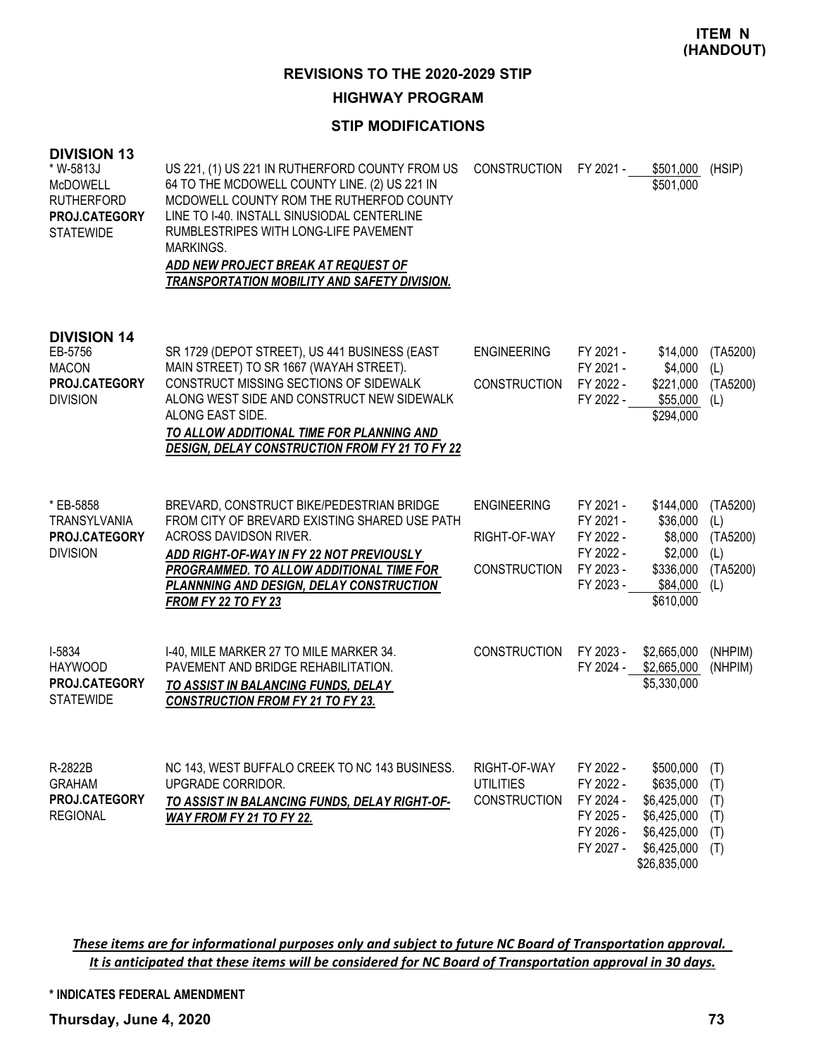**REVISIONS TO THE 2020-2029 STIP**

### **HIGHWAY PROGRAM**

## **STIP MODIFICATIONS**

| <b>DIVISION 13</b><br>* W-5813J<br><b>McDOWELL</b><br><b>RUTHERFORD</b><br>PROJ.CATEGORY<br><b>STATEWIDE</b> | US 221, (1) US 221 IN RUTHERFORD COUNTY FROM US<br>64 TO THE MCDOWELL COUNTY LINE. (2) US 221 IN<br>MCDOWELL COUNTY ROM THE RUTHERFOD COUNTY<br>LINE TO I-40. INSTALL SINUSIODAL CENTERLINE<br>RUMBLESTRIPES WITH LONG-LIFE PAVEMENT<br>MARKINGS.<br>ADD NEW PROJECT BREAK AT REQUEST OF<br><b>TRANSPORTATION MOBILITY AND SAFETY DIVISION.</b> | <b>CONSTRUCTION</b>                                       | FY 2021 -                                                                  | \$501,000<br>\$501,000                                                                             | (HSIP)                                                |
|--------------------------------------------------------------------------------------------------------------|-------------------------------------------------------------------------------------------------------------------------------------------------------------------------------------------------------------------------------------------------------------------------------------------------------------------------------------------------|-----------------------------------------------------------|----------------------------------------------------------------------------|----------------------------------------------------------------------------------------------------|-------------------------------------------------------|
| <b>DIVISION 14</b><br>EB-5756<br><b>MACON</b><br>PROJ.CATEGORY<br><b>DIVISION</b>                            | SR 1729 (DEPOT STREET), US 441 BUSINESS (EAST<br>MAIN STREET) TO SR 1667 (WAYAH STREET).<br>CONSTRUCT MISSING SECTIONS OF SIDEWALK<br>ALONG WEST SIDE AND CONSTRUCT NEW SIDEWALK<br>ALONG EAST SIDE.<br>TO ALLOW ADDITIONAL TIME FOR PLANNING AND<br><b>DESIGN, DELAY CONSTRUCTION FROM FY 21 TO FY 22</b>                                      | <b>ENGINEERING</b><br><b>CONSTRUCTION</b>                 | FY 2021 -<br>FY 2021 -<br>FY 2022 -<br>FY 2022 -                           | \$14,000<br>\$4,000<br>\$221,000<br>\$55,000<br>\$294,000                                          | (TA5200)<br>(L)<br>(TA5200)<br>(L)                    |
| * EB-5858<br><b>TRANSYLVANIA</b><br>PROJ.CATEGORY<br><b>DIVISION</b>                                         | BREVARD, CONSTRUCT BIKE/PEDESTRIAN BRIDGE<br>FROM CITY OF BREVARD EXISTING SHARED USE PATH<br>ACROSS DAVIDSON RIVER.<br>ADD RIGHT-OF-WAY IN FY 22 NOT PREVIOUSLY<br>PROGRAMMED. TO ALLOW ADDITIONAL TIME FOR<br>PLANNNING AND DESIGN, DELAY CONSTRUCTION<br><b>FROM FY 22 TO FY 23</b>                                                          | <b>ENGINEERING</b><br>RIGHT-OF-WAY<br><b>CONSTRUCTION</b> | FY 2021 -<br>FY 2021 -<br>FY 2022 -<br>FY 2022 -<br>FY 2023 -<br>FY 2023 - | \$144,000<br>\$36,000<br>\$8,000<br>\$2,000<br>\$336,000<br>\$84,000<br>\$610,000                  | (TA5200)<br>(L)<br>(TA5200)<br>(L)<br>(TA5200)<br>(L) |
| I-5834<br><b>HAYWOOD</b><br><b>PROJ.CATEGORY</b><br><b>STATEWIDE</b>                                         | I-40, MILE MARKER 27 TO MILE MARKER 34.<br>PAVEMENT AND BRIDGE REHABILITATION.<br>TO ASSIST IN BALANCING FUNDS, DELAY<br><b>CONSTRUCTION FROM FY 21 TO FY 23.</b>                                                                                                                                                                               | <b>CONSTRUCTION</b>                                       | FY 2023 -<br>FY 2024 -                                                     | \$2,665,000<br>\$2,665,000<br>\$5,330,000                                                          | (NHPIM)<br>(NHPIM)                                    |
| R-2822B<br><b>GRAHAM</b><br>PROJ.CATEGORY<br><b>REGIONAL</b>                                                 | NC 143, WEST BUFFALO CREEK TO NC 143 BUSINESS.<br>UPGRADE CORRIDOR.<br>TO ASSIST IN BALANCING FUNDS, DELAY RIGHT-OF-<br>WAY FROM FY 21 TO FY 22.                                                                                                                                                                                                | RIGHT-OF-WAY<br><b>UTILITIES</b><br><b>CONSTRUCTION</b>   | FY 2022 -<br>FY 2022 -<br>FY 2024 -<br>FY 2025 -<br>FY 2026 -<br>FY 2027 - | \$500,000<br>\$635,000<br>\$6,425,000<br>\$6,425,000<br>\$6,425,000<br>\$6,425,000<br>\$26,835,000 | (T)<br>(T)<br>(T)<br>(T)<br>(T)<br>(T)                |

These items are for informational purposes only and subject to future NC Board of Transportation approval. It is anticipated that these items will be considered for NC Board of Transportation approval in 30 days.

**\* INDICATES FEDERAL AMENDMENT**

**Thursday, June 4, 2020 73**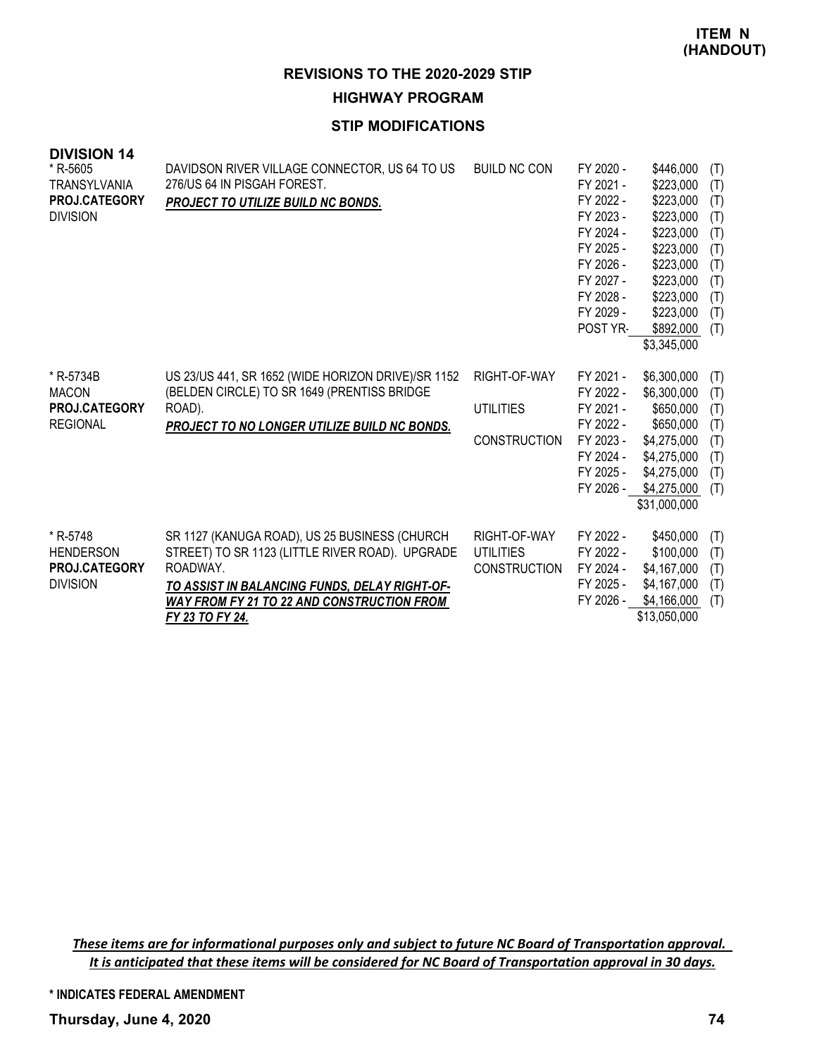**REVISIONS TO THE 2020-2029 STIP HIGHWAY PROGRAM**

# **STIP MODIFICATIONS**

| <b>DIVISION 14</b>   |                                                    |                     |           |              |     |
|----------------------|----------------------------------------------------|---------------------|-----------|--------------|-----|
| * R-5605             | DAVIDSON RIVER VILLAGE CONNECTOR, US 64 TO US      | <b>BUILD NC CON</b> | FY 2020 - | \$446,000    | (T) |
| TRANSYLVANIA         | 276/US 64 IN PISGAH FOREST.                        |                     | FY 2021 - | \$223,000    | (T) |
| <b>PROJ.CATEGORY</b> | PROJECT TO UTILIZE BUILD NC BONDS.                 |                     | FY 2022 - | \$223,000    | (T) |
| <b>DIVISION</b>      |                                                    |                     | FY 2023 - | \$223,000    | (T) |
|                      |                                                    |                     | FY 2024 - | \$223,000    | (T) |
|                      |                                                    |                     | FY 2025 - | \$223,000    | (T) |
|                      |                                                    |                     | FY 2026 - | \$223,000    | (T) |
|                      |                                                    |                     | FY 2027 - | \$223,000    | (T) |
|                      |                                                    |                     | FY 2028 - | \$223,000    | (T) |
|                      |                                                    |                     | FY 2029 - | \$223,000    | (T) |
|                      |                                                    |                     | POST YR-  | \$892,000    | (T) |
|                      |                                                    |                     |           | \$3,345,000  |     |
| * R-5734B            | US 23/US 441, SR 1652 (WIDE HORIZON DRIVE)/SR 1152 | RIGHT-OF-WAY        | FY 2021 - | \$6,300,000  | (T) |
| <b>MACON</b>         | (BELDEN CIRCLE) TO SR 1649 (PRENTISS BRIDGE        |                     | FY 2022 - | \$6,300,000  | (T) |
| <b>PROJ.CATEGORY</b> | ROAD).                                             | <b>UTILITIES</b>    | FY 2021 - | \$650,000    | (T) |
| <b>REGIONAL</b>      | PROJECT TO NO LONGER UTILIZE BUILD NC BONDS.       |                     | FY 2022 - | \$650,000    | (T) |
|                      |                                                    | <b>CONSTRUCTION</b> | FY 2023 - | \$4,275,000  | (T) |
|                      |                                                    |                     | FY 2024 - | \$4,275,000  | (T) |
|                      |                                                    |                     | FY 2025 - | \$4,275,000  | (T) |
|                      |                                                    |                     | FY 2026 - | \$4,275,000  | (T) |
|                      |                                                    |                     |           | \$31,000,000 |     |
| * R-5748             | SR 1127 (KANUGA ROAD), US 25 BUSINESS (CHURCH)     | RIGHT-OF-WAY        | FY 2022 - | \$450,000    | (T) |
| <b>HENDERSON</b>     | STREET) TO SR 1123 (LITTLE RIVER ROAD). UPGRADE    | <b>UTILITIES</b>    | FY 2022 - | \$100,000    | (T) |
| <b>PROJ.CATEGORY</b> | ROADWAY.                                           | <b>CONSTRUCTION</b> | FY 2024 - | \$4,167,000  | (T) |
| <b>DIVISION</b>      | TO ASSIST IN BALANCING FUNDS, DELAY RIGHT-OF-      |                     | FY 2025 - | \$4,167,000  | (T) |
|                      | <b>WAY FROM FY 21 TO 22 AND CONSTRUCTION FROM</b>  |                     | FY 2026 - | \$4,166,000  | (T) |
|                      | FY 23 TO FY 24.                                    |                     |           | \$13,050,000 |     |

These items are for informational purposes only and subject to future NC Board of Transportation approval. It is anticipated that these items will be considered for NC Board of Transportation approval in 30 days.

**\* INDICATES FEDERAL AMENDMENT**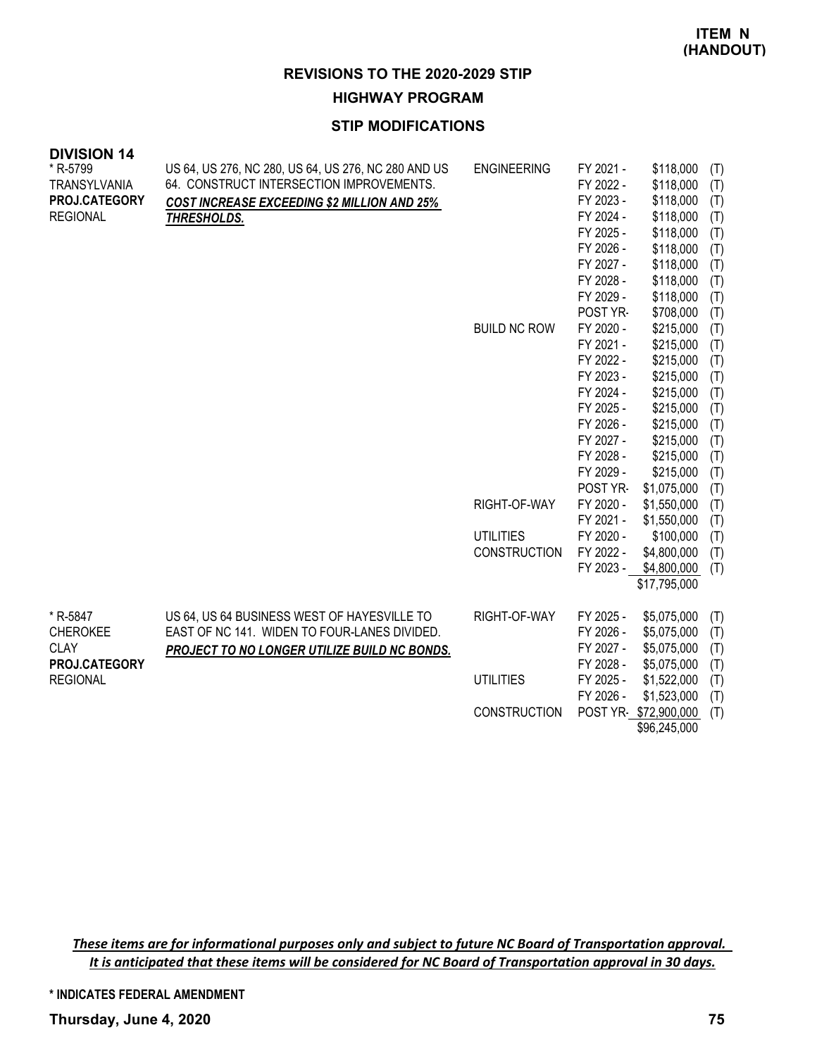**REVISIONS TO THE 2020-2029 STIP**

**HIGHWAY PROGRAM**

# **STIP MODIFICATIONS**

| <b>DIVISION 14</b>   |                                                     |                     |           |                      |     |
|----------------------|-----------------------------------------------------|---------------------|-----------|----------------------|-----|
| * R-5799             | US 64, US 276, NC 280, US 64, US 276, NC 280 AND US | <b>ENGINEERING</b>  | FY 2021 - | \$118,000            | (T) |
| TRANSYLVANIA         | 64. CONSTRUCT INTERSECTION IMPROVEMENTS.            |                     | FY 2022 - | \$118,000            | (T) |
| <b>PROJ.CATEGORY</b> | <b>COST INCREASE EXCEEDING \$2 MILLION AND 25%</b>  |                     | FY 2023 - | \$118,000            | (T) |
| <b>REGIONAL</b>      | THRESHOLDS.                                         |                     | FY 2024 - | \$118,000            | (T) |
|                      |                                                     |                     | FY 2025 - | \$118,000            | (T) |
|                      |                                                     |                     | FY 2026 - | \$118,000            | (T) |
|                      |                                                     |                     | FY 2027 - | \$118,000            | (T) |
|                      |                                                     |                     | FY 2028 - | \$118,000            | (T) |
|                      |                                                     |                     | FY 2029 - | \$118,000            | (T) |
|                      |                                                     |                     | POST YR-  | \$708,000            | (T) |
|                      |                                                     | <b>BUILD NC ROW</b> | FY 2020 - | \$215,000            | (T) |
|                      |                                                     |                     | FY 2021 - | \$215,000            | (T) |
|                      |                                                     |                     | FY 2022 - | \$215,000            | (T) |
|                      |                                                     |                     | FY 2023 - | \$215,000            | (T) |
|                      |                                                     |                     | FY 2024 - | \$215,000            | (T) |
|                      |                                                     |                     | FY 2025 - | \$215,000            | (T) |
|                      |                                                     |                     | FY 2026 - | \$215,000            | (T) |
|                      |                                                     |                     | FY 2027 - | \$215,000            | (T) |
|                      |                                                     |                     | FY 2028 - | \$215,000            | (T) |
|                      |                                                     |                     | FY 2029 - | \$215,000            | (T) |
|                      |                                                     |                     | POST YR-  | \$1,075,000          | (T) |
|                      |                                                     | RIGHT-OF-WAY        | FY 2020 - | \$1,550,000          | (T) |
|                      |                                                     |                     | FY 2021 - | \$1,550,000          | (T) |
|                      |                                                     | <b>UTILITIES</b>    | FY 2020 - | \$100,000            | (T) |
|                      |                                                     | <b>CONSTRUCTION</b> | FY 2022 - | \$4,800,000          | (T) |
|                      |                                                     |                     | FY 2023 - | \$4,800,000          | (T) |
|                      |                                                     |                     |           | \$17,795,000         |     |
| * R-5847             | US 64, US 64 BUSINESS WEST OF HAYESVILLE TO         | RIGHT-OF-WAY        | FY 2025 - | \$5,075,000          | (T) |
| <b>CHEROKEE</b>      | EAST OF NC 141. WIDEN TO FOUR-LANES DIVIDED.        |                     | FY 2026 - | \$5,075,000          | (T) |
| <b>CLAY</b>          | <b>PROJECT TO NO LONGER UTILIZE BUILD NC BONDS.</b> |                     | FY 2027 - | \$5,075,000          | (T) |
| PROJ.CATEGORY        |                                                     |                     | FY 2028 - | \$5,075,000          | (T) |
| <b>REGIONAL</b>      |                                                     | <b>UTILITIES</b>    | FY 2025 - | \$1,522,000          | (T) |
|                      |                                                     |                     | FY 2026 - | \$1,523,000          | (T) |
|                      |                                                     | <b>CONSTRUCTION</b> |           | POST YR \$72,900,000 | (T) |
|                      |                                                     |                     |           | \$96,245,000         |     |

These items are for informational purposes only and subject to future NC Board of Transportation approval. It is anticipated that these items will be considered for NC Board of Transportation approval in 30 days.

**\* INDICATES FEDERAL AMENDMENT**

**Thursday, June 4, 2020 75**